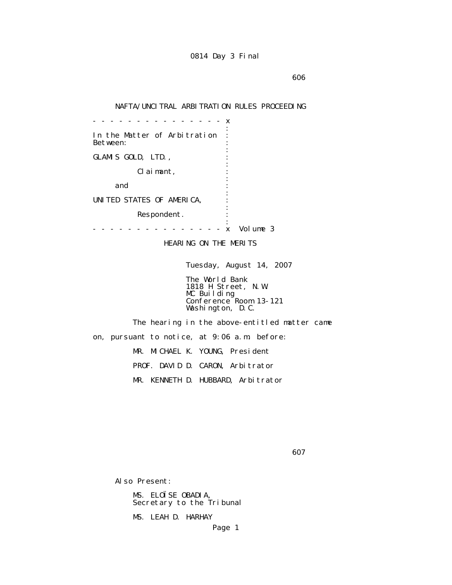en de la construction de la construction de la construction de la construction de la construction de la construction de la construction de la construction de la construction de la construction de la construction de la cons

## NAFTA/UNCITRAL ARBITRATION RULES PROCEEDING

 - - - - - - - - - - - - - - - x the contract of the contract of the contract of the contract of the contract of the contract of the contract of In the Matter of Arbitration : Between: the contract of the contract of the contract of the contract of the contract of the contract of the contract of GLAMIS GOLD, LTD., the contract of the contract of the contract of the contract of the contract of the contract of the contract of Claimant, : the contract of the contract of the contract of the contract of the contract of the contract of the contract of and  $\cdots$  : the contract of the contract of the contract of the contract of the contract of the contract of the contract of UNITED STATES OF AMERICA, : the contract of the contract of the contract of the contract of the contract of the contract of the contract of Respondent. the contract of the contract of the contract of the contract of the contract of the contract of the contract of - - - - - - - - - - - - - - - x Volume 3

HEARING ON THE MERITS

Tuesday, August 14, 2007

 The World Bank 1818 H Street, N.W. MC Building Conference Room 13-121 Washington, D.C.

 The hearing in the above-entitled matter came on, pursuant to notice, at 9:06 a.m. before: MR. MICHAEL K. YOUNG, President PROF. DAVID D. CARON, Arbitrator MR. KENNETH D. HUBBARD, Arbitrator

 $\sim$  607

Also Present:

 MS. ELOÏSE OBADIA, Secretary to the Tribunal

MS. LEAH D. HARHAY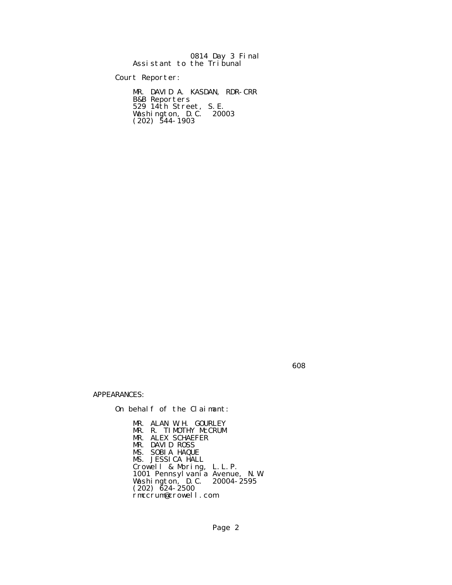|  | 0814 Day 3 Final          |
|--|---------------------------|
|  | Assistant to the Tribunal |

Court Reporter:

 MR. DAVID A. KASDAN, RDR-CRR B&B Reporters 529 14th Street, S.E. Washington, D.C. 20003  $(202)$  544-1903

de a constructiva de la constructiva de la constructiva de la constructiva de la constructiva de la constructiv

APPEARANCES:

On behalf of the Claimant:

 MR. ALAN W.H. GOURLEY MR. R. TIMOTHY McCRUM MR. ALEX SCHAEFER MR. DAVID ROSS MS. SOBIA HAQUE MS. JESSICA HALL Crowell & Moring, L.L.P. 1001 Pennsylvania Avenue, N.W. Washington, D.C. 20004-2595  $(202)$   $\bar{6}24 - 2500$ rmccrum@crowell.com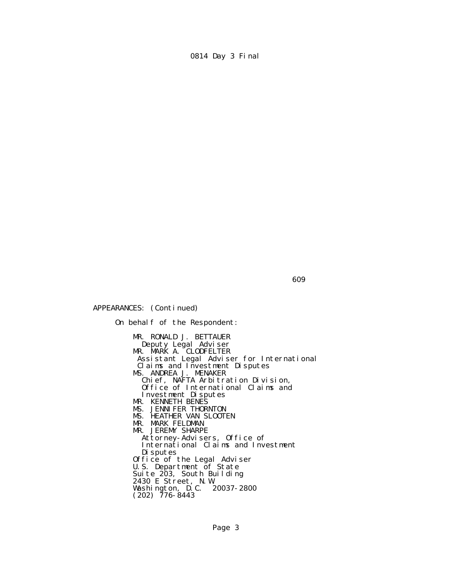609

APPEARANCES: (Continued)

 On behalf of the Respondent: MR. RONALD J. BETTAUER Deputy Legal Adviser MR. MARK A. CLODFELTER Assistant Legal Adviser for International Claims and Investment Disputes MS. ANDREA J. MENAKER Chief, NAFTA Arbitration Division, Office of International Claims and Investment Disputes MR. KENNETH BENES MS. JENNIFER THORNTON MS. HEATHER VAN SLOOTEN MR. MARK FELDMAN MR. JEREMY SHARPE Attorney-Advisers, Office of International Claims and Investment Disputes Office of the Legal Adviser U.S. Department of State Suite 203, South Building 2430 E Street, N.W. Washington, D.C. 20037-2800  $(202)$  776-8443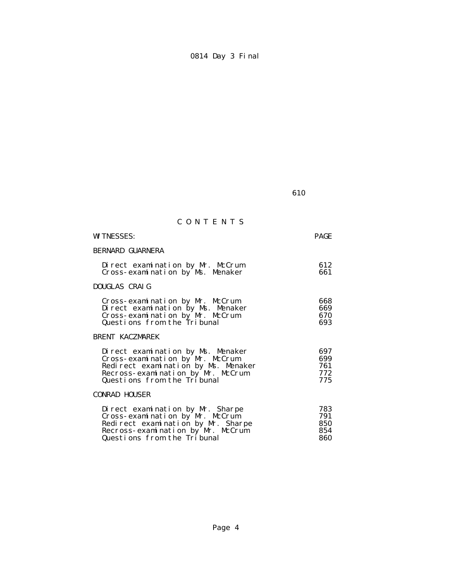**610** 

# C O N T E N T S

| <b>WITNESSES:</b>                                                                                                                                                               | <b>PAGE</b>                     |
|---------------------------------------------------------------------------------------------------------------------------------------------------------------------------------|---------------------------------|
| <b>BERNARD GUARNERA</b>                                                                                                                                                         |                                 |
| Direct examination by Mr. McCrum<br>Cross-examination by Ms. Menaker                                                                                                            | 612<br>661                      |
| DOUGLAS CRAIG                                                                                                                                                                   |                                 |
| Cross-examination by Mr. McCrum<br>Direct examination by Ms. Menaker<br>Cross-examination by Mr. McCrum<br>Questions from the Tribunal                                          | 668<br>669<br>670<br>693        |
| <b>BRENT KACZMAREK</b>                                                                                                                                                          |                                 |
| Direct examination by Ms. Menaker<br>Cross-examination by Mr. McCrum<br>Redirect examination by Ms. Menaker<br>Recross-examination by Mr. McCrum<br>Questions from the Tribunal | 697<br>699<br>761<br>772<br>775 |
| <b>CONRAD HOUSER</b>                                                                                                                                                            |                                 |
| Direct examination by Mr. Sharpe<br>Cross-examination by Mr. McCrum<br>Redirect examination by Mr. Sharpe<br>Recross-examination by Mr. McCrum<br>Questions from the Tribunal   | 783<br>791<br>850<br>854<br>860 |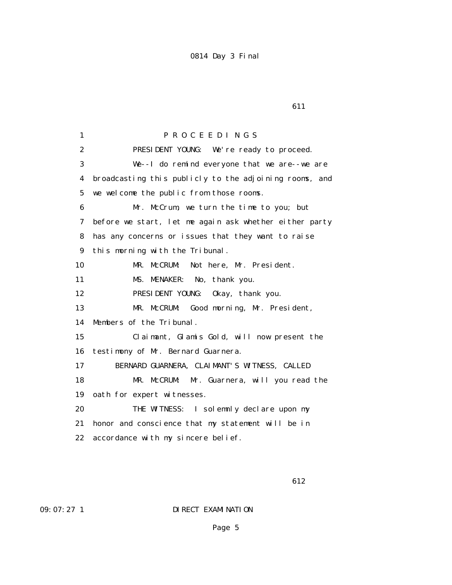1 P R O C E E D I N G S 2 PRESIDENT YOUNG: We're ready to proceed. 3 We--I do remind everyone that we are--we are 4 broadcasting this publicly to the adjoining rooms, and 5 we welcome the public from those rooms. 6 Mr. McCrum, we turn the time to you; but 7 before we start, let me again ask whether either party 8 has any concerns or issues that they want to raise 9 this morning with the Tribunal. 10 MR. McCRUM: Not here, Mr. President. 11 MS. MENAKER: No, thank you. 12 PRESIDENT YOUNG: Okay, thank you. 13 MR. McCRUM: Good morning, Mr. President, 14 Members of the Tribunal. 15 Claimant, Glamis Gold, will now present the 16 testimony of Mr. Bernard Guarnera. 17 BERNARD GUARNERA, CLAIMANT'S WITNESS, CALLED 18 MR. McCRUM: Mr. Guarnera, will you read the 19 oath for expert witnesses. 20 THE WITNESS: I solemnly declare upon my 21 honor and conscience that my statement will be in 22 accordance with my sincere belief.

**612** 

09: 07: 27 1 DIRECT EXAMINATION

**611**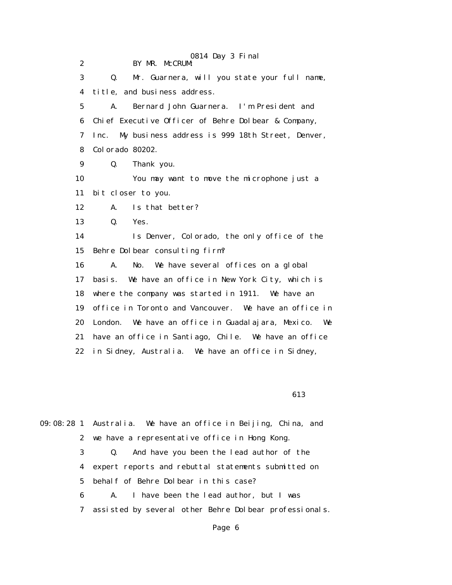|                  | 0814 Day 3 Final                                           |
|------------------|------------------------------------------------------------|
| $\boldsymbol{2}$ | BY MR. McCRUM:                                             |
| 3                | Mr. Guarnera, will you state your full name,<br>Q.         |
| 4                | title, and business address.                               |
| $\mathbf{5}$     | Bernard John Guarnera. I'm President and<br>$\mathbf{A}$ . |
| 6                | Chief Executive Officer of Behre Dolbear & Company,        |
| 7                | My business address is 999 18th Street, Denver,<br>Inc.    |
| 8                | Colorado 80202.                                            |
| 9                | Q.<br>Thank you.                                           |
| 10               | You may want to move the microphone just a                 |
| 11               | bit closer to you.                                         |
| 12               | Is that better?<br>A.                                      |
| 13               | Yes.<br>Q.                                                 |
| 14               | Is Denver, Colorado, the only office of the                |
| 15               | Behre Dolbear consulting firm?                             |
| 16               | We have several offices on a global<br>A.<br>No.           |
| 17               | We have an office in New York City, which is<br>basi s.    |
| 18               | where the company was started in 1911. We have an          |
| 19               | office in Toronto and Vancouver. We have an office in      |
| 20               | We have an office in Guadalajara, Mexico. We<br>London.    |
| 21               | have an office in Santiago, Chile. We have an office       |
| 22               | in Sidney, Australia. We have an office in Sidney,         |
|                  |                                                            |

**613** 

|   | 09:08:28 1 Australia. We have an office in Beijing, China, and |
|---|----------------------------------------------------------------|
|   | 2 we have a representative office in Hong Kong.                |
| 3 | And have you been the lead author of the<br>Q.                 |
|   | 4 expert reports and rebuttal statements submitted on          |
|   | 5 behalf of Behre Dolbear in this case?                        |
| 6 | I have been the lead author, but I was<br>A.                   |
| 7 | assisted by several other Behre Dolbear professionals.         |
|   |                                                                |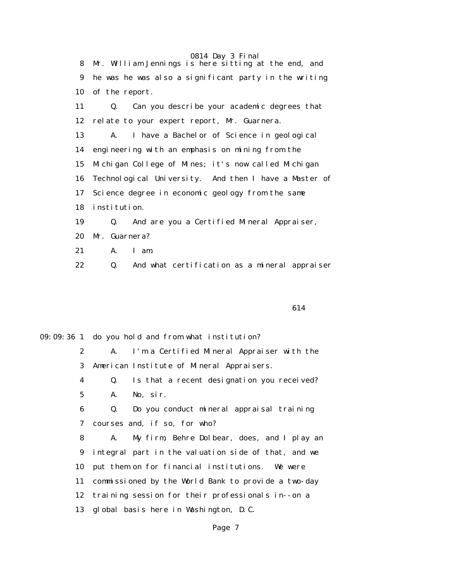0814 Day 3 Final 8 Mr. William Jennings is here sitting at the end, and 9 he was he was also a significant party in the writing 10 of the report. 11 Q. Can you describe your academic degrees that 12 relate to your expert report, Mr. Guarnera. 13 A. I have a Bachelor of Science in geological 14 engineering with an emphasis on mining from the 15 Michigan College of Mines; it's now called Michigan 16 Technological University. And then I have a Master of 17 Science degree in economic geology from the same 18 institution. 19 Q. And are you a Certified Mineral Appraiser, 20 Mr. Guarnera? 21 A. I am.

22 Q. And what certification as a mineral appraiser

614

09:09:36 1 do you hold and from what institution?

 2 A. I'm a Certified Mineral Appraiser with the 3 American Institute of Mineral Appraisers.

 4 Q. Is that a recent designation you received? 5 A. No, sir.

 6 Q. Do you conduct mineral appraisal training 7 courses and, if so, for who?

 8 A. My firm, Behre Dolbear, does, and I play an 9 integral part in the valuation side of that, and we 10 put them on for financial institutions. We were 11 commissioned by the World Bank to provide a two-day 12 training session for their professionals in--on a 13 global basis here in Washington, D.C.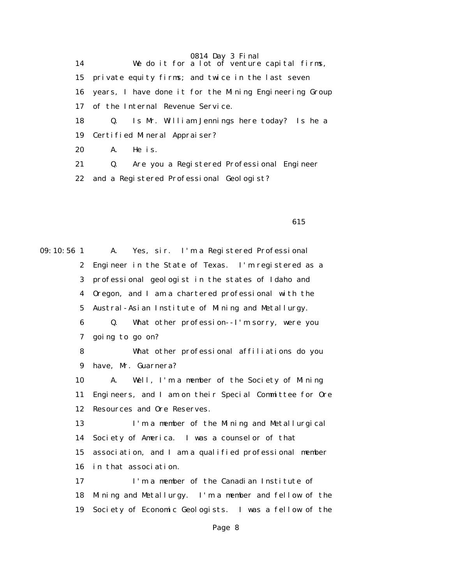14 We do it for a lot of venture capital firms, 15 private equity firms; and twice in the last seven 16 years, I have done it for the Mining Engineering Group 17 of the Internal Revenue Service. 18 Q. Is Mr. William Jennings here today? Is he a 19 Certified Mineral Appraiser? 20 A. He is. 21 Q. Are you a Registered Professional Engineer

22 and a Registered Professional Geologist?

615

09:10:56 1 A. Yes, sir. I'm a Registered Professional 2 Engineer in the State of Texas. I'm registered as a 3 professional geologist in the states of Idaho and 4 Oregon, and I am a chartered professional with the 5 Austral-Asian Institute of Mining and Metallurgy. 6 Q. What other profession--I'm sorry, were you 7 going to go on? 8 What other professional affiliations do you 9 have, Mr. Guarnera? 10 A. Well, I'm a member of the Society of Mining 11 Engineers, and I am on their Special Committee for Ore 12 Resources and Ore Reserves. 13 I'm a member of the Mining and Metallurgical 14 Society of America. I was a counselor of that 15 association, and I am a qualified professional member 16 in that association. 17 I'm a member of the Canadian Institute of 18 Mining and Metallurgy. I'm a member and fellow of the 19 Society of Economic Geologists. I was a fellow of the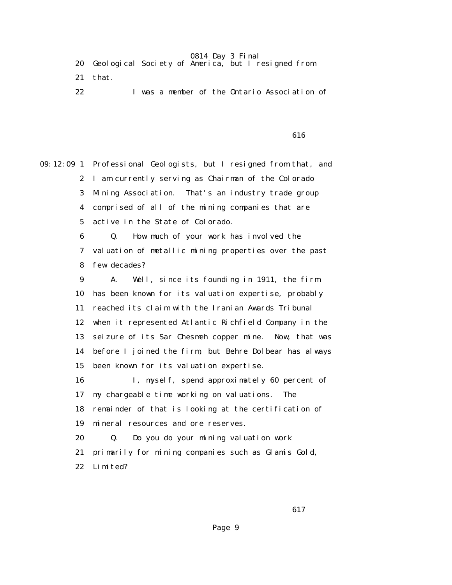| 20 Geological Society of America, but I resigned from |
|-------------------------------------------------------|
|-------------------------------------------------------|

- 21 that.
- 22 I was a member of the Ontario Association of

 $\sim$  616

09:12:09 1 Professional Geologists, but I resigned from that, and 2 I am currently serving as Chairman of the Colorado 3 Mining Association. That's an industry trade group 4 comprised of all of the mining companies that are 5 active in the State of Colorado. 6 Q. How much of your work has involved the 7 valuation of metallic mining properties over the past 8 few decades? 9 A. Well, since its founding in 1911, the firm 10 has been known for its valuation expertise, probably 11 reached its claim with the Iranian Awards Tribunal 12 when it represented Atlantic Richfield Company in the 13 seizure of its Sar Chesmeh copper mine. Now, that was 14 before I joined the firm, but Behre Dolbear has always 15 been known for its valuation expertise. 16 I, myself, spend approximately 60 percent of 17 my chargeable time working on valuations. The 18 remainder of that is looking at the certification of 19 mineral resources and ore reserves. 20 Q. Do you do your mining valuation work 21 primarily for mining companies such as Glamis Gold, 22 Limited?

**617**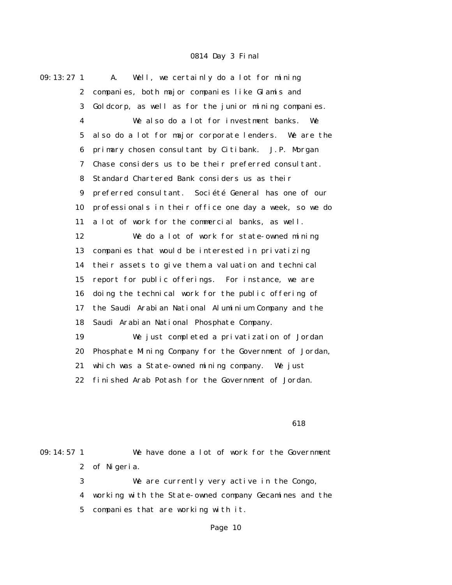$09:13:27$  1 A. Well, we certainly do a lot for mining 2 companies, both major companies like Glamis and 3 Goldcorp, as well as for the junior mining companies. 4 We also do a lot for investment banks. We 5 also do a lot for major corporate lenders. We are the 6 primary chosen consultant by Citibank. J.P. Morgan 7 Chase considers us to be their preferred consultant. 8 Standard Chartered Bank considers us as their 9 preferred consultant. Société General has one of our 10 professionals in their office one day a week, so we do 11 a lot of work for the commercial banks, as well. 12 We do a lot of work for state-owned mining 13 companies that would be interested in privatizing 14 their assets to give them a valuation and technical 15 report for public offerings. For instance, we are 16 doing the technical work for the public offering of 17 the Saudi Arabian National Aluminium Company and the 18 Saudi Arabian National Phosphate Company. 19 We just completed a privatization of Jordan 20 Phosphate Mining Company for the Government of Jordan, 21 which was a State-owned mining company. We just 22 finished Arab Potash for the Government of Jordan.

#### $\sim$  618

09:14:57 1 We have done a lot of work for the Government 2 of Nigeria. 3 We are currently very active in the Congo,

> 4 working with the State-owned company Gecamines and the 5 companies that are working with it.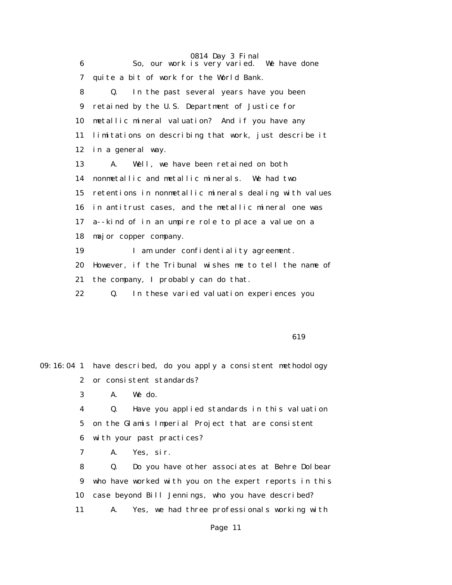0814 Day 3 Final 6 So, our work is very varied. We have done 7 quite a bit of work for the World Bank. 8 Q. In the past several years have you been 9 retained by the U.S. Department of Justice for 10 metallic mineral valuation? And if you have any 11 limitations on describing that work, just describe it 12 in a general way. 13 A. Well, we have been retained on both 14 nonmetallic and metallic minerals. We had two 15 retentions in nonmetallic minerals dealing with values 16 in antitrust cases, and the metallic mineral one was 17 a--kind of in an umpire role to place a value on a 18 major copper company. 19 I am under confidentiality agreement. 20 However, if the Tribunal wishes me to tell the name of 21 the company, I probably can do that. 22 Q. In these varied valuation experiences you

619

09:16:04 1 have described, do you apply a consistent methodology 2 or consistent standards? 3 A. We do. 4 Q. Have you applied standards in this valuation 5 on the Glamis Imperial Project that are consistent 6 with your past practices? 7 A. Yes, sir. 8 Q. Do you have other associates at Behre Dolbear 9 who have worked with you on the expert reports in this 10 case beyond Bill Jennings, who you have described? 11 A. Yes, we had three professionals working with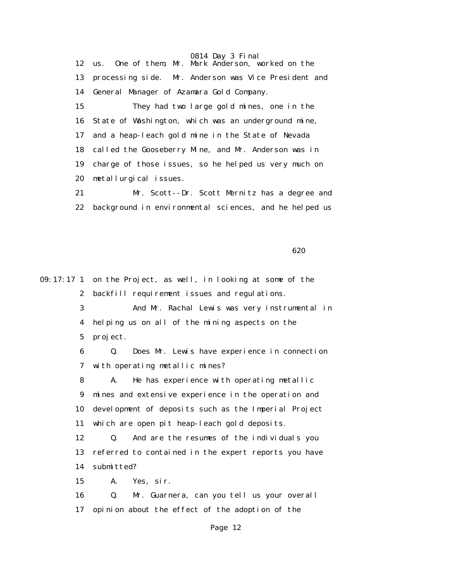0814 Day 3 Final 12 us. One of them, Mr. Mark Anderson, worked on the 13 processing side. Mr. Anderson was Vice President and 14 General Manager of Azamara Gold Company. 15 They had two large gold mines, one in the 16 State of Washington, which was an underground mine, 17 and a heap-leach gold mine in the State of Nevada 18 called the Gooseberry Mine, and Mr. Anderson was in 19 charge of those issues, so he helped us very much on 20 metallurgical issues.

 21 Mr. Scott--Dr. Scott Mernitz has a degree and 22 background in environmental sciences, and he helped us

 $\sim$  620

09:17:17 1 on the Project, as well, in looking at some of the 2 backfill requirement issues and regulations. 3 And Mr. Rachal Lewis was very instrumental in 4 helping us on all of the mining aspects on the 5 project. 6 Q. Does Mr. Lewis have experience in connection 7 with operating metallic mines? 8 A. He has experience with operating metallic 9 mines and extensive experience in the operation and 10 development of deposits such as the Imperial Project 11 which are open pit heap-leach gold deposits. 12 Q. And are the resumes of the individuals you 13 referred to contained in the expert reports you have 14 submitted? 15 A. Yes, sir. 16 Q. Mr. Guarnera, can you tell us your overall 17 opinion about the effect of the adoption of the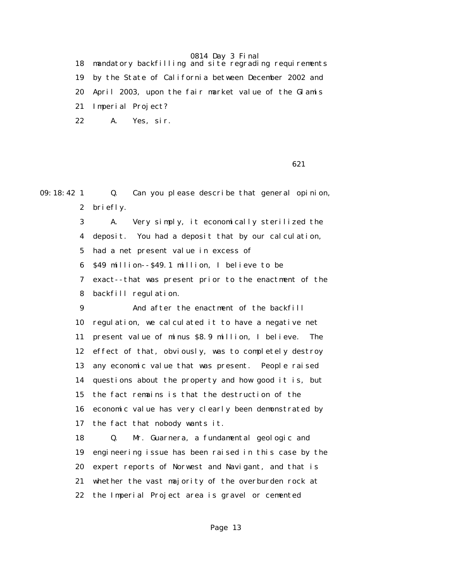18 mandatory backfilling and site regrading requirements 19 by the State of California between December 2002 and 20 April 2003, upon the fair market value of the Glamis 21 Imperial Project? 22 A. Yes, sir.

 $\sim$  621

09:18:42 1 Q. Can you please describe that general opinion, 2 briefly. 3 A. Very simply, it economically sterilized the 4 deposit. You had a deposit that by our calculation, 5 had a net present value in excess of 6 \$49 million--\$49.1 million, I believe to be 7 exact--that was present prior to the enactment of the 8 backfill regulation. 9 And after the enactment of the backfill 10 regulation, we calculated it to have a negative net 11 present value of minus \$8.9 million, I believe. The 12 effect of that, obviously, was to completely destroy 13 any economic value that was present. People raised 14 questions about the property and how good it is, but 15 the fact remains is that the destruction of the 16 economic value has very clearly been demonstrated by 17 the fact that nobody wants it. 18 Q. Mr. Guarnera, a fundamental geologic and 19 engineering issue has been raised in this case by the 20 expert reports of Norwest and Navigant, and that is 21 whether the vast majority of the overburden rock at 22 the Imperial Project area is gravel or cemented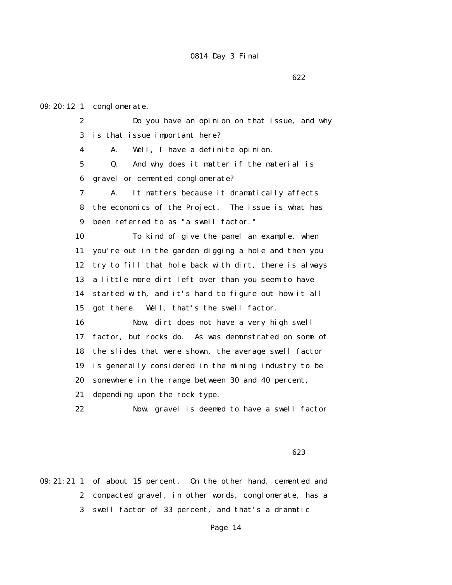09:20:12 1 conglomerate.

 2 Do you have an opinion on that issue, and why 3 is that issue important here? 4 A. Well, I have a definite opinion. 5 Q. And why does it matter if the material is 6 gravel or cemented conglomerate? 7 A. It matters because it dramatically affects 8 the economics of the Project. The issue is what has 9 been referred to as "a swell factor." 10 To kind of give the panel an example, when 11 you're out in the garden digging a hole and then you 12 try to fill that hole back with dirt, there is always 13 a little more dirt left over than you seem to have 14 started with, and it's hard to figure out how it all 15 got there. Well, that's the swell factor. 16 Now, dirt does not have a very high swell 17 factor, but rocks do. As was demonstrated on some of 18 the slides that were shown, the average swell factor 19 is generally considered in the mining industry to be 20 somewhere in the range between 30 and 40 percent, 21 depending upon the rock type. 22 Now, gravel is deemed to have a swell factor

 $\sim$  623

09:21:21 1 of about 15 percent. On the other hand, cemented and 2 compacted gravel, in other words, conglomerate, has a 3 swell factor of 33 percent, and that's a dramatic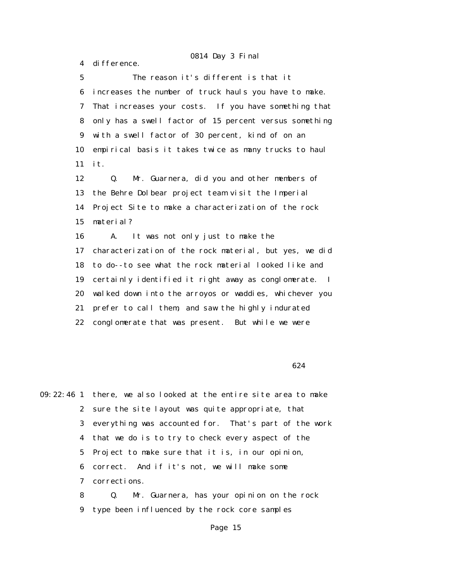4 difference.

15 material?

 5 The reason it's different is that it 6 increases the number of truck hauls you have to make. 7 That increases your costs. If you have something that 8 only has a swell factor of 15 percent versus something 9 with a swell factor of 30 percent, kind of on an 10 empirical basis it takes twice as many trucks to haul 11 it. 12 Q. Mr. Guarnera, did you and other members of 13 the Behre Dolbear project team visit the Imperial 14 Project Site to make a characterization of the rock

 16 A. It was not only just to make the 17 characterization of the rock material, but yes, we did 18 to do--to see what the rock material looked like and 19 certainly identified it right away as conglomerate. I 20 walked down into the arroyos or waddies, whichever you 21 prefer to call them, and saw the highly indurated 22 conglomerate that was present. But while we were

 $624$ 

09:22:46 1 there, we also looked at the entire site area to make 2 sure the site layout was quite appropriate, that 3 everything was accounted for. That's part of the work 4 that we do is to try to check every aspect of the 5 Project to make sure that it is, in our opinion, 6 correct. And if it's not, we will make some 7 corrections. 8 Q. Mr. Guarnera, has your opinion on the rock

9 type been influenced by the rock core samples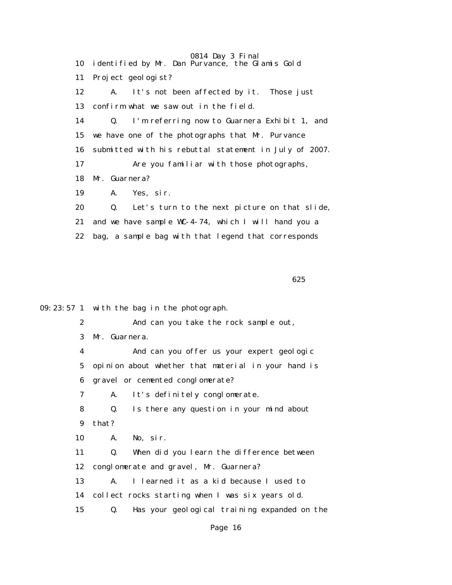0814 Day 3 Final 10 identified by Mr. Dan Purvance, the Glamis Gold 11 Project geologist? 12 A. It's not been affected by it. Those just 13 confirm what we saw out in the field. 14 Q. I'm referring now to Guarnera Exhibit 1, and 15 we have one of the photographs that Mr. Purvance 16 submitted with his rebuttal statement in July of 2007. 17 Are you familiar with those photographs, 18 Mr. Guarnera? 19 A. Yes, sir. 20 Q. Let's turn to the next picture on that slide, 21 and we have sample WC-4-74, which I will hand you a 22 bag, a sample bag with that legend that corresponds

 $\sim$  625

09:23:57 1 with the bag in the photograph.

 2 And can you take the rock sample out, 3 Mr. Guarnera.

 4 And can you offer us your expert geologic 5 opinion about whether that material in your hand is 6 gravel or cemented conglomerate?

7 A. It's definitely conglomerate.

 8 Q. Is there any question in your mind about 9 that?

10 A. No, sir.

 11 Q. When did you learn the difference between 12 conglomerate and gravel, Mr. Guarnera?

 13 A. I learned it as a kid because I used to 14 collect rocks starting when I was six years old.

15 Q. Has your geological training expanded on the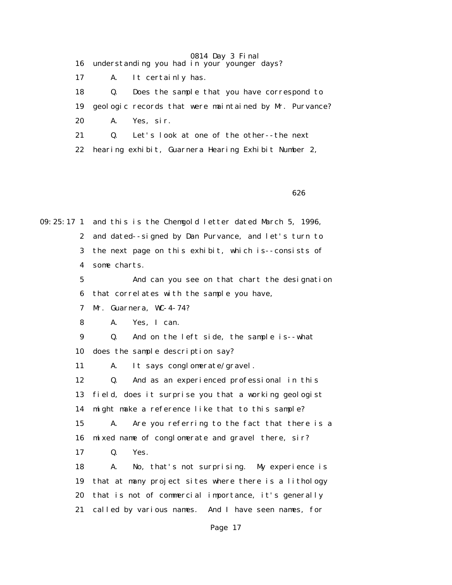- 16 understanding you had in your younger days?
- 17 A. It certainly has.

18 Q. Does the sample that you have correspond to

19 geologic records that were maintained by Mr. Purvance?

20 A. Yes, sir.

21 Q. Let's look at one of the other--the next

22 hearing exhibit, Guarnera Hearing Exhibit Number 2,

 $\sim$  626

09:25:17 1 and this is the Chemgold letter dated March 5, 1996, 2 and dated--signed by Dan Purvance, and let's turn to 3 the next page on this exhibit, which is--consists of 4 some charts.

> 5 And can you see on that chart the designation 6 that correlates with the sample you have,

7 Mr. Guarnera, WC-4-74?

8 A. Yes, I can.

 9 Q. And on the left side, the sample is--what 10 does the sample description say?

11 A. It says conglomerate/gravel.

 12 Q. And as an experienced professional in this 13 field, does it surprise you that a working geologist 14 might make a reference like that to this sample? 15 A. Are you referring to the fact that there is a

16 mixed name of conglomerate and gravel there, sir?

17 Q. Yes.

 18 A. No, that's not surprising. My experience is 19 that at many project sites where there is a lithology 20 that is not of commercial importance, it's generally 21 called by various names. And I have seen names, for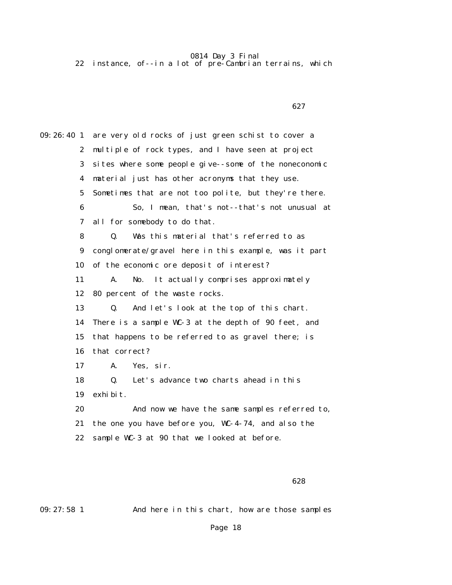22 instance, of--in a lot of pre-Cambrian terrains, which

 $\sim$  627

09:26:40 1 are very old rocks of just green schist to cover a 2 multiple of rock types, and I have seen at project 3 sites where some people give--some of the noneconomic 4 material just has other acronyms that they use. 5 Sometimes that are not too polite, but they're there. 6 So, I mean, that's not--that's not unusual at 7 all for somebody to do that. 8 Q. Was this material that's referred to as 9 conglomerate/gravel here in this example, was it part 10 of the economic ore deposit of interest? 11 A. No. It actually comprises approximately 12 80 percent of the waste rocks. 13 Q. And let's look at the top of this chart. 14 There is a sample WC-3 at the depth of 90 feet, and 15 that happens to be referred to as gravel there; is 16 that correct? 17 A. Yes, sir. 18 Q. Let's advance two charts ahead in this 19 exhibit. 20 And now we have the same samples referred to, 21 the one you have before you, WC-4-74, and also the 22 sample WC-3 at 90 that we looked at before.

 $\sim$  628

09:27:58 1 And here in this chart, how are those samples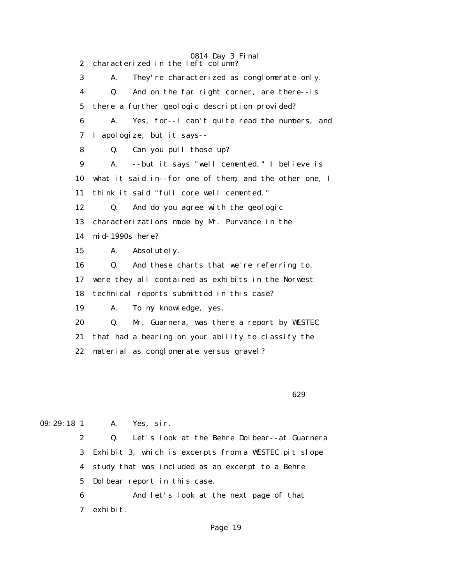0814 Day 3 Final 2 characterized in the left column? 3 A. They're characterized as conglomerate only. 4 Q. And on the far right corner, are there--is 5 there a further geologic description provided? 6 A. Yes, for--I can't quite read the numbers, and 7 I apologize, but it says-- 8 Q. Can you pull those up? 9 A. --but it says "well cemented," I believe is 10 what it said in--for one of them, and the other one, I 11 think it said "full core well cemented." 12 Q. And do you agree with the geologic 13 characterizations made by Mr. Purvance in the 14 mid-1990s here? 15 A. Absolutely. 16 Q. And these charts that we're referring to, 17 were they all contained as exhibits in the Norwest 18 technical reports submitted in this case? 19 A. To my knowledge, yes. 20 Q. Mr. Guarnera, was there a report by WESTEC 21 that had a bearing on your ability to classify the 22 material as conglomerate versus gravel?

 $\sim$  629

09:29:18 1 A. Yes, sir.

 2 Q. Let's look at the Behre Dolbear--at Guarnera 3 Exhibit 3, which is excerpts from a WESTEC pit slope 4 study that was included as an excerpt to a Behre 5 Dolbear report in this case.

 6 And let's look at the next page of that 7 exhibit.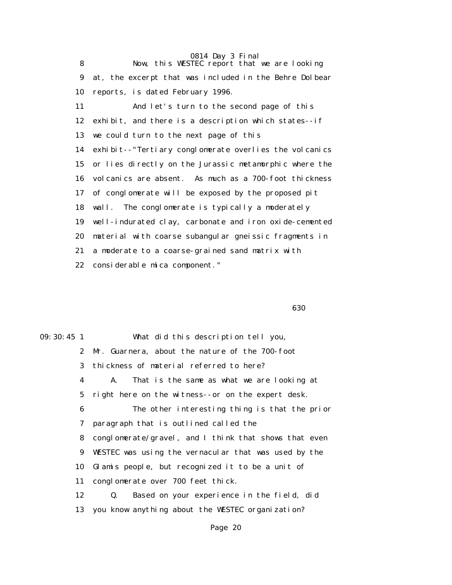0814 Day 3 Final 8 Now, this WESTEC report that we are looking 9 at, the excerpt that was included in the Behre Dolbear 10 reports, is dated February 1996. 11 And let's turn to the second page of this 12 exhibit, and there is a description which states--if 13 we could turn to the next page of this 14 exhibit--"Tertiary conglomerate overlies the volcanics 15 or lies directly on the Jurassic metamorphic where the 16 volcanics are absent. As much as a 700-foot thickness 17 of conglomerate will be exposed by the proposed pit 18 wall. The conglomerate is typically a moderately 19 well-indurated clay, carbonate and iron oxide-cemented 20 material with coarse subangular gneissic fragments in 21 a moderate to a coarse-grained sand matrix with 22 considerable mica component."

 $\sim$  630

09:30:45 1 What did this description tell you, 2 Mr. Guarnera, about the nature of the 700-foot 3 thickness of material referred to here? 4 A. That is the same as what we are looking at 5 right here on the witness--or on the expert desk. 6 The other interesting thing is that the prior 7 paragraph that is outlined called the 8 conglomerate/gravel, and I think that shows that even 9 WESTEC was using the vernacular that was used by the 10 Glamis people, but recognized it to be a unit of 11 conglomerate over 700 feet thick. 12 Q. Based on your experience in the field, did 13 you know anything about the WESTEC organization?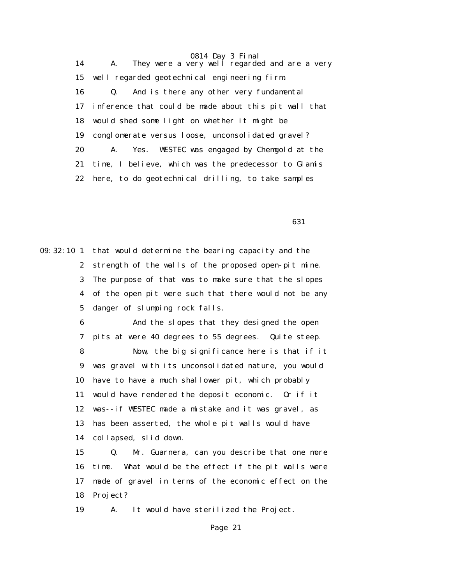14 A. They were a very well regarded and are a very 15 well regarded geotechnical engineering firm. 16 Q. And is there any other very fundamental 17 inference that could be made about this pit wall that 18 would shed some light on whether it might be 19 conglomerate versus loose, unconsolidated gravel? 20 A. Yes. WESTEC was engaged by Chemgold at the 21 time, I believe, which was the predecessor to Glamis 22 here, to do geotechnical drilling, to take samples

 $\sim$  631

09:32:10 1 that would determine the bearing capacity and the 2 strength of the walls of the proposed open-pit mine. 3 The purpose of that was to make sure that the slopes 4 of the open pit were such that there would not be any 5 danger of slumping rock falls.

> 6 And the slopes that they designed the open 7 pits at were 40 degrees to 55 degrees. Quite steep.

 8 Now, the big significance here is that if it 9 was gravel with its unconsolidated nature, you would 10 have to have a much shallower pit, which probably 11 would have rendered the deposit economic. Or if it 12 was--if WESTEC made a mistake and it was gravel, as 13 has been asserted, the whole pit walls would have 14 collapsed, slid down.

 15 Q. Mr. Guarnera, can you describe that one more 16 time. What would be the effect if the pit walls were 17 made of gravel in terms of the economic effect on the 18 Project?

19 A. It would have sterilized the Project.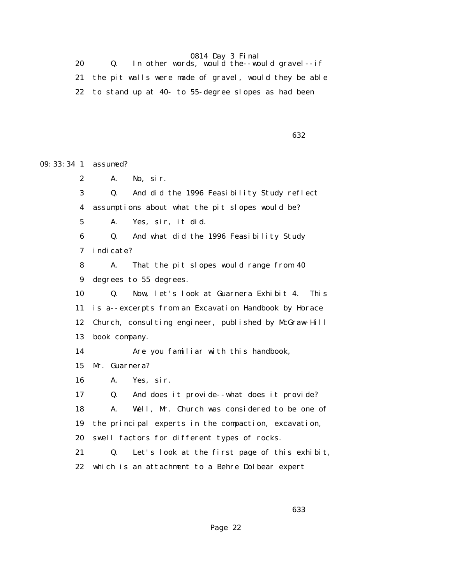20  $Q.$  In other words, would the--would gravel--if 21 the pit walls were made of gravel, would they be able 22 to stand up at 40- to 55-degree slopes as had been

|  |  | 632<br>__ |
|--|--|-----------|
|  |  |           |

09:33:34 1 assumed? 2 A. No, sir. 3 Q. And did the 1996 Feasibility Study reflect 4 assumptions about what the pit slopes would be? 5 A. Yes, sir, it did. 6 Q. And what did the 1996 Feasibility Study 7 indicate? 8 A. That the pit slopes would range from 40 9 degrees to 55 degrees. 10 Q. Now, let's look at Guarnera Exhibit 4. This 11 is a--excerpts from an Excavation Handbook by Horace 12 Church, consulting engineer, published by McGraw-Hill 13 book company. 14 Are you familiar with this handbook, 15 Mr. Guarnera? 16 A. Yes, sir. 17 Q. And does it provide--what does it provide? 18 A. Well, Mr. Church was considered to be one of 19 the principal experts in the compaction, excavation, 20 swell factors for different types of rocks. 21 Q. Let's look at the first page of this exhibit, 22 which is an attachment to a Behre Dolbear expert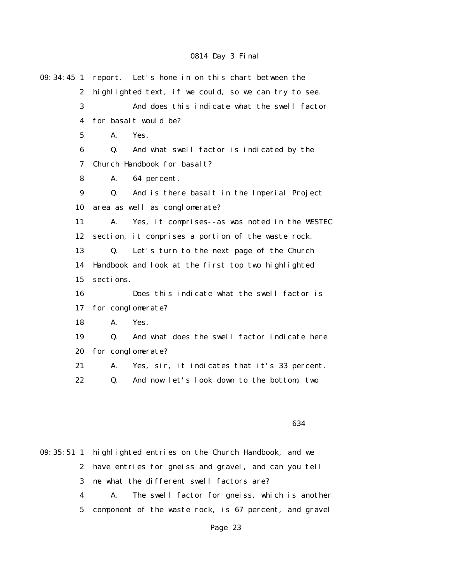| 09: 34: 45 1     |           | report. Let's hone in on this chart between the      |
|------------------|-----------|------------------------------------------------------|
| $\boldsymbol{2}$ |           | highlighted text, if we could, so we can try to see. |
| 3                |           | And does this indicate what the swell factor         |
| 4                |           | for basalt would be?                                 |
| $\mathbf 5$      | A.        | Yes.                                                 |
| 6                | Q.        | And what swell factor is indicated by the            |
| 7                |           | Church Handbook for basalt?                          |
| 8                | A.        | 64 percent.                                          |
| $\boldsymbol{9}$ | Q.        | And is there basalt in the Imperial Project          |
| 10               |           | area as well as conglomerate?                        |
| 11               | A.        | Yes, it comprises--as was noted in the WESTEC        |
| 12               |           | section, it comprises a portion of the waste rock.   |
| 13               | Q.        | Let's turn to the next page of the Church            |
| 14               |           | Handbook and look at the first top two highlighted   |
| 15               | sections. |                                                      |
| 16               |           | Does this indicate what the swell factor is          |
| 17               |           | for conglomerate?                                    |
| 18               | A.        | Yes.                                                 |
| 19               | Q.        | And what does the swell factor indicate here         |
| 20               |           | for conglomerate?                                    |
| 21               | A.        | Yes, sir, it indicates that it's 33 percent.         |
| 22               | Q.        | And now let's look down to the bottom, two           |
|                  |           |                                                      |

#### $\sim$  634

09:35:51 1 highlighted entries on the Church Handbook, and we 2 have entries for gneiss and gravel, and can you tell 3 me what the different swell factors are? 4 A. The swell factor for gneiss, which is another 5 component of the waste rock, is 67 percent, and gravel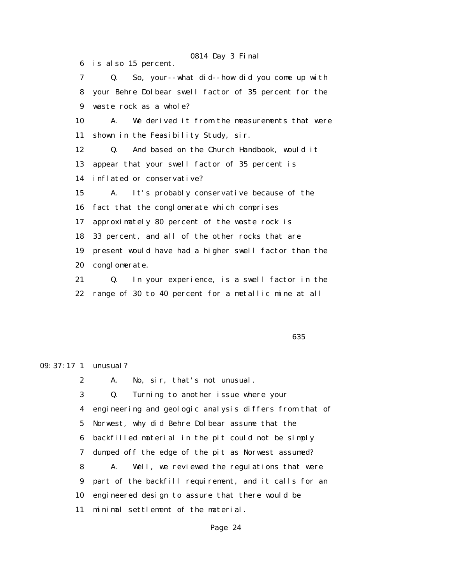6 is also 15 percent. 7 Q. So, your--what did--how did you come up with 8 your Behre Dolbear swell factor of 35 percent for the 9 waste rock as a whole? 10 A. We derived it from the measurements that were 11 shown in the Feasibility Study, sir. 12 Q. And based on the Church Handbook, would it 13 appear that your swell factor of 35 percent is 14 inflated or conservative? 15 A. It's probably conservative because of the 16 fact that the conglomerate which comprises 17 approximately 80 percent of the waste rock is 18 33 percent, and all of the other rocks that are 19 present would have had a higher swell factor than the 20 conglomerate. 21 Q. In your experience, is a swell factor in the 22 range of 30 to 40 percent for a metallic mine at all

 $\sim$  635

### 09:37:17 1 unusual?

 2 A. No, sir, that's not unusual. 3 Q. Turning to another issue where your 4 engineering and geologic analysis differs from that of 5 Norwest, why did Behre Dolbear assume that the 6 backfilled material in the pit could not be simply 7 dumped off the edge of the pit as Norwest assumed? 8 A. Well, we reviewed the regulations that were 9 part of the backfill requirement, and it calls for an 10 engineered design to assure that there would be 11 minimal settlement of the material.

# 0814 Day 3 Final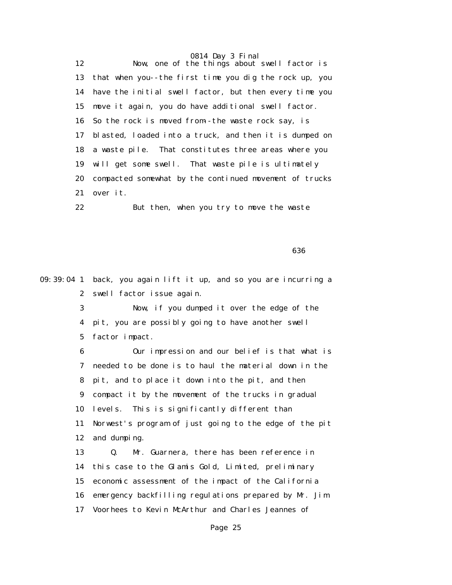0814 Day 3 Final 12 Now, one of the things about swell factor is 13 that when you--the first time you dig the rock up, you 14 have the initial swell factor, but then every time you 15 move it again, you do have additional swell factor. 16 So the rock is moved from--the waste rock say, is 17 blasted, loaded into a truck, and then it is dumped on 18 a waste pile. That constitutes three areas where you 19 will get some swell. That waste pile is ultimately 20 compacted somewhat by the continued movement of trucks 21 over it.

22 But then, when you try to move the waste

 $\sim$  636  $\sim$  636  $\sim$  636  $\sim$  636  $\sim$  636  $\sim$  636  $\sim$  636  $\sim$  636  $\sim$  636  $\sim$  636  $\sim$  636  $\sim$  636  $\sim$  636  $\sim$  636  $\sim$  636  $\sim$  636  $\sim$  636  $\sim$  636  $\sim$  636  $\sim$  636  $\sim$  636  $\sim$  636  $\sim$  636  $\sim$  636  $\sim$ 

09:39:04 1 back, you again lift it up, and so you are incurring a 2 swell factor issue again.

> 3 Now, if you dumped it over the edge of the 4 pit, you are possibly going to have another swell 5 factor impact.

 6 Our impression and our belief is that what is 7 needed to be done is to haul the material down in the 8 pit, and to place it down into the pit, and then 9 compact it by the movement of the trucks in gradual 10 levels. This is significantly different than 11 Norwest's program of just going to the edge of the pit 12 and dumping. 13 Q. Mr. Guarnera, there has been reference in 14 this case to the Glamis Gold, Limited, preliminary

15 economic assessment of the impact of the California

16 emergency backfilling regulations prepared by Mr. Jim

17 Voorhees to Kevin McArthur and Charles Jeannes of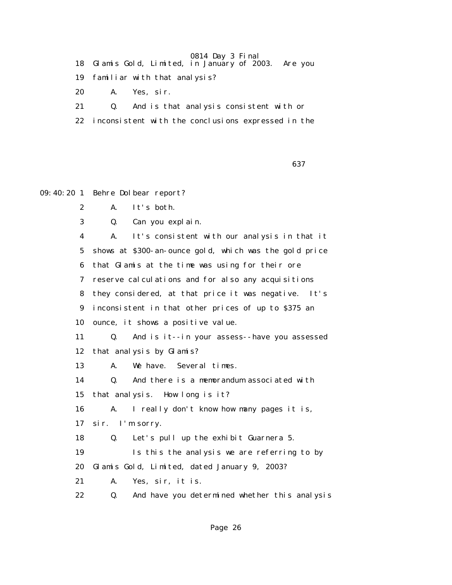- 18 Glamis Gold, Limited, in January of 2003. Are you
- 19 familiar with that analysis?
- 20 A. Yes, sir.
- 21 Q. And is that analysis consistent with or
- 22 inconsistent with the conclusions expressed in the

 $\sim$  637

```
09:40:20 1 Behre Dolbear report?
```
- 2 A. It's both.
- 3 Q. Can you explain.

 4 A. It's consistent with our analysis in that it 5 shows at \$300-an-ounce gold, which was the gold price 6 that Glamis at the time was using for their ore 7 reserve calculations and for also any acquisitions 8 they considered, at that price it was negative. It's 9 inconsistent in that other prices of up to \$375 an 10 ounce, it shows a positive value. 11 Q. And is it--in your assess--have you assessed 12 that analysis by Glamis? 13 A. We have. Several times. 14 Q. And there is a memorandum associated with 15 that analysis. How long is it? 16 A. I really don't know how many pages it is, 17 sir. I'm sorry. 18 Q. Let's pull up the exhibit Guarnera 5. 19 Is this the analysis we are referring to by 20 Glamis Gold, Limited, dated January 9, 2003? 21 A. Yes, sir, it is. 22 Q. And have you determined whether this analysis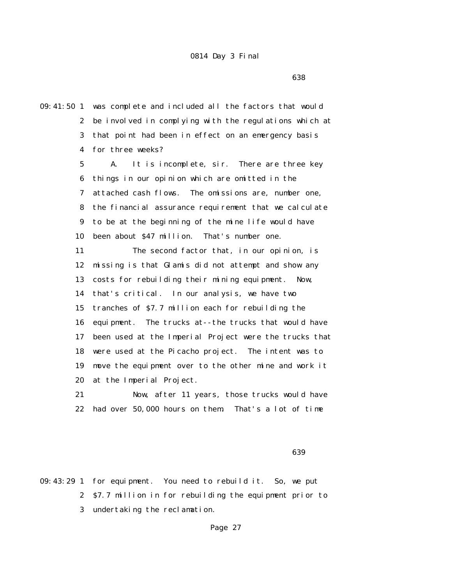<u>638 and the contract of the contract of the contract of the contract of the contract of the contract of the con</u>

09:41:50 1 was complete and included all the factors that would 2 be involved in complying with the regulations which at 3 that point had been in effect on an emergency basis 4 for three weeks? 5 A. It is incomplete, sir. There are three key 6 things in our opinion which are omitted in the 7 attached cash flows. The omissions are, number one, 8 the financial assurance requirement that we calculate 9 to be at the beginning of the mine life would have 10 been about \$47 million. That's number one. 11 The second factor that, in our opinion, is 12 missing is that Glamis did not attempt and show any 13 costs for rebuilding their mining equipment. Now, 14 that's critical. In our analysis, we have two 15 tranches of \$7.7 million each for rebuilding the 16 equipment. The trucks at--the trucks that would have 17 been used at the Imperial Project were the trucks that 18 were used at the Picacho project. The intent was to 19 move the equipment over to the other mine and work it 20 at the Imperial Project. 21 Now, after 11 years, those trucks would have

22 had over 50,000 hours on them. That's a lot of time

 $\sim$  639

09:43:29 1 for equipment. You need to rebuild it. So, we put 2 \$7.7 million in for rebuilding the equipment prior to 3 undertaking the reclamation.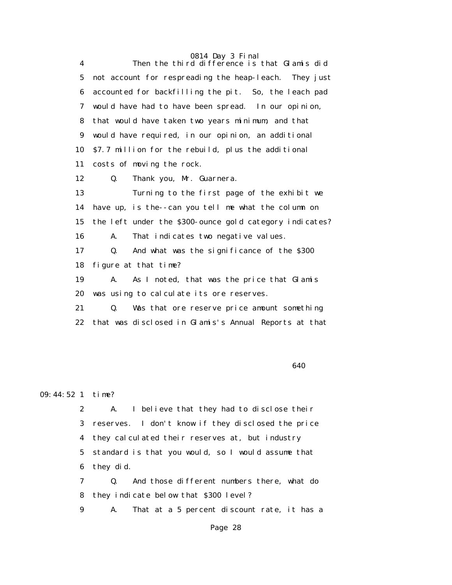0814 Day 3 Final 4 Then the third difference is that Glamis did 5 not account for respreading the heap-leach. They just 6 accounted for backfilling the pit. So, the leach pad 7 would have had to have been spread. In our opinion, 8 that would have taken two years minimum, and that 9 would have required, in our opinion, an additional 10 \$7.7 million for the rebuild, plus the additional 11 costs of moving the rock. 12 Q. Thank you, Mr. Guarnera. 13 Turning to the first page of the exhibit we 14 have up, is the--can you tell me what the column on 15 the left under the \$300-ounce gold category indicates? 16 A. That indicates two negative values. 17 Q. And what was the significance of the \$300 18 figure at that time? 19 A. As I noted, that was the price that Glamis 20 was using to calculate its ore reserves. 21 Q. Was that ore reserve price amount something 22 that was disclosed in Glamis's Annual Reports at that

 $\sim$  640

### 09:44:52 1 time?

 2 A. I believe that they had to disclose their 3 reserves. I don't know if they disclosed the price 4 they calculated their reserves at, but industry 5 standard is that you would, so I would assume that 6 they did.

 7 Q. And those different numbers there, what do 8 they indicate below that \$300 level?

9 A. That at a 5 percent discount rate, it has a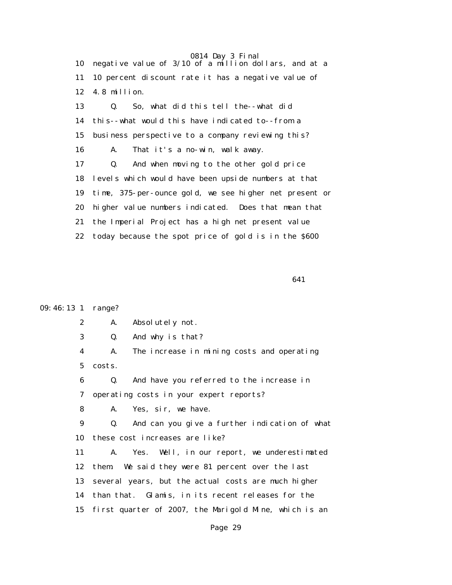0814 Day 3 Final 10 negative value of 3/10 of a million dollars, and at a 11 10 percent discount rate it has a negative value of 12 4.8 million. 13 Q. So, what did this tell the--what did 14 this--what would this have indicated to--from a 15 business perspective to a company reviewing this? 16 A. That it's a no-win, walk away. 17 Q. And when moving to the other gold price 18 levels which would have been upside numbers at that 19 time, 375-per-ounce gold, we see higher net present or 20 higher value numbers indicated. Does that mean that 21 the Imperial Project has a high net present value 22 today because the spot price of gold is in the \$600

 $\sim$  641

#### 09:46:13 1 range?

2 A. Absolutely not.

3 Q. And why is that?

 4 A. The increase in mining costs and operating 5 costs.

 6 Q. And have you referred to the increase in 7 operating costs in your expert reports?

8 A. Yes, sir, we have.

 9 Q. And can you give a further indication of what 10 these cost increases are like?

 11 A. Yes. Well, in our report, we underestimated 12 them. We said they were 81 percent over the last 13 several years, but the actual costs are much higher 14 than that. Glamis, in its recent releases for the 15 first quarter of 2007, the Marigold Mine, which is an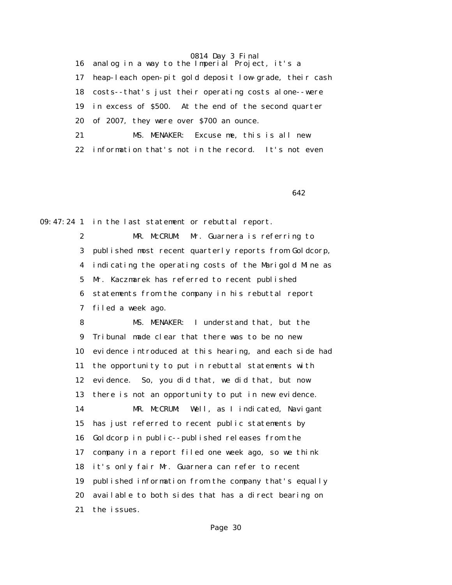16 analog in a way to the Imperial Project, it's a 17 heap-leach open-pit gold deposit low-grade, their cash 18 costs--that's just their operating costs alone--were 19 in excess of \$500. At the end of the second quarter 20 of 2007, they were over \$700 an ounce. 21 MS. MENAKER: Excuse me, this is all new 22 information that's not in the record. It's not even

 $\sim$  642

09:47:24 1 in the last statement or rebuttal report.

 2 MR. McCRUM: Mr. Guarnera is referring to 3 published most recent quarterly reports from Goldcorp, 4 indicating the operating costs of the Marigold Mine as 5 Mr. Kaczmarek has referred to recent published 6 statements from the company in his rebuttal report 7 filed a week ago.

 8 MS. MENAKER: I understand that, but the 9 Tribunal made clear that there was to be no new 10 evidence introduced at this hearing, and each side had 11 the opportunity to put in rebuttal statements with 12 evidence. So, you did that, we did that, but now 13 there is not an opportunity to put in new evidence. 14 MR. McCRUM: Well, as I indicated, Navigant 15 has just referred to recent public statements by 16 Goldcorp in public--published releases from the 17 company in a report filed one week ago, so we think 18 it's only fair Mr. Guarnera can refer to recent 19 published information from the company that's equally 20 available to both sides that has a direct bearing on 21 the issues.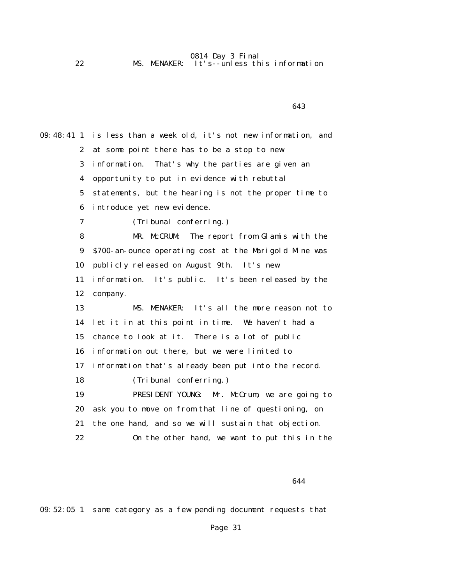0814 Day 3 Final 22 MS. MENAKER: It's--unless this information

 $\sim$  643 09:48:41 1 is less than a week old, it's not new information, and 2 at some point there has to be a stop to new 3 information. That's why the parties are given an 4 opportunity to put in evidence with rebuttal 5 statements, but the hearing is not the proper time to 6 introduce yet new evidence. 7 (Tribunal conferring.) 8 MR. McCRUM: The report from Glamis with the 9 \$700-an-ounce operating cost at the Marigold Mine was 10 publicly released on August 9th. It's new 11 information. It's public. It's been released by the 12 company. 13 MS. MENAKER: It's all the more reason not to 14 let it in at this point in time. We haven't had a 15 chance to look at it. There is a lot of public 16 information out there, but we were limited to 17 information that's already been put into the record. 18 (Tribunal conferring.) 19 PRESIDENT YOUNG: Mr. McCrum, we are going to 20 ask you to move on from that line of questioning, on 21 the one hand, and so we will sustain that objection. 22 On the other hand, we want to put this in the

 $\sim$  644

09:52:05 1 same category as a few pending document requests that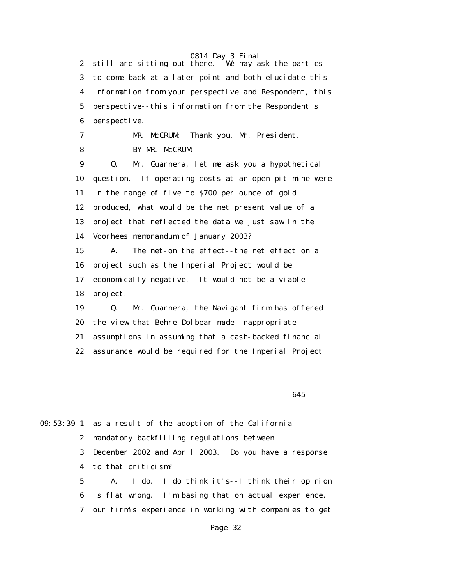0814 Day 3 Final<br>there. We may ask the parties 2 still are sitting out there. 3 to come back at a later point and both elucidate this 4 information from your perspective and Respondent, this 5 perspective--this information from the Respondent's 6 perspective. 7 MR. McCRUM: Thank you, Mr. President. 8 BY MR. McCRUM: 9 Q. Mr. Guarnera, let me ask you a hypothetical 10 question. If operating costs at an open-pit mine were 11 in the range of five to \$700 per ounce of gold 12 produced, what would be the net present value of a 13 project that reflected the data we just saw in the 14 Voorhees memorandum of January 2003? 15 A. The net-on the effect--the net effect on a 16 project such as the Imperial Project would be 17 economically negative. It would not be a viable 18 project. 19 Q. Mr. Guarnera, the Navigant firm has offered 20 the view that Behre Dolbear made inappropriate 21 assumptions in assuming that a cash-backed financial 22 assurance would be required for the Imperial Project

 $\sim$  645

09:53:39 1 as a result of the adoption of the California 2 mandatory backfilling regulations between 3 December 2002 and April 2003. Do you have a response 4 to that criticism? 5 A. I do. I do think it's--I think their opinion 6 is flat wrong. I'm basing that on actual experience, 7 our firm's experience in working with companies to get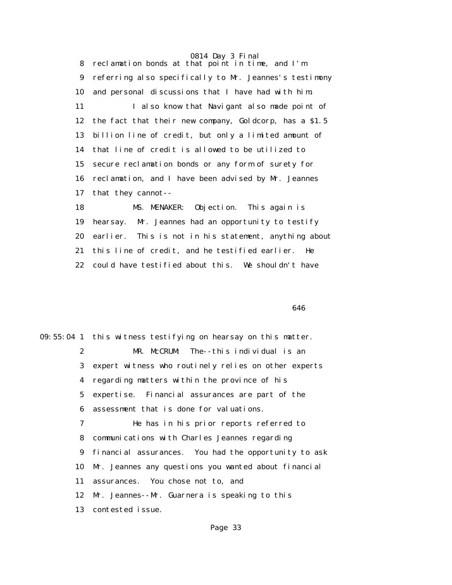8 reclamation bonds at that point in time, and I'm 9 referring also specifically to Mr. Jeannes's testimony 10 and personal discussions that I have had with him. 11 I also know that Navigant also made point of 12 the fact that their new company, Goldcorp, has a \$1.5 13 billion line of credit, but only a limited amount of 14 that line of credit is allowed to be utilized to 15 secure reclamation bonds or any form of surety for 16 reclamation, and I have been advised by Mr. Jeannes 17 that they cannot--

 18 MS. MENAKER: Objection. This again is 19 hearsay. Mr. Jeannes had an opportunity to testify 20 earlier. This is not in his statement, anything about 21 this line of credit, and he testified earlier. He 22 could have testified about this. We shouldn't have

 $\sim$  646

09:55:04 1 this witness testifying on hearsay on this matter. 2 MR. McCRUM: The--this individual is an 3 expert witness who routinely relies on other experts 4 regarding matters within the province of his 5 expertise. Financial assurances are part of the 6 assessment that is done for valuations. 7 He has in his prior reports referred to 8 communications with Charles Jeannes regarding 9 financial assurances. You had the opportunity to ask 10 Mr. Jeannes any questions you wanted about financial 11 assurances. You chose not to, and 12 Mr. Jeannes--Mr. Guarnera is speaking to this 13 contested issue.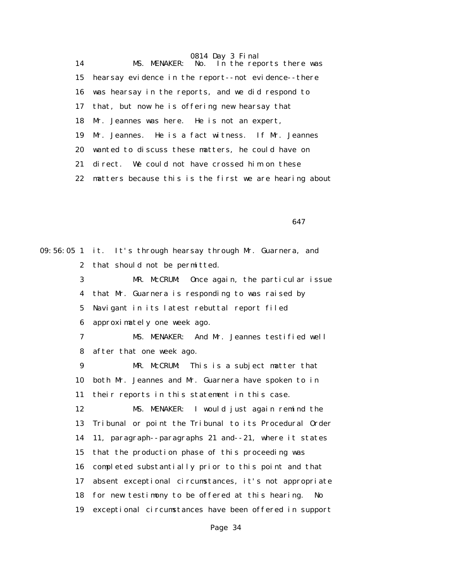0814 Day 3 Final 14 MS. MENAKER: No. In the reports there was 15 hearsay evidence in the report--not evidence--there 16 was hearsay in the reports, and we did respond to 17 that, but now he is offering new hearsay that 18 Mr. Jeannes was here. He is not an expert, 19 Mr. Jeannes. He is a fact witness. If Mr. Jeannes 20 wanted to discuss these matters, he could have on 21 direct. We could not have crossed him on these 22 matters because this is the first we are hearing about

 $\sim$  647

09:56:05 1 it. It's through hearsay through Mr. Guarnera, and 2 that should not be permitted. 3 MR. McCRUM: Once again, the particular issue 4 that Mr. Guarnera is responding to was raised by 5 Navigant in its latest rebuttal report filed 6 approximately one week ago. 7 MS. MENAKER: And Mr. Jeannes testified well 8 after that one week ago. 9 MR. McCRUM: This is a subject matter that 10 both Mr. Jeannes and Mr. Guarnera have spoken to in 11 their reports in this statement in this case. 12 MS. MENAKER: I would just again remind the 13 Tribunal or point the Tribunal to its Procedural Order 14 11, paragraph--paragraphs 21 and--21, where it states 15 that the production phase of this proceeding was 16 completed substantially prior to this point and that 17 absent exceptional circumstances, it's not appropriate 18 for new testimony to be offered at this hearing. No 19 exceptional circumstances have been offered in support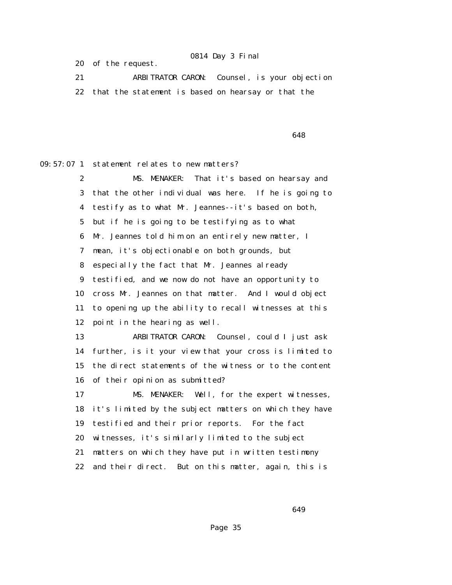20 of the request.

 21 ARBITRATOR CARON: Counsel, is your objection 22 that the statement is based on hearsay or that the

 $\sim$  648

09:57:07 1 statement relates to new matters?

 2 MS. MENAKER: That it's based on hearsay and 3 that the other individual was here. If he is going to 4 testify as to what Mr. Jeannes--it's based on both, 5 but if he is going to be testifying as to what 6 Mr. Jeannes told him on an entirely new matter, I 7 mean, it's objectionable on both grounds, but 8 especially the fact that Mr. Jeannes already 9 testified, and we now do not have an opportunity to 10 cross Mr. Jeannes on that matter. And I would object 11 to opening up the ability to recall witnesses at this 12 point in the hearing as well. 13 ARBITRATOR CARON: Counsel, could I just ask

 14 further, is it your view that your cross is limited to 15 the direct statements of the witness or to the content 16 of their opinion as submitted?

 17 MS. MENAKER: Well, for the expert witnesses, 18 it's limited by the subject matters on which they have 19 testified and their prior reports. For the fact 20 witnesses, it's similarly limited to the subject 21 matters on which they have put in written testimony 22 and their direct. But on this matter, again, this is

 $\sim$  649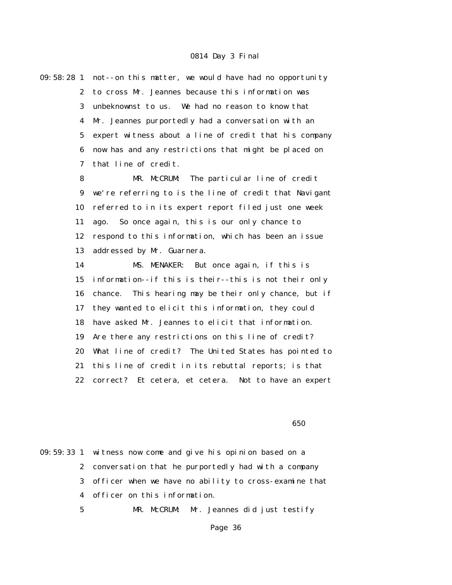| $09:58:28$ 1     | not--on this matter, we would have had no opportunity    |
|------------------|----------------------------------------------------------|
| $\boldsymbol{2}$ | to cross Mr. Jeannes because this information was        |
| 3                | unbeknownst to us. We had no reason to know that         |
| 4                | Mr. Jeannes purportedly had a conversation with an       |
| 5                | expert witness about a line of credit that his company   |
| 6                | now has and any restrictions that might be placed on     |
| 7                | that line of credit.                                     |
| 8                | MR. McCRUM: The particular line of credit                |
| $\boldsymbol{9}$ | we're referring to is the line of credit that Navigant   |
| 10               | referred to in its expert report filed just one week     |
| 11               | ago. So once again, this is our only chance to           |
| 12               | respond to this information, which has been an issue     |
| 13               | addressed by Mr. Guarnera.                               |
| 14               | MS. MENAKER: But once again, if this is                  |
| 15               | information--if this is their--this is not their only    |
| 16               | This hearing may be their only chance, but if<br>chance. |
| 17               | they wanted to elicit this information, they could       |
| 18               | have asked Mr. Jeannes to elicit that information.       |
| 19               | Are there any restrictions on this line of credit?       |
| 20               | What line of credit? The United States has pointed to    |
| 21               | this line of credit in its rebuttal reports; is that     |
| 22               | correct? Et cetera, et cetera. Not to have an expert     |
|                  |                                                          |

 $\sim$  650

09:59:33 1 witness now come and give his opinion based on a 2 conversation that he purportedly had with a company 3 officer when we have no ability to cross-examine that 4 officer on this information. 5 MR. McCRUM: Mr. Jeannes did just testify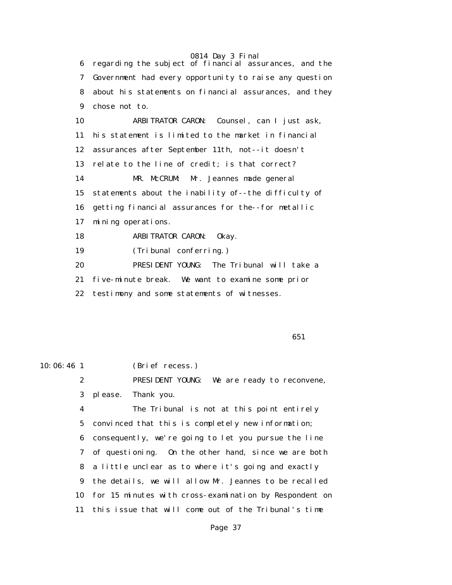6 regarding the subject of financial assurances, and the 7 Government had every opportunity to raise any question 8 about his statements on financial assurances, and they 9 chose not to. 10 ARBITRATOR CARON: Counsel, can I just ask, 11 his statement is limited to the market in financial 12 assurances after September 11th, not--it doesn't 13 relate to the line of credit; is that correct? 14 MR. McCRUM: Mr. Jeannes made general 15 statements about the inability of--the difficulty of 16 getting financial assurances for the--for metallic 17 mining operations. 18 ARBITRATOR CARON: Okay. 19 (Tribunal conferring.) 20 PRESIDENT YOUNG: The Tribunal will take a 21 five-minute break. We want to examine some prior 22 testimony and some statements of witnesses.

 $\sim$  651

10:06:46 1 (Brief recess.)

 2 PRESIDENT YOUNG: We are ready to reconvene, 3 please. Thank you.

 4 The Tribunal is not at this point entirely 5 convinced that this is completely new information; 6 consequently, we're going to let you pursue the line 7 of questioning. On the other hand, since we are both 8 a little unclear as to where it's going and exactly 9 the details, we will allow Mr. Jeannes to be recalled 10 for 15 minutes with cross-examination by Respondent on 11 this issue that will come out of the Tribunal's time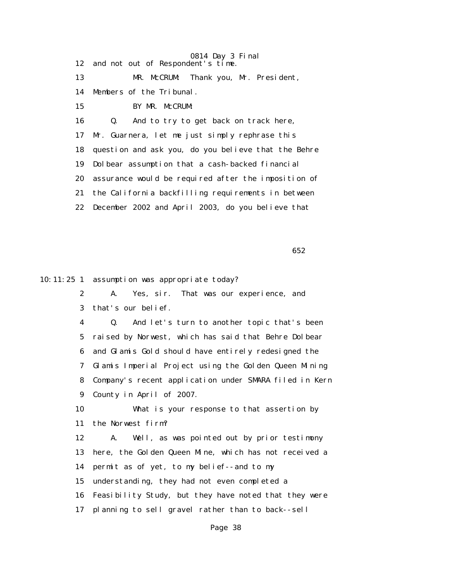0814 Day 3 Final 12 and not out of Respondent's time. 13 MR. McCRUM: Thank you, Mr. President, 14 Members of the Tribunal. 15 BY MR. McCRUM: 16 Q. And to try to get back on track here, 17 Mr. Guarnera, let me just simply rephrase this 18 question and ask you, do you believe that the Behre 19 Dolbear assumption that a cash-backed financial 20 assurance would be required after the imposition of 21 the California backfilling requirements in between 22 December 2002 and April 2003, do you believe that

 $\sim$  652

10:11:25 1 assumption was appropriate today?

 2 A. Yes, sir. That was our experience, and 3 that's our belief. 4 Q. And let's turn to another topic that's been 5 raised by Norwest, which has said that Behre Dolbear 6 and Glamis Gold should have entirely redesigned the 7 Glamis Imperial Project using the Golden Queen Mining 8 Company's recent application under SMARA filed in Kern 9 County in April of 2007. 10 What is your response to that assertion by 11 the Norwest firm? 12 A. Well, as was pointed out by prior testimony 13 here, the Golden Queen Mine, which has not received a 14 permit as of yet, to my belief--and to my 15 understanding, they had not even completed a 16 Feasibility Study, but they have noted that they were

17 planning to sell gravel rather than to back--sell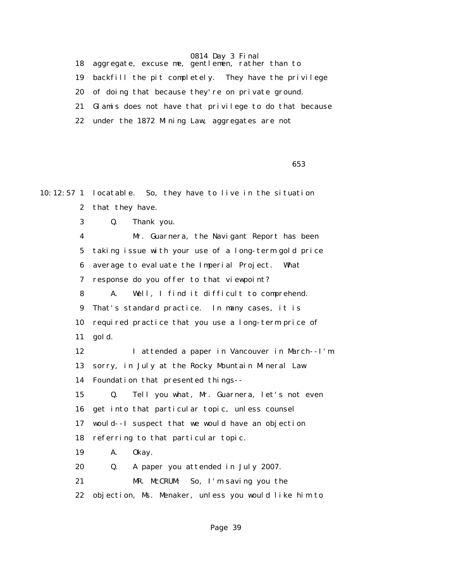18 aggregate, excuse me, gentlemen, rather than to 19 backfill the pit completely. They have the privilege 20 of doing that because they're on private ground. 21 Glamis does not have that privilege to do that because 22 under the 1872 Mining Law, aggregates are not

 $\sim$  653

10:12:57 1 locatable. So, they have to live in the situation 2 that they have. 3 Q. Thank you. 4 Mr. Guarnera, the Navigant Report has been 5 taking issue with your use of a long-term gold price 6 average to evaluate the Imperial Project. What 7 response do you offer to that viewpoint? 8 A. Well, I find it difficult to comprehend. 9 That's standard practice. In many cases, it is 10 required practice that you use a long-term price of 11 gold. 12 I attended a paper in Vancouver in March--I'm 13 sorry, in July at the Rocky Mountain Mineral Law 14 Foundation that presented things-- 15 Q. Tell you what, Mr. Guarnera, let's not even 16 get into that particular topic, unless counsel 17 would--I suspect that we would have an objection 18 referring to that particular topic. 19 A. Okay. 20 Q. A paper you attended in July 2007. 21 MR. McCRUM: So, I'm saving you the 22 objection, Ms. Menaker, unless you would like him to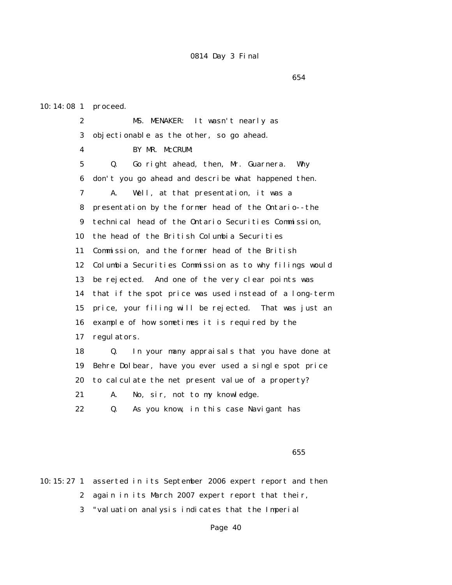10:14:08 1 proceed.

 2 MS. MENAKER: It wasn't nearly as 3 objectionable as the other, so go ahead. 4 BY MR. McCRUM: 5 Q. Go right ahead, then, Mr. Guarnera. Why 6 don't you go ahead and describe what happened then. 7 A. Well, at that presentation, it was a 8 presentation by the former head of the Ontario--the 9 technical head of the Ontario Securities Commission, 10 the head of the British Columbia Securities 11 Commission, and the former head of the British 12 Columbia Securities Commission as to why filings would 13 be rejected. And one of the very clear points was 14 that if the spot price was used instead of a long-term 15 price, your filing will be rejected. That was just an 16 example of how sometimes it is required by the 17 regulators. 18 Q. In your many appraisals that you have done at 19 Behre Dolbear, have you ever used a single spot price 20 to calculate the net present value of a property? 21 A. No, sir, not to my knowledge.

22 Q. As you know, in this case Navigant has

 $\sim$  655

10:15:27 1 asserted in its September 2006 expert report and then 2 again in its March 2007 expert report that their, 3 "valuation analysis indicates that the Imperial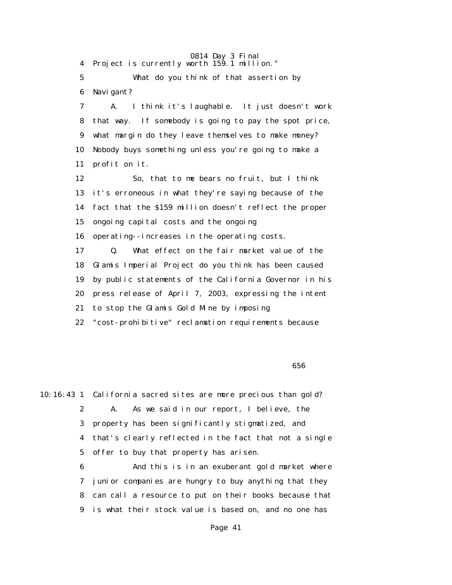4 Project is currently worth 159.1 million."

 5 What do you think of that assertion by 6 Navigant?

 7 A. I think it's laughable. It just doesn't work 8 that way. If somebody is going to pay the spot price, 9 what margin do they leave themselves to make money? 10 Nobody buys something unless you're going to make a 11 profit on it.

 12 So, that to me bears no fruit, but I think 13 it's erroneous in what they're saying because of the 14 fact that the \$159 million doesn't reflect the proper 15 ongoing capital costs and the ongoing 16 operating--increases in the operating costs. 17 Q. What effect on the fair market value of the 18 Glamis Imperial Project do you think has been caused 19 by public statements of the California Governor in his 20 press release of April 7, 2003, expressing the intent 21 to stop the Glamis Gold Mine by imposing

22 "cost-prohibitive" reclamation requirements because

10:16:43 1 California sacred sites are more precious than gold? 2 A. As we said in our report, I believe, the 3 property has been significantly stigmatized, and 4 that's clearly reflected in the fact that not a single 5 offer to buy that property has arisen. 6 And this is in an exuberant gold market where 7 junior companies are hungry to buy anything that they

 8 can call a resource to put on their books because that 9 is what their stock value is based on, and no one has

## $\sim$  656  $\sim$  656  $\sim$  656  $\sim$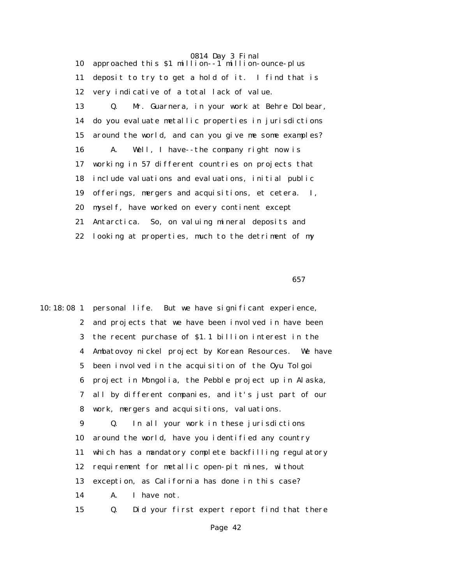0814 Day 3 Final 10 approached this  $$1$  million--1<sup>'</sup> million-ounce-plus 11 deposit to try to get a hold of it. I find that is 12 very indicative of a total lack of value. 13 Q. Mr. Guarnera, in your work at Behre Dolbear, 14 do you evaluate metallic properties in jurisdictions 15 around the world, and can you give me some examples? 16 A. Well, I have--the company right now is 17 working in 57 different countries on projects that 18 include valuations and evaluations, initial public 19 offerings, mergers and acquisitions, et cetera. I, 20 myself, have worked on every continent except 21 Antarctica. So, on valuing mineral deposits and 22 looking at properties, much to the detriment of my

 $\sim$  657

10:18:08 1 personal life. But we have significant experience, 2 and projects that we have been involved in have been 3 the recent purchase of \$1.1 billion interest in the 4 Ambatovoy nickel project by Korean Resources. We have 5 been involved in the acquisition of the Oyu Tolgoi 6 project in Mongolia, the Pebble project up in Alaska, 7 all by different companies, and it's just part of our 8 work, mergers and acquisitions, valuations. 9 Q. In all your work in these jurisdictions 10 around the world, have you identified any country 11 which has a mandatory complete backfilling regulatory 12 requirement for metallic open-pit mines, without 13 exception, as California has done in this case? 14 A. I have not. 15 Q. Did your first expert report find that there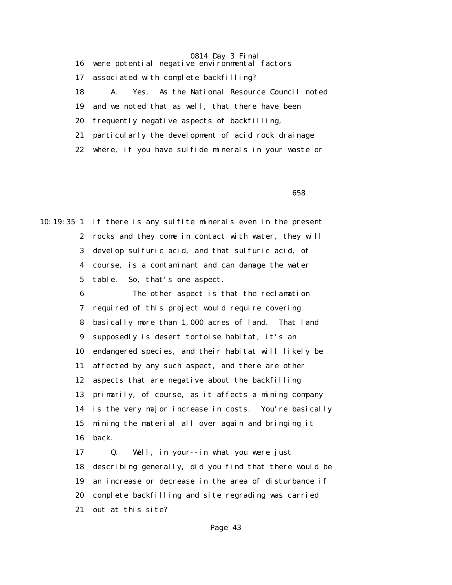0814 Day 3 Final 16 were potential negative environmental factors 17 associated with complete backfilling? 18 A. Yes. As the National Resource Council noted 19 and we noted that as well, that there have been 20 frequently negative aspects of backfilling, 21 particularly the development of acid rock drainage 22 where, if you have sulfide minerals in your waste or

 $\sim$  658

10:19:35 1 if there is any sulfite minerals even in the present 2 rocks and they come in contact with water, they will 3 develop sulfuric acid, and that sulfuric acid, of 4 course, is a contaminant and can damage the water 5 table. So, that's one aspect.

> 6 The other aspect is that the reclamation 7 required of this project would require covering 8 basically more than 1,000 acres of land. That land 9 supposedly is desert tortoise habitat, it's an 10 endangered species, and their habitat will likely be 11 affected by any such aspect, and there are other 12 aspects that are negative about the backfilling 13 primarily, of course, as it affects a mining company 14 is the very major increase in costs. You're basically 15 mining the material all over again and bringing it 16 back.

> 17 Q. Well, in your--in what you were just 18 describing generally, did you find that there would be 19 an increase or decrease in the area of disturbance if 20 complete backfilling and site regrading was carried 21 out at this site?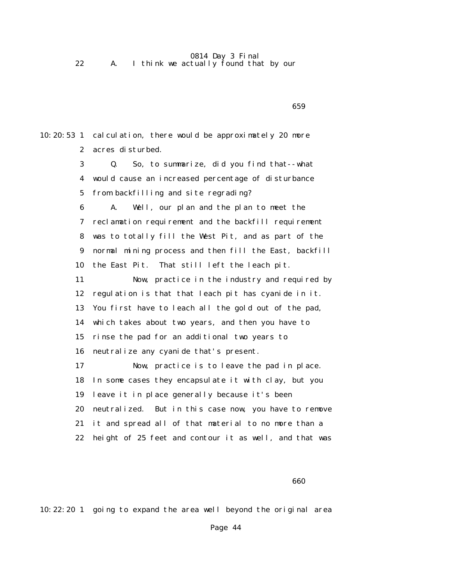0814 Day 3 Final 22 A. I think we actually found that by our

 $\sim$  659 10:20:53 1 calculation, there would be approximately 20 more 2 acres disturbed. 3 Q. So, to summarize, did you find that--what 4 would cause an increased percentage of disturbance 5 from backfilling and site regrading? 6 A. Well, our plan and the plan to meet the 7 reclamation requirement and the backfill requirement 8 was to totally fill the West Pit, and as part of the 9 normal mining process and then fill the East, backfill 10 the East Pit. That still left the leach pit. 11 Now, practice in the industry and required by 12 regulation is that that leach pit has cyanide in it. 13 You first have to leach all the gold out of the pad, 14 which takes about two years, and then you have to 15 rinse the pad for an additional two years to 16 neutralize any cyanide that's present. 17 Now, practice is to leave the pad in place. 18 In some cases they encapsulate it with clay, but you 19 leave it in place generally because it's been 20 neutralized. But in this case now, you have to remove 21 it and spread all of that material to no more than a 22 height of 25 feet and contour it as well, and that was

 $\sim$  660

10:22:20 1 going to expand the area well beyond the original area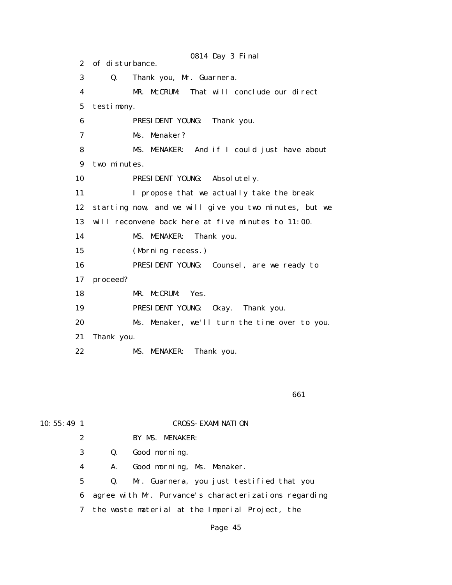0814 Day 3 Final 2 of disturbance. 3 Q. Thank you, Mr. Guarnera. 4 MR. McCRUM: That will conclude our direct 5 testimony. 6 PRESIDENT YOUNG: Thank you. 7 Ms. Menaker? 8 MS. MENAKER: And if I could just have about 9 two minutes. 10 **PRESIDENT YOUNG:** Absolutely. 11 I propose that we actually take the break 12 starting now, and we will give you two minutes, but we 13 will reconvene back here at five minutes to 11:00. 14 MS. MENAKER: Thank you. 15 (Morning recess.) 16 PRESIDENT YOUNG: Counsel, are we ready to 17 proceed? 18 MR. McCRUM: Yes. 19 PRESIDENT YOUNG: Okay. Thank you. 20 Ms. Menaker, we'll turn the time over to you. 21 Thank you. 22 MS. MENAKER: Thank you.

 $\sim$  661

# 10:55:49 1 CROSS-EXAMINATION

2 BY MS. MENAKER:

3 Q. Good morning.

4 A. Good morning, Ms. Menaker.

5 Q. Mr. Guarnera, you just testified that you

6 agree with Mr. Purvance's characterizations regarding

7 the waste material at the Imperial Project, the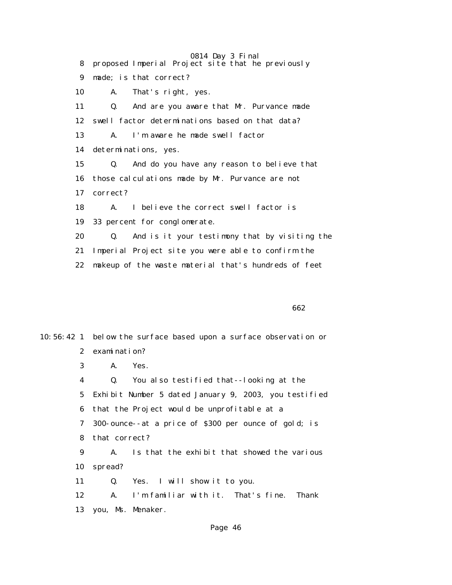0814 Day 3 Final 8 proposed Imperial Project site that he previously 9 made; is that correct? 10 A. That's right, yes. 11 Q. And are you aware that Mr. Purvance made 12 swell factor determinations based on that data? 13 A. I'm aware he made swell factor 14 determinations, yes. 15 Q. And do you have any reason to believe that 16 those calculations made by Mr. Purvance are not 17 correct? 18 A. I believe the correct swell factor is 19 33 percent for conglomerate. 20 Q. And is it your testimony that by visiting the 21 Imperial Project site you were able to confirm the 22 makeup of the waste material that's hundreds of feet

 $\sim$  662

10:56:42 1 below the surface based upon a surface observation or 2 examination? 3 A. Yes. 4 Q. You also testified that--looking at the 5 Exhibit Number 5 dated January 9, 2003, you testified 6 that the Project would be unprofitable at a 7 300-ounce--at a price of \$300 per ounce of gold; is 8 that correct? 9 A. Is that the exhibit that showed the various 10 spread? 11 Q. Yes. I will show it to you. 12 A. I'm familiar with it. That's fine. Thank 13 you, Ms. Menaker.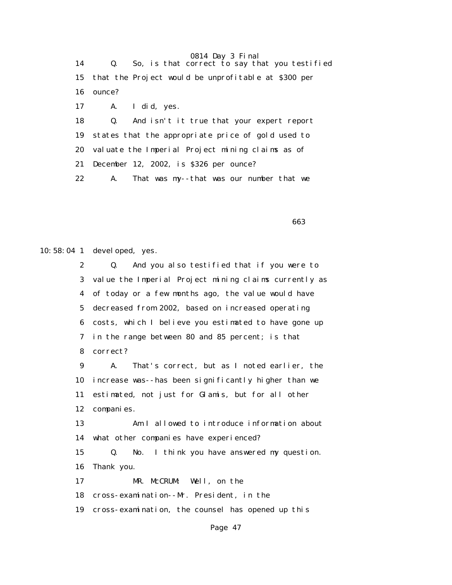14 Q. So, is that correct to say that you testified 15 that the Project would be unprofitable at \$300 per 16 ounce? 17 A. I did, yes. 18 Q. And isn't it true that your expert report 19 states that the appropriate price of gold used to 20 valuate the Imperial Project mining claims as of 21 December 12, 2002, is \$326 per ounce? 22 A. That was my--that was our number that we

 $\sim$  663

10:58:04 1 developed, yes.

 2 Q. And you also testified that if you were to 3 value the Imperial Project mining claims currently as 4 of today or a few months ago, the value would have 5 decreased from 2002, based on increased operating 6 costs, which I believe you estimated to have gone up 7 in the range between 80 and 85 percent; is that 8 correct?

 9 A. That's correct, but as I noted earlier, the 10 increase was--has been significantly higher than we 11 estimated, not just for Glamis, but for all other 12 companies.

 13 Am I allowed to introduce information about 14 what other companies have experienced?

 15 Q. No. I think you have answered my question. 16 Thank you.

17 MR. McCRUM: Well, on the

18 cross-examination--Mr. President, in the

19 cross-examination, the counsel has opened up this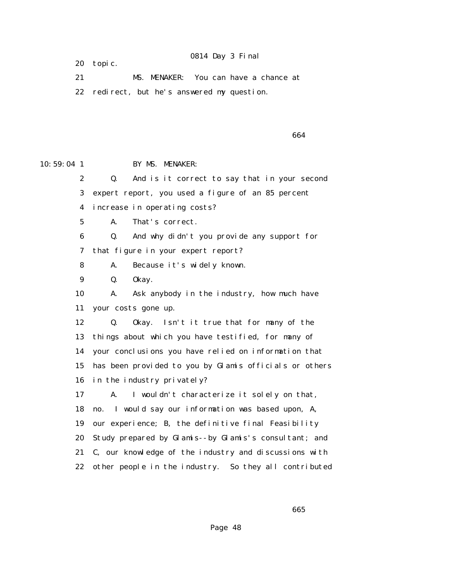20 topic.

 21 MS. MENAKER: You can have a chance at 22 redirect, but he's answered my question.

 $\sim$  664

10:59:04 1 BY MS. MENAKER:

2 Q. And is it correct to say that in your second

3 expert report, you used a figure of an 85 percent

4 increase in operating costs?

5 A. That's correct.

 6 Q. And why didn't you provide any support for 7 that figure in your expert report?

8 A. Because it's widely known.

9 Q. Okay.

 10 A. Ask anybody in the industry, how much have 11 your costs gone up.

 12 Q. Okay. Isn't it true that for many of the 13 things about which you have testified, for many of 14 your conclusions you have relied on information that 15 has been provided to you by Glamis officials or others 16 in the industry privately?

 17 A. I wouldn't characterize it solely on that, 18 no. I would say our information was based upon, A, 19 our experience; B, the definitive final Feasibility 20 Study prepared by Glamis--by Glamis's consultant; and 21 C, our knowledge of the industry and discussions with 22 other people in the industry. So they all contributed

 $\sim$  665 $\sim$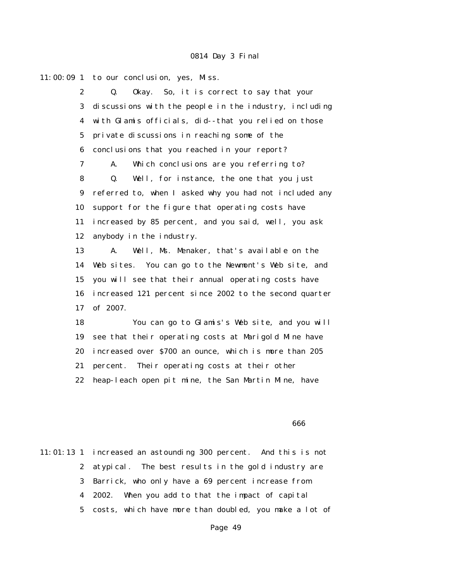$11:00:09$  1 to our conclusion, yes, Miss. 2 Q. Okay. So, it is correct to say that your 3 discussions with the people in the industry, including 4 with Glamis officials, did--that you relied on those 5 private discussions in reaching some of the 6 conclusions that you reached in your report? 7 A. Which conclusions are you referring to? 8 Q. Well, for instance, the one that you just 9 referred to, when I asked why you had not included any 10 support for the figure that operating costs have 11 increased by 85 percent, and you said, well, you ask 12 anybody in the industry. 13 A. Well, Ms. Menaker, that's available on the 14 Web sites. You can go to the Newmont's Web site, and 15 you will see that their annual operating costs have 16 increased 121 percent since 2002 to the second quarter 17 of 2007. 18 You can go to Glamis's Web site, and you will 19 see that their operating costs at Marigold Mine have 20 increased over \$700 an ounce, which is more than 205 21 percent. Their operating costs at their other

22 heap-leach open pit mine, the San Martin Mine, have

#### de de la construcción de la construcción de la construcción de la construcción de la construcción de la constru

11:01:13 1 increased an astounding 300 percent. And this is not 2 atypical. The best results in the gold industry are 3 Barrick, who only have a 69 percent increase from 4 2002. When you add to that the impact of capital 5 costs, which have more than doubled, you make a lot of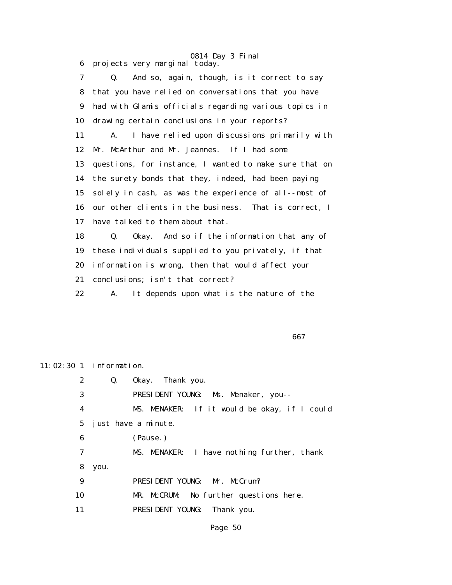0814 Day 3 Final 6 projects very marginal today.

 7 Q. And so, again, though, is it correct to say 8 that you have relied on conversations that you have 9 had with Glamis officials regarding various topics in 10 drawing certain conclusions in your reports? 11 A. I have relied upon discussions primarily with 12 Mr. McArthur and Mr. Jeannes. If I had some 13 questions, for instance, I wanted to make sure that on 14 the surety bonds that they, indeed, had been paying 15 solely in cash, as was the experience of all--most of 16 our other clients in the business. That is correct, I 17 have talked to them about that. 18 Q. Okay. And so if the information that any of 19 these individuals supplied to you privately, if that 20 information is wrong, then that would affect your 21 conclusions; isn't that correct?

22 A. It depends upon what is the nature of the

 $\sim$  667

11:02:30 1 information.

 2 Q. Okay. Thank you. 3 PRESIDENT YOUNG: Ms. Menaker, you-- 4 MS. MENAKER: If it would be okay, if I could 5 just have a minute. 6 (Pause.) 7 MS. MENAKER: I have nothing further, thank 8 you. 9 PRESIDENT YOUNG: Mr. McCrum? 10 MR. McCRUM: No further questions here. 11 PRESIDENT YOUNG: Thank you.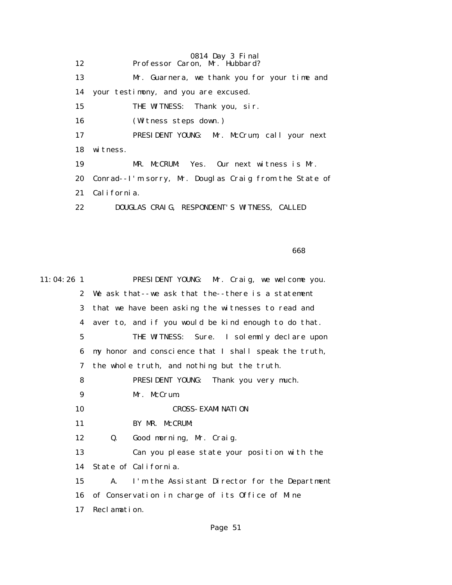0814 Day 3 Final 12 Professor Caron, Mr. Hubbard? 13 Mr. Guarnera, we thank you for your time and 14 your testimony, and you are excused. 15 THE WITNESS: Thank you, sir. 16 (Witness steps down.) 17 PRESIDENT YOUNG: Mr. McCrum, call your next 18 witness. 19 MR. McCRUM: Yes. Our next witness is Mr. 20 Conrad--I'm sorry, Mr. Douglas Craig from the State of 21 California. 22 DOUGLAS CRAIG, RESPONDENT'S WITNESS, CALLED

de a construction de la construction de la construction de la construction de la construction de la construction de la construction de la construction de la construction de la construction de la construction de la construc

| 11:04:26 1   | PRESIDENT YOUNG: Mr. Craig, we welcome you.                     |
|--------------|-----------------------------------------------------------------|
| $\mathbf{2}$ | We ask that--we ask that the--there is a statement              |
| 3            | that we have been asking the witnesses to read and              |
| 4            | aver to, and if you would be kind enough to do that.            |
| 5            | THE WITNESS: Sure. I solemnly declare upon                      |
| 6            | my honor and conscience that I shall speak the truth,           |
| 7            | the whole truth, and nothing but the truth.                     |
| 8            | PRESIDENT YOUNG: Thank you very much.                           |
| 9            | Mr. McCrum.                                                     |
| 10           | <b>CROSS- EXAMI NATI ON</b>                                     |
| 11           | BY MR. McCRUM:                                                  |
| 12           | Good morning, Mr. Craig.<br>Q.                                  |
| 13           | Can you please state your position with the                     |
| 14           | State of California.                                            |
| 15           | $\mathbf{A}$ .<br>I'm the Assistant Director for the Department |
| 16           | of Conservation in charge of its Office of Mine                 |
| 17           | Reclamation.                                                    |
|              |                                                                 |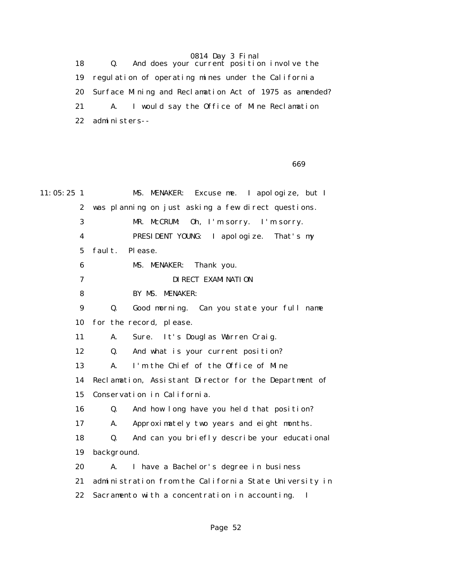18 Q. And does your current position involve the 19 regulation of operating mines under the California 20 Surface Mining and Reclamation Act of 1975 as amended? 21 A. I would say the Office of Mine Reclamation 22 administers--

 $\sim$  669

| $11:05:25$ 1     | MS. MENAKER:<br>Excuse me. I apologize, but I              |
|------------------|------------------------------------------------------------|
| $\boldsymbol{2}$ | was planning on just asking a few direct questions.        |
| 3                | MR. McCRUM:<br>Oh, I'm sorry. I'm sorry.                   |
| $\boldsymbol{4}$ | PRESIDENT YOUNG: I apologize. That's my                    |
| 5                | faul t.<br>Please.                                         |
| $\bf{6}$         | MS. MENAKER:<br>Thank you.                                 |
| 7                | DI RECT EXAMI NATI ON                                      |
| 8                | BY MS. MENAKER:                                            |
| $\boldsymbol{9}$ | Good morning. Can you state your full name<br>Q.           |
| 10               | for the record, please.                                    |
| 11               | Sure. It's Douglas Warren Craig.<br>A.                     |
| 12               | And what is your current position?<br>Q.                   |
| 13               | I'm the Chief of the Office of Mine<br>A.                  |
| 14               | Reclamation, Assistant Director for the Department of      |
| 15               | Conservation in California.                                |
| 16               | Q.<br>And how long have you held that position?            |
| 17               | Approximately two years and eight months.<br>A.            |
| 18               | And can you briefly describe your educational<br>Q.        |
| 19               | background.                                                |
| 20               | A.<br>I have a Bachelor's degree in business               |
| 21               | administration from the California State University in     |
| 22               | Sacramento with a concentration in accounting.<br><b>I</b> |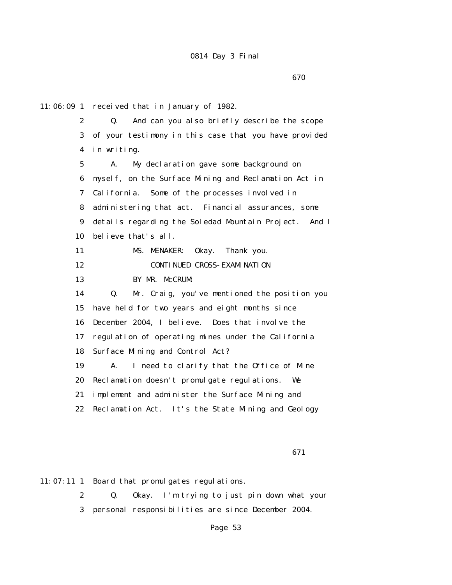11:06:09 1 received that in January of 1982. 2 Q. And can you also briefly describe the scope 3 of your testimony in this case that you have provided 4 in writing. 5 A. My declaration gave some background on 6 myself, on the Surface Mining and Reclamation Act in 7 California. Some of the processes involved in 8 administering that act. Financial assurances, some 9 details regarding the Soledad Mountain Project. And I 10 believe that's all. 11 MS. MENAKER: Okay. Thank you. 12 **CONTINUED CROSS-EXAMINATION**  13 BY MR. McCRUM: 14 Q. Mr. Craig, you've mentioned the position you 15 have held for two years and eight months since 16 December 2004, I believe. Does that involve the 17 regulation of operating mines under the California 18 Surface Mining and Control Act? 19 A. I need to clarify that the Office of Mine 20 Reclamation doesn't promulgate regulations. We 21 implement and administer the Surface Mining and 22 Reclamation Act. It's the State Mining and Geology

 $\sim$  671

11:07:11 1 Board that promulgates regulations.

 2 Q. Okay. I'm trying to just pin down what your 3 personal responsibilities are since December 2004.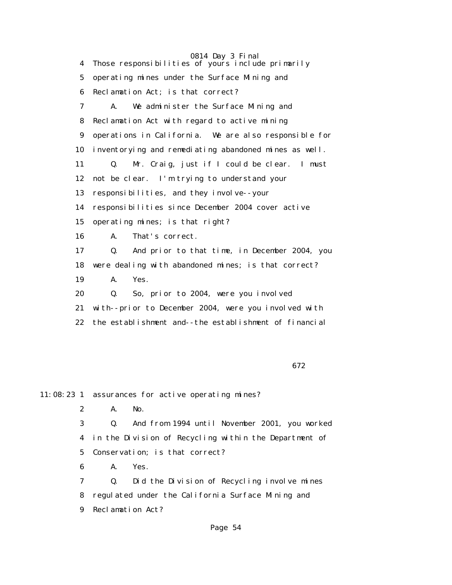0814 Day 3 Final 4 Those responsibilities of yours include primarily 5 operating mines under the Surface Mining and 6 Reclamation Act; is that correct? 7 A. We administer the Surface Mining and 8 Reclamation Act with regard to active mining 9 operations in California. We are also responsible for 10 inventorying and remediating abandoned mines as well. 11 Q. Mr. Craig, just if I could be clear. I must 12 not be clear. I'm trying to understand your 13 responsibilities, and they involve--your 14 responsibilities since December 2004 cover active 15 operating mines; is that right? 16 A. That's correct. 17 Q. And prior to that time, in December 2004, you 18 were dealing with abandoned mines; is that correct? 19 A. Yes. 20 Q. So, prior to 2004, were you involved 21 with--prior to December 2004, were you involved with 22 the establishment and--the establishment of financial

 $\sim$  672

11:08:23 1 assurances for active operating mines?

2 A. No.

 3 Q. And from 1994 until November 2001, you worked 4 in the Division of Recycling within the Department of 5 Conservation; is that correct?

6 A. Yes.

 7 Q. Did the Division of Recycling involve mines 8 regulated under the California Surface Mining and 9 Reclamation Act?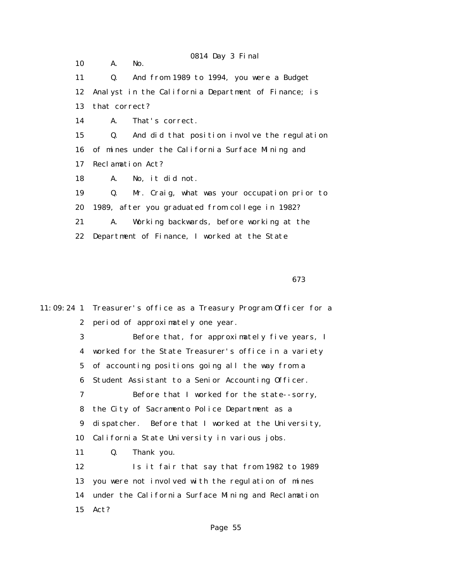0814 Day 3 Final 10 A. No. 11 Q. And from 1989 to 1994, you were a Budget 12 Analyst in the California Department of Finance; is 13 that correct? 14 A. That's correct. 15 Q. And did that position involve the regulation 16 of mines under the California Surface Mining and 17 Reclamation Act? 18 A. No, it did not. 19 Q. Mr. Craig, what was your occupation prior to 20 1989, after you graduated from college in 1982? 21 A. Working backwards, before working at the 22 Department of Finance, I worked at the State

 $\sim$  673

11:09:24 1 Treasurer's office as a Treasury Program Officer for a 2 period of approximately one year. 3 Before that, for approximately five years, I 4 worked for the State Treasurer's office in a variety 5 of accounting positions going all the way from a 6 Student Assistant to a Senior Accounting Officer. 7 Before that I worked for the state--sorry, 8 the City of Sacramento Police Department as a 9 dispatcher. Before that I worked at the University, 10 California State University in various jobs. 11 Q. Thank you. 12 Is it fair that say that from 1982 to 1989 13 you were not involved with the regulation of mines 14 under the California Surface Mining and Reclamation 15 Act?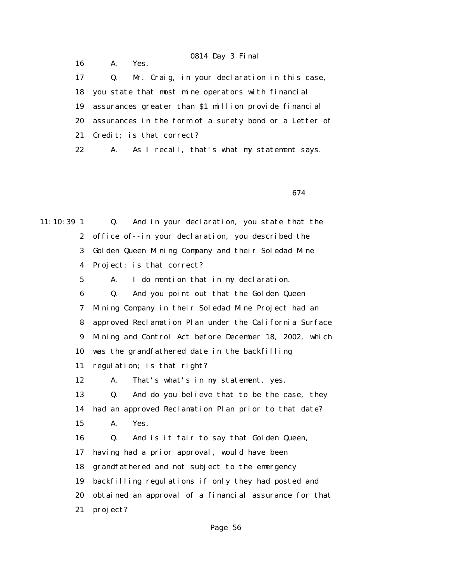0814 Day 3 Final 16 A. Yes. 17 Q. Mr. Craig, in your declaration in this case, 18 you state that most mine operators with financial 19 assurances greater than \$1 million provide financial 20 assurances in the form of a surety bond or a Letter of 21 Credit; is that correct? 22 A. As I recall, that's what my statement says.

 $\sim$  674

11:10:39 1 Q. And in your declaration, you state that the 2 office of--in your declaration, you described the 3 Golden Queen Mining Company and their Soledad Mine 4 Project; is that correct? 5 A. I do mention that in my declaration. 6 Q. And you point out that the Golden Queen 7 Mining Company in their Soledad Mine Project had an 8 approved Reclamation Plan under the California Surface 9 Mining and Control Act before December 18, 2002, which 10 was the grandfathered date in the backfilling 11 regulation; is that right? 12 A. That's what's in my statement, yes. 13 Q. And do you believe that to be the case, they 14 had an approved Reclamation Plan prior to that date? 15 A. Yes. 16 Q. And is it fair to say that Golden Queen, 17 having had a prior approval, would have been 18 grandfathered and not subject to the emergency 19 backfilling regulations if only they had posted and 20 obtained an approval of a financial assurance for that 21 project?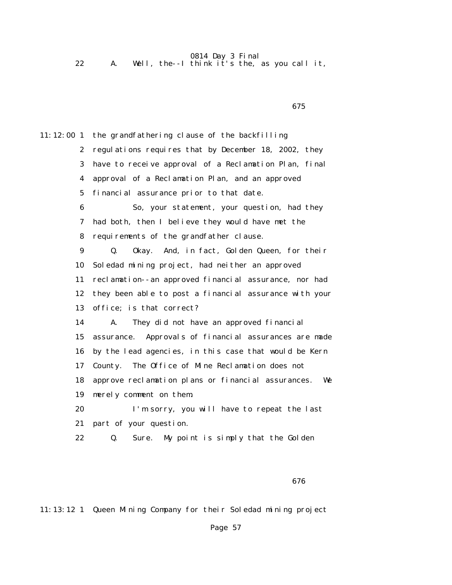| A. Well, the--I think it's the, as you call it, |  |
|-------------------------------------------------|--|
|-------------------------------------------------|--|

11:12:00 1 the grandfathering clause of the backfilling 2 regulations requires that by December 18, 2002, they 3 have to receive approval of a Reclamation Plan, final 4 approval of a Reclamation Plan, and an approved 5 financial assurance prior to that date. 6 So, your statement, your question, had they 7 had both, then I believe they would have met the 8 requirements of the grandfather clause. 9 Q. Okay. And, in fact, Golden Queen, for their 10 Soledad mining project, had neither an approved 11 reclamation--an approved financial assurance, nor had 12 they been able to post a financial assurance with your 13 office; is that correct? 14 A. They did not have an approved financial 15 assurance. Approvals of financial assurances are made 16 by the lead agencies, in this case that would be Kern 17 County. The Office of Mine Reclamation does not 18 approve reclamation plans or financial assurances. We 19 merely comment on them. 20 I'm sorry, you will have to repeat the last 21 part of your question. 22 Q. Sure. My point is simply that the Golden

 $\sim$  675

11:13:12 1 Queen Mining Company for their Soledad mining project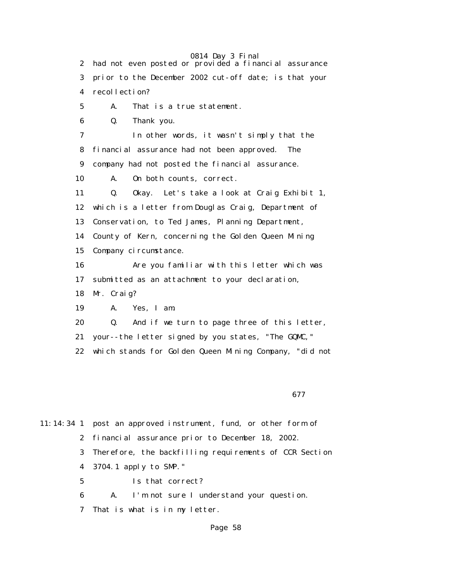0814 Day 3 Final 2 had not even posted or provided a financial assurance 3 prior to the December 2002 cut-off date; is that your 4 recollection? 5 A. That is a true statement. 6 Q. Thank you. 7 In other words, it wasn't simply that the 8 financial assurance had not been approved. The 9 company had not posted the financial assurance. 10 A. On both counts, correct. 11 Q. Okay. Let's take a look at Craig Exhibit 1, 12 which is a letter from Douglas Craig, Department of 13 Conservation, to Ted James, Planning Department, 14 County of Kern, concerning the Golden Queen Mining 15 Company circumstance. 16 Are you familiar with this letter which was 17 submitted as an attachment to your declaration, 18 Mr. Craig? 19 A. Yes, I am. 20 Q. And if we turn to page three of this letter, 21 your--the letter signed by you states, "The GQMC," 22 which stands for Golden Queen Mining Company, "did not

 $\sim$  677

11:14:34 1 post an approved instrument, fund, or other form of 2 financial assurance prior to December 18, 2002. 3 Therefore, the backfilling requirements of CCR Section 4 3704.1 apply to SMP." 5 Is that correct? 6 A. I'm not sure I understand your question.

7 That is what is in my letter.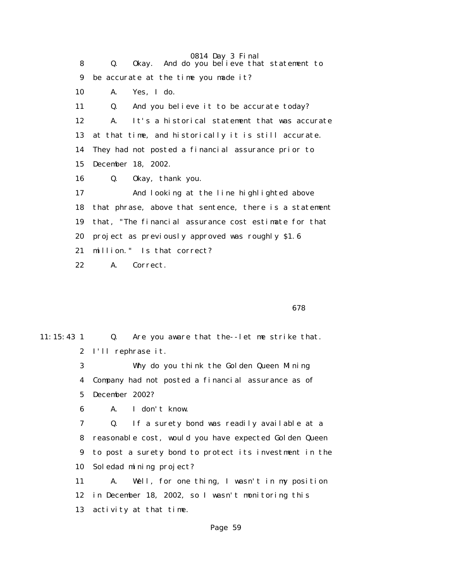0814 Day 3 Final 8 Q. Okay. And do you believe that statement to 9 be accurate at the time you made it? 10 A. Yes, I do. 11 Q. And you believe it to be accurate today? 12 A. It's a historical statement that was accurate 13 at that time, and historically it is still accurate. 14 They had not posted a financial assurance prior to 15 December 18, 2002. 16 Q. Okay, thank you. 17 And looking at the line highlighted above 18 that phrase, above that sentence, there is a statement 19 that, "The financial assurance cost estimate for that 20 project as previously approved was roughly \$1.6 21 million." Is that correct? 22 A. Correct.

 $\sim$  678

11:15:43 1 Q. Are you aware that the--let me strike that. 2 I'll rephrase it. 3 Why do you think the Golden Queen Mining

 4 Company had not posted a financial assurance as of 5 December 2002?

6 A. I don't know.

 7 Q. If a surety bond was readily available at a 8 reasonable cost, would you have expected Golden Queen 9 to post a surety bond to protect its investment in the 10 Soledad mining project?

 11 A. Well, for one thing, I wasn't in my position 12 in December 18, 2002, so I wasn't monitoring this 13 activity at that time.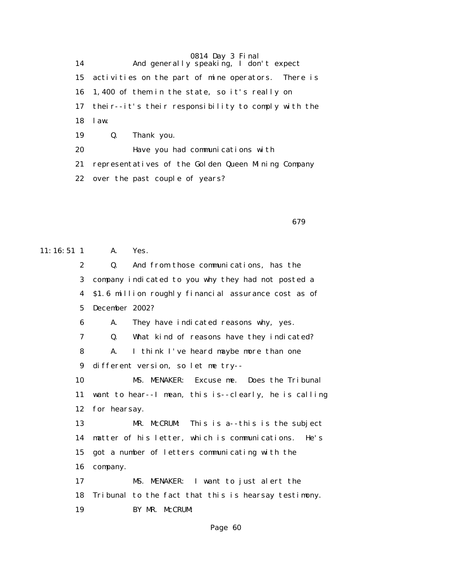0814 Day 3 Final 14 And generally speaking, I don't expect 15 activities on the part of mine operators. There is 16 1,400 of them in the state, so it's really on 17 their--it's their responsibility to comply with the 18 law. 19 Q. Thank you. 20 Have you had communications with 21 representatives of the Golden Queen Mining Company 22 over the past couple of years?

 $\sim$  679

11:16:51 1 A. Yes. 2 Q. And from those communications, has the 3 company indicated to you why they had not posted a 4 \$1.6 million roughly financial assurance cost as of 5 December 2002? 6 A. They have indicated reasons why, yes. 7 Q. What kind of reasons have they indicated? 8 A. I think I've heard maybe more than one 9 different version, so let me try-- 10 MS. MENAKER: Excuse me. Does the Tribunal 11 want to hear--I mean, this is--clearly, he is calling 12 for hearsay. 13 MR. McCRUM: This is a--this is the subject 14 matter of his letter, which is communications. He's 15 got a number of letters communicating with the 16 company. 17 MS. MENAKER: I want to just alert the 18 Tribunal to the fact that this is hearsay testimony. 19 BY MR. McCRUM: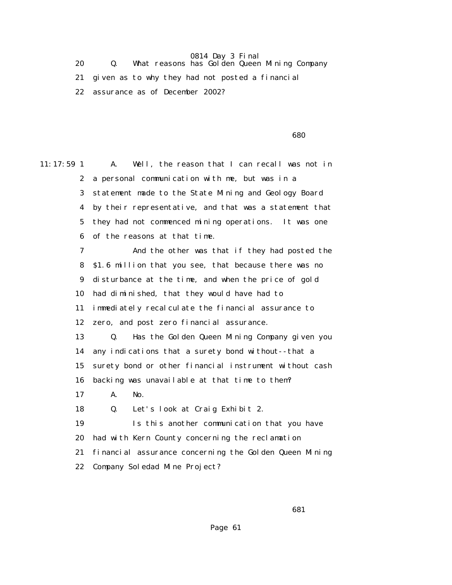20 Q. What reasons has Golden Queen Mining Company 21 given as to why they had not posted a financial 22 assurance as of December 2002?

 $\sim$  680

11:17:59 1 A. Well, the reason that I can recall was not in 2 a personal communication with me, but was in a 3 statement made to the State Mining and Geology Board 4 by their representative, and that was a statement that 5 they had not commenced mining operations. It was one 6 of the reasons at that time. 7 And the other was that if they had posted the 8 \$1.6 million that you see, that because there was no 9 disturbance at the time, and when the price of gold 10 had diminished, that they would have had to 11 immediately recalculate the financial assurance to 12 zero, and post zero financial assurance. 13 Q. Has the Golden Queen Mining Company given you 14 any indications that a surety bond without--that a 15 surety bond or other financial instrument without cash 16 backing was unavailable at that time to them? 17 A. No. 18 Q. Let's look at Craig Exhibit 2. 19 Is this another communication that you have 20 had with Kern County concerning the reclamation 21 financial assurance concerning the Golden Queen Mining 22 Company Soledad Mine Project?

 $\sim$  681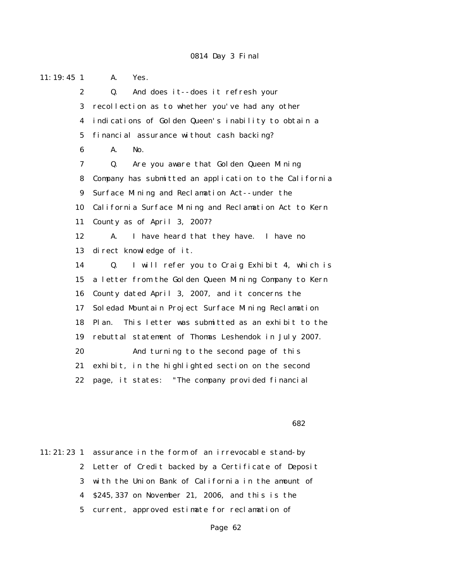11:19:45 1 A. Yes. 2 Q. And does it--does it refresh your 3 recollection as to whether you've had any other 4 indications of Golden Queen's inability to obtain a 5 financial assurance without cash backing? 6 A. No. 7 Q. Are you aware that Golden Queen Mining 8 Company has submitted an application to the California 9 Surface Mining and Reclamation Act--under the 10 California Surface Mining and Reclamation Act to Kern 11 County as of April 3, 2007? 12 A. I have heard that they have. I have no 13 direct knowledge of it. 14 Q. I will refer you to Craig Exhibit 4, which is 15 a letter from the Golden Queen Mining Company to Kern 16 County dated April 3, 2007, and it concerns the 17 Soledad Mountain Project Surface Mining Reclamation 18 Plan. This letter was submitted as an exhibit to the 19 rebuttal statement of Thomas Leshendok in July 2007. 20 And turning to the second page of this 21 exhibit, in the highlighted section on the second 22 page, it states: "The company provided financial

#### $\sim$  682

11:21:23 1 assurance in the form of an irrevocable stand-by 2 Letter of Credit backed by a Certificate of Deposit 3 with the Union Bank of California in the amount of 4 \$245,337 on November 21, 2006, and this is the 5 current, approved estimate for reclamation of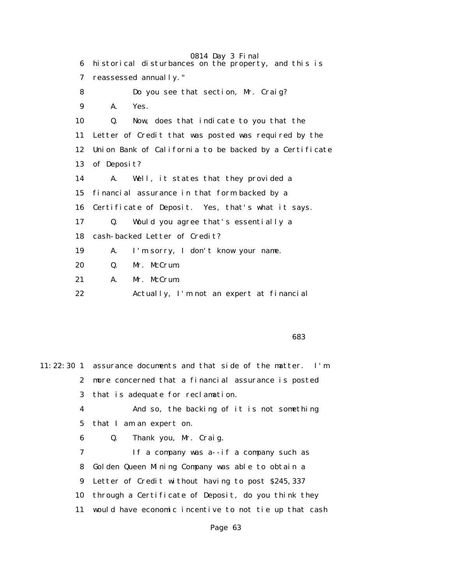0814 Day 3 Final 6 historical disturbances on the property, and this is 7 reassessed annually." 8 Do you see that section, Mr. Craig? 9 A. Yes. 10 Q. Now, does that indicate to you that the 11 Letter of Credit that was posted was required by the 12 Union Bank of California to be backed by a Certificate 13 of Deposit? 14 A. Well, it states that they provided a 15 financial assurance in that form backed by a 16 Certificate of Deposit. Yes, that's what it says. 17 Q. Would you agree that's essentially a 18 cash-backed Letter of Credit? 19 A. I'm sorry, I don't know your name. 20 Q. Mr. McCrum. 21 A. Mr. McCrum. 22 Actually, I'm not an expert at financial

<u>683 and the contract of the contract of the contract of the contract of the contract of the contract of the con</u>

11:22:30 1 assurance documents and that side of the matter. I'm 2 more concerned that a financial assurance is posted 3 that is adequate for reclamation. 4 And so, the backing of it is not something 5 that I am an expert on. 6 Q. Thank you, Mr. Craig. 7 If a company was a--if a company such as 8 Golden Queen Mining Company was able to obtain a 9 Letter of Credit without having to post \$245,337 10 through a Certificate of Deposit, do you think they 11 would have economic incentive to not tie up that cash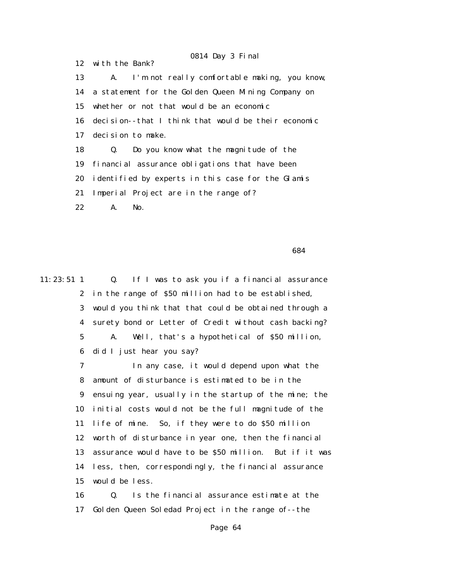0814 Day 3 Final 12 with the Bank? 13 A. I'm not really comfortable making, you know, 14 a statement for the Golden Queen Mining Company on 15 whether or not that would be an economic 16 decision--that I think that would be their economic 17 decision to make. 18 Q. Do you know what the magnitude of the 19 financial assurance obligations that have been 20 identified by experts in this case for the Glamis 21 Imperial Project are in the range of? 22 A. No.

 $\sim$  684

11:23:51 1 Q. If I was to ask you if a financial assurance 2 in the range of \$50 million had to be established, 3 would you think that that could be obtained through a 4 surety bond or Letter of Credit without cash backing? 5 A. Well, that's a hypothetical of \$50 million, 6 did I just hear you say?

> 7 In any case, it would depend upon what the 8 amount of disturbance is estimated to be in the 9 ensuing year, usually in the startup of the mine; the 10 initial costs would not be the full magnitude of the 11 life of mine. So, if they were to do \$50 million 12 worth of disturbance in year one, then the financial 13 assurance would have to be \$50 million. But if it was 14 less, then, correspondingly, the financial assurance 15 would be less.

 16 Q. Is the financial assurance estimate at the 17 Golden Queen Soledad Project in the range of--the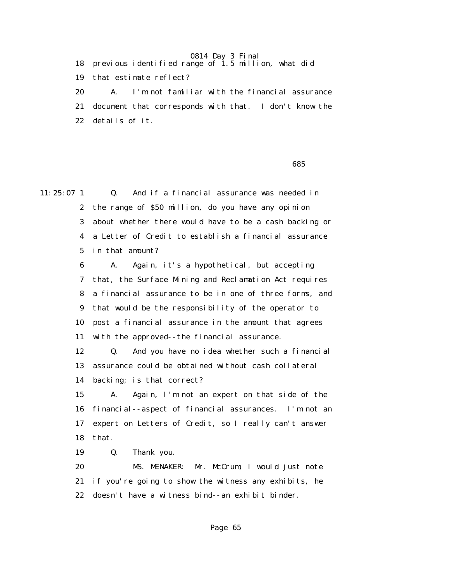18 previous identified range of 1.5 million, what did 19 that estimate reflect? 20 A. I'm not familiar with the financial assurance 21 document that corresponds with that. I don't know the 22 details of it.

<u>685 and the contract of the contract of the contract of the contract of the contract of the contract of the con</u>

11:25:07 1 Q. And if a financial assurance was needed in 2 the range of \$50 million, do you have any opinion 3 about whether there would have to be a cash backing or 4 a Letter of Credit to establish a financial assurance 5 in that amount?

> 6 A. Again, it's a hypothetical, but accepting 7 that, the Surface Mining and Reclamation Act requires 8 a financial assurance to be in one of three forms, and 9 that would be the responsibility of the operator to 10 post a financial assurance in the amount that agrees 11 with the approved--the financial assurance.

> 12 Q. And you have no idea whether such a financial 13 assurance could be obtained without cash collateral 14 backing; is that correct?

> 15 A. Again, I'm not an expert on that side of the 16 financial--aspect of financial assurances. I'm not an 17 expert on Letters of Credit, so I really can't answer 18 that.

19 Q. Thank you.

 20 MS. MENAKER: Mr. McCrum, I would just note 21 if you're going to show the witness any exhibits, he 22 doesn't have a witness bind--an exhibit binder.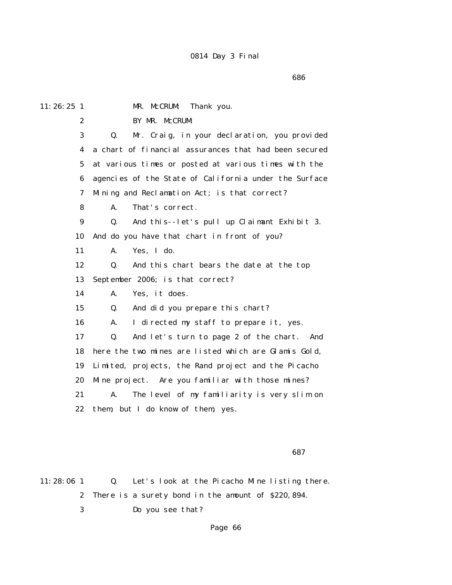<u>686 - Andrej Sterne Sterne Sterne Sterne Sterne Sterne Sterne Sterne Sterne Sterne Sterne Sterne Sterne Sterne</u>

| $11:26:25$ 1     | MR. McCRUM:<br>Thank you.                             |
|------------------|-------------------------------------------------------|
| $\mathbf{2}$     | BY MR. McCRUM:                                        |
| 3                | Mr. Craig, in your declaration, you provided<br>Q.    |
| 4                | a chart of financial assurances that had been secured |
| $\bf 5$          | at various times or posted at various times with the  |
| 6                | agencies of the State of California under the Surface |
| 7                | Mining and Reclamation Act; is that correct?          |
| 8                | That's correct.<br>A.                                 |
| $\boldsymbol{9}$ | And this--let's pull up Claimant Exhibit 3.<br>Q.     |
| 10               | And do you have that chart in front of you?           |
| 11               | Yes, I do.<br>A.                                      |
| 12               | And this chart bears the date at the top<br>Q.        |
| 13               | September 2006; is that correct?                      |
| 14               | A.<br>Yes, it does.                                   |
| 15               | And did you prepare this chart?<br>Q.                 |
| 16               | A.<br>I directed my staff to prepare it, yes.         |
| 17               | And let's turn to page 2 of the chart.<br>Q.<br>And   |
| 18               | here the two mines are listed which are Glamis Gold,  |
| 19               | Limited, projects, the Rand project and the Picacho   |
| 20               | Mine project. Are you familiar with those mines?      |
| 21               | The level of my familiarity is very slim on<br>A.     |
| 22               | them, but I do know of them, yes.                     |
|                  |                                                       |

 $\sim$  687

11:28:06 1 Q. Let's look at the Picacho Mine listing there. 2 There is a surety bond in the amount of \$220,894. 3 Do you see that?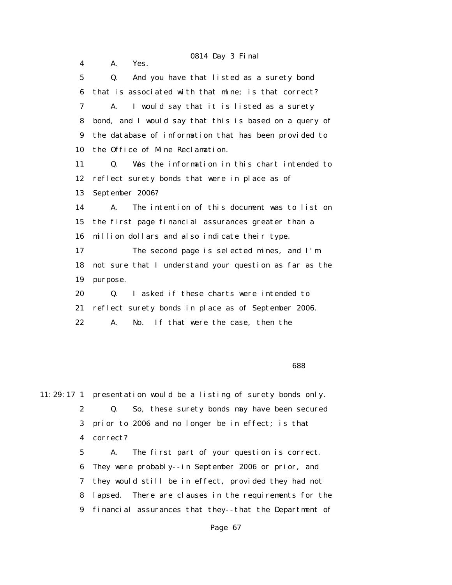0814 Day 3 Final 4 A. Yes. 5 Q. And you have that listed as a surety bond 6 that is associated with that mine; is that correct? 7 A. I would say that it is listed as a surety 8 bond, and I would say that this is based on a query of 9 the database of information that has been provided to 10 the Office of Mine Reclamation. 11 Q. Was the information in this chart intended to 12 reflect surety bonds that were in place as of 13 September 2006? 14 A. The intention of this document was to list on 15 the first page financial assurances greater than a 16 million dollars and also indicate their type. 17 The second page is selected mines, and I'm 18 not sure that I understand your question as far as the 19 purpose. 20 Q. I asked if these charts were intended to 21 reflect surety bonds in place as of September 2006. 22 A. No. If that were the case, then the

<u>688 and the contract of the contract of the contract of the contract of the contract of the contract of the con</u>

11:29:17 1 presentation would be a listing of surety bonds only. 2 Q. So, these surety bonds may have been secured 3 prior to 2006 and no longer be in effect; is that 4 correct?

> 5 A. The first part of your question is correct. 6 They were probably--in September 2006 or prior, and 7 they would still be in effect, provided they had not 8 lapsed. There are clauses in the requirements for the 9 financial assurances that they--that the Department of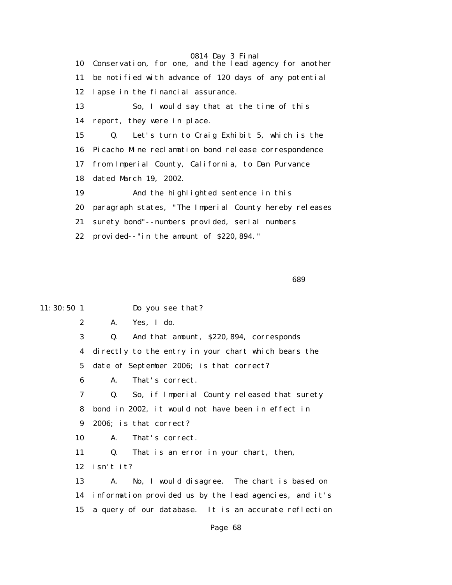0814 Day 3 Final 10 Conservation, for one, and the lead agency for another 11 be notified with advance of 120 days of any potential 12 lapse in the financial assurance. 13 So, I would say that at the time of this 14 report, they were in place. 15 Q. Let's turn to Craig Exhibit 5, which is the 16 Picacho Mine reclamation bond release correspondence 17 from Imperial County, California, to Dan Purvance 18 dated March 19, 2002. 19 And the highlighted sentence in this 20 paragraph states, "The Imperial County hereby releases 21 surety bond"--numbers provided, serial numbers 22 provided--"in the amount of \$220,894."

<u>689 - Andrej Sterne Barbara, amerikan pendang pada 1989 - Andrej Sterne Barbara (</u>

11:30:50 1 Do you see that?

2 A. Yes, I do.

3 Q. And that amount, \$220,894, corresponds

 4 directly to the entry in your chart which bears the 5 date of September 2006; is that correct?

6 A. That's correct.

 7 Q. So, if Imperial County released that surety 8 bond in 2002, it would not have been in effect in 9 2006; is that correct?

10 A. That's correct.

11 Q. That is an error in your chart, then,

12 isn't it?

 13 A. No, I would disagree. The chart is based on 14 information provided us by the lead agencies, and it's 15 a query of our database. It is an accurate reflection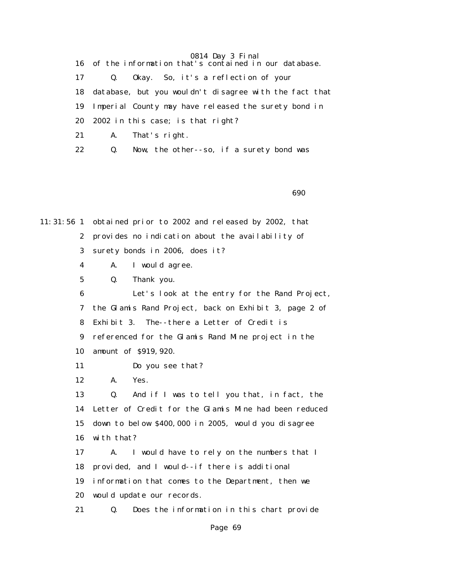16 of the information that's contained in our database.

17 Q. Okay. So, it's a reflection of your

18 database, but you wouldn't disagree with the fact that

19 Imperial County may have released the surety bond in

- 20 2002 in this case; is that right?
- 21 A. That's right.
- 22 Q. Now, the other--so, if a surety bond was

 $\sim$  690 $\sim$ 

11:31:56 1 obtained prior to 2002 and released by 2002, that 2 provides no indication about the availability of 3 surety bonds in 2006, does it? 4 A. I would agree.

5 Q. Thank you.

 6 Let's look at the entry for the Rand Project, 7 the Glamis Rand Project, back on Exhibit 3, page 2 of 8 Exhibit 3. The--there a Letter of Credit is 9 referenced for the Glamis Rand Mine project in the 10 amount of \$919,920.

- 11 Do you see that?
- 12 A. Yes.

 13 Q. And if I was to tell you that, in fact, the 14 Letter of Credit for the Glamis Mine had been reduced 15 down to below \$400,000 in 2005, would you disagree 16 with that?

 17 A. I would have to rely on the numbers that I 18 provided, and I would--if there is additional 19 information that comes to the Department, then we 20 would update our records.

21 Q. Does the information in this chart provide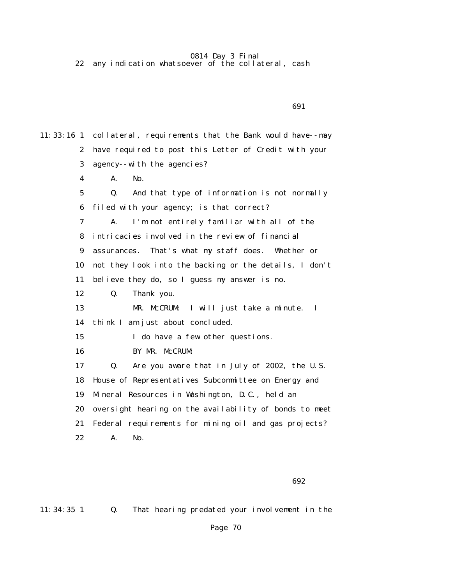22 any indication whatsoever of the collateral, cash

 $\sim$  691

11:33:16 1 collateral, requirements that the Bank would have--may 2 have required to post this Letter of Credit with your 3 agency--with the agencies? 4 A. No. 5 Q. And that type of information is not normally 6 filed with your agency; is that correct? 7 A. I'm not entirely familiar with all of the 8 intricacies involved in the review of financial 9 assurances. That's what my staff does. Whether or 10 not they look into the backing or the details, I don't 11 believe they do, so I guess my answer is no. 12 Q. Thank you. 13 MR. McCRUM: I will just take a minute. I 14 think I am just about concluded. 15 I do have a few other questions. 16 BY MR. McCRUM: 17 Q. Are you aware that in July of 2002, the U.S. 18 House of Representatives Subcommittee on Energy and 19 Mineral Resources in Washington, D.C., held an 20 oversight hearing on the availability of bonds to meet 21 Federal requirements for mining oil and gas projects? 22 A. No.

 $\sim$  692

11:34:35 1 Q. That hearing predated your involvement in the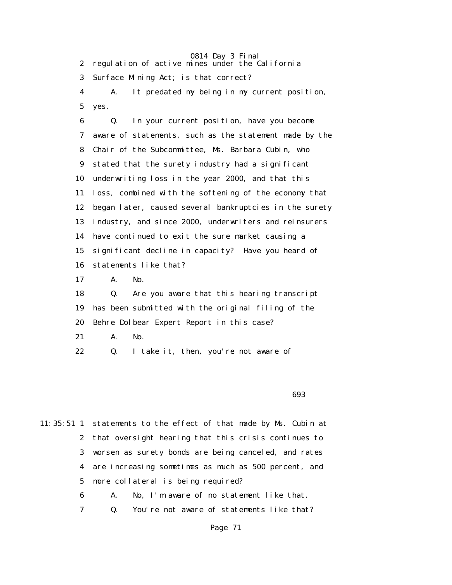0814 Day 3 Final 2 regulation of active mines under the California 3 Surface Mining Act; is that correct? 4 A. It predated my being in my current position, 5 yes. 6 Q. In your current position, have you become

 7 aware of statements, such as the statement made by the 8 Chair of the Subcommittee, Ms. Barbara Cubin, who 9 stated that the surety industry had a significant 10 underwriting loss in the year 2000, and that this 11 loss, combined with the softening of the economy that 12 began later, caused several bankruptcies in the surety 13 industry, and since 2000, underwriters and reinsurers 14 have continued to exit the sure market causing a 15 significant decline in capacity? Have you heard of 16 statements like that?

17 A. No.

 18 Q. Are you aware that this hearing transcript 19 has been submitted with the original filing of the 20 Behre Dolbear Expert Report in this case?

21 A. No.

22 Q. I take it, then, you're not aware of

 $\sim$  693

11:35:51 1 statements to the effect of that made by Ms. Cubin at 2 that oversight hearing that this crisis continues to 3 worsen as surety bonds are being canceled, and rates 4 are increasing sometimes as much as 500 percent, and 5 more collateral is being required?

- 6 A. No, I'm aware of no statement like that.
- 7 Q. You're not aware of statements like that?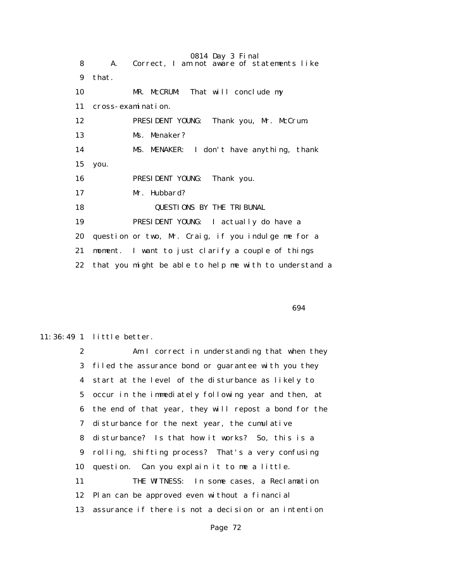0814 Day 3 Final 8 A. Correct, I am not aware of statements like 9 that. 10 MR. McCRUM: That will conclude my 11 cross-examination. 12 PRESIDENT YOUNG: Thank you, Mr. McCrum. 13 Ms. Menaker? 14 MS. MENAKER: I don't have anything, thank 15 you. 16 PRESIDENT YOUNG: Thank you. 17 Mr. Hubbard? 18 QUESTIONS BY THE TRIBUNAL 19 PRESIDENT YOUNG: I actually do have a 20 question or two, Mr. Craig, if you indulge me for a 21 moment. I want to just clarify a couple of things 22 that you might be able to help me with to understand a

 $\sim$  694

#### 11:36:49 1 little better.

 2 Am I correct in understanding that when they 3 filed the assurance bond or guarantee with you they 4 start at the level of the disturbance as likely to 5 occur in the immediately following year and then, at 6 the end of that year, they will repost a bond for the 7 disturbance for the next year, the cumulative 8 disturbance? Is that how it works? So, this is a 9 rolling, shifting process? That's a very confusing 10 question. Can you explain it to me a little. 11 THE WITNESS: In some cases, a Reclamation 12 Plan can be approved even without a financial 13 assurance if there is not a decision or an intention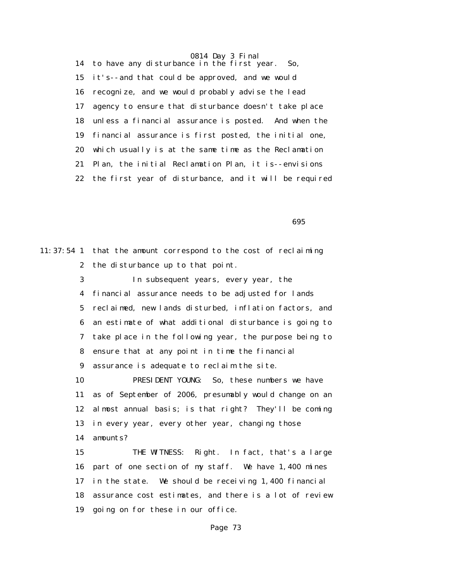14 to have any disturbance in the first year. So, 15 it's--and that could be approved, and we would 16 recognize, and we would probably advise the lead 17 agency to ensure that disturbance doesn't take place 18 unless a financial assurance is posted. And when the 19 financial assurance is first posted, the initial one, 20 which usually is at the same time as the Reclamation 21 Plan, the initial Reclamation Plan, it is--envisions 22 the first year of disturbance, and it will be required

 $\sim$  695

11:37:54 1 that the amount correspond to the cost of reclaiming 2 the disturbance up to that point. 3 In subsequent years, every year, the 4 financial assurance needs to be adjusted for lands 5 reclaimed, new lands disturbed, inflation factors, and 6 an estimate of what additional disturbance is going to 7 take place in the following year, the purpose being to 8 ensure that at any point in time the financial 9 assurance is adequate to reclaim the site. 10 PRESIDENT YOUNG: So, these numbers we have 11 as of September of 2006, presumably would change on an 12 almost annual basis; is that right? They'll be coming 13 in every year, every other year, changing those 14 amounts? 15 THE WITNESS: Right. In fact, that's a large 16 part of one section of my staff. We have 1,400 mines 17 in the state. We should be receiving 1,400 financial 18 assurance cost estimates, and there is a lot of review 19 going on for these in our office.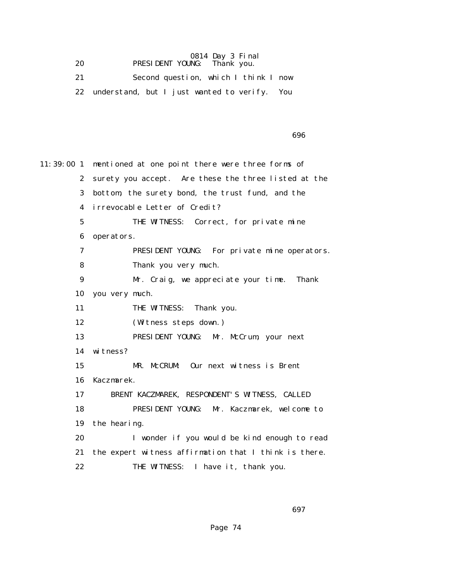|    |                             | 0814 Day 3 Final |  |
|----|-----------------------------|------------------|--|
| 20 | PRESIDENT YOUNG: Thank you. |                  |  |

 21 Second question, which I think I now 22 understand, but I just wanted to verify. You

en de la construction de la construction de la construction de la construction de la construction de la construction de la construction de la construction de la construction de la construction de la construction de la cons

11:39:00 1 mentioned at one point there were three forms of 2 surety you accept. Are these the three listed at the 3 bottom, the surety bond, the trust fund, and the 4 irrevocable Letter of Credit? 5 THE WITNESS: Correct, for private mine 6 operators. 7 PRESIDENT YOUNG: For private mine operators. 8 Thank you very much. 9 Mr. Craig, we appreciate your time. Thank 10 you very much. 11 THE WITNESS: Thank you. 12 (Witness steps down.) 13 PRESIDENT YOUNG: Mr. McCrum, your next 14 witness? 15 MR. McCRUM: Our next witness is Brent 16 Kaczmarek. 17 BRENT KACZMAREK, RESPONDENT'S WITNESS, CALLED 18 PRESIDENT YOUNG: Mr. Kaczmarek, welcome to 19 the hearing. 20 I wonder if you would be kind enough to read 21 the expert witness affirmation that I think is there. 22 THE WITNESS: I have it, thank you.

 $\sim$  697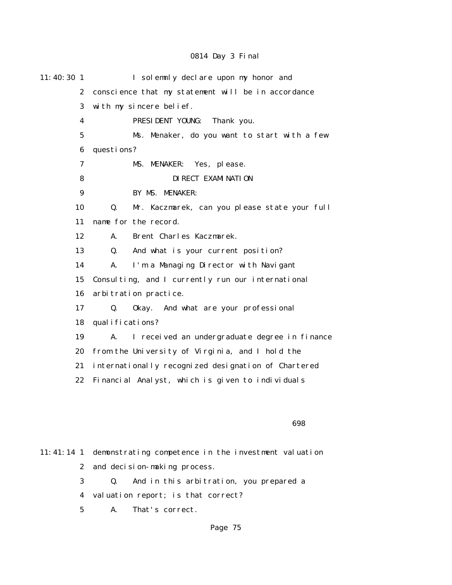| $11:40:30$ 1     | I solemnly declare upon my honor and                            |
|------------------|-----------------------------------------------------------------|
| $\mathbf{2}$     | conscience that my statement will be in accordance              |
| 3                | with my sincere belief.                                         |
| 4                | PRESIDENT YOUNG:<br>Thank you.                                  |
| $5\phantom{.0}$  | Ms. Menaker, do you want to start with a few                    |
| 6                | questions?                                                      |
| 7                | MS. MENAKER: Yes, please.                                       |
| 8                | DI RECT EXAMI NATI ON                                           |
| 9                | BY MS. MENAKER:                                                 |
| 10               | Mr. Kaczmarek, can you please state your full<br>$\mathbf{0}$ . |
| 11               | name for the record.                                            |
| 12               | Brent Charles Kaczmarek.<br>A.                                  |
| 13               | And what is your current position?<br>Q.                        |
| 14               | I'm a Managing Director with Navigant<br>A.                     |
| 15               | Consulting, and I currently run our international               |
| 16               | arbitration practice.                                           |
| 17               | And what are your professional<br>Q.<br>0kay.                   |
| 18               | qual ifications?                                                |
| 19               | A.<br>I received an undergraduate degree in finance             |
| 20               | from the University of Virginia, and I hold the                 |
| 21               | internationally recognized designation of Chartered             |
| 22               | Financial Analyst, which is given to individuals                |
|                  |                                                                 |
|                  | 698                                                             |
| $11:41:14$ 1     | demonstrating competence in the investment valuation            |
| $\boldsymbol{2}$ | and decision-making process.                                    |
| 3                | And in this arbitration, you prepared a<br>Q.                   |
|                  |                                                                 |

4 valuation report; is that correct?

5 A. That's correct.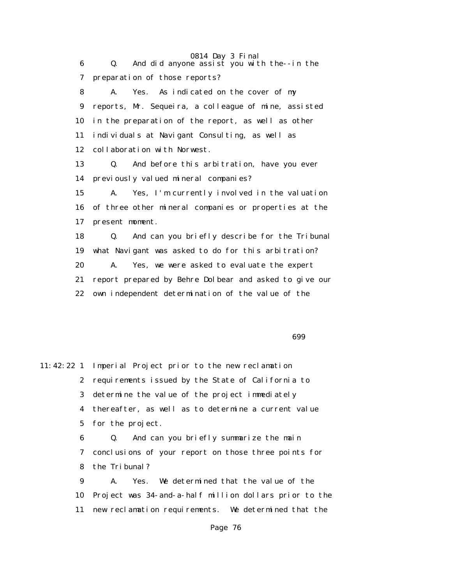0814 Day 3 Final 6 Q. And did anyone assist you with the--in the 7 preparation of those reports? 8 A. Yes. As indicated on the cover of my 9 reports, Mr. Sequeira, a colleague of mine, assisted 10 in the preparation of the report, as well as other 11 individuals at Navigant Consulting, as well as 12 collaboration with Norwest. 13 Q. And before this arbitration, have you ever 14 previously valued mineral companies? 15 A. Yes, I'm currently involved in the valuation 16 of three other mineral companies or properties at the 17 present moment. 18 Q. And can you briefly describe for the Tribunal 19 what Navigant was asked to do for this arbitration? 20 A. Yes, we were asked to evaluate the expert 21 report prepared by Behre Dolbear and asked to give our 22 own independent determination of the value of the

 $\sim$  699 $\sim$ 

11:42:22 1 Imperial Project prior to the new reclamation 2 requirements issued by the State of California to 3 determine the value of the project immediately 4 thereafter, as well as to determine a current value 5 for the project. 6 Q. And can you briefly summarize the main 7 conclusions of your report on those three points for 8 the Tribunal? 9 A. Yes. We determined that the value of the 10 Project was 34-and-a-half million dollars prior to the 11 new reclamation requirements. We determined that the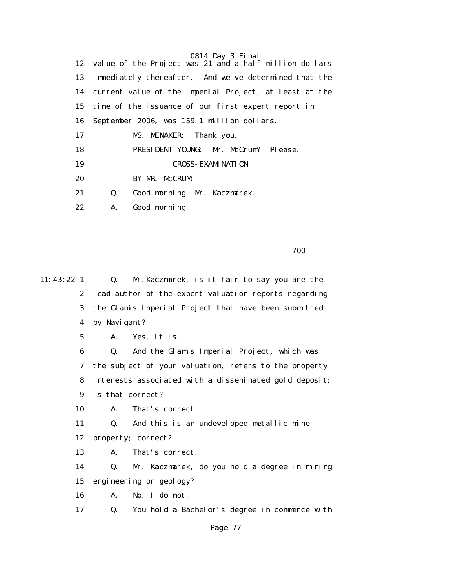12 value of the Project was 21-and-a-half million dollars 13 immediately thereafter. And we've determined that the 14 current value of the Imperial Project, at least at the 15 time of the issuance of our first expert report in 16 September 2006, was 159.1 million dollars. 17 MS. MENAKER: Thank you. 18 PRESIDENT YOUNG: Mr. McCrum? Please. 19 CROSS-EXAMINATION 20 BY MR. McCRUM: 21 Q. Good morning, Mr. Kaczmarek. 22 A. Good morning.

<u>700 metro and the state of the state of the state of the state of the state of the state of the state of the state of the state of the state of the state of the state of the state of the state of the state of the state of</u>

11:43:22 1 Q. Mr.Kaczmarek, is it fair to say you are the 2 lead author of the expert valuation reports regarding 3 the Glamis Imperial Project that have been submitted 4 by Navigant? 5 A. Yes, it is. 6 Q. And the Glamis Imperial Project, which was 7 the subject of your valuation, refers to the property 8 interests associated with a disseminated gold deposit; 9 is that correct? 10 A. That's correct. 11 Q. And this is an undeveloped metallic mine 12 property; correct? 13 A. That's correct. 14 Q. Mr. Kaczmarek, do you hold a degree in mining 15 engineering or geology? 16 A. No, I do not. 17 Q. You hold a Bachelor's degree in commerce with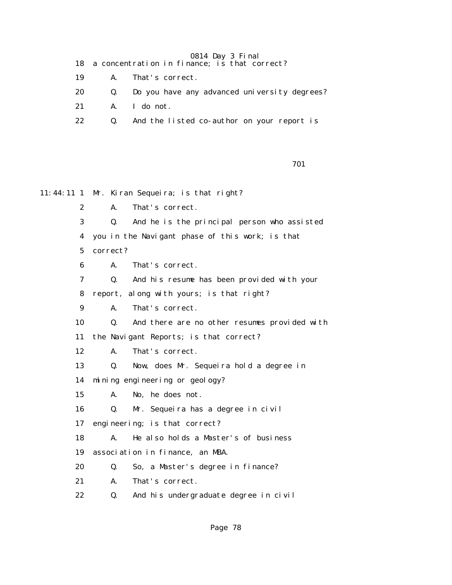- 18 a concentration in finance; is that correct?
- 19 A. That's correct.
- 20 Q. Do you have any advanced university degrees?
- 21 A. I do not.
- 22 Q. And the listed co-author on your report is

701

11:44:11 1 Mr. Kiran Sequeira; is that right? 2 A. That's correct. 3 Q. And he is the principal person who assisted 4 you in the Navigant phase of this work; is that 5 correct? 6 A. That's correct. 7 Q. And his resume has been provided with your 8 report, along with yours; is that right? 9 A. That's correct. 10 Q. And there are no other resumes provided with 11 the Navigant Reports; is that correct? 12 A. That's correct. 13 Q. Now, does Mr. Sequeira hold a degree in 14 mining engineering or geology? 15 A. No, he does not. 16 Q. Mr. Sequeira has a degree in civil 17 engineering; is that correct? 18 A. He also holds a Master's of business 19 association in finance, an MBA. 20 Q. So, a Master's degree in finance? 21 A. That's correct. 22 Q. And his undergraduate degree in civil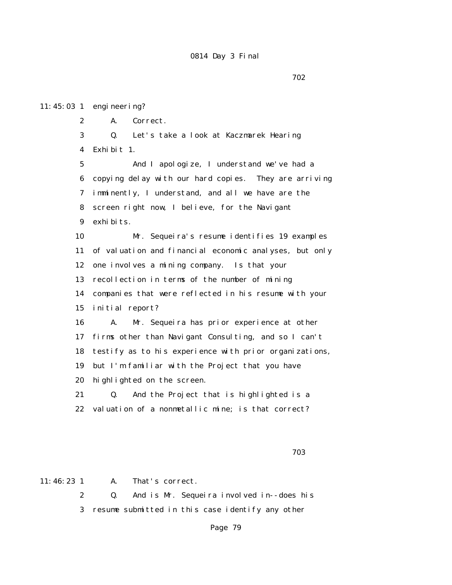11:45:03 1 engineering? 2 A. Correct. 3 Q. Let's take a look at Kaczmarek Hearing 4 Exhibit 1. 5 And I apologize, I understand we've had a 6 copying delay with our hard copies. They are arriving 7 imminently, I understand, and all we have are the 8 screen right now, I believe, for the Navigant 9 exhibits. 10 Mr. Sequeira's resume identifies 19 examples 11 of valuation and financial economic analyses, but only 12 one involves a mining company. Is that your 13 recollection in terms of the number of mining 14 companies that were reflected in his resume with your 15 initial report? 16 A. Mr. Sequeira has prior experience at other 17 firms other than Navigant Consulting, and so I can't 18 testify as to his experience with prior organizations, 19 but I'm familiar with the Project that you have 20 highlighted on the screen. 21 Q. And the Project that is highlighted is a 22 valuation of a nonmetallic mine; is that correct?

ти в село в село в село в село в село в село в село в село в село в село в село в село в село в село в село в<br>2033 — В село в село в село в село в село в село в село в село в село в село в село в село в село в село в се

11:46:23 1 A. That's correct.

 2 Q. And is Mr. Sequeira involved in--does his 3 resume submitted in this case identify any other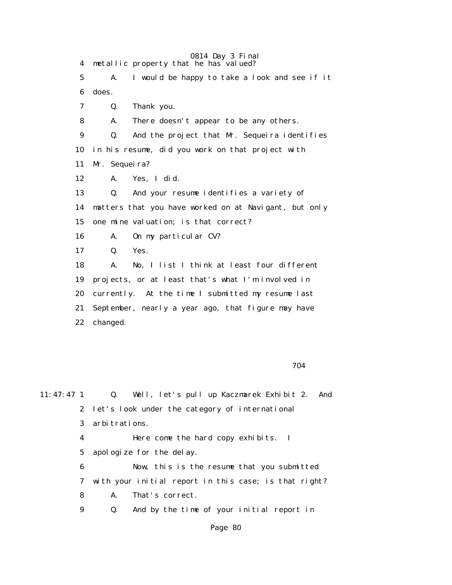0814 Day 3 Final 4 metallic property that he has valued? 5 A. I would be happy to take a look and see if it 6 does. 7 Q. Thank you. 8 A. There doesn't appear to be any others. 9 Q. And the project that Mr. Sequeira identifies 10 in his resume, did you work on that project with 11 Mr. Sequeira? 12 A. Yes, I did. 13 Q. And your resume identifies a variety of 14 matters that you have worked on at Navigant, but only 15 one mine valuation; is that correct? 16 A. On my particular CV? 17 Q. Yes. 18 A. No, I list I think at least four different 19 projects, or at least that's what I'm involved in 20 currently. At the time I submitted my resume last 21 September, nearly a year ago, that figure may have 22 changed.

704

11:47:47 1 Q. Well, let's pull up Kaczmarek Exhibit 2. And 2 let's look under the category of international 3 arbitrations. 4 Here come the hard copy exhibits. I 5 apologize for the delay. 6 Now, this is the resume that you submitted 7 with your initial report in this case; is that right? 8 A. That's correct. 9 Q. And by the time of your initial report in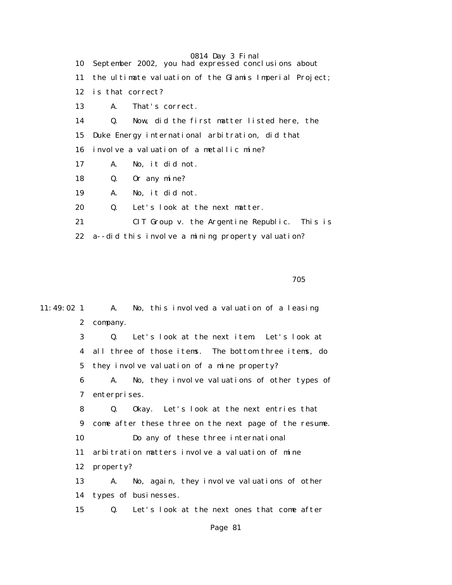0814 Day 3 Final 10 September 2002, you had expressed conclusions about 11 the ultimate valuation of the Glamis Imperial Project; 12 is that correct? 13 A. That's correct. 14 Q. Now, did the first matter listed here, the 15 Duke Energy international arbitration, did that 16 involve a valuation of a metallic mine? 17 A. No, it did not. 18 Q. Or any mine? 19 A. No, it did not. 20 Q. Let's look at the next matter. 21 CIT Group v. the Argentine Republic. This is 22 a--did this involve a mining property valuation?

na matsay na katalog as na katalog as na katalog as na katalog as na katalog as na katalog as na katalog as na<br>Tagairta

11:49:02 1 A. No, this involved a valuation of a leasing 2 company. 3 Q. Let's look at the next item. Let's look at 4 all three of those items. The bottom three items, do 5 they involve valuation of a mine property? 6 A. No, they involve valuations of other types of 7 enterprises. 8 Q. Okay. Let's look at the next entries that 9 come after these three on the next page of the resume. 10 Do any of these three international 11 arbitration matters involve a valuation of mine 12 property? 13 A. No, again, they involve valuations of other 14 types of businesses. 15 Q. Let's look at the next ones that come after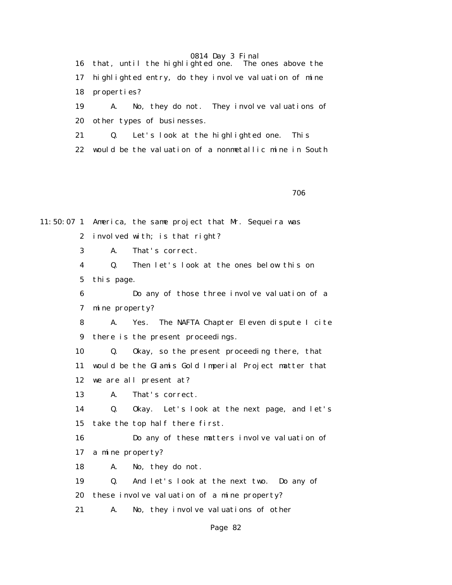0814 Day 3 Final<br>ghted one. The ones above the 16 that, until the highlighted one. 17 highlighted entry, do they involve valuation of mine 18 properties? 19 A. No, they do not. They involve valuations of

20 other types of businesses.

21 Q. Let's look at the highlighted one. This

22 would be the valuation of a nonmetallic mine in South

<u>706 - Johann Stein, amerikan bahasa (j. 1876).</u><br>1906 - Johann Stein, amerikan bahasa (j. 1876).

11:50:07 1 America, the same project that Mr. Sequeira was 2 involved with; is that right? 3 A. That's correct. 4 Q. Then let's look at the ones below this on 5 this page. 6 Do any of those three involve valuation of a 7 mine property? 8 A. Yes. The NAFTA Chapter Eleven dispute I cite 9 there is the present proceedings. 10 Q. Okay, so the present proceeding there, that 11 would be the Glamis Gold Imperial Project matter that 12 we are all present at? 13 A. That's correct. 14 Q. Okay. Let's look at the next page, and let's 15 take the top half there first. 16 Do any of these matters involve valuation of 17 a mine property? 18 A. No, they do not. 19 Q. And let's look at the next two. Do any of 20 these involve valuation of a mine property? 21 A. No, they involve valuations of other Page 82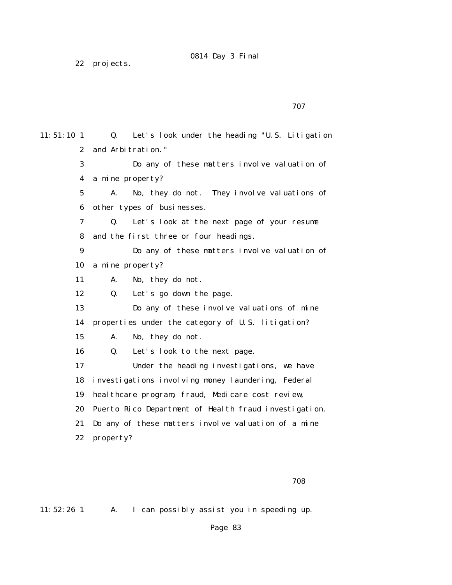22 projects.

11:51:10 1 Q. Let's look under the heading "U.S. Litigation 2 and Arbitration." 3 Do any of these matters involve valuation of 4 a mine property? 5 A. No, they do not. They involve valuations of 6 other types of businesses. 7 Q. Let's look at the next page of your resume 8 and the first three or four headings. 9 Do any of these matters involve valuation of 10 a mine property? 11 A. No, they do not. 12 Q. Let's go down the page. 13 Do any of these involve valuations of mine 14 properties under the category of U.S. litigation? 15 A. No, they do not. 16 Q. Let's look to the next page. 17 Under the heading investigations, we have 18 investigations involving money laundering, Federal 19 healthcare program, fraud, Medicare cost review, 20 Puerto Rico Department of Health fraud investigation. 21 Do any of these matters involve valuation of a mine 22 property?

ли в село в село в село в село в село в село в село в село в село в село в село в село в село в село в село в<br>После в село в село в село в село в село в село в село в село в село в село в село в село в село в село в село

11:52:26 1 A. I can possibly assist you in speeding up.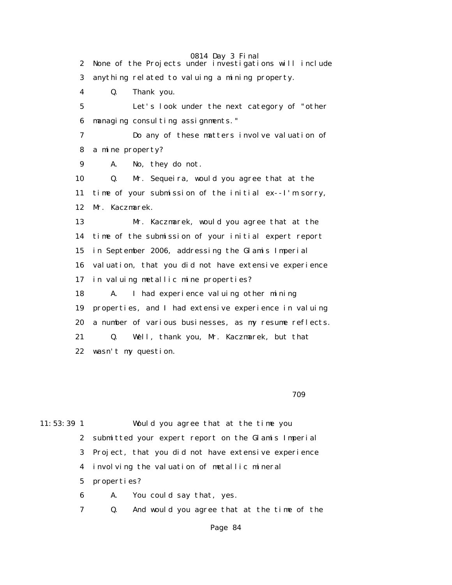0814 Day 3 Final 2 None of the Projects under investigations will include 3 anything related to valuing a mining property. 4 Q. Thank you. 5 Let's look under the next category of "other 6 managing consulting assignments." 7 Do any of these matters involve valuation of 8 a mine property? 9 A. No, they do not. 10 Q. Mr. Sequeira, would you agree that at the 11 time of your submission of the initial ex--I'm sorry, 12 Mr. Kaczmarek. 13 Mr. Kaczmarek, would you agree that at the 14 time of the submission of your initial expert report 15 in September 2006, addressing the Glamis Imperial 16 valuation, that you did not have extensive experience 17 in valuing metallic mine properties? 18 A. I had experience valuing other mining 19 properties, and I had extensive experience in valuing 20 a number of various businesses, as my resume reflects. 21 Q. Well, thank you, Mr. Kaczmarek, but that 22 wasn't my question.

ти в село в село в село в село в село в село в село в село в село в село в село в село в село в село в село в<br>После в село в село в село в село в село в село в село в село в село в село в село в село в село в село в село

11:53:39 1 Would you agree that at the time you 2 submitted your expert report on the Glamis Imperial 3 Project, that you did not have extensive experience 4 involving the valuation of metallic mineral 5 properties? 6 A. You could say that, yes.

7 Q. And would you agree that at the time of the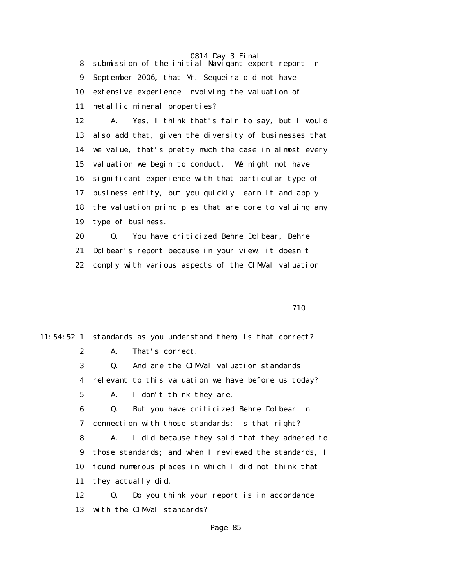8 submission of the initial Navigant expert report in 9 September 2006, that Mr. Sequeira did not have 10 extensive experience involving the valuation of 11 metallic mineral properties?

 12 A. Yes, I think that's fair to say, but I would 13 also add that, given the diversity of businesses that 14 we value, that's pretty much the case in almost every 15 valuation we begin to conduct. We might not have 16 significant experience with that particular type of 17 business entity, but you quickly learn it and apply 18 the valuation principles that are core to valuing any 19 type of business.

 20 Q. You have criticized Behre Dolbear, Behre 21 Dolbear's report because in your view, it doesn't 22 comply with various aspects of the CIMVal valuation

710

11:54:52 1 standards as you understand them; is that correct? 2 A. That's correct. 3 Q. And are the CIMVal valuation standards 4 relevant to this valuation we have before us today? 5 A. I don't think they are. 6 Q. But you have criticized Behre Dolbear in 7 connection with those standards; is that right? 8 A. I did because they said that they adhered to 9 those standards; and when I reviewed the standards, I 10 found numerous places in which I did not think that 11 they actually did. 12 Q. Do you think your report is in accordance 13 with the CIMVal standards?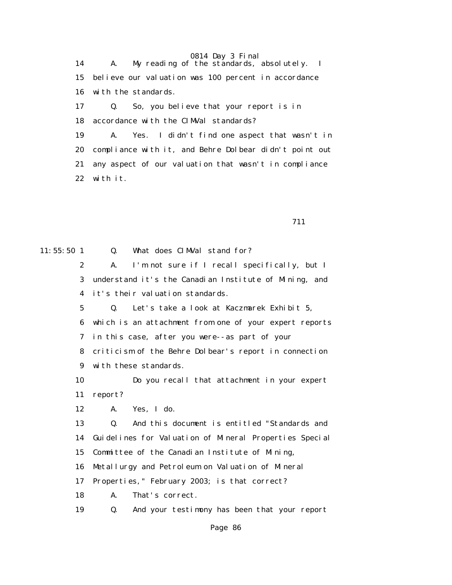0814 Day 3 Final 14 A. My reading of the standards, absolutely. I 15 believe our valuation was 100 percent in accordance 16 with the standards. 17 Q. So, you believe that your report is in 18 accordance with the CIMVal standards?

> 19 A. Yes. I didn't find one aspect that wasn't in 20 compliance with it, and Behre Dolbear didn't point out 21 any aspect of our valuation that wasn't in compliance 22 with it.

711

| $11:55:50$ 1    | Q.<br>What does CIMVal stand for?                           |
|-----------------|-------------------------------------------------------------|
| $\mathbf{2}$    | I'm not sure if I recall specifically, but I<br>A.          |
| 3               | understand it's the Canadian Institute of Mining, and       |
| 4               | it's their valuation standards.                             |
| $5\overline{ }$ | Let's take a look at Kaczmarek Exhibit 5,<br>$\mathbf{0}$ . |
| 6               | which is an attachment from one of your expert reports      |
| 7               | in this case, after you were--as part of your               |
| 8               | criticism of the Behre Dolbear's report in connection       |
| 9               | with these standards.                                       |
| 10              | Do you recall that attachment in your expert                |
| 11              | report?                                                     |
| 12              | Yes, I do.<br>A.                                            |
| 13              | And this document is entitled "Standards and<br>Q.          |
| 14              | Guidelines for Valuation of Mineral Properties Special      |
| 15              | Committee of the Canadian Institute of Mining,              |
| 16              | Metallurgy and Petroleum on Valuation of Mineral            |
| 17              | Properties," February 2003; is that correct?                |
| 18              | That's correct.<br>A.                                       |
| 19              | And your testimony has been that your report<br>Q.          |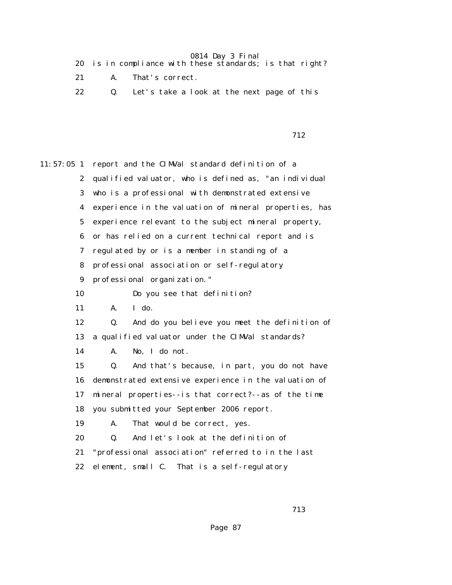|  |  |  |  |  |  | 20 is in compliance with these standards; is that right? |  |  |  |
|--|--|--|--|--|--|----------------------------------------------------------|--|--|--|
|--|--|--|--|--|--|----------------------------------------------------------|--|--|--|

- 21 A. That's correct.
- 22 Q. Let's take a look at the next page of this

712

11:57:05 1 report and the CIMVal standard definition of a 2 qualified valuator, who is defined as, "an individual 3 who is a professional with demonstrated extensive 4 experience in the valuation of mineral properties, has 5 experience relevant to the subject mineral property, 6 or has relied on a current technical report and is 7 regulated by or is a member in standing of a 8 professional association or self-regulatory 9 professional organization." 10 Do you see that definition? 11 A. I do. 12 Q. And do you believe you meet the definition of 13 a qualified valuator under the CIMVal standards? 14 A. No, I do not. 15 Q. And that's because, in part, you do not have 16 demonstrated extensive experience in the valuation of 17 mineral properties--is that correct?--as of the time 18 you submitted your September 2006 report. 19 A. That would be correct, yes. 20 Q. And let's look at the definition of 21 "professional association" referred to in the last 22 element, small C. That is a self-regulatory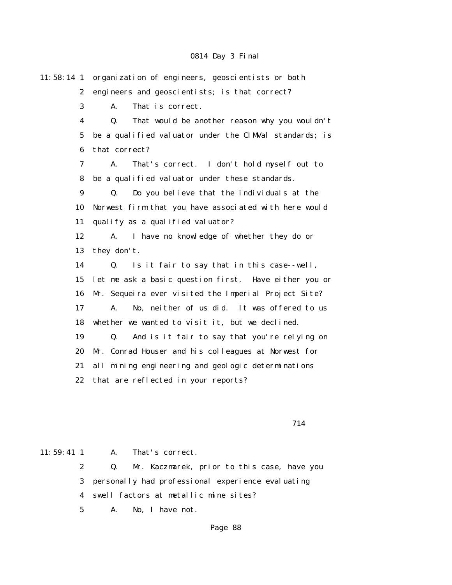11:58:14 1 organization of engineers, geoscientists or both 2 engineers and geoscientists; is that correct? 3 A. That is correct. 4 Q. That would be another reason why you wouldn't 5 be a qualified valuator under the CIMVal standards; is 6 that correct? 7 A. That's correct. I don't hold myself out to 8 be a qualified valuator under these standards. 9 Q. Do you believe that the individuals at the 10 Norwest firm that you have associated with here would 11 qualify as a qualified valuator? 12 A. I have no knowledge of whether they do or 13 they don't. 14 Q. Is it fair to say that in this case--well, 15 let me ask a basic question first. Have either you or 16 Mr. Sequeira ever visited the Imperial Project Site? 17 A. No, neither of us did. It was offered to us 18 whether we wanted to visit it, but we declined. 19 Q. And is it fair to say that you're relying on 20 Mr. Conrad Houser and his colleagues at Norwest for 21 all mining engineering and geologic determinations 22 that are reflected in your reports?

714

11:59:41 1 A. That's correct.

 2 Q. Mr. Kaczmarek, prior to this case, have you 3 personally had professional experience evaluating 4 swell factors at metallic mine sites?

5 A. No, I have not.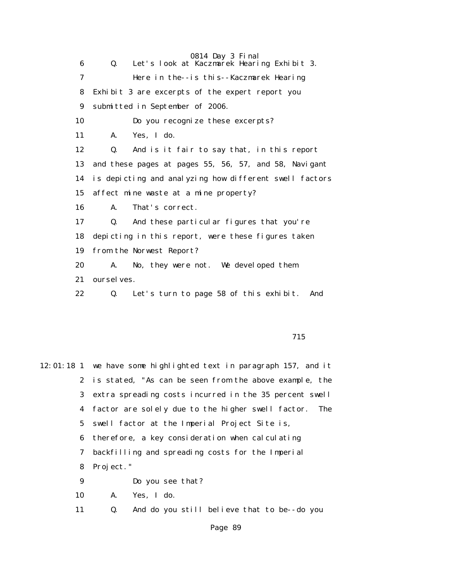0814 Day 3 Final 6 Q. Let's look at Kaczmarek Hearing Exhibit 3. 7 Here in the--is this--Kaczmarek Hearing 8 Exhibit 3 are excerpts of the expert report you 9 submitted in September of 2006. 10 Do you recognize these excerpts? 11 A. Yes, I do. 12 Q. And is it fair to say that, in this report 13 and these pages at pages 55, 56, 57, and 58, Navigant 14 is depicting and analyzing how different swell factors 15 affect mine waste at a mine property? 16 A. That's correct. 17 Q. And these particular figures that you're 18 depicting in this report, were these figures taken 19 from the Norwest Report? 20 A. No, they were not. We developed them 21 ourselves. 22 Q. Let's turn to page 58 of this exhibit. And

715

12:01:18 1 we have some highlighted text in paragraph 157, and it 2 is stated, "As can be seen from the above example, the 3 extra spreading costs incurred in the 35 percent swell 4 factor are solely due to the higher swell factor. The 5 swell factor at the Imperial Project Site is, 6 therefore, a key consideration when calculating 7 backfilling and spreading costs for the Imperial 8 Project." 9 Do you see that? 10 A. Yes, I do. 11 Q. And do you still believe that to be--do you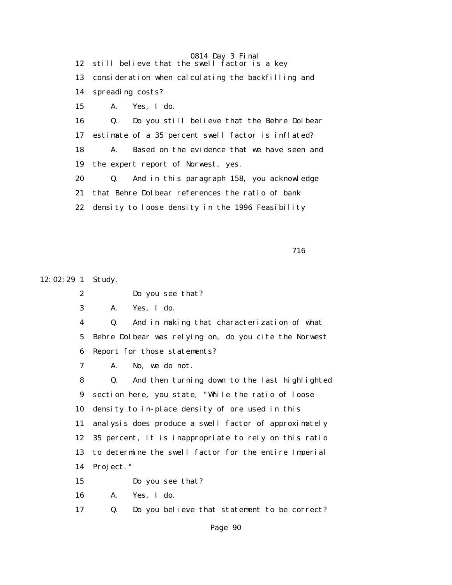0814 Day 3 Final 12 still believe that the swell factor is a key 13 consideration when calculating the backfilling and 14 spreading costs? 15 A. Yes, I do. 16 Q. Do you still believe that the Behre Dolbear 17 estimate of a 35 percent swell factor is inflated? 18 A. Based on the evidence that we have seen and 19 the expert report of Norwest, yes. 20 Q. And in this paragraph 158, you acknowledge 21 that Behre Dolbear references the ratio of bank 22 density to loose density in the 1996 Feasibility

716

12:02:29 1 Study. 2 Do you see that? 3 A. Yes, I do. 4 Q. And in making that characterization of what 5 Behre Dolbear was relying on, do you cite the Norwest 6 Report for those statements? 7 A. No, we do not. 8 Q. And then turning down to the last highlighted 9 section here, you state, "While the ratio of loose 10 density to in-place density of ore used in this 11 analysis does produce a swell factor of approximately 12 35 percent, it is inappropriate to rely on this ratio 13 to determine the swell factor for the entire Imperial 14 Project." 15 Do you see that? 16 A. Yes, I do. 17 Q. Do you believe that statement to be correct?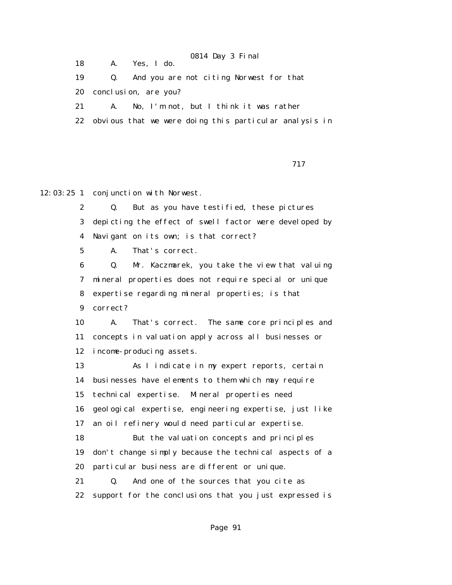18 A. Yes, I do.

19 Q. And you are not citing Norwest for that

20 conclusion, are you?

21 A. No, I'm not, but I think it was rather

22 obvious that we were doing this particular analysis in

717

12:03:25 1 conjunction with Norwest.

 2 Q. But as you have testified, these pictures 3 depicting the effect of swell factor were developed by 4 Navigant on its own; is that correct?

5 A. That's correct.

 6 Q. Mr. Kaczmarek, you take the view that valuing 7 mineral properties does not require special or unique 8 expertise regarding mineral properties; is that 9 correct?

 10 A. That's correct. The same core principles and 11 concepts in valuation apply across all businesses or 12 income-producing assets.

 13 As I indicate in my expert reports, certain 14 businesses have elements to them which may require 15 technical expertise. Mineral properties need 16 geological expertise, engineering expertise, just like 17 an oil refinery would need particular expertise. 18 But the valuation concepts and principles 19 don't change simply because the technical aspects of a 20 particular business are different or unique. 21 Q. And one of the sources that you cite as 22 support for the conclusions that you just expressed is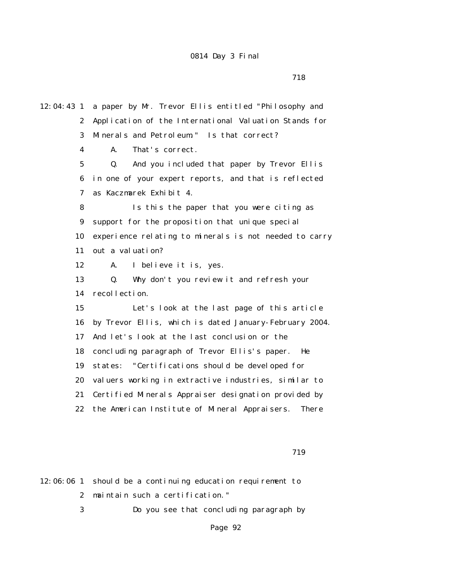12:04:43 1 a paper by Mr. Trevor Ellis entitled "Philosophy and 2 Application of the International Valuation Stands for 3 Minerals and Petroleum." Is that correct? 4 A. That's correct. 5 Q. And you included that paper by Trevor Ellis 6 in one of your expert reports, and that is reflected 7 as Kaczmarek Exhibit 4. 8 Is this the paper that you were citing as 9 support for the proposition that unique special 10 experience relating to minerals is not needed to carry 11 out a valuation? 12 A. I believe it is, yes. 13 Q. Why don't you review it and refresh your 14 recollection. 15 Let's look at the last page of this article 16 by Trevor Ellis, which is dated January-February 2004. 17 And let's look at the last conclusion or the 18 concluding paragraph of Trevor Ellis's paper. He 19 states: "Certifications should be developed for 20 valuers working in extractive industries, similar to 21 Certified Minerals Appraiser designation provided by 22 the American Institute of Mineral Appraisers. There

719

12:06:06 1 should be a continuing education requirement to 2 maintain such a certification."

3 Do you see that concluding paragraph by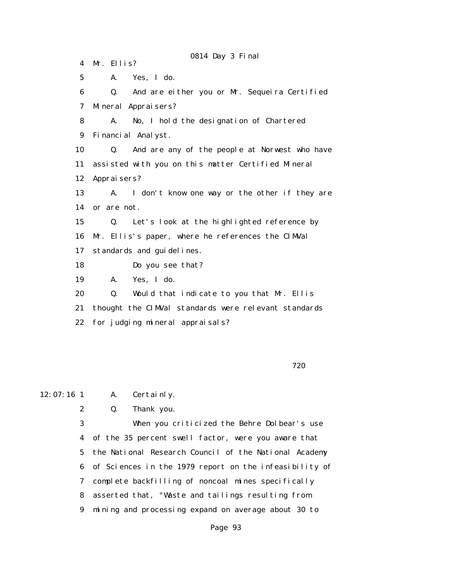0814 Day 3 Final 4 Mr. Ellis? 5 A. Yes, I do. 6 Q. And are either you or Mr. Sequeira Certified 7 Mineral Appraisers? 8 A. No, I hold the designation of Chartered 9 Financial Analyst. 10 Q. And are any of the people at Norwest who have 11 assisted with you on this matter Certified Mineral 12 Appraisers? 13 A. I don't know one way or the other if they are 14 or are not. 15 Q. Let's look at the highlighted reference by 16 Mr. Ellis's paper, where he references the CIMVal 17 standards and guidelines. 18 Do you see that? 19 A. Yes, I do. 20 Q. Would that indicate to you that Mr. Ellis 21 thought the CIMVal standards were relevant standards 22 for judging mineral appraisals?

#### $720$

12:07:16 1 A. Certainly.

2 Q. Thank you.

 3 When you criticized the Behre Dolbear's use 4 of the 35 percent swell factor, were you aware that 5 the National Research Council of the National Academy 6 of Sciences in the 1979 report on the infeasibility of 7 complete backfilling of noncoal mines specifically 8 asserted that, "Waste and tailings resulting from 9 mining and processing expand on average about 30 to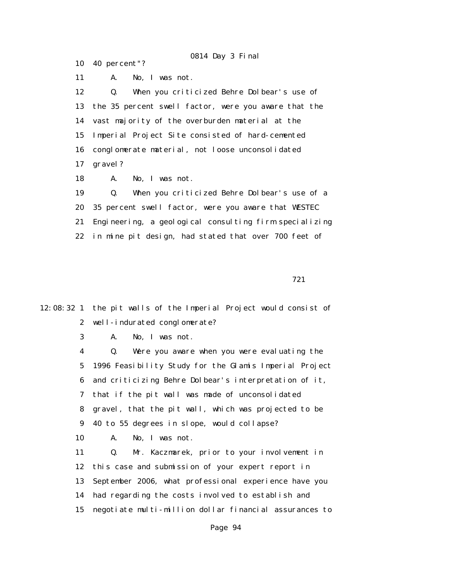10 40 percent"?

11 A. No, I was not.

 12 Q. When you criticized Behre Dolbear's use of 13 the 35 percent swell factor, were you aware that the 14 vast majority of the overburden material at the 15 Imperial Project Site consisted of hard-cemented 16 conglomerate material, not loose unconsolidated 17 gravel?

18 A. No, I was not.

 19 Q. When you criticized Behre Dolbear's use of a 20 35 percent swell factor, were you aware that WESTEC 21 Engineering, a geological consulting firm specializing 22 in mine pit design, had stated that over 700 feet of

721

12:08:32 1 the pit walls of the Imperial Project would consist of 2 well-indurated conglomerate?

3 A. No, I was not.

 4 Q. Were you aware when you were evaluating the 5 1996 Feasibility Study for the Glamis Imperial Project 6 and criticizing Behre Dolbear's interpretation of it, 7 that if the pit wall was made of unconsolidated 8 gravel, that the pit wall, which was projected to be 9 40 to 55 degrees in slope, would collapse?

10 A. No, I was not.

 11 Q. Mr. Kaczmarek, prior to your involvement in 12 this case and submission of your expert report in 13 September 2006, what professional experience have you 14 had regarding the costs involved to establish and 15 negotiate multi-million dollar financial assurances to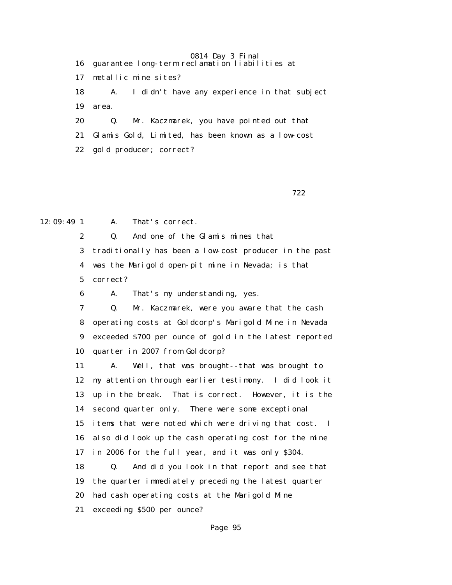16 guarantee long-term reclamation liabilities at

17 metallic mine sites?

 18 A. I didn't have any experience in that subject 19 area.

 20 Q. Mr. Kaczmarek, you have pointed out that 21 Glamis Gold, Limited, has been known as a low-cost

22 gold producer; correct?

 $722$ 

12:09:49 1 A. That's correct.

2 Q. And one of the Glamis mines that

 3 traditionally has been a low-cost producer in the past 4 was the Marigold open-pit mine in Nevada; is that 5 correct?

6 A. That's my understanding, yes.

 7 Q. Mr. Kaczmarek, were you aware that the cash 8 operating costs at Goldcorp's Marigold Mine in Nevada 9 exceeded \$700 per ounce of gold in the latest reported 10 quarter in 2007 from Goldcorp?

 11 A. Well, that was brought--that was brought to 12 my attention through earlier testimony. I did look it 13 up in the break. That is correct. However, it is the 14 second quarter only. There were some exceptional 15 items that were noted which were driving that cost. I 16 also did look up the cash operating cost for the mine 17 in 2006 for the full year, and it was only \$304. 18 Q. And did you look in that report and see that 19 the quarter immediately preceding the latest quarter 20 had cash operating costs at the Marigold Mine

21 exceeding \$500 per ounce?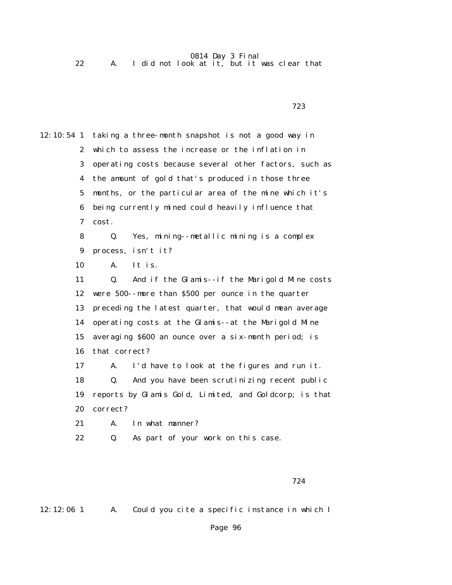22 A. I did not look at it, but it was clear that

12:10:54 1 taking a three-month snapshot is not a good way in 2 which to assess the increase or the inflation in 3 operating costs because several other factors, such as 4 the amount of gold that's produced in those three 5 months, or the particular area of the mine which it's 6 being currently mined could heavily influence that 7 cost. 8 Q. Yes, mining--metallic mining is a complex 9 process, isn't it? 10 A. It is. 11 Q. And if the Glamis--if the Marigold Mine costs 12 were 500--more than \$500 per ounce in the quarter 13 preceding the latest quarter, that would mean average 14 operating costs at the Glamis--at the Marigold Mine 15 averaging \$600 an ounce over a six-month period; is 16 that correct? 17 A. I'd have to look at the figures and run it. 18 Q. And you have been scrutinizing recent public 19 reports by Glamis Gold, Limited, and Goldcorp; is that 20 correct? 21 A. In what manner? 22 Q. As part of your work on this case.

 $723$ 

12:12:06 1 A. Could you cite a specific instance in which I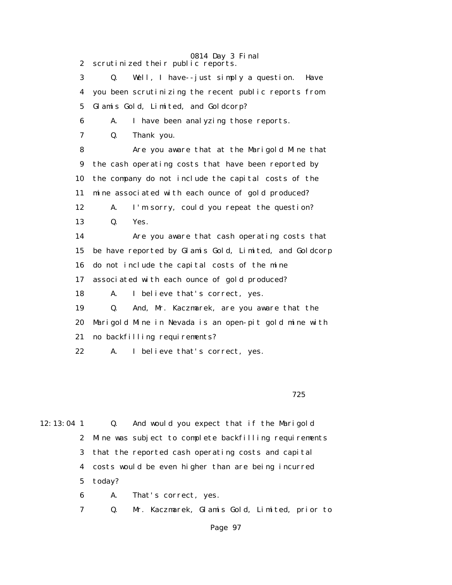0814 Day 3 Final 2 scrutinized their public reports. 3 Q. Well, I have--just simply a question. Have 4 you been scrutinizing the recent public reports from 5 Glamis Gold, Limited, and Goldcorp? 6 A. I have been analyzing those reports. 7 Q. Thank you. 8 Are you aware that at the Marigold Mine that 9 the cash operating costs that have been reported by 10 the company do not include the capital costs of the 11 mine associated with each ounce of gold produced? 12 A. I'm sorry, could you repeat the question? 13 Q. Yes. 14 Are you aware that cash operating costs that 15 be have reported by Glamis Gold, Limited, and Goldcorp 16 do not include the capital costs of the mine 17 associated with each ounce of gold produced? 18 A. I believe that's correct, yes. 19 Q. And, Mr. Kaczmarek, are you aware that the 20 Marigold Mine in Nevada is an open-pit gold mine with 21 no backfilling requirements? 22 A. I believe that's correct, yes.

 $725$ 

12:13:04 1 Q. And would you expect that if the Marigold 2 Mine was subject to complete backfilling requirements 3 that the reported cash operating costs and capital 4 costs would be even higher than are being incurred 5 today?

6 A. That's correct, yes.

7 Q. Mr. Kaczmarek, Glamis Gold, Limited, prior to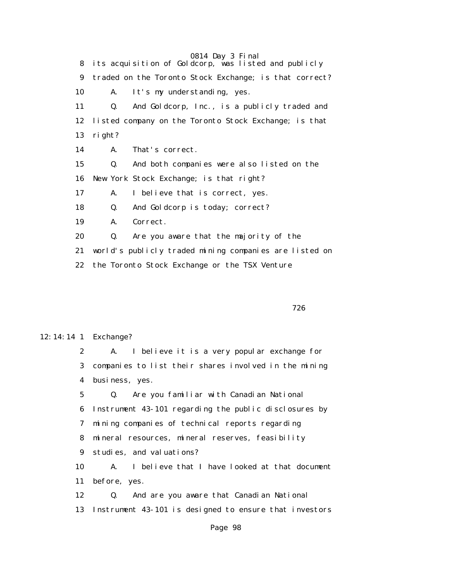0814 Day 3 Final 8 its acquisition of Goldcorp, was listed and publicly 9 traded on the Toronto Stock Exchange; is that correct? 10 A. It's my understanding, yes. 11 Q. And Goldcorp, Inc., is a publicly traded and 12 listed company on the Toronto Stock Exchange; is that 13 right? 14 A. That's correct. 15 Q. And both companies were also listed on the 16 New York Stock Exchange; is that right? 17 A. I believe that is correct, yes. 18 Q. And Goldcorp is today; correct? 19 A. Correct. 20 Q. Are you aware that the majority of the 21 world's publicly traded mining companies are listed on 22 the Toronto Stock Exchange or the TSX Venture

 $726$ 

## 12:14:14 1 Exchange?

 2 A. I believe it is a very popular exchange for 3 companies to list their shares involved in the mining 4 business, yes.

 5 Q. Are you familiar with Canadian National 6 Instrument 43-101 regarding the public disclosures by 7 mining companies of technical reports regarding 8 mineral resources, mineral reserves, feasibility 9 studies, and valuations? 10 A. I believe that I have looked at that document 11 before, yes. 12 Q. And are you aware that Canadian National

13 Instrument 43-101 is designed to ensure that investors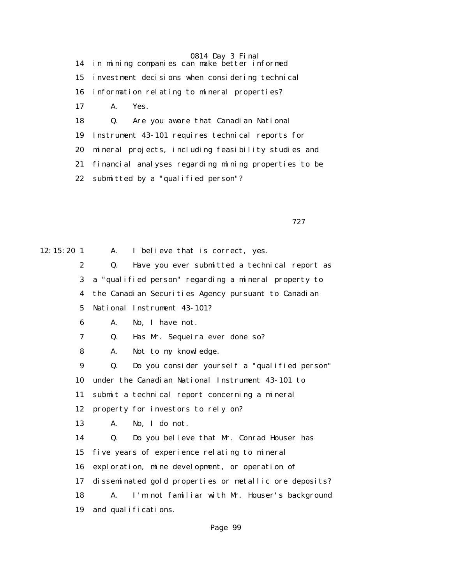14 in mining companies can make better informed 15 investment decisions when considering technical 16 information relating to mineral properties? 17 A. Yes. 18 Q. Are you aware that Canadian National 19 Instrument 43-101 requires technical reports for 20 mineral projects, including feasibility studies and 21 financial analyses regarding mining properties to be 22 submitted by a "qualified person"?

727

12:15:20 1 A. I believe that is correct, yes.

 2 Q. Have you ever submitted a technical report as 3 a "qualified person" regarding a mineral property to

4 the Canadian Securities Agency pursuant to Canadian

5 National Instrument 43-101?

6 A. No, I have not.

7 Q. Has Mr. Sequeira ever done so?

8 A. Not to my knowledge.

 9 Q. Do you consider yourself a "qualified person" 10 under the Canadian National Instrument 43-101 to 11 submit a technical report concerning a mineral 12 property for investors to rely on? 13 A. No, I do not. 14 Q. Do you believe that Mr. Conrad Houser has

15 five years of experience relating to mineral

16 exploration, mine development, or operation of

17 disseminated gold properties or metallic ore deposits?

18 A. I'm not familiar with Mr. Houser's background

19 and qualifications.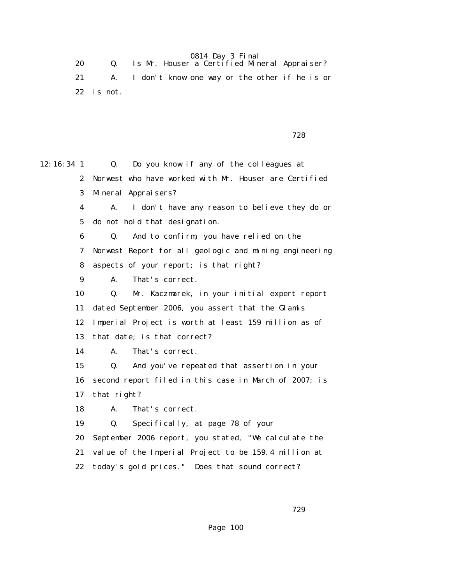0814 Day 3 Final 20 Q. Is Mr. Houser a Certified Mineral Appraiser? 21 A. I don't know one way or the other if he is or 22 is not.

728

12:16:34 1 Q. Do you know if any of the colleagues at 2 Norwest who have worked with Mr. Houser are Certified 3 Mineral Appraisers? 4 A. I don't have any reason to believe they do or 5 do not hold that designation. 6 Q. And to confirm, you have relied on the 7 Norwest Report for all geologic and mining engineering 8 aspects of your report; is that right? 9 A. That's correct. 10 Q. Mr. Kaczmarek, in your initial expert report 11 dated September 2006, you assert that the Glamis 12 Imperial Project is worth at least 159 million as of 13 that date; is that correct? 14 A. That's correct. 15 Q. And you've repeated that assertion in your 16 second report filed in this case in March of 2007; is 17 that right? 18 A. That's correct. 19 Q. Specifically, at page 78 of your 20 September 2006 report, you stated, "We calculate the 21 value of the Imperial Project to be 159.4 million at 22 today's gold prices." Does that sound correct?

 $729$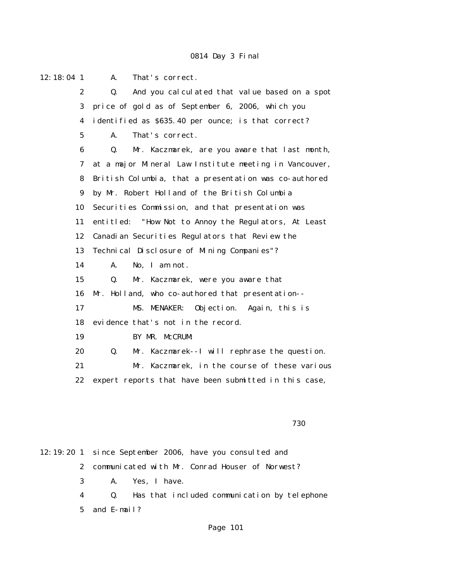12:18:04 1 A. That's correct. 2 Q. And you calculated that value based on a spot 3 price of gold as of September 6, 2006, which you 4 identified as \$635.40 per ounce; is that correct? 5 A. That's correct. 6 Q. Mr. Kaczmarek, are you aware that last month, 7 at a major Mineral Law Institute meeting in Vancouver, 8 British Columbia, that a presentation was co-authored 9 by Mr. Robert Holland of the British Columbia 10 Securities Commission, and that presentation was 11 entitled: "How Not to Annoy the Regulators, At Least 12 Canadian Securities Regulators that Review the 13 Technical Disclosure of Mining Companies"? 14 A. No, I am not. 15 Q. Mr. Kaczmarek, were you aware that 16 Mr. Holland, who co-authored that presentation-- 17 MS. MENAKER: Objection. Again, this is 18 evidence that's not in the record. 19 BY MR. McCRUM: 20 Q. Mr. Kaczmarek--I will rephrase the question. 21 Mr. Kaczmarek, in the course of these various 22 expert reports that have been submitted in this case,  $730$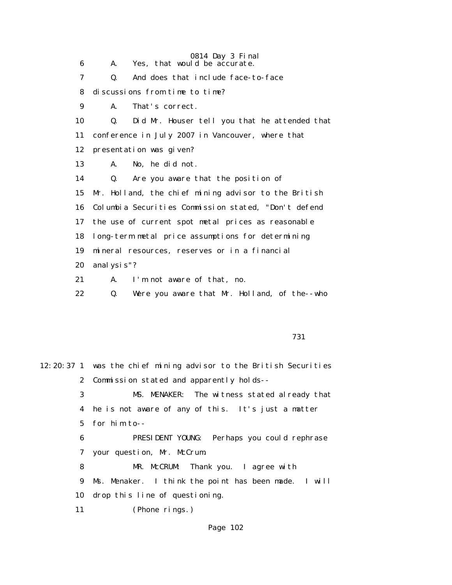0814 Day 3 Final 6 A. Yes, that would be accurate. 7 Q. And does that include face-to-face 8 discussions from time to time? 9 A. That's correct. 10 Q. Did Mr. Houser tell you that he attended that 11 conference in July 2007 in Vancouver, where that 12 presentation was given? 13 A. No, he did not. 14 Q. Are you aware that the position of 15 Mr. Holland, the chief mining advisor to the British 16 Columbia Securities Commission stated, "Don't defend 17 the use of current spot metal prices as reasonable 18 long-term metal price assumptions for determining 19 mineral resources, reserves or in a financial 20 analysis"? 21 A. I'm not aware of that, no. 22 Q. Were you aware that Mr. Holland, of the--who

731

12:20:37 1 was the chief mining advisor to the British Securities 2 Commission stated and apparently holds-- 3 MS. MENAKER: The witness stated already that 4 he is not aware of any of this. It's just a matter 5 for him to-- 6 PRESIDENT YOUNG: Perhaps you could rephrase 7 your question, Mr. McCrum. 8 MR. McCRUM: Thank you. I agree with 9 Ms. Menaker. I think the point has been made. I will 10 drop this line of questioning. 11 (Phone rings.)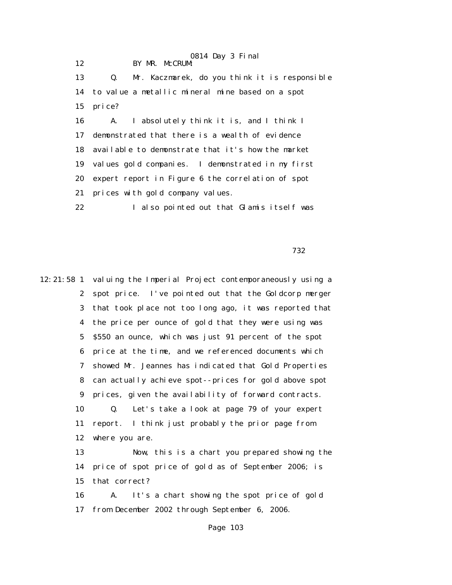0814 Day 3 Final 12 BY MR. McCRUM: 13 Q. Mr. Kaczmarek, do you think it is responsible 14 to value a metallic mineral mine based on a spot 15 price? 16 A. I absolutely think it is, and I think I 17 demonstrated that there is a wealth of evidence 18 available to demonstrate that it's how the market 19 values gold companies. I demonstrated in my first 20 expert report in Figure 6 the correlation of spot 21 prices with gold company values. 22 I also pointed out that Glamis itself was

 $732$ 

12:21:58 1 valuing the Imperial Project contemporaneously using a 2 spot price. I've pointed out that the Goldcorp merger 3 that took place not too long ago, it was reported that 4 the price per ounce of gold that they were using was 5 \$550 an ounce, which was just 91 percent of the spot 6 price at the time, and we referenced documents which 7 showed Mr. Jeannes has indicated that Gold Properties 8 can actually achieve spot--prices for gold above spot 9 prices, given the availability of forward contracts. 10 Q. Let's take a look at page 79 of your expert 11 report. I think just probably the prior page from 12 where you are. 13 Now, this is a chart you prepared showing the 14 price of spot price of gold as of September 2006; is 15 that correct? 16 A. It's a chart showing the spot price of gold 17 from December 2002 through September 6, 2006.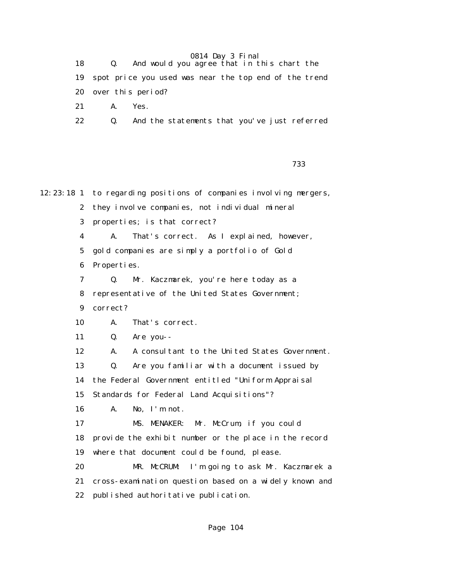|    |         | And would you agree that in this chart the               |  |
|----|---------|----------------------------------------------------------|--|
|    |         | 19 spot price you used was near the top end of the trend |  |
|    |         | 20 over this period?                                     |  |
| 21 | A. Yes. |                                                          |  |
| 22 | Q.      | And the statements that you've just referred             |  |

— <u>1933 — 1933 — 1933 — 1933 — 1933</u><br>1933 — 1933 — 1933 — 1933 — 1933 — 1933 — 1933 — 1933 — 1933 — 1933 — 1933 — 1933

12:23:18 1 to regarding positions of companies involving mergers, 2 they involve companies, not individual mineral 3 properties; is that correct? 4 A. That's correct. As I explained, however, 5 gold companies are simply a portfolio of Gold 6 Properties. 7 Q. Mr. Kaczmarek, you're here today as a 8 representative of the United States Government; 9 correct? 10 A. That's correct. 11 Q. Are you-- 12 A. A consultant to the United States Government. 13 Q. Are you familiar with a document issued by 14 the Federal Government entitled "Uniform Appraisal 15 Standards for Federal Land Acquisitions"? 16 A. No, I'm not. 17 MS. MENAKER: Mr. McCrum, if you could 18 provide the exhibit number or the place in the record 19 where that document could be found, please. 20 MR. McCRUM: I'm going to ask Mr. Kaczmarek a 21 cross-examination question based on a widely known and 22 published authoritative publication.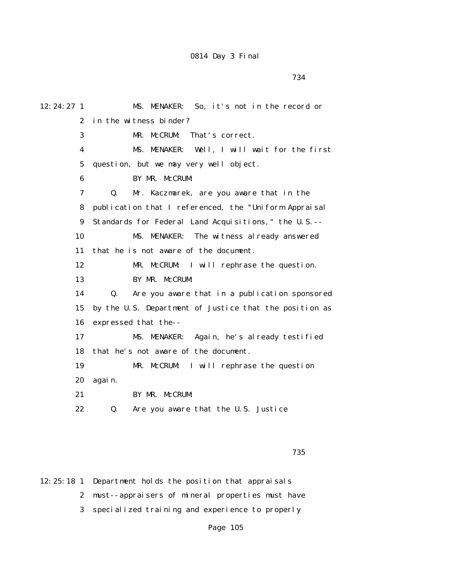734

12:24:27 1 MS. MENAKER: So, it's not in the record or 2 in the witness binder? 3 MR. McCRUM: That's correct. 4 MS. MENAKER: Well, I will wait for the first 5 question, but we may very well object. 6 BY MR. McCRUM: 7 Q. Mr. Kaczmarek, are you aware that in the 8 publication that I referenced, the "Uniform Appraisal 9 Standards for Federal Land Acquisitions," the U.S.-- 10 MS. MENAKER: The witness already answered 11 that he is not aware of the document. 12 MR. McCRUM: I will rephrase the question. 13 BY MR. McCRUM: 14 Q. Are you aware that in a publication sponsored 15 by the U.S. Department of Justice that the position as 16 expressed that the-- 17 MS. MENAKER: Again, he's already testified 18 that he's not aware of the document. 19 MR. McCRUM: I will rephrase the question 20 again. 21 BY MR. McCRUM: 22 Q. Are you aware that the U.S. Justice

<u>735 - Johann Stein, amerikan basar sebagai sebagai sebagai sebagai sebagai sebagai sebagai sebagai sebagai se</u>

12:25:18 1 Department holds the position that appraisals 2 must--appraisers of mineral properties must have 3 specialized training and experience to properly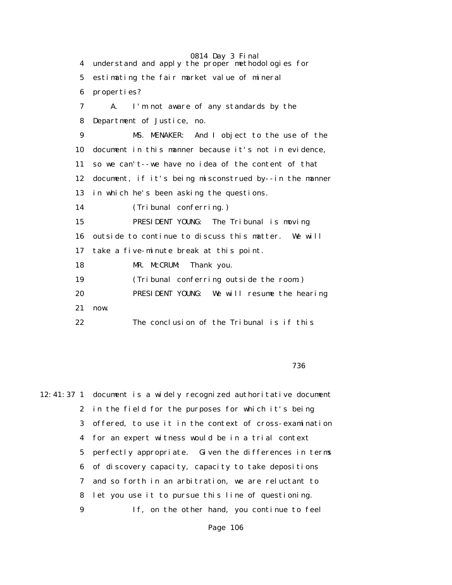0814 Day 3 Final 4 understand and apply the proper methodologies for 5 estimating the fair market value of mineral 6 properties? 7 A. I'm not aware of any standards by the 8 Department of Justice, no. 9 MS. MENAKER: And I object to the use of the 10 document in this manner because it's not in evidence, 11 so we can't--we have no idea of the content of that 12 document, if it's being misconstrued by--in the manner 13 in which he's been asking the questions. 14 (Tribunal conferring.) 15 PRESIDENT YOUNG: The Tribunal is moving 16 outside to continue to discuss this matter. We will 17 take a five-minute break at this point. 18 MR. McCRUM: Thank you. 19 (Tribunal conferring outside the room.) 20 PRESIDENT YOUNG: We will resume the hearing 21 now. 22 The conclusion of the Tribunal is if this

<u>736 - Johann Stein, amerikan basar sebagai sebagai sebagai sebagai sebagai sebagai sebagai sebagai sebagai se</u>

12:41:37 1 document is a widely recognized authoritative document 2 in the field for the purposes for which it's being 3 offered, to use it in the context of cross-examination 4 for an expert witness would be in a trial context 5 perfectly appropriate. Given the differences in terms 6 of discovery capacity, capacity to take depositions 7 and so forth in an arbitration, we are reluctant to 8 let you use it to pursue this line of questioning. 9 If, on the other hand, you continue to feel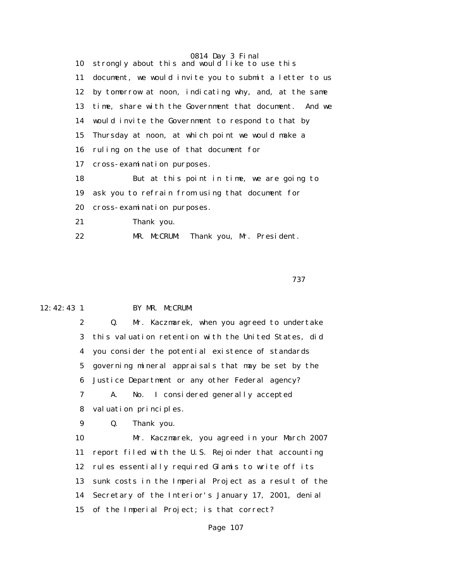|    | 0814 Day 3 Final                                         |
|----|----------------------------------------------------------|
|    | 10 strongly about this and would like to use this        |
| 11 | document, we would invite you to submit a letter to us   |
|    | 12 by tomorrow at noon, indicating why, and, at the same |
| 13 | time, share with the Government that document. And we    |
|    | 14 would invite the Government to respond to that by     |
| 15 | Thursday at noon, at which point we would make a         |
| 16 | ruling on the use of that document for                   |
| 17 | cross-examination purposes.                              |
| 18 | But at this point in time, we are going to               |
| 19 | ask you to refrain from using that document for          |
| 20 | cross-examination purposes.                              |
| 21 | Thank you.                                               |
| 22 | MR. McCRUM:<br>Thank you, Mr. President.                 |

— *1379*— 1379 — 1379 — 1379 — 1379 — 1379 — 1379 — 1379 — 1379 — 1379 — 1379 — 1379 — 1379 — 1379 — 1379 — 137

# 12:42:43 1 BY MR. McCRUM:

 2 Q. Mr. Kaczmarek, when you agreed to undertake 3 this valuation retention with the United States, did 4 you consider the potential existence of standards 5 governing mineral appraisals that may be set by the 6 Justice Department or any other Federal agency? 7 A. No. I considered generally accepted

8 valuation principles.

9 Q. Thank you.

 10 Mr. Kaczmarek, you agreed in your March 2007 11 report filed with the U.S. Rejoinder that accounting 12 rules essentially required Glamis to write off its 13 sunk costs in the Imperial Project as a result of the 14 Secretary of the Interior's January 17, 2001, denial 15 of the Imperial Project; is that correct?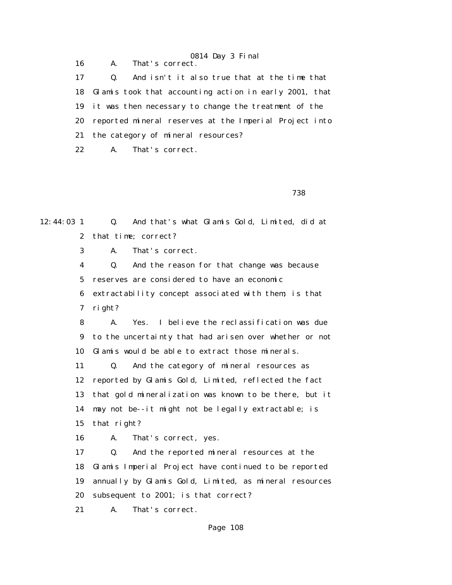0814 Day 3 Final 16 A. That's correct. 17 Q. And isn't it also true that at the time that 18 Glamis took that accounting action in early 2001, that 19 it was then necessary to change the treatment of the 20 reported mineral reserves at the Imperial Project into 21 the category of mineral resources? 22 A. That's correct.

<u>738 - Johann Stein, amerikan basar sebagai sebagai sebagai sebagai sebagai sebagai sebagai sebagai sebagai se</u>

12:44:03 1 Q. And that's what Glamis Gold, Limited, did at 2 that time; correct?

3 A. That's correct.

 4 Q. And the reason for that change was because 5 reserves are considered to have an economic 6 extractability concept associated with them; is that 7 right?

 8 A. Yes. I believe the reclassification was due 9 to the uncertainty that had arisen over whether or not 10 Glamis would be able to extract those minerals.

 11 Q. And the category of mineral resources as 12 reported by Glamis Gold, Limited, reflected the fact 13 that gold mineralization was known to be there, but it 14 may not be--it might not be legally extractable; is 15 that right?

16 A. That's correct, yes.

 17 Q. And the reported mineral resources at the 18 Glamis Imperial Project have continued to be reported 19 annually by Glamis Gold, Limited, as mineral resources 20 subsequent to 2001; is that correct?

21 A. That's correct.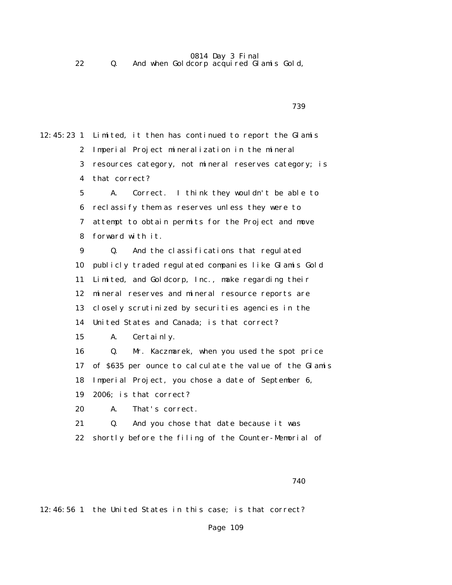#### $0.014$  Day  $9$  Final

|  | 0814 Day 3 Final                        |
|--|-----------------------------------------|
|  | And when Goldcorp acquired Glamis Gold, |

 $739$ 

12:45:23 1 Limited, it then has continued to report the Glamis 2 Imperial Project mineralization in the mineral 3 resources category, not mineral reserves category; is 4 that correct?

> 5 A. Correct. I think they wouldn't be able to 6 reclassify them as reserves unless they were to 7 attempt to obtain permits for the Project and move 8 forward with it.

 9 Q. And the classifications that regulated 10 publicly traded regulated companies like Glamis Gold 11 Limited, and Goldcorp, Inc., make regarding their 12 mineral reserves and mineral resource reports are 13 closely scrutinized by securities agencies in the 14 United States and Canada; is that correct?

15 A. Certainly.

 16 Q. Mr. Kaczmarek, when you used the spot price 17 of \$635 per ounce to calculate the value of the Glamis 18 Imperial Project, you chose a date of September 6, 19 2006; is that correct?

20 A. That's correct.

 21 Q. And you chose that date because it was 22 shortly before the filing of the Counter-Memorial of

740

12:46:56 1 the United States in this case; is that correct?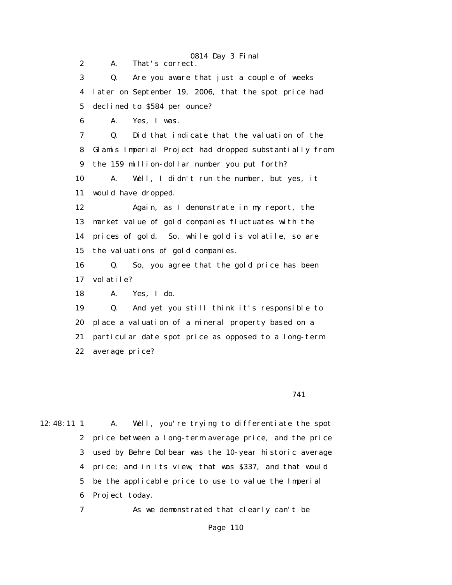0814 Day 3 Final 2 A. That's correct. 3 Q. Are you aware that just a couple of weeks 4 later on September 19, 2006, that the spot price had 5 declined to \$584 per ounce? 6 A. Yes, I was. 7 Q. Did that indicate that the valuation of the 8 Glamis Imperial Project had dropped substantially from 9 the 159 million-dollar number you put forth? 10 A. Well, I didn't run the number, but yes, it 11 would have dropped. 12 Again, as I demonstrate in my report, the 13 market value of gold companies fluctuates with the 14 prices of gold. So, while gold is volatile, so are 15 the valuations of gold companies. 16 Q. So, you agree that the gold price has been 17 volatile? 18 A. Yes, I do. 19 Q. And yet you still think it's responsible to 20 place a valuation of a mineral property based on a 21 particular date spot price as opposed to a long-term 22 average price?

741

12:48:11 1 A. Well, you're trying to differentiate the spot 2 price between a long-term average price, and the price 3 used by Behre Dolbear was the 10-year historic average 4 price; and in its view, that was \$337, and that would 5 be the applicable price to use to value the Imperial 6 Project today.

7 As we demonstrated that clearly can't be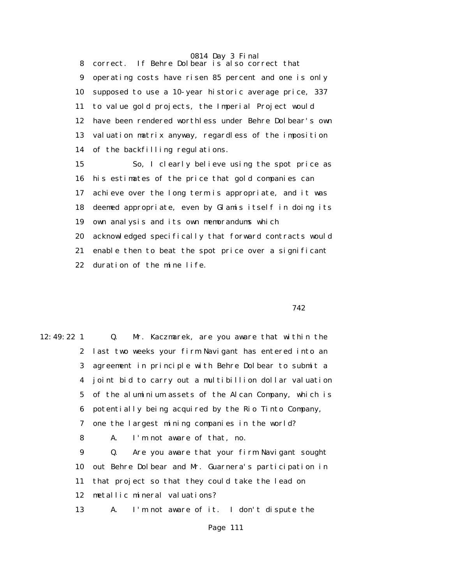0814 Day 3 Final 8 correct. If Behre Dolbear is also correct that 9 operating costs have risen 85 percent and one is only 10 supposed to use a 10-year historic average price, 337 11 to value gold projects, the Imperial Project would 12 have been rendered worthless under Behre Dolbear's own 13 valuation matrix anyway, regardless of the imposition 14 of the backfilling regulations.

> 15 So, I clearly believe using the spot price as 16 his estimates of the price that gold companies can 17 achieve over the long term is appropriate, and it was 18 deemed appropriate, even by Glamis itself in doing its 19 own analysis and its own memorandums which 20 acknowledged specifically that forward contracts would 21 enable then to beat the spot price over a significant 22 duration of the mine life.

742

12:49:22 1 Q. Mr. Kaczmarek, are you aware that within the 2 last two weeks your firm Navigant has entered into an 3 agreement in principle with Behre Dolbear to submit a 4 joint bid to carry out a multibillion dollar valuation 5 of the aluminium assets of the Alcan Company, which is 6 potentially being acquired by the Rio Tinto Company, 7 one the largest mining companies in the world? 8 A. I'm not aware of that, no. 9 Q. Are you aware that your firm Navigant sought

 10 out Behre Dolbear and Mr. Guarnera's participation in 11 that project so that they could take the lead on 12 metallic mineral valuations?

13 A. I'm not aware of it. I don't dispute the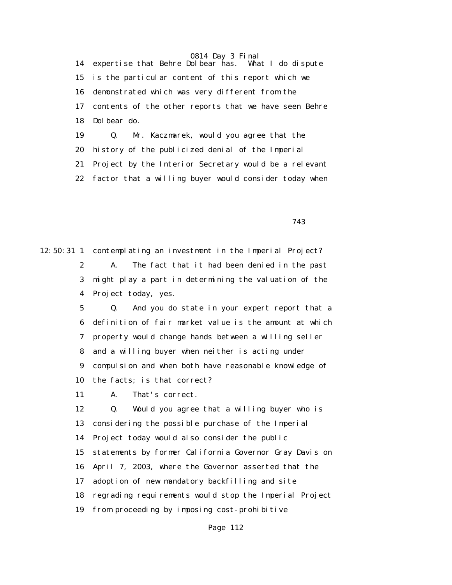0814 Day 3 Final<br>olbear has. What I do dispute 14 expertise that Behre Dolbear has. 15 is the particular content of this report which we 16 demonstrated which was very different from the 17 contents of the other reports that we have seen Behre 18 Dolbear do. 19 Q. Mr. Kaczmarek, would you agree that the

20 history of the publicized denial of the Imperial

21 Project by the Interior Secretary would be a relevant

22 factor that a willing buyer would consider today when

743

12:50:31 1 contemplating an investment in the Imperial Project? 2 A. The fact that it had been denied in the past 3 might play a part in determining the valuation of the 4 Project today, yes.

> 5 Q. And you do state in your expert report that a 6 definition of fair market value is the amount at which 7 property would change hands between a willing seller 8 and a willing buyer when neither is acting under 9 compulsion and when both have reasonable knowledge of 10 the facts; is that correct?

11 A. That's correct.

 12 Q. Would you agree that a willing buyer who is 13 considering the possible purchase of the Imperial 14 Project today would also consider the public 15 statements by former California Governor Gray Davis on 16 April 7, 2003, where the Governor asserted that the 17 adoption of new mandatory backfilling and site 18 regrading requirements would stop the Imperial Project 19 from proceeding by imposing cost-prohibitive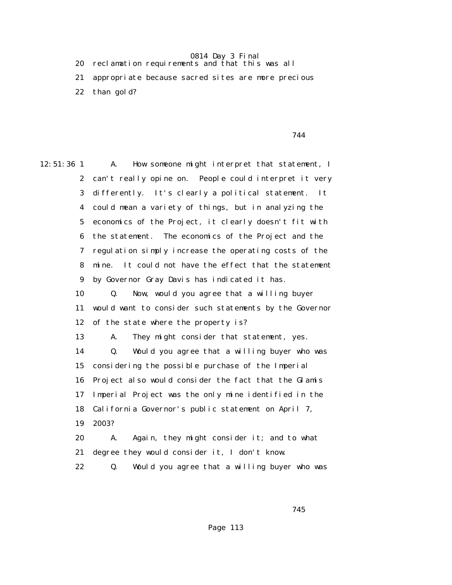20 reclamation requirements and that this was all

 21 appropriate because sacred sites are more precious 22 than gold?

744

12:51:36 1 A. How someone might interpret that statement, I 2 can't really opine on. People could interpret it very 3 differently. It's clearly a political statement. It 4 could mean a variety of things, but in analyzing the 5 economics of the Project, it clearly doesn't fit with 6 the statement. The economics of the Project and the 7 regulation simply increase the operating costs of the 8 mine. It could not have the effect that the statement 9 by Governor Gray Davis has indicated it has. 10 Q. Now, would you agree that a willing buyer 11 would want to consider such statements by the Governor 12 of the state where the property is? 13 A. They might consider that statement, yes. 14 Q. Would you agree that a willing buyer who was 15 considering the possible purchase of the Imperial 16 Project also would consider the fact that the Glamis 17 Imperial Project was the only mine identified in the 18 California Governor's public statement on April 7, 19 2003? 20 A. Again, they might consider it; and to what 21 degree they would consider it, I don't know. 22 Q. Would you agree that a willing buyer who was

745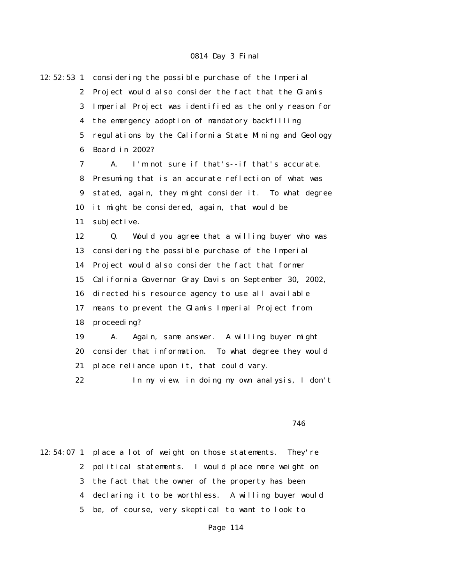12:52:53 1 considering the possible purchase of the Imperial 2 Project would also consider the fact that the Glamis 3 Imperial Project was identified as the only reason for 4 the emergency adoption of mandatory backfilling 5 regulations by the California State Mining and Geology 6 Board in 2002? 7 A. I'm not sure if that's--if that's accurate. 8 Presuming that is an accurate reflection of what was 9 stated, again, they might consider it. To what degree 10 it might be considered, again, that would be 11 subjective. 12 Q. Would you agree that a willing buyer who was 13 considering the possible purchase of the Imperial 14 Project would also consider the fact that former 15 California Governor Gray Davis on September 30, 2002, 16 directed his resource agency to use all available 17 means to prevent the Glamis Imperial Project from 18 proceeding? 19 A. Again, same answer. A willing buyer might 20 consider that information. To what degree they would 21 place reliance upon it, that could vary. 22 In my view, in doing my own analysis, I don't

#### $746$

12:54:07 1 place a lot of weight on those statements. They're 2 political statements. I would place more weight on 3 the fact that the owner of the property has been 4 declaring it to be worthless. A willing buyer would 5 be, of course, very skeptical to want to look to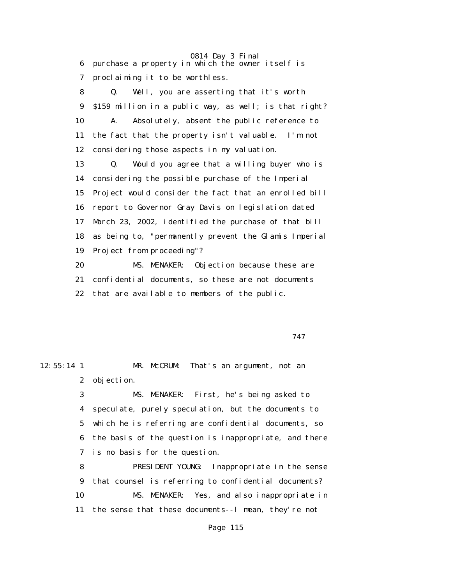0814 Day 3 Final 6 purchase a property in which the owner itself is 7 proclaiming it to be worthless.

 8 Q. Well, you are asserting that it's worth 9 \$159 million in a public way, as well; is that right? 10 A. Absolutely, absent the public reference to 11 the fact that the property isn't valuable. I'm not 12 considering those aspects in my valuation.

 13 Q. Would you agree that a willing buyer who is 14 considering the possible purchase of the Imperial 15 Project would consider the fact that an enrolled bill 16 report to Governor Gray Davis on legislation dated 17 March 23, 2002, identified the purchase of that bill 18 as being to, "permanently prevent the Glamis Imperial 19 Project from proceeding"?

 20 MS. MENAKER: Objection because these are 21 confidential documents, so these are not documents 22 that are available to members of the public.

747

12:55:14 1 MR. McCRUM: That's an argument, not an 2 objection.

> 3 MS. MENAKER: First, he's being asked to 4 speculate, purely speculation, but the documents to 5 which he is referring are confidential documents, so 6 the basis of the question is inappropriate, and there 7 is no basis for the question.

> 8 PRESIDENT YOUNG: Inappropriate in the sense 9 that counsel is referring to confidential documents? 10 MS. MENAKER: Yes, and also inappropriate in 11 the sense that these documents--I mean, they're not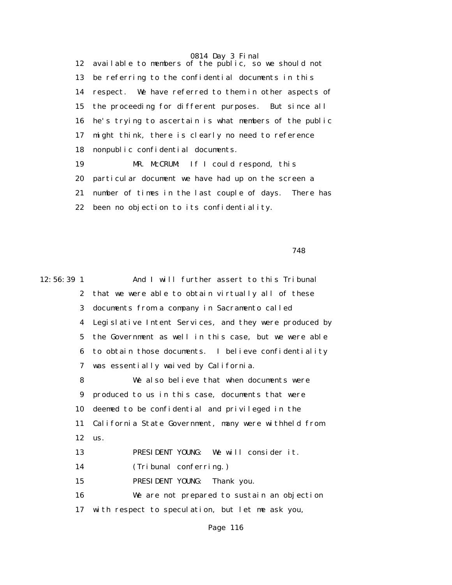12 available to members of the public, so we should not 13 be referring to the confidential documents in this 14 respect. We have referred to them in other aspects of 15 the proceeding for different purposes. But since all 16 he's trying to ascertain is what members of the public 17 might think, there is clearly no need to reference 18 nonpublic confidential documents.

 19 MR. McCRUM: If I could respond, this 20 particular document we have had up on the screen a 21 number of times in the last couple of days. There has 22 been no objection to its confidentiality.

748

12:56:39 1 And I will further assert to this Tribunal 2 that we were able to obtain virtually all of these 3 documents from a company in Sacramento called 4 Legislative Intent Services, and they were produced by 5 the Government as well in this case, but we were able 6 to obtain those documents. I believe confidentiality 7 was essentially waived by California. 8 We also believe that when documents were 9 produced to us in this case, documents that were 10 deemed to be confidential and privileged in the 11 California State Government, many were withheld from 12 us. 13 PRESIDENT YOUNG: We will consider it. 14 (Tribunal conferring.) 15 PRESIDENT YOUNG: Thank you. 16 We are not prepared to sustain an objection 17 with respect to speculation, but let me ask you,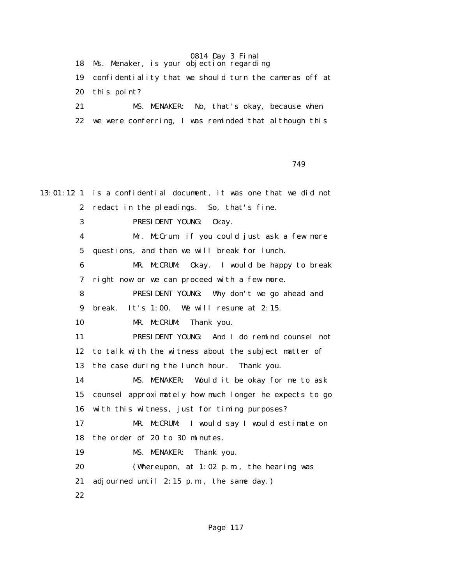18 Ms. Menaker, is your objection regarding 19 confidentiality that we should turn the cameras off at 20 this point? 21 MS. MENAKER: No, that's okay, because when 22 we were conferring, I was reminded that although this

749

13:01:12 1 is a confidential document, it was one that we did not 2 redact in the pleadings. So, that's fine. 3 PRESIDENT YOUNG: Okay. 4 Mr. McCrum, if you could just ask a few more 5 questions, and then we will break for lunch. 6 MR. McCRUM: Okay. I would be happy to break 7 right now or we can proceed with a few more. 8 PRESIDENT YOUNG: Why don't we go ahead and 9 break. It's 1:00. We will resume at 2:15. 10 MR. McCRUM: Thank you. 11 PRESIDENT YOUNG: And I do remind counsel not 12 to talk with the witness about the subject matter of 13 the case during the lunch hour. Thank you. 14 MS. MENAKER: Would it be okay for me to ask 15 counsel approximately how much longer he expects to go 16 with this witness, just for timing purposes? 17 MR. McCRUM: I would say I would estimate on 18 the order of 20 to 30 minutes. 19 MS. MENAKER: Thank you. 20 (Whereupon, at 1:02 p.m., the hearing was 21 adjourned until 2:15 p.m., the same day.) 22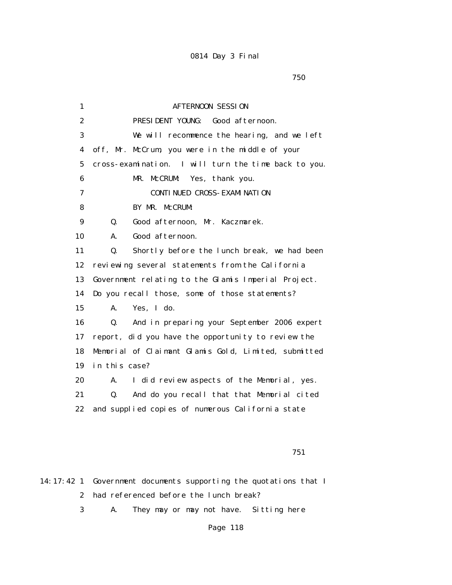$750$ 

| 1                | <b>AFTERNOON SESSION</b>                             |
|------------------|------------------------------------------------------|
| $\boldsymbol{2}$ | PRESIDENT YOUNG: Good afternoon.                     |
| 3                | We will recommence the hearing, and we left          |
| 4                | off, Mr. McCrum, you were in the middle of your      |
| $\mathbf 5$      | cross-examination. I will turn the time back to you. |
| 6                | Yes, thank you.<br>MR.<br><b>McCRUM:</b>             |
| 7                | <b>CONTI NUED CROSS- EXAMI NATI ON</b>               |
| 8                | BY MR. McCRUM:                                       |
| $\boldsymbol{9}$ | Good afternoon, Mr. Kaczmarek.<br>Q.                 |
| 10               | Good afternoon.<br>A.                                |
| 11               | Shortly before the lunch break, we had been<br>Q.    |
| 12               | reviewing several statements from the California     |
| 13               | Government relating to the Glamis Imperial Project.  |
| 14               | Do you recall those, some of those statements?       |
| 15               | A.<br>Yes, I do.                                     |
| 16               | And in preparing your September 2006 expert<br>Q.    |
| 17               | report, did you have the opportunity to review the   |
| 18               | Memorial of Claimant Glamis Gold, Limited, submitted |
| 19               | in this case?                                        |
| 20               | I did review aspects of the Memorial, yes.<br>A.     |
| 21               | Q.<br>And do you recall that that Memorial cited     |
| 22               | and supplied copies of numerous California state     |
|                  |                                                      |
|                  |                                                      |

751

14:17:42 1 Government documents supporting the quotations that I 2 had referenced before the lunch break?

3 A. They may or may not have. Sitting here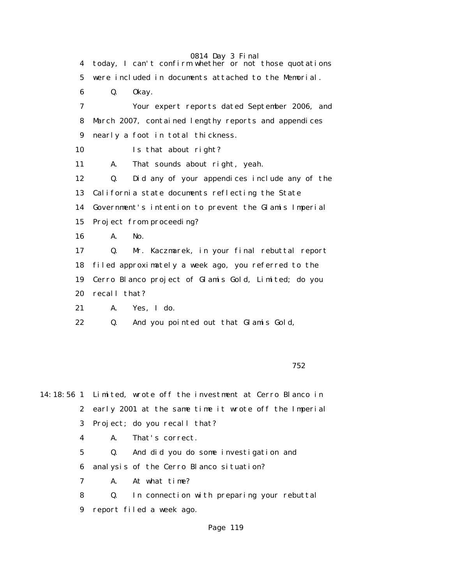0814 Day 3 Final 4 today, I can't confirm whether or not those quotations 5 were included in documents attached to the Memorial. 6 Q. Okay. 7 Your expert reports dated September 2006, and 8 March 2007, contained lengthy reports and appendices 9 nearly a foot in total thickness. 10 Is that about right? 11 A. That sounds about right, yeah. 12 Q. Did any of your appendices include any of the 13 California state documents reflecting the State 14 Government's intention to prevent the Glamis Imperial 15 Project from proceeding? 16 A. No. 17 Q. Mr. Kaczmarek, in your final rebuttal report 18 filed approximately a week ago, you referred to the 19 Cerro Blanco project of Glamis Gold, Limited; do you 20 recall that? 21 A. Yes, I do.

22 Q. And you pointed out that Glamis Gold,

 $752$ 

14:18:56 1 Limited, wrote off the investment at Cerro Blanco in 2 early 2001 at the same time it wrote off the Imperial 3 Project; do you recall that?

4 A. That's correct.

 5 Q. And did you do some investigation and 6 analysis of the Cerro Blanco situation?

7 A. At what time?

 8 Q. In connection with preparing your rebuttal 9 report filed a week ago.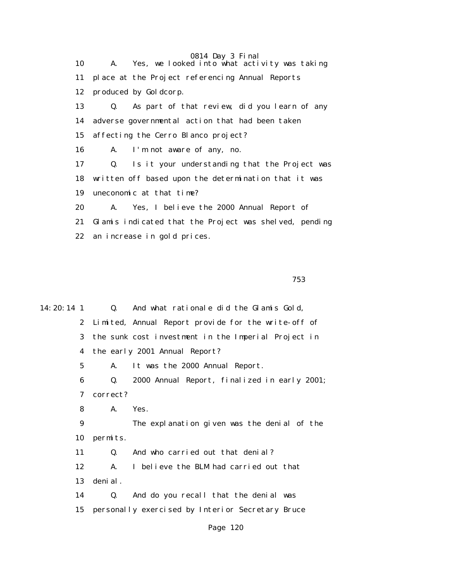0814 Day 3 Final 10 A. Yes, we looked into what activity was taking 11 place at the Project referencing Annual Reports 12 produced by Goldcorp. 13 Q. As part of that review, did you learn of any 14 adverse governmental action that had been taken 15 affecting the Cerro Blanco project? 16 A. I'm not aware of any, no. 17 Q. Is it your understanding that the Project was 18 written off based upon the determination that it was 19 uneconomic at that time? 20 A. Yes, I believe the 2000 Annual Report of 21 Glamis indicated that the Project was shelved, pending 22 an increase in gold prices.

 $753$ 

14:20:14 1 Q. And what rationale did the Glamis Gold, 2 Limited, Annual Report provide for the write-off of 3 the sunk cost investment in the Imperial Project in 4 the early 2001 Annual Report? 5 A. It was the 2000 Annual Report. 6 Q. 2000 Annual Report, finalized in early 2001; 7 correct? 8 A. Yes. 9 The explanation given was the denial of the 10 permits. 11 Q. And who carried out that denial? 12 A. I believe the BLM had carried out that 13 denial. 14 Q. And do you recall that the denial was 15 personally exercised by Interior Secretary Bruce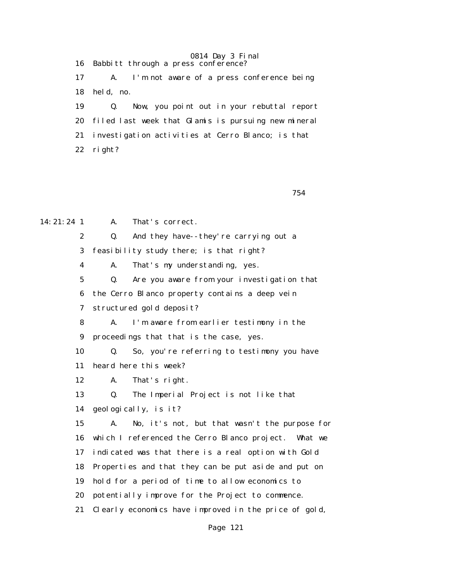0814 Day 3 Final 16 Babbitt through a press conference? 17 A. I'm not aware of a press conference being 18 held, no. 19 Q. Now, you point out in your rebuttal report 20 filed last week that Glamis is pursuing new mineral 21 investigation activities at Cerro Blanco; is that 22 right?

754

14:21:24 1 A. That's correct. 2 Q. And they have--they're carrying out a 3 feasibility study there; is that right? 4 A. That's my understanding, yes. 5 Q. Are you aware from your investigation that 6 the Cerro Blanco property contains a deep vein 7 structured gold deposit? 8 A. I'm aware from earlier testimony in the 9 proceedings that that is the case, yes. 10 Q. So, you're referring to testimony you have 11 heard here this week? 12 A. That's right. 13 Q. The Imperial Project is not like that 14 geologically, is it? 15 A. No, it's not, but that wasn't the purpose for 16 which I referenced the Cerro Blanco project. What we 17 indicated was that there is a real option with Gold 18 Properties and that they can be put aside and put on 19 hold for a period of time to allow economics to 20 potentially improve for the Project to commence. 21 Clearly economics have improved in the price of gold,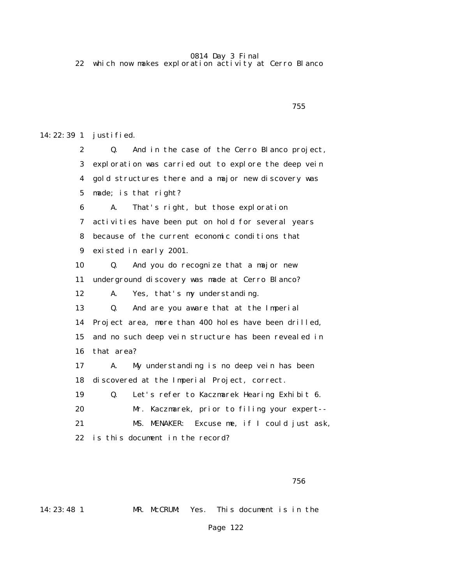22 which now makes exploration activity at Cerro Blanco

```
<u>755 - Johann Stein, amerikan bahasa (j. 1856)</u>
```
14:22:39 1 justified.

 2 Q. And in the case of the Cerro Blanco project, 3 exploration was carried out to explore the deep vein 4 gold structures there and a major new discovery was 5 made; is that right? 6 A. That's right, but those exploration 7 activities have been put on hold for several years 8 because of the current economic conditions that 9 existed in early 2001. 10 Q. And you do recognize that a major new 11 underground discovery was made at Cerro Blanco? 12 A. Yes, that's my understanding. 13 Q. And are you aware that at the Imperial 14 Project area, more than 400 holes have been drilled, 15 and no such deep vein structure has been revealed in 16 that area? 17 A. My understanding is no deep vein has been 18 discovered at the Imperial Project, correct. 19 Q. Let's refer to Kaczmarek Hearing Exhibit 6. 20 Mr. Kaczmarek, prior to filing your expert-- 21 MS. MENAKER: Excuse me, if I could just ask, 22 is this document in the record?

14:23:48 1 MR. McCRUM: Yes. This document is in the

 $756$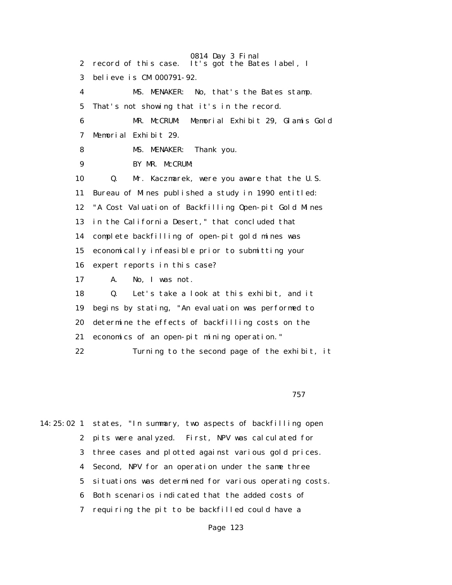0814 Day 3 Final 2 record of this case. It's got the Bates label, I 3 believe is CM 000791-92. 4 MS. MENAKER: No, that's the Bates stamp. 5 That's not showing that it's in the record. 6 MR. McCRUM: Memorial Exhibit 29, Glamis Gold 7 Memorial Exhibit 29. 8 MS. MENAKER: Thank you. 9 BY MR. McCRUM: 10 Q. Mr. Kaczmarek, were you aware that the U.S. 11 Bureau of Mines published a study in 1990 entitled: 12 "A Cost Valuation of Backfilling Open-pit Gold Mines 13 in the California Desert," that concluded that 14 complete backfilling of open-pit gold mines was 15 economically infeasible prior to submitting your 16 expert reports in this case? 17 A. No, I was not. 18 Q. Let's take a look at this exhibit, and it 19 begins by stating, "An evaluation was performed to 20 determine the effects of backfilling costs on the 21 economics of an open-pit mining operation." 22 Turning to the second page of the exhibit, it

 $757$ 

14:25:02 1 states, "In summary, two aspects of backfilling open 2 pits were analyzed. First, NPV was calculated for 3 three cases and plotted against various gold prices. 4 Second, NPV for an operation under the same three 5 situations was determined for various operating costs. 6 Both scenarios indicated that the added costs of 7 requiring the pit to be backfilled could have a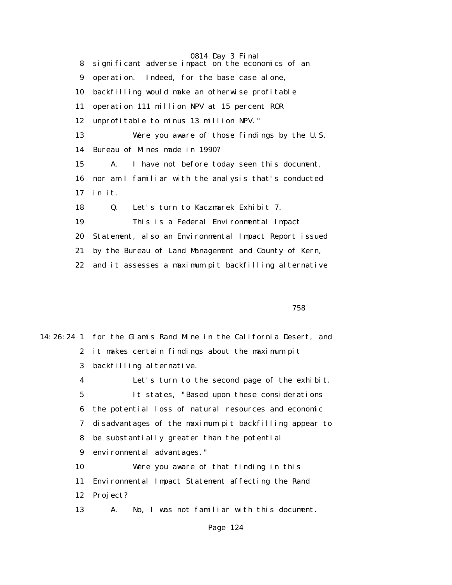0814 Day 3 Final 8 significant adverse impact on the economics of an 9 operation. Indeed, for the base case alone, 10 backfilling would make an otherwise profitable 11 operation 111 million NPV at 15 percent ROR 12 unprofitable to minus 13 million NPV." 13 Were you aware of those findings by the U.S. 14 Bureau of Mines made in 1990? 15 A. I have not before today seen this document, 16 nor am I familiar with the analysis that's conducted 17 in it. 18 Q. Let's turn to Kaczmarek Exhibit 7. 19 This is a Federal Environmental Impact 20 Statement, also an Environmental Impact Report issued 21 by the Bureau of Land Management and County of Kern, 22 and it assesses a maximum pit backfilling alternative

<u>758 - Johann Stein, amerikan basar sebagai sebagai sebagai sebagai sebagai sebagai sebagai sebagai sebagai se</u>

|    | 14:26:24 1 for the Glamis Rand Mine in the California Desert, and |
|----|-------------------------------------------------------------------|
|    | 2 it makes certain findings about the maximum pit                 |
| 3  | backfilling alternative.                                          |
| 4  | Let's turn to the second page of the exhibit.                     |
| 5  | It states, "Based upon these considerations                       |
| 6  | the potential loss of natural resources and economic              |
|    | disadvantages of the maximum pit backfilling appear to<br>7       |
| 8. | be substantially greater than the potential                       |
|    | 9 environmental advantages."                                      |
| 10 | Were you aware of that finding in this                            |
| 11 | Environmental Impact Statement affecting the Rand                 |
| 12 | Project?                                                          |
| 13 | No, I was not familiar with this document.<br>А.                  |
|    |                                                                   |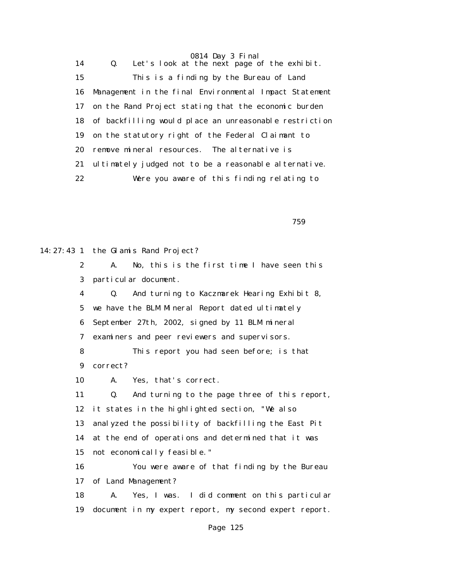0814 Day 3 Final 14 Q. Let's look at the next page of the exhibit. 15 This is a finding by the Bureau of Land 16 Management in the final Environmental Impact Statement 17 on the Rand Project stating that the economic burden 18 of backfilling would place an unreasonable restriction 19 on the statutory right of the Federal Claimant to 20 remove mineral resources. The alternative is 21 ultimately judged not to be a reasonable alternative. 22 Were you aware of this finding relating to

 $759$ 

14:27:43 1 the Glamis Rand Project? 2 A. No, this is the first time I have seen this 3 particular document. 4 Q. And turning to Kaczmarek Hearing Exhibit 8, 5 we have the BLM Mineral Report dated ultimately 6 September 27th, 2002, signed by 11 BLM mineral 7 examiners and peer reviewers and supervisors. 8 This report you had seen before; is that 9 correct? 10 A. Yes, that's correct. 11 Q. And turning to the page three of this report, 12 it states in the highlighted section, "We also 13 analyzed the possibility of backfilling the East Pit 14 at the end of operations and determined that it was 15 not economically feasible." 16 You were aware of that finding by the Bureau 17 of Land Management? 18 A. Yes, I was. I did comment on this particular 19 document in my expert report, my second expert report.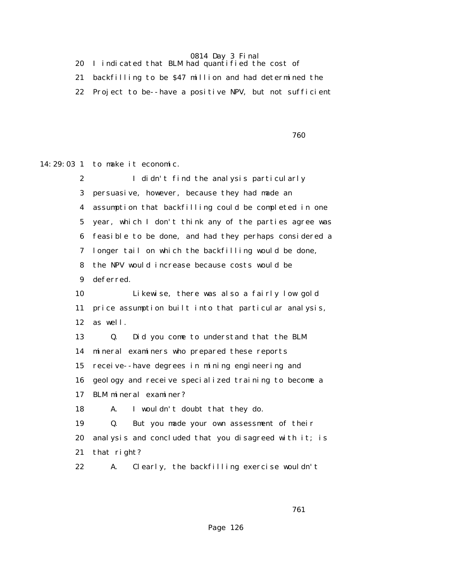20 I indicated that BLM had quantified the cost of

21 backfilling to be \$47 million and had determined the

22 Project to be--have a positive NPV, but not sufficient

 $760$ 

14:29:03 1 to make it economic.

| $\mathbf{2}$ | I didn't find the analysis particularly                |
|--------------|--------------------------------------------------------|
| 3            | persuasive, however, because they had made an          |
| 4            | assumption that backfilling could be completed in one  |
| $\bf{5}$     | year, which I don't think any of the parties agree was |
| 6            | feasible to be done, and had they perhaps considered a |
| 7            | longer tail on which the backfilling would be done,    |
| 8            | the NPV would increase because costs would be          |
| 9            | deferred.                                              |
| 10           | Likewise, there was also a fairly low gold             |
| 11           | price assumption built into that particular analysis,  |
| 12           | as well.                                               |
| 13           | Did you come to understand that the BLM<br>Q.          |
| 14           | mineral examiners who prepared these reports           |
| 15           | receive--have degrees in mining engineering and        |
| 16           | geology and receive specialized training to become a   |
| 17           | BLM mineral examiner?                                  |
| 18           | I wouldn't doubt that they do.<br>A.                   |
| 19           | But you made your own assessment of their<br>Q.        |
| 20           | analysis and concluded that you disagreed with it; is  |
| 21           | that right?                                            |
| 22           | Clearly, the backfilling exercise wouldn't<br>A.       |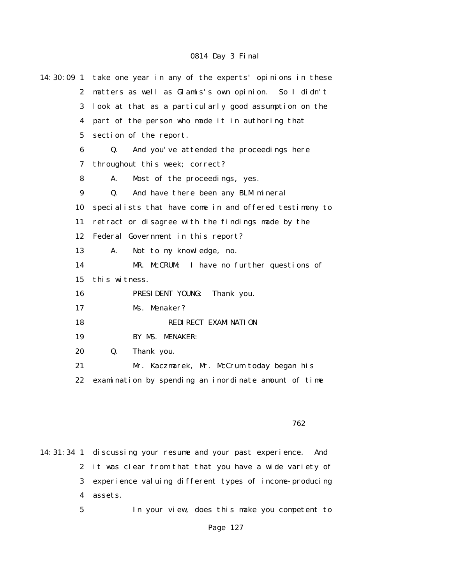| $14:30:09$ 1 | take one year in any of the experts' opinions in these |
|--------------|--------------------------------------------------------|
| $\mathbf{2}$ | matters as well as Glamis's own opinion. So I didn't   |
| 3            | look at that as a particularly good assumption on the  |
| 4            | part of the person who made it in authoring that       |
| $\bf{5}$     | section of the report.                                 |
| 6            | Q.<br>And you've attended the proceedings here         |
| 7            | throughout this week; correct?                         |
| 8            | Most of the proceedings, yes.<br>A.                    |
| 9            | And have there been any BLM mineral<br>Q.              |
| 10           | specialists that have come in and offered testimony to |
| 11           | retract or disagree with the findings made by the      |
| 12           | Federal Government in this report?                     |
| 13           | Not to my knowledge, no.<br>A.                         |
| 14           | MR. McCRUM: I have no further questions of             |
| 15           | this witness.                                          |
| 16           | PRESIDENT YOUNG:<br>Thank you.                         |
| 17           | Ms. Menaker?                                           |
| 18           | REDI RECT EXAMI NATI ON                                |
| 19           | BY MS. MENAKER:                                        |
| 20           | Q.<br>Thank you.                                       |
| 21           | Mr. Kaczmarek, Mr. McCrum today began his              |
| 22           | examination by spending an inordinate amount of time   |
|              |                                                        |

 $762$ 

14:31:34 1 discussing your resume and your past experience. And 2 it was clear from that that you have a wide variety of 3 experience valuing different types of income-producing 4 assets. 5 In your view, does this make you competent to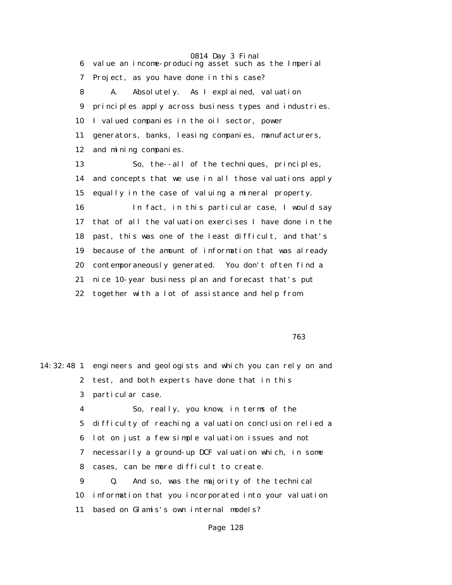0814 Day 3 Final 6 value an income-producing asset such as the Imperial 7 Project, as you have done in this case? 8 A. Absolutely. As I explained, valuation 9 principles apply across business types and industries. 10 I valued companies in the oil sector, power 11 generators, banks, leasing companies, manufacturers, 12 and mining companies. 13 So, the--all of the techniques, principles, 14 and concepts that we use in all those valuations apply 15 equally in the case of valuing a mineral property. 16 In fact, in this particular case, I would say 17 that of all the valuation exercises I have done in the 18 past, this was one of the least difficult, and that's 19 because of the amount of information that was already 20 contemporaneously generated. You don't often find a 21 nice 10-year business plan and forecast that's put 22 together with a lot of assistance and help from

 $763$ 

14:32:48 1 engineers and geologists and which you can rely on and 2 test, and both experts have done that in this 3 particular case. 4 So, really, you know, in terms of the 5 difficulty of reaching a valuation conclusion relied a 6 lot on just a few simple valuation issues and not 7 necessarily a ground-up DCF valuation which, in some 8 cases, can be more difficult to create. 9 Q. And so, was the majority of the technical 10 information that you incorporated into your valuation 11 based on Glamis's own internal models?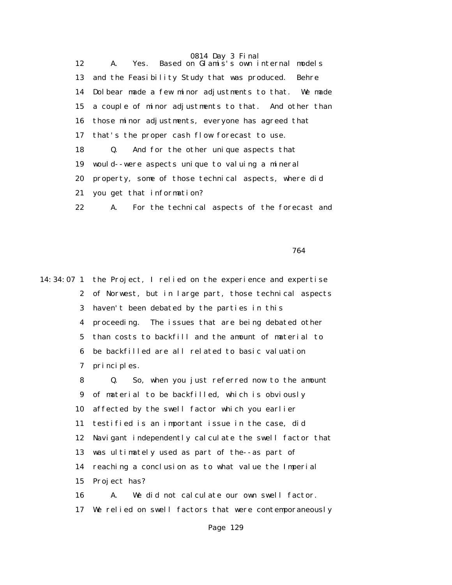0814 Day 3 Final 12 A. Yes. Based on Glamis's own internal models 13 and the Feasibility Study that was produced. Behre 14 Dolbear made a few minor adjustments to that. We made 15 a couple of minor adjustments to that. And other than 16 those minor adjustments, everyone has agreed that 17 that's the proper cash flow forecast to use. 18 Q. And for the other unique aspects that 19 would--were aspects unique to valuing a mineral 20 property, some of those technical aspects, where did 21 you get that information? 22 A. For the technical aspects of the forecast and

процесс в подводите в 1964 године в 1964 году и 1964 године в 1964 году и 1964 године в 1964 године в 1964 год<br>В 1964 године в 1964 године в 1964 године в 1964 године в 1964 године в 1964 године в 1964 године в 1964 годин

14:34:07 1 the Project, I relied on the experience and expertise 2 of Norwest, but in large part, those technical aspects 3 haven't been debated by the parties in this 4 proceeding. The issues that are being debated other 5 than costs to backfill and the amount of material to 6 be backfilled are all related to basic valuation 7 principles. 8 Q. So, when you just referred now to the amount 9 of material to be backfilled, which is obviously 10 affected by the swell factor which you earlier 11 testified is an important issue in the case, did 12 Navigant independently calculate the swell factor that 13 was ultimately used as part of the--as part of 14 reaching a conclusion as to what value the Imperial 15 Project has? 16 A. We did not calculate our own swell factor. 17 We relied on swell factors that were contemporaneously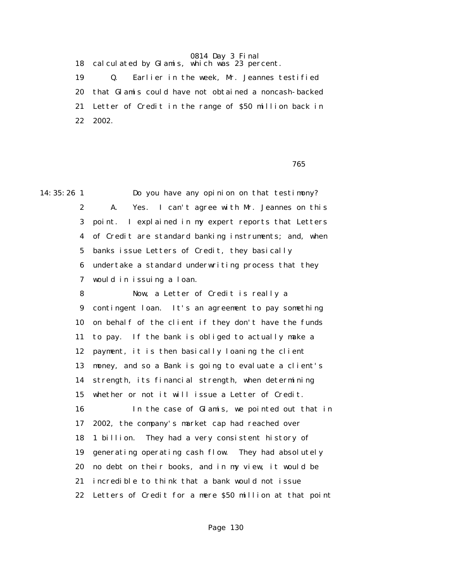18 calculated by Glamis, which was 23 percent.

 19 Q. Earlier in the week, Mr. Jeannes testified 20 that Glamis could have not obtained a noncash-backed 21 Letter of Credit in the range of \$50 million back in 22 2002.

 $765$ 

14:35:26 1 Do you have any opinion on that testimony? 2 A. Yes. I can't agree with Mr. Jeannes on this 3 point. I explained in my expert reports that Letters 4 of Credit are standard banking instruments; and, when 5 banks issue Letters of Credit, they basically 6 undertake a standard underwriting process that they 7 would in issuing a loan.

> 8 Now, a Letter of Credit is really a 9 contingent loan. It's an agreement to pay something 10 on behalf of the client if they don't have the funds 11 to pay. If the bank is obliged to actually make a 12 payment, it is then basically loaning the client 13 money, and so a Bank is going to evaluate a client's 14 strength, its financial strength, when determining 15 whether or not it will issue a Letter of Credit. 16 In the case of Glamis, we pointed out that in 17 2002, the company's market cap had reached over 18 1 billion. They had a very consistent history of 19 generating operating cash flow. They had absolutely 20 no debt on their books, and in my view, it would be 21 incredible to think that a bank would not issue 22 Letters of Credit for a mere \$50 million at that point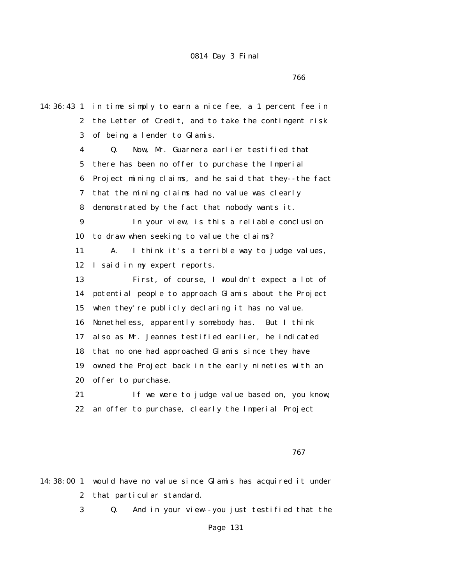$766$ 

14:36:43 1 in time simply to earn a nice fee, a 1 percent fee in 2 the Letter of Credit, and to take the contingent risk 3 of being a lender to Glamis. 4 Q. Now, Mr. Guarnera earlier testified that 5 there has been no offer to purchase the Imperial 6 Project mining claims, and he said that they--the fact 7 that the mining claims had no value was clearly 8 demonstrated by the fact that nobody wants it. 9 In your view, is this a reliable conclusion 10 to draw when seeking to value the claims? 11 A. I think it's a terrible way to judge values, 12 I said in my expert reports. 13 First, of course, I wouldn't expect a lot of 14 potential people to approach Glamis about the Project 15 when they're publicly declaring it has no value. 16 Nonetheless, apparently somebody has. But I think 17 also as Mr. Jeannes testified earlier, he indicated 18 that no one had approached Glamis since they have 19 owned the Project back in the early nineties with an 20 offer to purchase. 21 If we were to judge value based on, you know, 22 an offer to purchase, clearly the Imperial Project

 $767$ 

14:38:00 1 would have no value since Glamis has acquired it under 2 that particular standard.

3 Q. And in your view--you just testified that the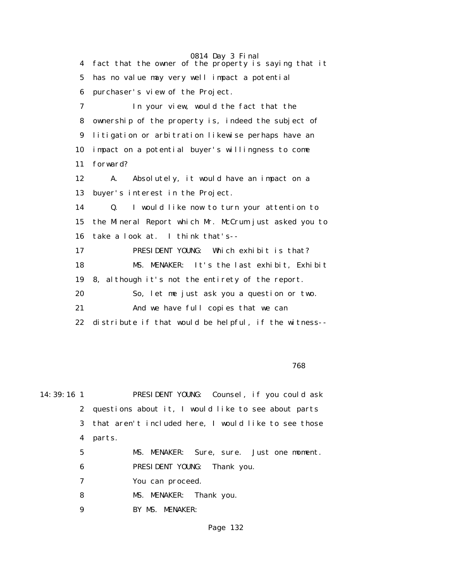0814 Day 3 Final 4 fact that the owner of the property is saying that it 5 has no value may very well impact a potential 6 purchaser's view of the Project. 7 In your view, would the fact that the 8 ownership of the property is, indeed the subject of 9 litigation or arbitration likewise perhaps have an 10 impact on a potential buyer's willingness to come 11 forward? 12 A. Absolutely, it would have an impact on a 13 buyer's interest in the Project. 14 Q. I would like now to turn your attention to 15 the Mineral Report which Mr. McCrum just asked you to 16 take a look at. I think that's-- 17 PRESIDENT YOUNG: Which exhibit is that? 18 MS. MENAKER: It's the last exhibit, Exhibit 19 8, although it's not the entirety of the report. 20 So, let me just ask you a question or two. 21 And we have full copies that we can 22 distribute if that would be helpful, if the witness--

 $768$ 

14:39:16 1 PRESIDENT YOUNG: Counsel, if you could ask 2 questions about it, I would like to see about parts 3 that aren't included here, I would like to see those 4 parts. 5 MS. MENAKER: Sure, sure. Just one moment. 6 PRESIDENT YOUNG: Thank you. 7 You can proceed. 8 MS. MENAKER: Thank you. 9 BY MS. MENAKER: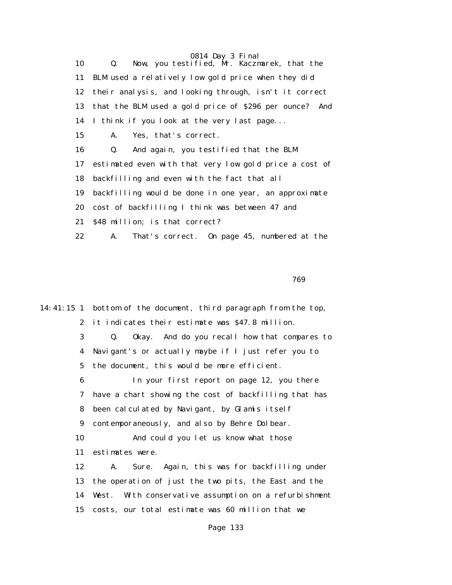10 Q. Now, you testified, Mr. Kaczmarek, that the 11 BLM used a relatively low gold price when they did 12 their analysis, and looking through, isn't it correct 13 that the BLM used a gold price of \$296 per ounce? And 14 I think if you look at the very last page... 15 A. Yes, that's correct. 16 Q. And again, you testified that the BLM 17 estimated even with that very low gold price a cost of 18 backfilling and even with the fact that all 19 backfilling would be done in one year, an approximate 20 cost of backfilling I think was between 47 and 21 \$48 million; is that correct? 22 A. That's correct. On page 45, numbered at the

 $769$ 

14:41:15 1 bottom of the document, third paragraph from the top, 2 it indicates their estimate was \$47.8 million. 3 Q. Okay. And do you recall how that compares to 4 Navigant's or actually maybe if I just refer you to 5 the document, this would be more efficient. 6 In your first report on page 12, you there 7 have a chart showing the cost of backfilling that has 8 been calculated by Navigant, by Glamis itself 9 contemporaneously, and also by Behre Dolbear. 10 And could you let us know what those 11 estimates were. 12 A. Sure. Again, this was for backfilling under 13 the operation of just the two pits, the East and the 14 West. With conservative assumption on a refurbishment 15 costs, our total estimate was 60 million that we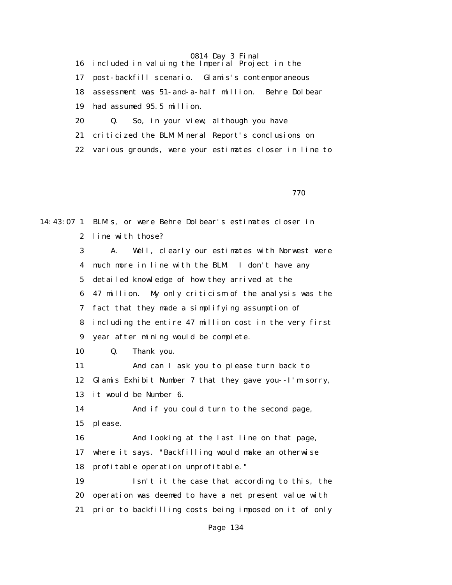16 included in valuing the Imperial Project in the 17 post-backfill scenario. Glamis's contemporaneous 18 assessment was 51-and-a-half million. Behre Dolbear 19 had assumed 95.5 million. 20 Q. So, in your view, although you have 21 criticized the BLM Mineral Report's conclusions on 22 various grounds, were your estimates closer in line to

770

14:43:07 1 BLM's, or were Behre Dolbear's estimates closer in 2 line with those? 3 A. Well, clearly our estimates with Norwest were 4 much more in line with the BLM. I don't have any 5 detailed knowledge of how they arrived at the 6 47 million. My only criticism of the analysis was the 7 fact that they made a simplifying assumption of 8 including the entire 47 million cost in the very first 9 year after mining would be complete. 10 Q. Thank you. 11 And can I ask you to please turn back to 12 Glamis Exhibit Number 7 that they gave you--I'm sorry, 13 it would be Number 6. 14 And if you could turn to the second page, 15 please. 16 And looking at the last line on that page, 17 where it says. "Backfilling would make an otherwise 18 profitable operation unprofitable." 19 Isn't it the case that according to this, the 20 operation was deemed to have a net present value with 21 prior to backfilling costs being imposed on it of only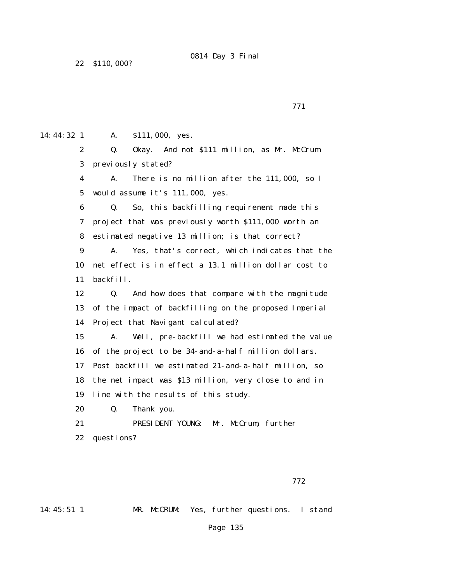22 \$110,000?

771

14:44:32 1 A. \$111,000, yes.

 2 Q. Okay. And not \$111 million, as Mr. McCrum 3 previously stated?

 4 A. There is no million after the 111,000, so I 5 would assume it's 111,000, yes.

 6 Q. So, this backfilling requirement made this 7 project that was previously worth \$111,000 worth an 8 estimated negative 13 million; is that correct?

 9 A. Yes, that's correct, which indicates that the 10 net effect is in effect a 13.1 million dollar cost to 11 backfill.

 12 Q. And how does that compare with the magnitude 13 of the impact of backfilling on the proposed Imperial 14 Project that Navigant calculated?

 15 A. Well, pre-backfill we had estimated the value 16 of the project to be 34-and-a-half million dollars.

17 Post backfill we estimated 21-and-a-half million, so

18 the net impact was \$13 million, very close to and in

19 line with the results of this study.

20 Q. Thank you.

 21 PRESIDENT YOUNG: Mr. McCrum, further 22 questions?

# 14:45:51 1 MR. McCRUM: Yes, further questions. I stand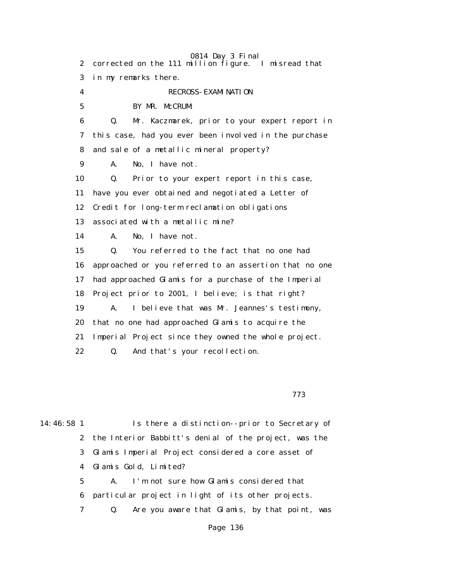0814 Day 3 Final 2 corrected on the 111 million figure. I misread that 3 in my remarks there. 4 RECROSS-EXAMINATION 5 BY MR. McCRUM: 6 Q. Mr. Kaczmarek, prior to your expert report in 7 this case, had you ever been involved in the purchase 8 and sale of a metallic mineral property? 9 A. No, I have not. 10 Q. Prior to your expert report in this case, 11 have you ever obtained and negotiated a Letter of 12 Credit for long-term reclamation obligations 13 associated with a metallic mine? 14 A. No, I have not. 15 Q. You referred to the fact that no one had 16 approached or you referred to an assertion that no one 17 had approached Glamis for a purchase of the Imperial 18 Project prior to 2001, I believe; is that right? 19 A. I believe that was Mr. Jeannes's testimony, 20 that no one had approached Glamis to acquire the 21 Imperial Project since they owned the whole project. 22 Q. And that's your recollection.

773

14:46:58 1 Is there a distinction--prior to Secretary of

 2 the Interior Babbitt's denial of the project, was the 3 Glamis Imperial Project considered a core asset of 4 Glamis Gold, Limited?

 5 A. I'm not sure how Glamis considered that 6 particular project in light of its other projects. 7 Q. Are you aware that Glamis, by that point, was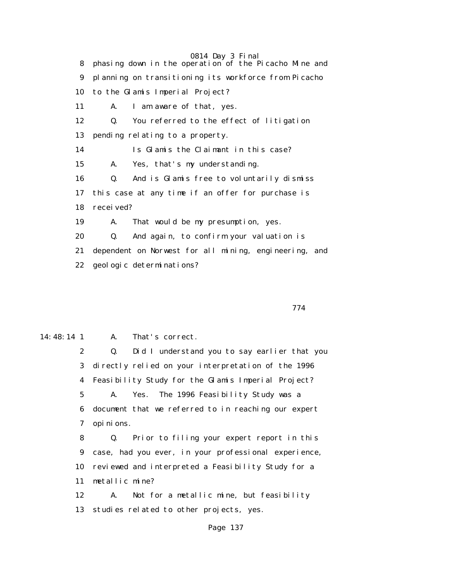0814 Day 3 Final 8 phasing down in the operation of the Picacho Mine and 9 planning on transitioning its workforce from Picacho 10 to the Glamis Imperial Project? 11 A. I am aware of that, yes. 12 Q. You referred to the effect of litigation 13 pending relating to a property. 14 Is Glamis the Claimant in this case? 15 A. Yes, that's my understanding. 16 Q. And is Glamis free to voluntarily dismiss 17 this case at any time if an offer for purchase is 18 received? 19 A. That would be my presumption, yes. 20 Q. And again, to confirm your valuation is 21 dependent on Norwest for all mining, engineering, and 22 geologic determinations?

774

14:48:14 1 A. That's correct.

 2 Q. Did I understand you to say earlier that you 3 directly relied on your interpretation of the 1996 4 Feasibility Study for the Glamis Imperial Project? 5 A. Yes. The 1996 Feasibility Study was a 6 document that we referred to in reaching our expert 7 opinions.

 8 Q. Prior to filing your expert report in this 9 case, had you ever, in your professional experience, 10 reviewed and interpreted a Feasibility Study for a 11 metallic mine?

 12 A. Not for a metallic mine, but feasibility 13 studies related to other projects, yes.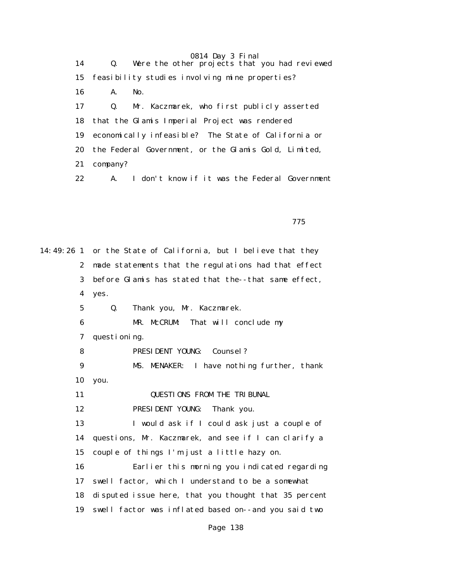| 14 | 0814 Day 3 Final<br>Q. Were the other projects that you had reviewed |
|----|----------------------------------------------------------------------|
| 15 | feasibility studies involving mine properties?                       |
| 16 | A.<br>No.                                                            |
| 17 | Q. Mr. Kaczmarek, who first publicly asserted                        |
|    | 18 that the Glamis Imperial Project was rendered                     |
| 19 | economically infeasible? The State of California or                  |
|    | 20 the Federal Government, or the Glamis Gold, Limited,              |
| 21 | company?                                                             |
|    | A. I don't know if it was the Federal Government<br>22 —             |

<u>2003: The state of the state of the state of the state of the state of the state of the state of the state of the state of the state of the state of the state of the state of the state of the state of the state of the sta</u>

14:49:26 1 or the State of California, but I believe that they 2 made statements that the regulations had that effect 3 before Glamis has stated that the--that same effect, 4 yes. 5 Q. Thank you, Mr. Kaczmarek. 6 MR. McCRUM: That will conclude my 7 questioning. 8 PRESIDENT YOUNG: Counsel? 9 MS. MENAKER: I have nothing further, thank 10 you. 11 **QUESTIONS FROM THE TRIBUNAL**  12 PRESIDENT YOUNG: Thank you. 13 I would ask if I could ask just a couple of 14 questions, Mr. Kaczmarek, and see if I can clarify a 15 couple of things I'm just a little hazy on. 16 Earlier this morning you indicated regarding 17 swell factor, which I understand to be a somewhat 18 disputed issue here, that you thought that 35 percent 19 swell factor was inflated based on--and you said two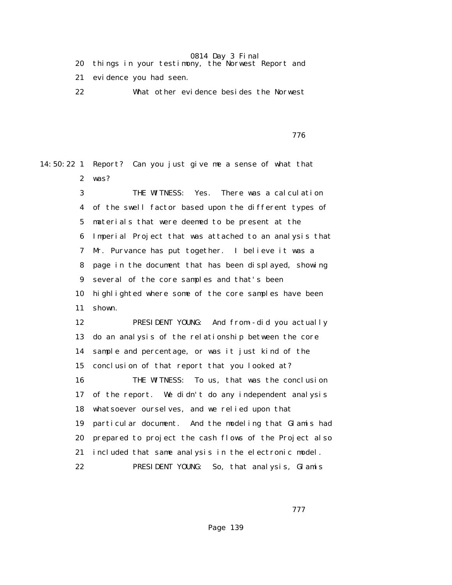- 20 things in your testimony, the Norwest Report and
- 21 evidence you had seen.
- 22 What other evidence besides the Norwest

<u>2003: The state of the state of the state of the state of the state of the state of the state of the state of the state of the state of the state of the state of the state of the state of the state of the state of the sta</u>

14:50:22 1 Report? Can you just give me a sense of what that 2 was?

> 3 THE WITNESS: Yes. There was a calculation 4 of the swell factor based upon the different types of 5 materials that were deemed to be present at the 6 Imperial Project that was attached to an analysis that 7 Mr. Purvance has put together. I believe it was a 8 page in the document that has been displayed, showing 9 several of the core samples and that's been 10 highlighted where some of the core samples have been 11 shown. 12 PRESIDENT YOUNG: And from--did you actually 13 do an analysis of the relationship between the core 14 sample and percentage, or was it just kind of the 15 conclusion of that report that you looked at? 16 THE WITNESS: To us, that was the conclusion 17 of the report. We didn't do any independent analysis 18 whatsoever ourselves, and we relied upon that

 19 particular document. And the modeling that Glamis had 20 prepared to project the cash flows of the Project also 21 included that same analysis in the electronic model. 22 PRESIDENT YOUNG: So, that analysis, Glamis

777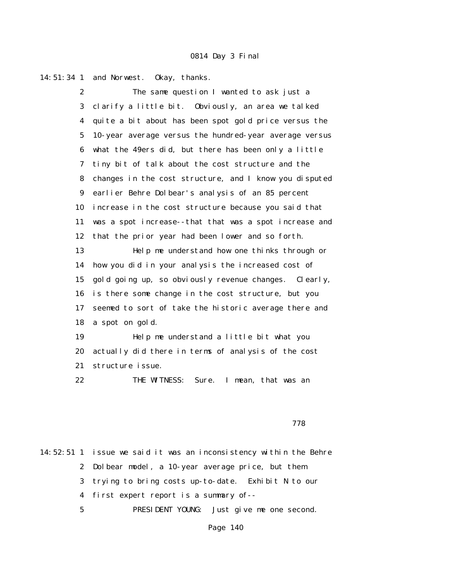14:51:34 1 and Norwest. Okay, thanks.

 2 The same question I wanted to ask just a 3 clarify a little bit. Obviously, an area we talked 4 quite a bit about has been spot gold price versus the 5 10-year average versus the hundred-year average versus 6 what the 49ers did, but there has been only a little 7 tiny bit of talk about the cost structure and the 8 changes in the cost structure, and I know you disputed 9 earlier Behre Dolbear's analysis of an 85 percent 10 increase in the cost structure because you said that 11 was a spot increase--that that was a spot increase and 12 that the prior year had been lower and so forth. 13 Help me understand how one thinks through or 14 how you did in your analysis the increased cost of 15 gold going up, so obviously revenue changes. Clearly, 16 is there some change in the cost structure, but you 17 seemed to sort of take the historic average there and 18 a spot on gold. 19 Help me understand a little bit what you 20 actually did there in terms of analysis of the cost

21 structure issue.

22 THE WITNESS: Sure. I mean, that was an

<u>778 - Johann Stein, amerikan basar sebagai sebagai sebagai sebagai sebagai sebagai sebagai sebagai sebagai se</u>

14:52:51 1 issue we said it was an inconsistency within the Behre 2 Dolbear model, a 10-year average price, but them 3 trying to bring costs up-to-date. Exhibit N to our 4 first expert report is a summary of-- 5 PRESIDENT YOUNG: Just give me one second.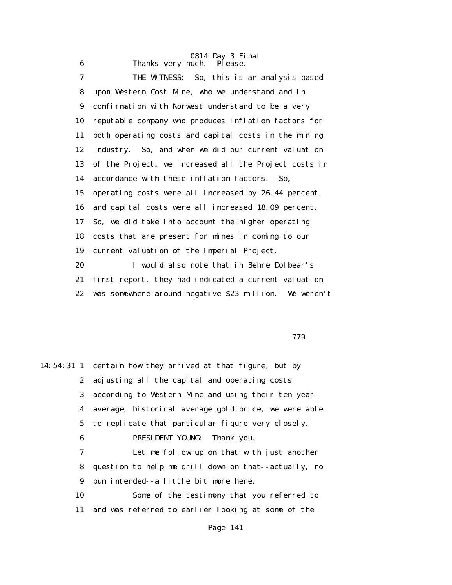|    | 0814 Day 3 Final                                       |
|----|--------------------------------------------------------|
| 6  | Thanks very much.<br>Pl ease.                          |
| 7  | THE WITNESS: So, this is an analysis based             |
| 8  | upon Western Cost Mine, who we understand and in       |
| 9  | confirmation with Norwest understand to be a very      |
| 10 | reputable company who produces inflation factors for   |
| 11 | both operating costs and capital costs in the mining   |
| 12 | industry. So, and when we did our current valuation    |
| 13 | of the Project, we increased all the Project costs in  |
| 14 | accordance with these inflation factors.<br>So.        |
| 15 | operating costs were all increased by 26.44 percent,   |
| 16 | and capital costs were all increased 18.09 percent.    |
| 17 | So, we did take into account the higher operating      |
| 18 | costs that are present for mines in coming to our      |
| 19 | current valuation of the Imperial Project.             |
| 20 | I would also note that in Behre Dolbear's              |
| 21 | first report, they had indicated a current valuation   |
| 22 | was somewhere around negative \$23 million. We weren't |

779

|    | 14:54:31 1 certain how they arrived at that figure, but by |
|----|------------------------------------------------------------|
|    | 2 adjusting all the capital and operating costs            |
|    | 3 according to Western Mine and using their ten-year       |
|    | 4 average, historical average gold price, we were able     |
|    | 5 to replicate that particular figure very closely.        |
| 6  | PRESIDENT YOUNG: Thank you.                                |
| 7  | Let me follow up on that with just another                 |
| 8  | question to help me drill down on that--actually, no       |
| 9  | pun intended--a little bit more here.                      |
| 10 | Some of the testimony that you referred to                 |
| 11 | and was referred to earlier looking at some of the         |
|    |                                                            |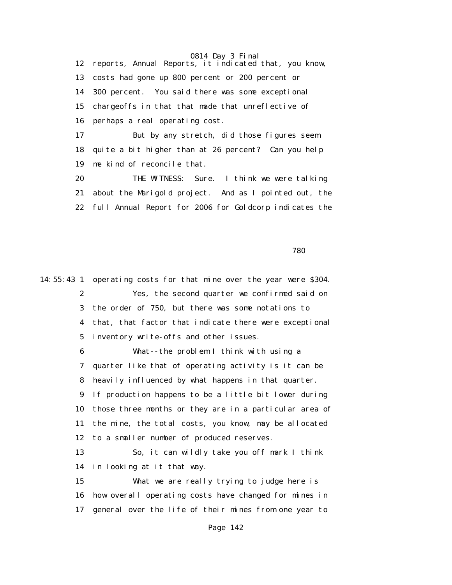12 reports, Annual Reports, it indicated that, you know, 13 costs had gone up 800 percent or 200 percent or 14 300 percent. You said there was some exceptional 15 chargeoffs in that that made that unreflective of 16 perhaps a real operating cost. 17 But by any stretch, did those figures seem

 18 quite a bit higher than at 26 percent? Can you help 19 me kind of reconcile that.

 20 THE WITNESS: Sure. I think we were talking 21 about the Marigold project. And as I pointed out, the 22 full Annual Report for 2006 for Goldcorp indicates the

 $780$ 

14:55:43 1 operating costs for that mine over the year were \$304. 2 Yes, the second quarter we confirmed said on 3 the order of 750, but there was some notations to 4 that, that factor that indicate there were exceptional 5 inventory write-offs and other issues. 6 What--the problem I think with using a 7 quarter like that of operating activity is it can be 8 heavily influenced by what happens in that quarter. 9 If production happens to be a little bit lower during 10 those three months or they are in a particular area of 11 the mine, the total costs, you know, may be allocated 12 to a smaller number of produced reserves. 13 So, it can wildly take you off mark I think 14 in looking at it that way. 15 What we are really trying to judge here is 16 how overall operating costs have changed for mines in 17 general over the life of their mines from one year to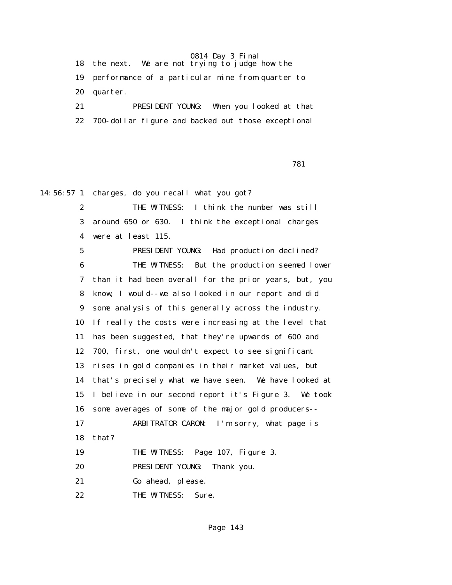18 the next. We are not trying to judge how the 19 performance of a particular mine from quarter to 20 quarter. 21 PRESIDENT YOUNG: When you looked at that

22 700-dollar figure and backed out those exceptional

<u>781 — Вилиппий и Станиции (1931 — 1931 — 1931 — 1931 — 1931 — 1931 — 1931 — 1931 — 1932 — 1933 — 1934 — 1935</u>

14:56:57 1 charges, do you recall what you got?

 2 THE WITNESS: I think the number was still 3 around 650 or 630. I think the exceptional charges 4 were at least 115.

 5 PRESIDENT YOUNG: Had production declined? 6 THE WITNESS: But the production seemed lower 7 than it had been overall for the prior years, but, you 8 know, I would--we also looked in our report and did 9 some analysis of this generally across the industry. 10 If really the costs were increasing at the level that 11 has been suggested, that they're upwards of 600 and 12 700, first, one wouldn't expect to see significant 13 rises in gold companies in their market values, but 14 that's precisely what we have seen. We have looked at 15 I believe in our second report it's Figure 3. We took 16 some averages of some of the major gold producers-- 17 ARBITRATOR CARON: I'm sorry, what page is 18 that? 19 THE WITNESS: Page 107, Figure 3. 20 PRESIDENT YOUNG: Thank you.

21 Go ahead, please.

22 THE WITNESS: Sure.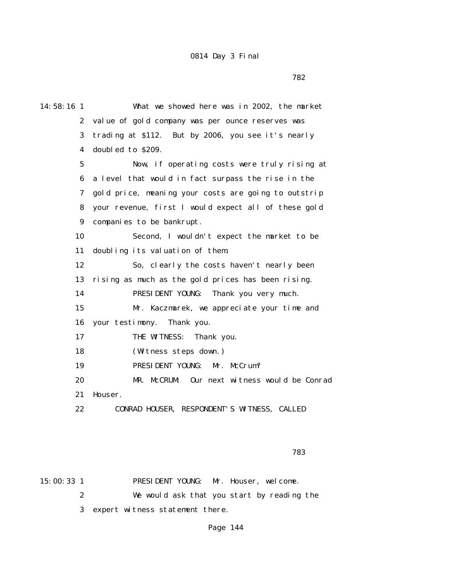$782$ 

| 14:58:16 1            | What we showed here was in 2002, the market          |
|-----------------------|------------------------------------------------------|
| $\mathbf{2}^{\prime}$ | value of gold company was per ounce reserves was     |
| 3                     | trading at \$112. But by 2006, you see it's nearly   |
| 4                     | doubled to \$209.                                    |
| $\mathbf{5}$          | Now, if operating costs were truly rising at         |
| 6                     | a level that would in fact surpass the rise in the   |
| 7                     | gold price, meaning your costs are going to outstrip |
| 8                     | your revenue, first I would expect all of these gold |
| 9                     | companies to be bankrupt.                            |
| 10                    | Second, I wouldn't expect the market to be           |
| 11                    | doubling its valuation of them.                      |
| 12                    | So, clearly the costs haven't nearly been            |
| 13                    | rising as much as the gold prices has been rising.   |
| 14                    | PRESIDENT YOUNG:<br>Thank you very much.             |
| 15                    | Mr. Kaczmarek, we appreciate your time and           |
| 16                    | your testimony.<br>Thank you.                        |
| 17                    | THE WITNESS:<br>Thank you.                           |
| 18                    | (Witness steps down.)                                |
| 19                    | PRESIDENT YOUNG:<br>Mr. McCrum?                      |
| 20                    | MR. McCRUM:<br>Our next witness would be Conrad      |
| 21                    | Houser.                                              |
| 22                    | CONRAD HOUSER, RESPONDENT'S WITNESS, CALLED          |
|                       |                                                      |

ли в село в село в село в село в село в село в село в село в село в 1783 година в село в 1783 година в село в<br>В 1783 година в село в 1783 година в село в 1783 година в село в 1783 година в село в 1783 година в 1783 годин

15:00:33 1 PRESIDENT YOUNG: Mr. Houser, welcome. 2 We would ask that you start by reading the 3 expert witness statement there.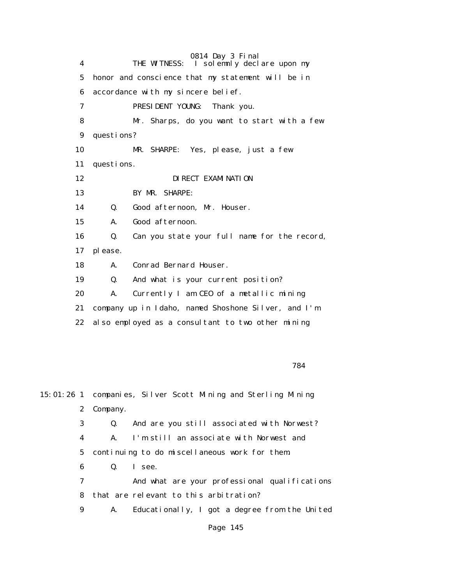0814 Day 3 Final 4 THE WITNESS: I solemnly declare upon my 5 honor and conscience that my statement will be in 6 accordance with my sincere belief. 7 PRESIDENT YOUNG: Thank you. 8 Mr. Sharps, do you want to start with a few 9 questions? 10 MR. SHARPE: Yes, please, just a few 11 questions. 12 **DIRECT EXAMINATION**  13 BY MR. SHARPE: 14 Q. Good afternoon, Mr. Houser. 15 A. Good afternoon. 16 Q. Can you state your full name for the record, 17 please. 18 A. Conrad Bernard Houser. 19 Q. And what is your current position? 20 A. Currently I am CEO of a metallic mining 21 company up in Idaho, named Shoshone Silver, and I'm 22 also employed as a consultant to two other mining

784

15:01:26 1 companies, Silver Scott Mining and Sterling Mining 2 Company. 3 Q. And are you still associated with Norwest? 4 A. I'm still an associate with Norwest and 5 continuing to do miscellaneous work for them. 6 Q. I see. 7 And what are your professional qualifications 8 that are relevant to this arbitration? 9 A. Educationally, I got a degree from the United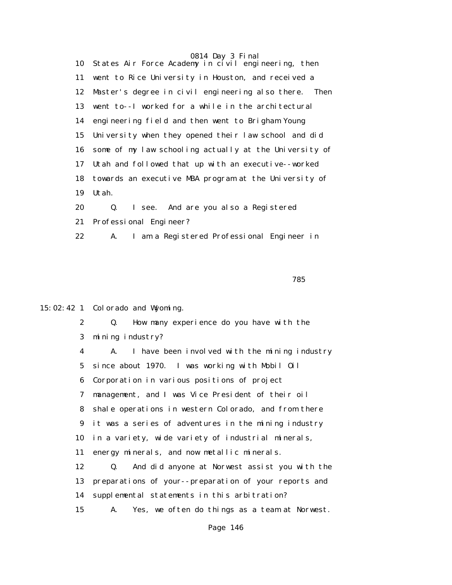10 States Air Force Academy in civil engineering, then 11 went to Rice University in Houston, and received a 12 Master's degree in civil engineering also there. Then 13 went to--I worked for a while in the architectural 14 engineering field and then went to Brigham Young 15 University when they opened their law school and did 16 some of my law schooling actually at the University of 17 Utah and followed that up with an executive--worked 18 towards an executive MBA program at the University of 19 Utah.

 20 Q. I see. And are you also a Registered 21 Professional Engineer? 22 A. I am a Registered Professional Engineer in

2 Q. How many experience do you have with the

<u>785 - Johann Stein, amerikan basar sebagai sebagai sebagai sebagai sebagai sebagai sebagai sebagai sebagai se</u>

15:02:42 1 Colorado and Wyoming.

 3 mining industry? 4 A. I have been involved with the mining industry 5 since about 1970. I was working with Mobil Oil 6 Corporation in various positions of project 7 management, and I was Vice President of their oil 8 shale operations in western Colorado, and from there 9 it was a series of adventures in the mining industry 10 in a variety, wide variety of industrial minerals, 11 energy minerals, and now metallic minerals. 12 Q. And did anyone at Norwest assist you with the 13 preparations of your--preparation of your reports and 14 supplemental statements in this arbitration? 15 A. Yes, we often do things as a team at Norwest.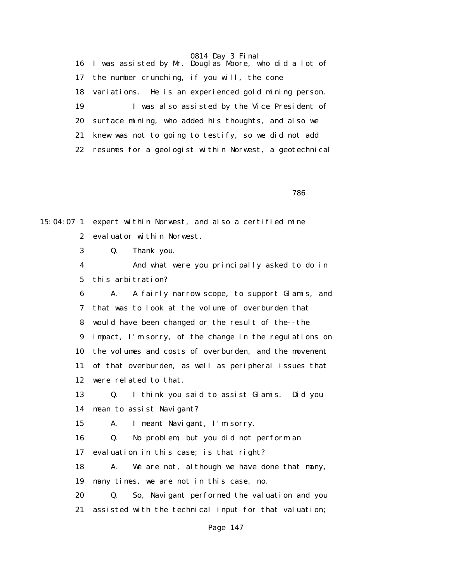16 I was assisted by Mr. Douglas Moore, who did a lot of 17 the number crunching, if you will, the cone 18 variations. He is an experienced gold mining person. 19 I was also assisted by the Vice President of 20 surface mining, who added his thoughts, and also we 21 knew was not to going to testify, so we did not add 22 resumes for a geologist within Norwest, a geotechnical

<u>786 - Johann Stein, amerikan basar sebagai sebagai sebagai sebagai sebagai sebagai sebagai sebagai sebagai se</u>

15:04:07 1 expert within Norwest, and also a certified mine 2 evaluator within Norwest.

3 Q. Thank you.

 4 And what were you principally asked to do in 5 this arbitration?

 6 A. A fairly narrow scope, to support Glamis, and 7 that was to look at the volume of overburden that 8 would have been changed or the result of the--the 9 impact, I'm sorry, of the change in the regulations on 10 the volumes and costs of overburden, and the movement 11 of that overburden, as well as peripheral issues that 12 were related to that.

 13 Q. I think you said to assist Glamis. Did you 14 mean to assist Navigant?

15 A. I meant Navigant, I'm sorry.

16 Q. No problem, but you did not perform an

17 evaluation in this case; is that right?

 18 A. We are not, although we have done that many, 19 many times, we are not in this case, no.

 20 Q. So, Navigant performed the valuation and you 21 assisted with the technical input for that valuation;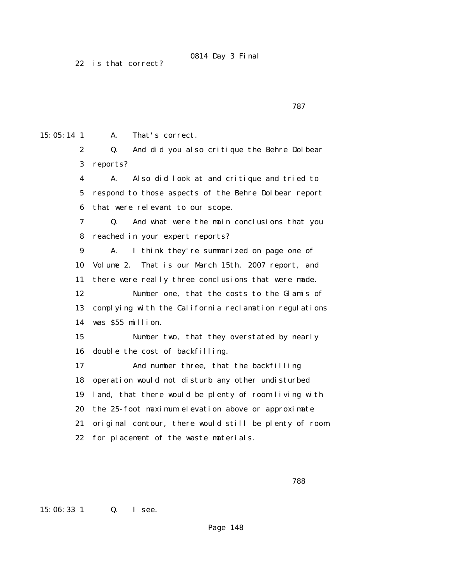22 is that correct?

ти в село в село в село в село в село в село в село в село в село в село в село в село в село в село в село в<br>287

15:05:14 1 A. That's correct.

 2 Q. And did you also critique the Behre Dolbear 3 reports?

 4 A. Also did look at and critique and tried to 5 respond to those aspects of the Behre Dolbear report 6 that were relevant to our scope.

 7 Q. And what were the main conclusions that you 8 reached in your expert reports?

 9 A. I think they're summarized on page one of 10 Volume 2. That is our March 15th, 2007 report, and 11 there were really three conclusions that were made.

 12 Number one, that the costs to the Glamis of 13 complying with the California reclamation regulations 14 was \$55 million.

 15 Number two, that they overstated by nearly 16 double the cost of backfilling.

 17 And number three, that the backfilling 18 operation would not disturb any other undisturbed 19 land, that there would be plenty of room living with 20 the 25-foot maximum elevation above or approximate 21 original contour, there would still be plenty of room 22 for placement of the waste materials.

15:06:33 1 Q. I see.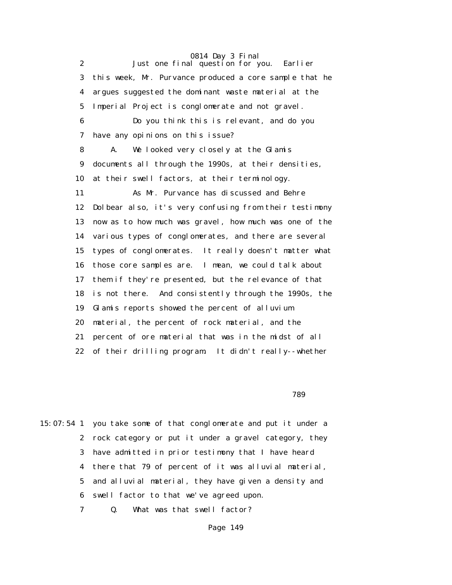0814 Day 3 Final 2 Just one final question for you. Earlier 3 this week, Mr. Purvance produced a core sample that he 4 argues suggested the dominant waste material at the 5 Imperial Project is conglomerate and not gravel. 6 Do you think this is relevant, and do you 7 have any opinions on this issue? 8 A. We looked very closely at the Glamis 9 documents all through the 1990s, at their densities, 10 at their swell factors, at their terminology. 11 As Mr. Purvance has discussed and Behre 12 Dolbear also, it's very confusing from their testimony 13 now as to how much was gravel, how much was one of the 14 various types of conglomerates, and there are several 15 types of conglomerates. It really doesn't matter what 16 those core samples are. I mean, we could talk about 17 them if they're presented, but the relevance of that 18 is not there. And consistently through the 1990s, the 19 Glamis reports showed the percent of alluvium 20 material, the percent of rock material, and the 21 percent of ore material that was in the midst of all 22 of their drilling program. It didn't really--whether

 $789$ 

15:07:54 1 you take some of that conglomerate and put it under a 2 rock category or put it under a gravel category, they 3 have admitted in prior testimony that I have heard 4 there that 79 of percent of it was alluvial material, 5 and alluvial material, they have given a density and 6 swell factor to that we've agreed upon.

7 Q. What was that swell factor?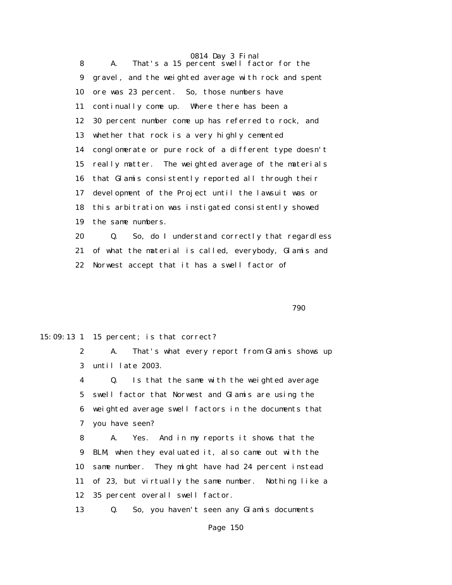0814 Day 3 Final 8 A. That's a 15 percent swell factor for the 9 gravel, and the weighted average with rock and spent 10 ore was 23 percent. So, those numbers have 11 continually come up. Where there has been a 12 30 percent number come up has referred to rock, and 13 whether that rock is a very highly cemented 14 conglomerate or pure rock of a different type doesn't 15 really matter. The weighted average of the materials 16 that Glamis consistently reported all through their 17 development of the Project until the lawsuit was or 18 this arbitration was instigated consistently showed 19 the same numbers.

 20 Q. So, do I understand correctly that regardless 21 of what the material is called, everybody, Glamis and 22 Norwest accept that it has a swell factor of

 $790$ 

15:09:13 1 15 percent; is that correct?

 2 A. That's what every report from Glamis shows up 3 until late 2003.

 4 Q. Is that the same with the weighted average 5 swell factor that Norwest and Glamis are using the 6 weighted average swell factors in the documents that 7 you have seen?

 8 A. Yes. And in my reports it shows that the 9 BLM, when they evaluated it, also came out with the 10 same number. They might have had 24 percent instead 11 of 23, but virtually the same number. Nothing like a 12 35 percent overall swell factor.

13 Q. So, you haven't seen any Glamis documents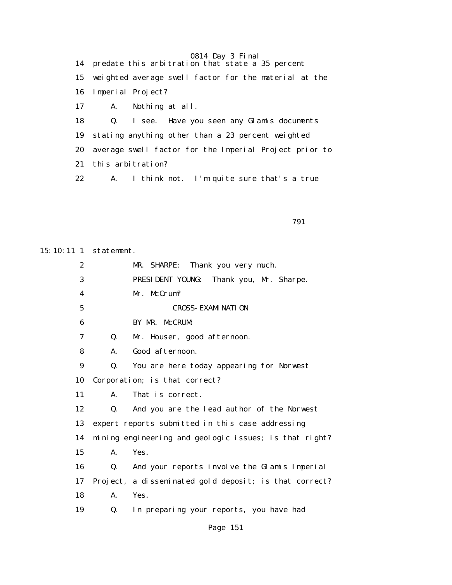0814 Day 3 Final 14 predate this arbitration that state a 35 percent 15 weighted average swell factor for the material at the 16 Imperial Project? 17 A. Nothing at all. 18 Q. I see. Have you seen any Glamis documents 19 stating anything other than a 23 percent weighted 20 average swell factor for the Imperial Project prior to 21 this arbitration? 22 A. I think not. I'm quite sure that's a true

последница в последници с последници с последници с последници с последници с последници с последници с послед<br>В 1991 године с последници с последници с последници с последници с последници с последници с последници с пос

15:10:11 1 statement.

 2 MR. SHARPE: Thank you very much. 3 PRESIDENT YOUNG: Thank you, Mr. Sharpe. 4 Mr. McCrum? 5 CROSS-EXAMINATION 6 BY MR. McCRUM: 7 Q. Mr. Houser, good afternoon. 8 A. Good afternoon. 9 Q. You are here today appearing for Norwest 10 Corporation; is that correct? 11 A. That is correct. 12 Q. And you are the lead author of the Norwest 13 expert reports submitted in this case addressing 14 mining engineering and geologic issues; is that right? 15 A. Yes. 16 Q. And your reports involve the Glamis Imperial 17 Project, a disseminated gold deposit; is that correct? 18 A. Yes. 19 Q. In preparing your reports, you have had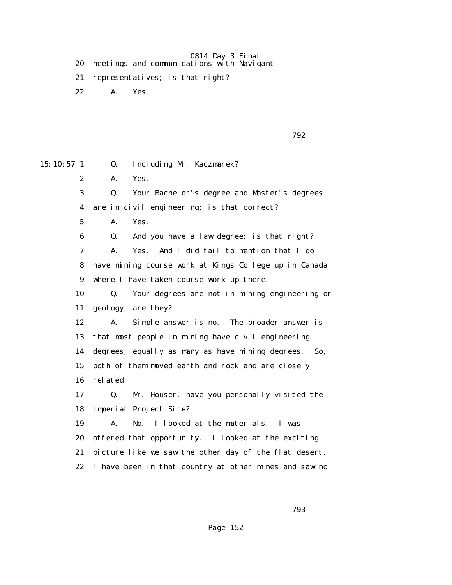- 20 meetings and communications with Navigant
- 21 representatives; is that right?
- 22 A. Yes.

|  | 792 |
|--|-----|
|  |     |

15:10:57 1 Q. Including Mr. Kaczmarek? 2 A. Yes. 3 Q. Your Bachelor's degree and Master's degrees 4 are in civil engineering; is that correct? 5 A. Yes. 6 Q. And you have a law degree; is that right? 7 A. Yes. And I did fail to mention that I do 8 have mining course work at Kings College up in Canada 9 where I have taken course work up there. 10 Q. Your degrees are not in mining engineering or 11 geology, are they? 12 A. Simple answer is no. The broader answer is 13 that most people in mining have civil engineering 14 degrees, equally as many as have mining degrees. So, 15 both of them moved earth and rock and are closely 16 related. 17 Q. Mr. Houser, have you personally visited the 18 Imperial Project Site? 19 A. No. I looked at the materials. I was 20 offered that opportunity. I looked at the exciting 21 picture like we saw the other day of the flat desert. 22 I have been in that country at other mines and saw no

ти в село в село в село в село в село в село в село в село в село в село в село в село в село в село в село в<br>2003 — В село в село в село в село в село в село в село в село в село в село в село в село в село в село в се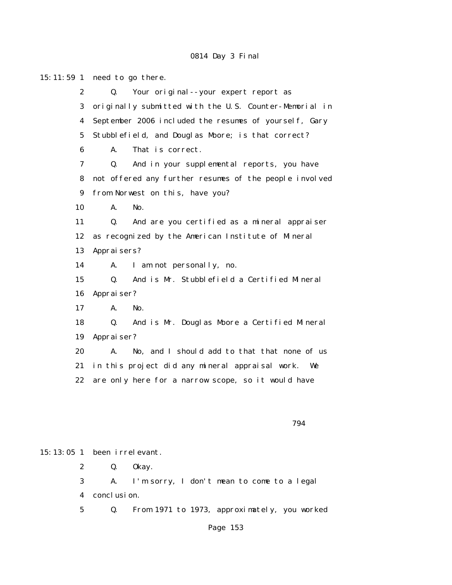15:11:59 1 need to go there. 2 Q. Your original--your expert report as 3 originally submitted with the U.S. Counter-Memorial in 4 September 2006 included the resumes of yourself, Gary 5 Stubblefield, and Douglas Moore; is that correct? 6 A. That is correct. 7 Q. And in your supplemental reports, you have 8 not offered any further resumes of the people involved 9 from Norwest on this, have you? 10 A. No. 11 Q. And are you certified as a mineral appraiser 12 as recognized by the American Institute of Mineral 13 Appraisers? 14 A. I am not personally, no. 15 Q. And is Mr. Stubblefield a Certified Mineral 16 Appraiser? 17 A. No. 18 Q. And is Mr. Douglas Moore a Certified Mineral 19 Appraiser? 20 A. No, and I should add to that that none of us 21 in this project did any mineral appraisal work. We 22 are only here for a narrow scope, so it would have

794

15:13:05 1 been irrelevant.

2 Q. Okay.

 3 A. I'm sorry, I don't mean to come to a legal 4 conclusion.

5 Q. From 1971 to 1973, approximately, you worked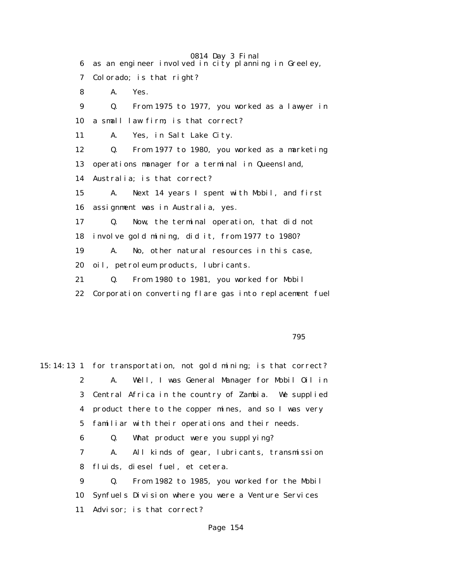0814 Day 3 Final 6 as an engineer involved in city planning in Greeley, 7 Colorado; is that right? 8 A. Yes. 9 Q. From 1975 to 1977, you worked as a lawyer in 10 a small law firm; is that correct? 11 A. Yes, in Salt Lake City. 12 Q. From 1977 to 1980, you worked as a marketing 13 operations manager for a terminal in Queensland, 14 Australia; is that correct? 15 A. Next 14 years I spent with Mobil, and first 16 assignment was in Australia, yes. 17 Q. Now, the terminal operation, that did not 18 involve gold mining, did it, from 1977 to 1980? 19 A. No, other natural resources in this case, 20 oil, petroleum products, lubricants. 21 Q. From 1980 to 1981, you worked for Mobil 22 Corporation converting flare gas into replacement fuel

<u>795 - Johann Stein, amerikan bahasa pengaran sebagai pengaran sebagai pengaran sebagai pengaran sebagai penga</u>

15:14:13 1 for transportation, not gold mining; is that correct? 2 A. Well, I was General Manager for Mobil Oil in 3 Central Africa in the country of Zambia. We supplied 4 product there to the copper mines, and so I was very 5 familiar with their operations and their needs. 6 Q. What product were you supplying? 7 A. All kinds of gear, lubricants, transmission 8 fluids, diesel fuel, et cetera. 9 Q. From 1982 to 1985, you worked for the Mobil 10 Synfuels Division where you were a Venture Services 11 Advisor; is that correct?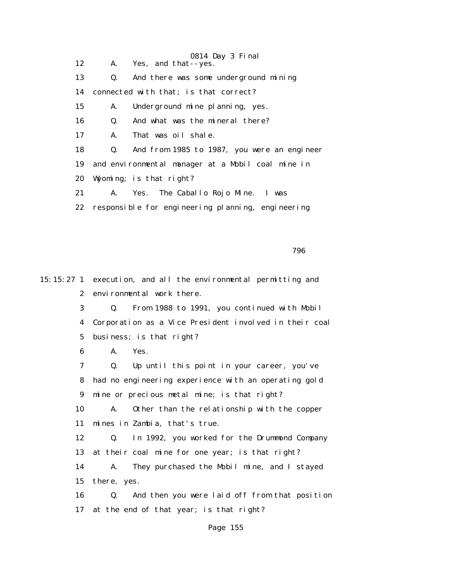0814 Day 3 Final 12 A. Yes, and that--yes. 13 Q. And there was some underground mining 14 connected with that; is that correct? 15 A. Underground mine planning, yes. 16 Q. And what was the mineral there? 17 A. That was oil shale. 18 Q. And from 1985 to 1987, you were an engineer 19 and environmental manager at a Mobil coal mine in 20 Wyoming; is that right? 21 A. Yes. The Caballo Rojo Mine. I was 22 responsible for engineering planning, engineering

<u>796 - Johann Stein, amerikan basar sebagai sebagai sebagai sebagai sebagai sebagai sebagai sebagai sebagai se</u>

15:15:27 1 execution, and all the environmental permitting and 2 environmental work there.

> 3 Q. From 1988 to 1991, you continued with Mobil 4 Corporation as a Vice President involved in their coal 5 business; is that right?

6 A. Yes.

 7 Q. Up until this point in your career, you've 8 had no engineering experience with an operating gold 9 mine or precious metal mine; is that right?

 10 A. Other than the relationship with the copper 11 mines in Zambia, that's true.

 12 Q. In 1992, you worked for the Drummond Company 13 at their coal mine for one year; is that right?

 14 A. They purchased the Mobil mine, and I stayed 15 there, yes.

 16 Q. And then you were laid off from that position 17 at the end of that year; is that right?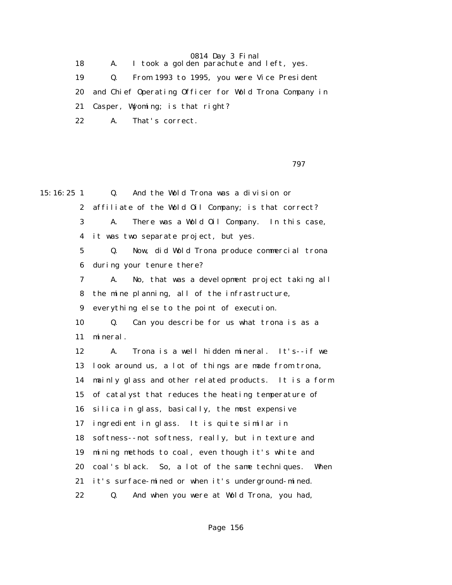18 A. I took a golden parachute and left, yes.

19 Q. From 1993 to 1995, you were Vice President

20 and Chief Operating Officer for Wold Trona Company in

21 Casper, Wyoming; is that right?

22 A. That's correct.

ти в село в село в село в село в село в село в село в село в село в село в село в село в село в село в село в<br>После в село в село в село в село в село в село в село в село в село в село в село в село в село в село в село

15:16:25 1 Q. And the Wold Trona was a division or 2 affiliate of the Wold Oil Company; is that correct? 3 A. There was a Wold Oil Company. In this case, 4 it was two separate project, but yes. 5 Q. Now, did Wold Trona produce commercial trona 6 during your tenure there? 7 A. No, that was a development project taking all 8 the mine planning, all of the infrastructure, 9 everything else to the point of execution. 10 Q. Can you describe for us what trona is as a 11 mineral. 12 A. Trona is a well hidden mineral. It's--if we 13 look around us, a lot of things are made from trona, 14 mainly glass and other related products. It is a form 15 of catalyst that reduces the heating temperature of 16 silica in glass, basically, the most expensive 17 ingredient in glass. It is quite similar in 18 softness--not softness, really, but in texture and 19 mining methods to coal, even though it's white and 20 coal's black. So, a lot of the same techniques. When 21 it's surface-mined or when it's underground-mined. 22 Q. And when you were at Wold Trona, you had,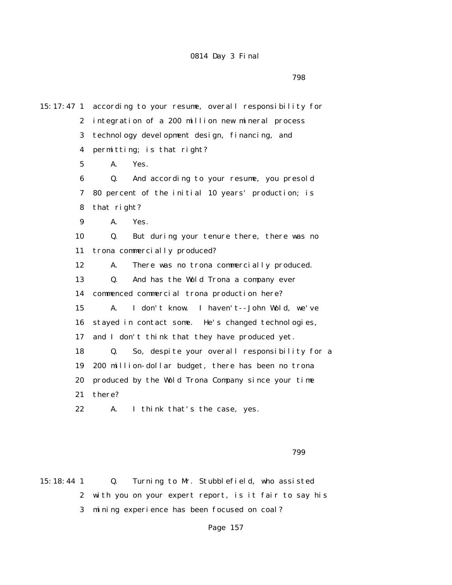15:17:47 1 according to your resume, overall responsibility for 2 integration of a 200 million new mineral process 3 technology development design, financing, and 4 permitting; is that right? 5 A. Yes. 6 Q. And according to your resume, you presold 7 80 percent of the initial 10 years' production; is 8 that right? 9 A. Yes. 10 Q. But during your tenure there, there was no 11 trona commercially produced? 12 A. There was no trona commercially produced. 13 Q. And has the Wold Trona a company ever 14 commenced commercial trona production here? 15 A. I don't know. I haven't--John Wold, we've 16 stayed in contact some. He's changed technologies, 17 and I don't think that they have produced yet. 18 Q. So, despite your overall responsibility for a 19 200 million-dollar budget, there has been no trona 20 produced by the Wold Trona Company since your time 21 there? 22 A. I think that's the case, yes.

 $799$ 

15:18:44 1 Q. Turning to Mr. Stubblefield, who assisted 2 with you on your expert report, is it fair to say his 3 mining experience has been focused on coal?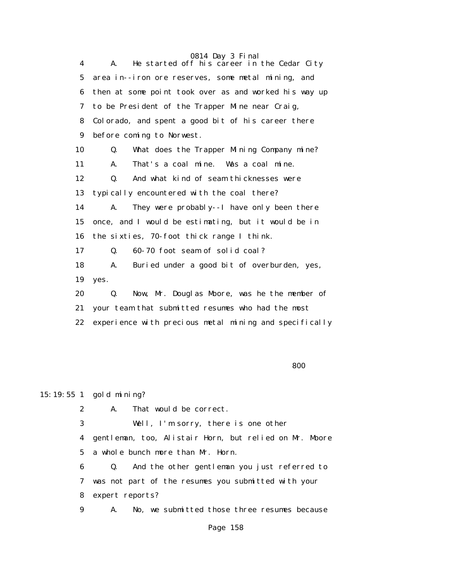4 A. He started off his career in the Cedar City 5 area in--iron ore reserves, some metal mining, and 6 then at some point took over as and worked his way up 7 to be President of the Trapper Mine near Craig, 8 Colorado, and spent a good bit of his career there 9 before coming to Norwest. 10 Q. What does the Trapper Mining Company mine? 11 A. That's a coal mine. Was a coal mine. 12 Q. And what kind of seam thicknesses were 13 typically encountered with the coal there? 14 A. They were probably--I have only been there 15 once, and I would be estimating, but it would be in 16 the sixties, 70-foot thick range I think. 17 Q. 60-70 foot seam of solid coal? 18 A. Buried under a good bit of overburden, yes, 19 yes. 20 Q. Now, Mr. Douglas Moore, was he the member of 21 your team that submitted resumes who had the most 22 experience with precious metal mining and specifically

<u>800 and the state of the state of the state of the state of the state of the state of the state of the state of the state of the state of the state of the state of the state of the state of the state of the state of the s</u>

15:19:55 1 gold mining?

2 A. That would be correct.

3 Well, I'm sorry, there is one other

 4 gentleman, too, Alistair Horn, but relied on Mr. Moore 5 a whole bunch more than Mr. Horn.

 6 Q. And the other gentleman you just referred to 7 was not part of the resumes you submitted with your 8 expert reports?

9 A. No, we submitted those three resumes because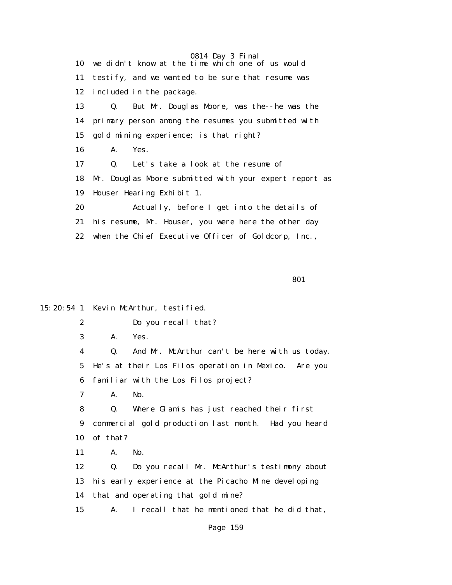|    | 0814 Day 3 Final                                       |
|----|--------------------------------------------------------|
|    | 10 we didn't know at the time which one of us would    |
| 11 | testify, and we wanted to be sure that resume was      |
| 12 | included in the package.                               |
| 13 | But Mr. Douglas Moore, was the--he was the<br>Q.       |
|    | 14 primary person among the resumes you submitted with |
| 15 | gold mining experience; is that right?                 |
| 16 | A.<br>Yes.                                             |
| 17 | Let's take a look at the resume of<br>$\mathbf{0}$ .   |
| 18 | Mr. Douglas Moore submitted with your expert report as |
| 19 | Houser Hearing Exhibit 1.                              |
| 20 | Actually, before I get into the details of             |
| 21 | his resume, Mr. Houser, you were here the other day    |
| 22 | when the Chief Executive Officer of Goldcorp, Inc.,    |
|    |                                                        |

entration of the contract of the contract of the contract of the contract of the contract of the contract of the contract of the contract of the contract of the contract of the contract of the contract of the contract of t

15:20:54 1 Kevin McArthur, testified.

2 Do you recall that?

3 A. Yes.

 4 Q. And Mr. McArthur can't be here with us today. 5 He's at their Los Filos operation in Mexico. Are you 6 familiar with the Los Filos project?

7 A. No.

 8 Q. Where Glamis has just reached their first 9 commercial gold production last month. Had you heard 10 of that?

11 A. No.

 12 Q. Do you recall Mr. McArthur's testimony about 13 his early experience at the Picacho Mine developing 14 that and operating that gold mine? 15 A. I recall that he mentioned that he did that,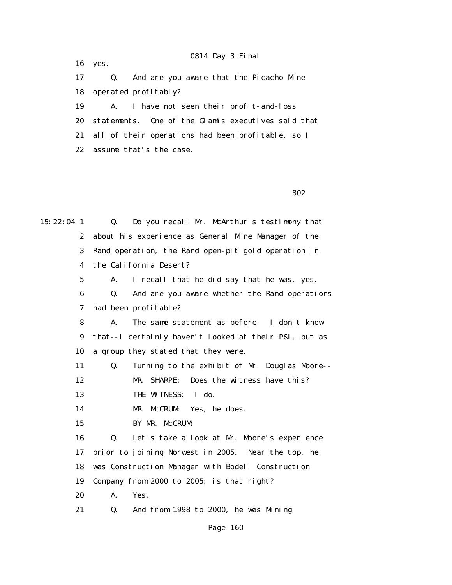16 yes.

 17 Q. And are you aware that the Picacho Mine 18 operated profitably?

 19 A. I have not seen their profit-and-loss 20 statements. One of the Glamis executives said that 21 all of their operations had been profitable, so I 22 assume that's the case.

802

15:22:04 1 Q. Do you recall Mr. McArthur's testimony that 2 about his experience as General Mine Manager of the 3 Rand operation, the Rand open-pit gold operation in 4 the California Desert? 5 A. I recall that he did say that he was, yes. 6 Q. And are you aware whether the Rand operations 7 had been profitable? 8 A. The same statement as before. I don't know 9 that--I certainly haven't looked at their P&L, but as 10 a group they stated that they were. 11 Q. Turning to the exhibit of Mr. Douglas Moore-- 12 MR. SHARPE: Does the witness have this? 13 THE WITNESS: I do. 14 MR. McCRUM: Yes, he does. 15 BY MR. McCRUM: 16 Q. Let's take a look at Mr. Moore's experience 17 prior to joining Norwest in 2005. Near the top, he 18 was Construction Manager with Bodell Construction 19 Company from 2000 to 2005; is that right? 20 A. Yes. 21 Q. And from 1998 to 2000, he was Mining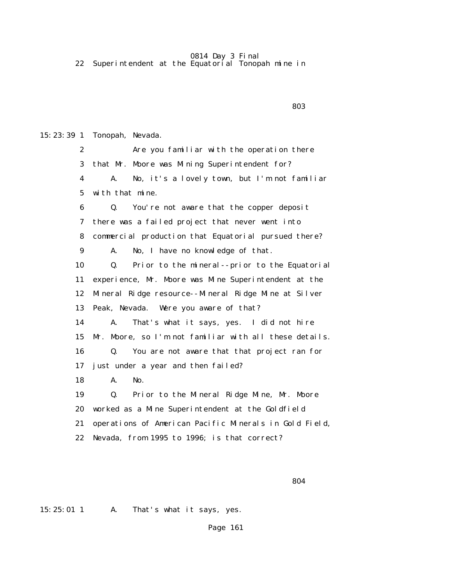22 Superintendent at the Equatorial Tonopah mine in

<u>803 - Andrea Statistica Andrea Statistica Andrea Statistica Andrea Statistica Andrea Statistica Andrea Sta</u>

15:23:39 1 Tonopah, Nevada. 2 Are you familiar with the operation there 3 that Mr. Moore was Mining Superintendent for? 4 A. No, it's a lovely town, but I'm not familiar 5 with that mine. 6 Q. You're not aware that the copper deposit 7 there was a failed project that never went into 8 commercial production that Equatorial pursued there? 9 A. No, I have no knowledge of that. 10 Q. Prior to the mineral--prior to the Equatorial 11 experience, Mr. Moore was Mine Superintendent at the 12 Mineral Ridge resource--Mineral Ridge Mine at Silver 13 Peak, Nevada. Were you aware of that? 14 A. That's what it says, yes. I did not hire 15 Mr. Moore, so I'm not familiar with all these details. 16 Q. You are not aware that that project ran for 17 just under a year and then failed? 18 A. No. 19 Q. Prior to the Mineral Ridge Mine, Mr. Moore 20 worked as a Mine Superintendent at the Goldfield 21 operations of American Pacific Minerals in Gold Field, 22 Nevada, from 1995 to 1996; is that correct?

 $804$ 

15:25:01 1 A. That's what it says, yes.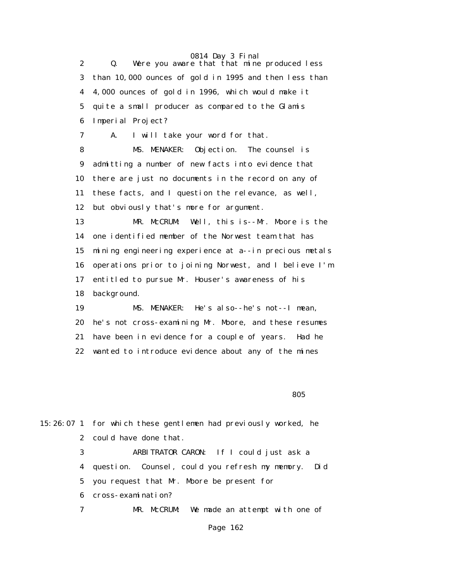2 Q. Were you aware that that mine produced less 3 than 10,000 ounces of gold in 1995 and then less than 4 4,000 ounces of gold in 1996, which would make it 5 quite a small producer as compared to the Glamis 6 Imperial Project? 7 A. I will take your word for that. 8 MS. MENAKER: Objection. The counsel is 9 admitting a number of new facts into evidence that 10 there are just no documents in the record on any of 11 these facts, and I question the relevance, as well, 12 but obviously that's more for argument. 13 MR. McCRUM: Well, this is--Mr. Moore is the 14 one identified member of the Norwest team that has 15 mining engineering experience at a--in precious metals 16 operations prior to joining Norwest, and I believe I'm 17 entitled to pursue Mr. Houser's awareness of his 18 background. 19 MS. MENAKER: He's also--he's not--I mean, 20 he's not cross-examining Mr. Moore, and these resumes 21 have been in evidence for a couple of years. Had he 22 wanted to introduce evidence about any of the mines

<u>1980 - Ann an Cathrachas, ann an Cathrachas ann an 1980 - Ann an 1980 - Ann an 1980 - Ann an 1980 - Ann an 19</u>

|   | 15:26:07 1 for which these gentlemen had previously worked, he |
|---|----------------------------------------------------------------|
|   | 2 could have done that.                                        |
| 3 | ARBITRATOR CARON: If I could just ask a                        |
|   | 4 question. Counsel, could you refresh my memory. Did          |
|   | 5 you request that Mr. Moore be present for                    |
|   | 6 cross-examination?                                           |
| 7 | MR. McCRUM: We made an attempt with one of                     |
|   |                                                                |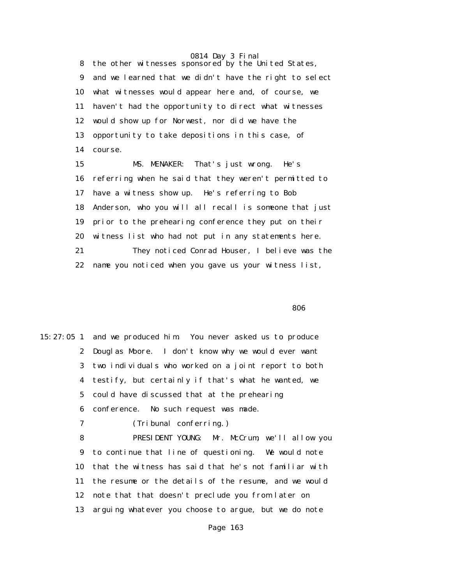8 the other witnesses sponsored by the United States, 9 and we learned that we didn't have the right to select 10 what witnesses would appear here and, of course, we 11 haven't had the opportunity to direct what witnesses 12 would show up for Norwest, nor did we have the 13 opportunity to take depositions in this case, of 14 course.

 15 MS. MENAKER: That's just wrong. He's 16 referring when he said that they weren't permitted to 17 have a witness show up. He's referring to Bob 18 Anderson, who you will all recall is someone that just 19 prior to the prehearing conference they put on their 20 witness list who had not put in any statements here. 21 They noticed Conrad Houser, I believe was the 22 name you noticed when you gave us your witness list,

<u>1980 - Andrej Sterne Sterne Sterne Sterne Sterne Sterne Sterne Sterne Sterne Sterne Sterne Sterne Sterne Ste</u>

15:27:05 1 and we produced him. You never asked us to produce 2 Douglas Moore. I don't know why we would ever want 3 two individuals who worked on a joint report to both 4 testify, but certainly if that's what he wanted, we 5 could have discussed that at the prehearing 6 conference. No such request was made.

7 (Tribunal conferring.)

 8 PRESIDENT YOUNG: Mr. McCrum, we'll allow you 9 to continue that line of questioning. We would note 10 that the witness has said that he's not familiar with 11 the resume or the details of the resume, and we would 12 note that that doesn't preclude you from later on 13 arguing whatever you choose to argue, but we do note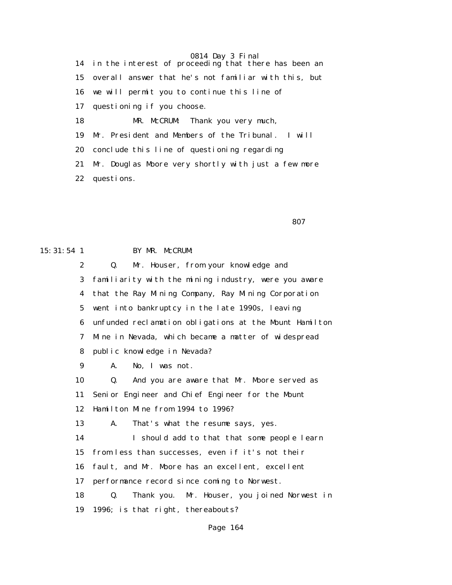14 in the interest of proceeding that there has been an 15 overall answer that he's not familiar with this, but 16 we will permit you to continue this line of 17 questioning if you choose. 18 MR. McCRUM: Thank you very much, 19 Mr. President and Members of the Tribunal. I will 20 conclude this line of questioning regarding 21 Mr. Douglas Moore very shortly with just a few more 22 questions.

<u>807 - Santa Carlos Andrew Stein American Stein American Stein American Stein American Stein American Stein Ame</u>

#### 15:31:54 1 BY MR. McCRUM:

 2 Q. Mr. Houser, from your knowledge and 3 familiarity with the mining industry, were you aware 4 that the Ray Mining Company, Ray Mining Corporation 5 went into bankruptcy in the late 1990s, leaving 6 unfunded reclamation obligations at the Mount Hamilton 7 Mine in Nevada, which became a matter of widespread 8 public knowledge in Nevada? 9 A. No, I was not. 10 Q. And you are aware that Mr. Moore served as 11 Senior Engineer and Chief Engineer for the Mount 12 Hamilton Mine from 1994 to 1996? 13 A. That's what the resume says, yes. 14 I should add to that that some people learn 15 from less than successes, even if it's not their 16 fault, and Mr. Moore has an excellent, excellent 17 performance record since coming to Norwest. 18 Q. Thank you. Mr. Houser, you joined Norwest in 19 1996; is that right, thereabouts?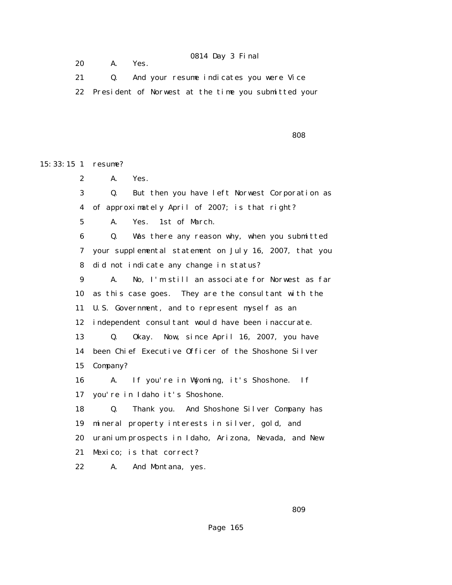20 A. Yes.

## 0814 Day 3 Final

 21 Q. And your resume indicates you were Vice 22 President of Norwest at the time you submitted your

<u>and the contract of the contract of the contract of the contract of the contract of the contract of the contract of the contract of the contract of the contract of the contract of the contract of the contract of the contr</u>

15:33:15 1 resume?

2 A. Yes.

 3 Q. But then you have left Norwest Corporation as 4 of approximately April of 2007; is that right?

5 A. Yes. 1st of March.

 6 Q. Was there any reason why, when you submitted 7 your supplemental statement on July 16, 2007, that you 8 did not indicate any change in status?

 9 A. No, I'm still an associate for Norwest as far 10 as this case goes. They are the consultant with the 11 U.S. Government, and to represent myself as an 12 independent consultant would have been inaccurate. 13 Q. Okay. Now, since April 16, 2007, you have 14 been Chief Executive Officer of the Shoshone Silver 15 Company?

 16 A. If you're in Wyoming, it's Shoshone. If 17 you're in Idaho it's Shoshone.

 18 Q. Thank you. And Shoshone Silver Company has 19 mineral property interests in silver, gold, and 20 uranium prospects in Idaho, Arizona, Nevada, and New 21 Mexico; is that correct?

22 A. And Montana, yes.

<u>and the state of the state of the state of the state of the state of the state of the state of the state of the state of the state of the state of the state of the state of the state of the state of the state of the state</u>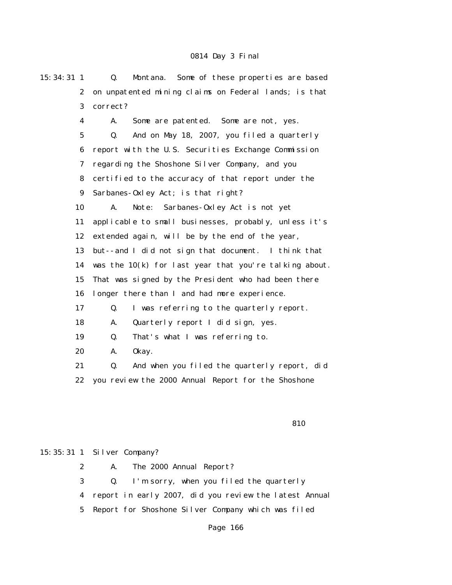| 15:34:31 1              | Some of these properties are based<br>Montana.<br>Q.   |  |  |  |  |
|-------------------------|--------------------------------------------------------|--|--|--|--|
| $\boldsymbol{2}$        | on unpatented mining claims on Federal lands; is that  |  |  |  |  |
| 3                       | correct?                                               |  |  |  |  |
| $\overline{\mathbf{4}}$ | A.<br>Some are patented. Some are not, yes.            |  |  |  |  |
| $\mathbf{5}$            | And on May 18, 2007, you filed a quarterly<br>Q.       |  |  |  |  |
| 6                       | report with the U.S. Securities Exchange Commission    |  |  |  |  |
| 7                       | regarding the Shoshone Silver Company, and you         |  |  |  |  |
| 8                       | certified to the accuracy of that report under the     |  |  |  |  |
| $\boldsymbol{9}$        | Sarbanes-Oxley Act; is that right?                     |  |  |  |  |
| 10                      | Sarbanes-Oxley Act is not yet<br>Note:<br>A.           |  |  |  |  |
| 11                      | applicable to small businesses, probably, unless it's  |  |  |  |  |
| 12                      | extended again, will be by the end of the year,        |  |  |  |  |
| 13                      | but--and I did not sign that document. I think that    |  |  |  |  |
| 14                      | was the 10(k) for last year that you're talking about. |  |  |  |  |
| 15                      | That was signed by the President who had been there    |  |  |  |  |
| 16                      | longer there than I and had more experience.           |  |  |  |  |
| 17                      | I was referring to the quarterly report.<br>Q.         |  |  |  |  |
| 18                      | A.<br>Quarterly report I did sign, yes.                |  |  |  |  |
| 19                      | That's what I was referring to.<br>Q.                  |  |  |  |  |
| 20                      | 0kay.<br>A.                                            |  |  |  |  |
| 21                      | And when you filed the quarterly report, did<br>Q.     |  |  |  |  |
| 22                      | you review the 2000 Annual Report for the Shoshone     |  |  |  |  |
|                         |                                                        |  |  |  |  |

### <u>810</u>

# 15:35:31 1 Silver Company?

 2 A. The 2000 Annual Report? 3 Q. I'm sorry, when you filed the quarterly 4 report in early 2007, did you review the latest Annual 5 Report for Shoshone Silver Company which was filed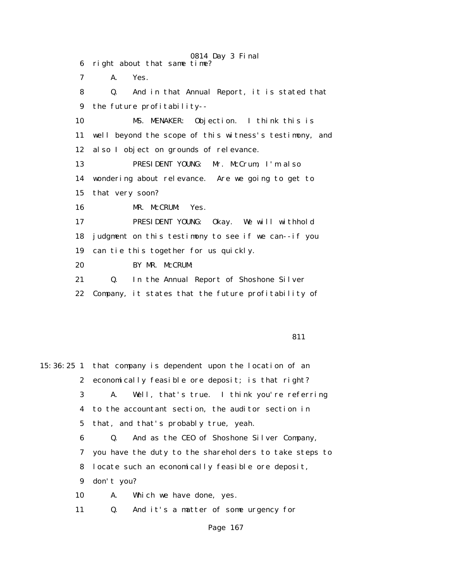0814 Day 3 Final 6 right about that same time? 7 A. Yes. 8 Q. And in that Annual Report, it is stated that 9 the future profitability-- 10 MS. MENAKER: Objection. I think this is 11 well beyond the scope of this witness's testimony, and 12 also I object on grounds of relevance. 13 PRESIDENT YOUNG: Mr. McCrum, I'm also 14 wondering about relevance. Are we going to get to 15 that very soon? 16 MR. McCRUM: Yes. 17 PRESIDENT YOUNG: Okay. We will withhold 18 judgment on this testimony to see if we can--if you 19 can tie this together for us quickly. 20 BY MR. McCRUM: 21 Q. In the Annual Report of Shoshone Silver 22 Company, it states that the future profitability of

**811** 

15:36:25 1 that company is dependent upon the location of an 2 economically feasible ore deposit; is that right? 3 A. Well, that's true. I think you're referring 4 to the accountant section, the auditor section in 5 that, and that's probably true, yeah. 6 Q. And as the CEO of Shoshone Silver Company, 7 you have the duty to the shareholders to take steps to 8 locate such an economically feasible ore deposit, 9 don't you? 10 A. Which we have done, yes. 11 Q. And it's a matter of some urgency for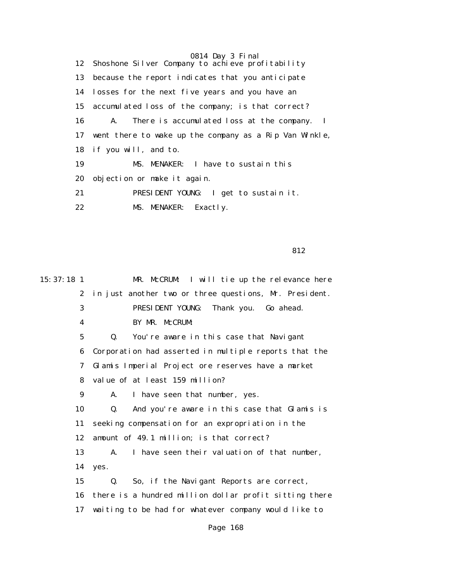0814 Day 3 Final 12 Shoshone Silver Company to achieve profitability 13 because the report indicates that you anticipate 14 losses for the next five years and you have an 15 accumulated loss of the company; is that correct? 16 A. There is accumulated loss at the company. I 17 went there to wake up the company as a Rip Van Winkle, 18 if you will, and to. 19 MS. MENAKER: I have to sustain this 20 objection or make it again. 21 PRESIDENT YOUNG: I get to sustain it. 22 MS. MENAKER: Exactly.

<u>812</u>

| 15:37:18 1       | MR. McCRUM: I will tie up the relevance here              |
|------------------|-----------------------------------------------------------|
| $\boldsymbol{2}$ | in just another two or three questions, Mr. President.    |
| 3                | PRESIDENT YOUNG: Thank you. Go ahead.                     |
| 4                | BY MR. McCRUM:                                            |
| $\mathbf 5$      | $\mathbf{0}$ .<br>You're aware in this case that Navigant |
| 6                | Corporation had asserted in multiple reports that the     |
| 7                | Glamis Imperial Project ore reserves have a market        |
| 8                | value of at least 159 million?                            |
| 9                | I have seen that number, yes.<br>A.                       |
| 10               | Q.<br>And you're aware in this case that Glamis is        |
| 11               | seeking compensation for an expropriation in the          |
| 12               | amount of 49.1 million; is that correct?                  |
| 13               | I have seen their valuation of that number,<br>A.         |
| 14               | yes.                                                      |
| 15               | So, if the Navigant Reports are correct,<br>Q.            |
| 16               | there is a hundred million dollar profit sitting there    |
| 17               | waiting to be had for whatever company would like to      |
|                  |                                                           |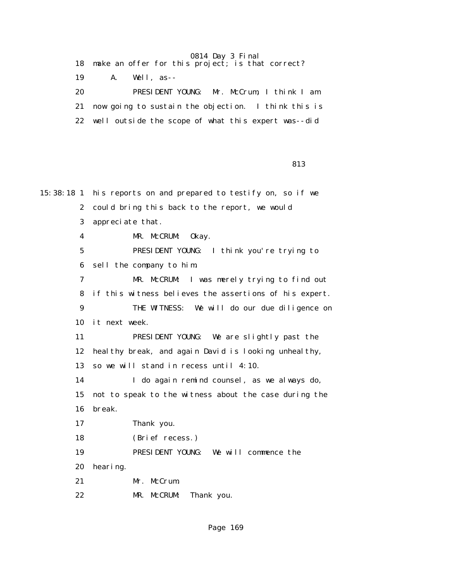|    | 18 make an offer for this project; is that correct?    |
|----|--------------------------------------------------------|
| 19 | A. Well, as--                                          |
| 20 | PRESIDENT YOUNG: Mr. McCrum, I think I am              |
|    | 21 now going to sustain the objection. I think this is |
|    | 22 well outside the scope of what this expert was--did |

<u>813</u>

15:38:18 1 his reports on and prepared to testify on, so if we 2 could bring this back to the report, we would 3 appreciate that. 4 MR. McCRUM: Okay. 5 PRESIDENT YOUNG: I think you're trying to 6 sell the company to him. 7 MR. McCRUM: I was merely trying to find out 8 if this witness believes the assertions of his expert. 9 THE WITNESS: We will do our due diligence on 10 it next week. 11 PRESIDENT YOUNG: We are slightly past the 12 healthy break, and again David is looking unhealthy, 13 so we will stand in recess until 4:10. 14 I do again remind counsel, as we always do, 15 not to speak to the witness about the case during the 16 break. 17 Thank you. 18 (Brief recess.) 19 PRESIDENT YOUNG: We will commence the 20 hearing. 21 Mr. McCrum.

22 MR. McCRUM: Thank you.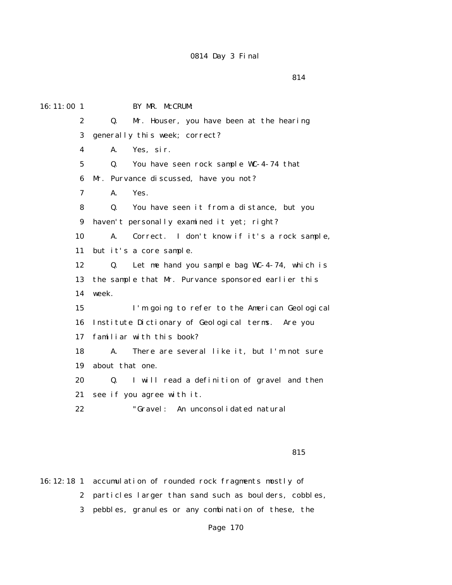| 16:11:00 1       | BY MR. McCRUM:                                                 |  |  |  |  |
|------------------|----------------------------------------------------------------|--|--|--|--|
| $\boldsymbol{2}$ | Mr. Houser, you have been at the hearing<br>Q.                 |  |  |  |  |
| 3                | generally this week; correct?                                  |  |  |  |  |
| 4                | Yes, sir.<br>A.                                                |  |  |  |  |
| $5\overline{ }$  | Q.<br>You have seen rock sample WC-4-74 that                   |  |  |  |  |
| 6                | Mr. Purvance discussed, have you not?                          |  |  |  |  |
| 7                | Yes.<br>A.                                                     |  |  |  |  |
| 8                | You have seen it from a distance, but you<br>Q.                |  |  |  |  |
| 9                | haven't personally examined it yet; right?                     |  |  |  |  |
| 10               | A.<br>Correct. I don't know if it's a rock sample,             |  |  |  |  |
| 11               | but it's a core sample.                                        |  |  |  |  |
| 12               | Let me hand you sample bag WC-4-74, which is<br>$\mathbf{0}$ . |  |  |  |  |
| 13               | the sample that Mr. Purvance sponsored earlier this            |  |  |  |  |
| 14               | week.                                                          |  |  |  |  |
| 15               | I'm going to refer to the American Geological                  |  |  |  |  |
| 16               | Institute Dictionary of Geological terms. Are you              |  |  |  |  |
| 17               | familiar with this book?                                       |  |  |  |  |
| 18               | There are several like it, but I'm not sure<br>A.              |  |  |  |  |
| 19               | about that one.                                                |  |  |  |  |
| 20               | Q.<br>I will read a definition of gravel and then              |  |  |  |  |
| 21               | see if you agree with it.                                      |  |  |  |  |
| 22               | "Gravel:<br>An unconsolidated natural                          |  |  |  |  |

<u>815</u>

16:12:18 1 accumulation of rounded rock fragments mostly of 2 particles larger than sand such as boulders, cobbles, 3 pebbles, granules or any combination of these, the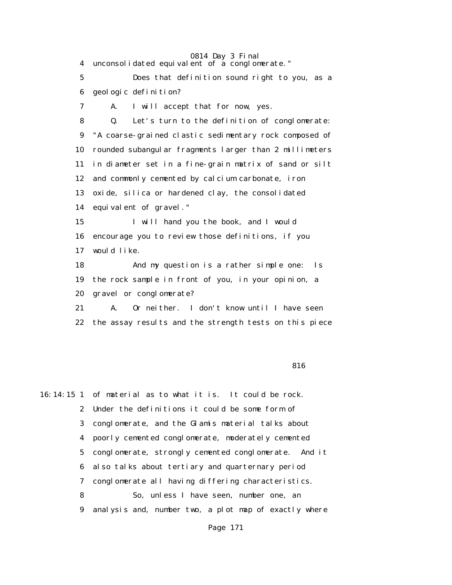4 unconsolidated equivalent of a conglomerate."

 5 Does that definition sound right to you, as a 6 geologic definition?

7 A. I will accept that for now, yes.

 8 Q. Let's turn to the definition of conglomerate: 9 "A coarse-grained clastic sedimentary rock composed of 10 rounded subangular fragments larger than 2 millimeters 11 in diameter set in a fine-grain matrix of sand or silt 12 and commonly cemented by calcium carbonate, iron 13 oxide, silica or hardened clay, the consolidated 14 equivalent of gravel."

 15 I will hand you the book, and I would 16 encourage you to review those definitions, if you 17 would like.

 18 And my question is a rather simple one: Is 19 the rock sample in front of you, in your opinion, a 20 gravel or conglomerate?

 21 A. Or neither. I don't know until I have seen 22 the assay results and the strength tests on this piece

#### <u>816</u> and the set of the set of the set of the set of the set of the set of the set of the set of the set of the set of the set of the set of the set of the set of the set of the set of the set of the set of the set of the

16:14:15 1 of material as to what it is. It could be rock. 2 Under the definitions it could be some form of 3 conglomerate, and the Glamis material talks about 4 poorly cemented conglomerate, moderately cemented 5 conglomerate, strongly cemented conglomerate. And it 6 also talks about tertiary and quarternary period 7 conglomerate all having differing characteristics. 8 So, unless I have seen, number one, an 9 analysis and, number two, a plot map of exactly where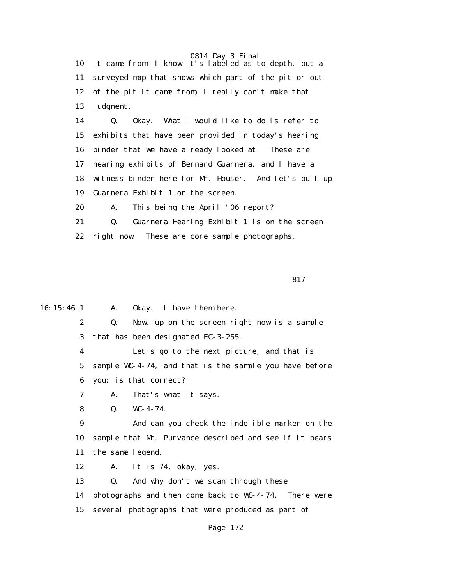10 it came from--I know it's labeled as to depth, but a 11 surveyed map that shows which part of the pit or out 12 of the pit it came from, I really can't make that 13 judgment.

 14 Q. Okay. What I would like to do is refer to 15 exhibits that have been provided in today's hearing 16 binder that we have already looked at. These are 17 hearing exhibits of Bernard Guarnera, and I have a 18 witness binder here for Mr. Houser. And let's pull up 19 Guarnera Exhibit 1 on the screen. 20 A. This being the April '06 report?

 21 Q. Guarnera Hearing Exhibit 1 is on the screen 22 right now. These are core sample photographs.

<u>817</u>

16:15:46 1 A. Okay. I have them here.

 2 Q. Now, up on the screen right now is a sample 3 that has been designated EC-3-255.

 4 Let's go to the next picture, and that is 5 sample WC-4-74, and that is the sample you have before 6 you; is that correct?

7 A. That's what it says.

8 Q. WC-4-74.

 9 And can you check the indelible marker on the 10 sample that Mr. Purvance described and see if it bears 11 the same legend.

12 A. It is 74, okay, yes.

13 Q. And why don't we scan through these

14 photographs and then come back to WC-4-74. There were

15 several photographs that were produced as part of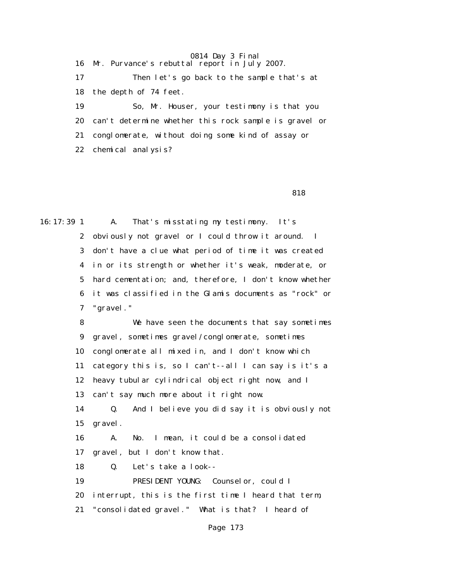16 Mr. Purvance's rebuttal report in July 2007. 17 Then let's go back to the sample that's at 18 the depth of 74 feet. 19 So, Mr. Houser, your testimony is that you 20 can't determine whether this rock sample is gravel or 21 conglomerate, without doing some kind of assay or 22 chemical analysis?

<u>818</u> and the set of the set of the set of the set of the set of the set of the set of the set of the set of the set of the set of the set of the set of the set of the set of the set of the set of the set of the set of the

16:17:39 1 A. That's misstating my testimony. It's 2 obviously not gravel or I could throw it around. I 3 don't have a clue what period of time it was created 4 in or its strength or whether it's weak, moderate, or 5 hard cementation; and, therefore, I don't know whether 6 it was classified in the Glamis documents as "rock" or 7 "gravel."

> 8 We have seen the documents that say sometimes 9 gravel, sometimes gravel/conglomerate, sometimes 10 conglomerate all mixed in, and I don't know which 11 category this is, so I can't--all I can say is it's a 12 heavy tubular cylindrical object right now, and I 13 can't say much more about it right now. 14 Q. And I believe you did say it is obviously not 15 gravel. 16 A. No. I mean, it could be a consolidated 17 gravel, but I don't know that. 18 Q. Let's take a look-- 19 PRESIDENT YOUNG: Counselor, could I 20 interrupt, this is the first time I heard that term, 21 "consolidated gravel." What is that? I heard of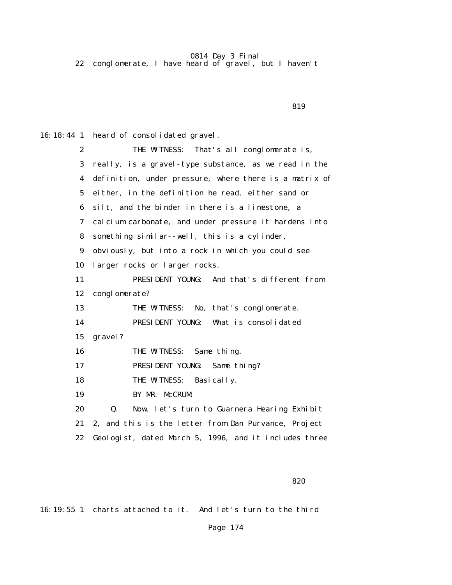22 conglomerate, I have heard of gravel, but I haven't

<u>819</u>

16:18:44 1 heard of consolidated gravel.

| $\boldsymbol{2}$ | THE WITNESS: That's all conglomerate is,               |  |  |  |
|------------------|--------------------------------------------------------|--|--|--|
| 3                | really, is a gravel-type substance, as we read in the  |  |  |  |
| 4                | definition, under pressure, where there is a matrix of |  |  |  |
| $5\overline{ }$  | either, in the definition he read, either sand or      |  |  |  |
| 6                | silt, and the binder in there is a limestone, a        |  |  |  |
| 7                | cal cium carbonate, and under pressure it hardens into |  |  |  |
| 8                | something similar--well, this is a cylinder,           |  |  |  |
| 9                | obviously, but into a rock in which you could see      |  |  |  |
| 10               | larger rocks or larger rocks.                          |  |  |  |
| 11               | PRESIDENT YOUNG: And that's different from             |  |  |  |
| 12               | conglomerate?                                          |  |  |  |
| 13               | THE WITNESS: No, that's conglomerate.                  |  |  |  |
| 14               | PRESIDENT YOUNG:<br>What is consolidated               |  |  |  |
| 15               | gravel?                                                |  |  |  |
| 16               | THE WITNESS:<br>Same thing.                            |  |  |  |
| 17               | PRESIDENT YOUNG: Same thing?                           |  |  |  |
| 18               | THE WITNESS:<br>Basically.                             |  |  |  |
| 19               | BY MR. McCRUM:                                         |  |  |  |
| 20               | Q.<br>Now, let's turn to Guarnera Hearing Exhibit      |  |  |  |
| 21               | 2, and this is the letter from Dan Purvance, Project   |  |  |  |
| 22               | Geologist, dated March 5, 1996, and it includes three  |  |  |  |

 $820$ 

16:19:55 1 charts attached to it. And let's turn to the third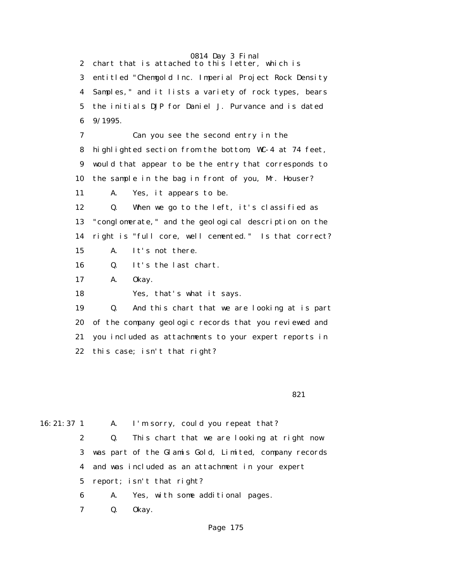2 chart that is attached to this letter, which is 3 entitled "Chemgold Inc. Imperial Project Rock Density 4 Samples," and it lists a variety of rock types, bears 5 the initials DJP for Daniel J. Purvance and is dated 6 9/1995. 7 Can you see the second entry in the 8 highlighted section from the bottom, WC-4 at 74 feet, 9 would that appear to be the entry that corresponds to 10 the sample in the bag in front of you, Mr. Houser? 11 A. Yes, it appears to be. 12 Q. When we go to the left, it's classified as 13 "conglomerate," and the geological description on the 14 right is "full core, well cemented." Is that correct? 15 A. It's not there. 16 Q. It's the last chart. 17 A. Okay. 18 Yes, that's what it says. 19 Q. And this chart that we are looking at is part 20 of the company geologic records that you reviewed and 21 you included as attachments to your expert reports in 22 this case; isn't that right?  $821$ 

16:21:37 1 A. I'm sorry, could you repeat that?

 2 Q. This chart that we are looking at right now 3 was part of the Glamis Gold, Limited, company records 4 and was included as an attachment in your expert 5 report; isn't that right?

6 A. Yes, with some additional pages.

7 Q. Okay.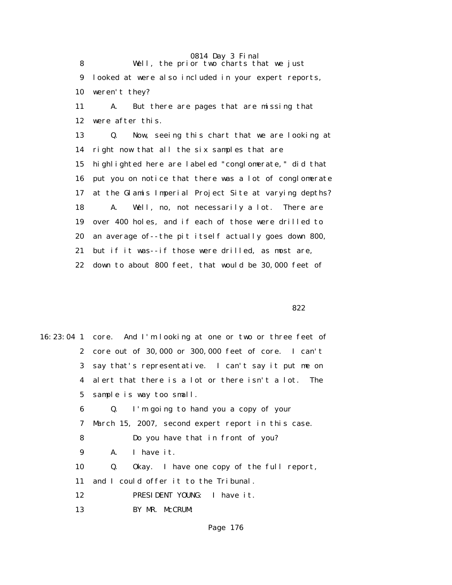0814 Day 3 Final 8 Well, the prior two charts that we just 9 looked at were also included in your expert reports, 10 weren't they? 11 A. But there are pages that are missing that 12 were after this. 13 Q. Now, seeing this chart that we are looking at 14 right now that all the six samples that are 15 highlighted here are labeled "conglomerate," did that 16 put you on notice that there was a lot of conglomerate 17 at the Glamis Imperial Project Site at varying depths? 18 A. Well, no, not necessarily a lot. There are 19 over 400 holes, and if each of those were drilled to 20 an average of--the pit itself actually goes down 800, 21 but if it was--if those were drilled, as most are, 22 down to about 800 feet, that would be 30,000 feet of

<u>822</u>

|    | 16:23:04 1 core. And I'm looking at one or two or three feet of |
|----|-----------------------------------------------------------------|
|    | 2 core out of 30,000 or 300,000 feet of core. I can't           |
|    | 3 say that's representative. I can't say it put me on           |
|    | 4 alert that there is a lot or there isn't a lot. The           |
|    | 5 sample is way too small.                                      |
| 6  | Q. I'm going to hand you a copy of your                         |
| 7  | March 15, 2007, second expert report in this case.              |
| 8  | Do you have that in front of you?                               |
| 9  | I have it.<br>A.                                                |
| 10 | Okay. I have one copy of the full report,<br>Q.                 |
| 11 | and I could offer it to the Tribunal.                           |
| 12 | PRESIDENT YOUNG: I have it.                                     |
| 13 | BY MR. McCRUM:                                                  |
|    |                                                                 |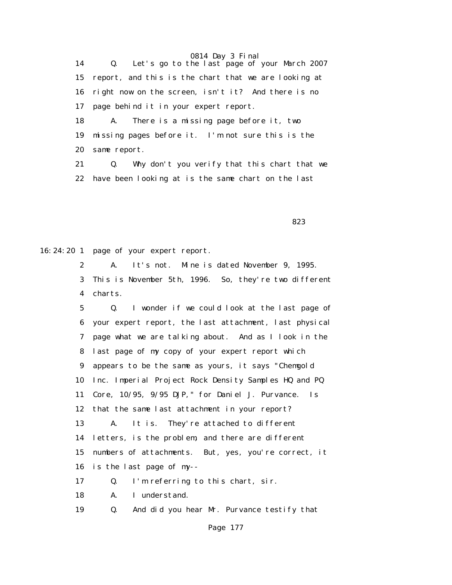14 Q. Let's go to the last page of your March 2007 15 report, and this is the chart that we are looking at 16 right now on the screen, isn't it? And there is no 17 page behind it in your expert report. 18 A. There is a missing page before it, two

 19 missing pages before it. I'm not sure this is the 20 same report.

 21 Q. Why don't you verify that this chart that we 22 have been looking at is the same chart on the last

 $823$ 

16:24:20 1 page of your expert report.

 2 A. It's not. Mine is dated November 9, 1995. 3 This is November 5th, 1996. So, they're two different 4 charts.

 5 Q. I wonder if we could look at the last page of 6 your expert report, the last attachment, last physical 7 page what we are talking about. And as I look in the 8 last page of my copy of your expert report which 9 appears to be the same as yours, it says "Chemgold 10 Inc. Imperial Project Rock Density Samples HQ and PQ 11 Core, 10/95, 9/95 DJP," for Daniel J. Purvance. Is 12 that the same last attachment in your report? 13 A. It is. They're attached to different 14 letters, is the problem, and there are different 15 numbers of attachments. But, yes, you're correct, it 16 is the last page of my-- 17 Q. I'm referring to this chart, sir.

18 A. I understand.

19 Q. And did you hear Mr. Purvance testify that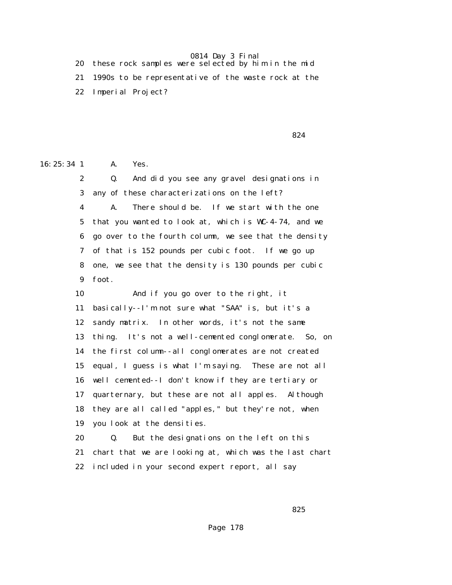| 20 these rock samples were selected by him in the mid  |
|--------------------------------------------------------|
| 21 1990s to be representative of the waste rock at the |
| 22 Imperial Project?                                   |

 $824$ 

16:25:34 1 A. Yes.

 2 Q. And did you see any gravel designations in 3 any of these characterizations on the left? 4 A. There should be. If we start with the one 5 that you wanted to look at, which is WC-4-74, and we 6 go over to the fourth column, we see that the density 7 of that is 152 pounds per cubic foot. If we go up 8 one, we see that the density is 130 pounds per cubic 9 foot. 10 And if you go over to the right, it 11 basically--I'm not sure what "SAA" is, but it's a 12 sandy matrix. In other words, it's not the same 13 thing. It's not a well-cemented conglomerate. So, on 14 the first column--all conglomerates are not created 15 equal, I guess is what I'm saying. These are not all 16 well cemented--I don't know if they are tertiary or 17 quarternary, but these are not all apples. Although 18 they are all called "apples," but they're not, when 19 you look at the densities.

 20 Q. But the designations on the left on this 21 chart that we are looking at, which was the last chart 22 included in your second expert report, all say

 $825$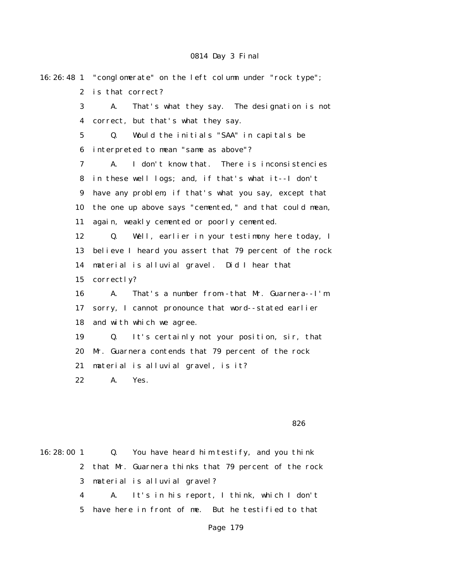|                         | 16:26:48 1 "conglomerate" on the left column under "rock type"; |  |  |
|-------------------------|-----------------------------------------------------------------|--|--|
| $\mathbf{2}$            | is that correct?                                                |  |  |
| 3                       | That's what they say. The designation is not<br>A.              |  |  |
| $\overline{\mathbf{4}}$ | correct, but that's what they say.                              |  |  |
| $\mathbf 5$             | Would the initials "SAA" in capitals be<br>Q.                   |  |  |
| 6                       | interpreted to mean "same as above"?                            |  |  |
| 7                       | I don't know that. There is inconsistencies<br>A.               |  |  |
| 8                       | in these well logs; and, if that's what it--I don't             |  |  |
| $\boldsymbol{9}$        | have any problem, if that's what you say, except that           |  |  |
| 10                      | the one up above says "cemented," and that could mean,          |  |  |
| 11                      | again, weakly cemented or poorly cemented.                      |  |  |
| 12                      | Well, earlier in your testimony here today, I<br>Q.             |  |  |
| 13                      | believe I heard you assert that 79 percent of the rock          |  |  |
| 14                      | material is alluvial gravel. Did I hear that                    |  |  |
| 15                      | correctly?                                                      |  |  |
| 16                      | That's a number from-that Mr. Guarnera--I'm<br>A.               |  |  |
| 17                      | sorry, I cannot pronounce that word--stated earlier             |  |  |
| 18                      | and with which we agree.                                        |  |  |
| 19                      | It's certainly not your position, sir, that<br>Q.               |  |  |
| 20                      | Mr. Guarnera contends that 79 percent of the rock               |  |  |
| 21                      | material is alluvial gravel, is it?                             |  |  |
| 22                      | A.<br>Yes.                                                      |  |  |
|                         |                                                                 |  |  |

 $826$ 

16:28:00 1 Q. You have heard him testify, and you think 2 that Mr. Guarnera thinks that 79 percent of the rock 3 material is alluvial gravel? 4 A. It's in his report, I think, which I don't 5 have here in front of me. But he testified to that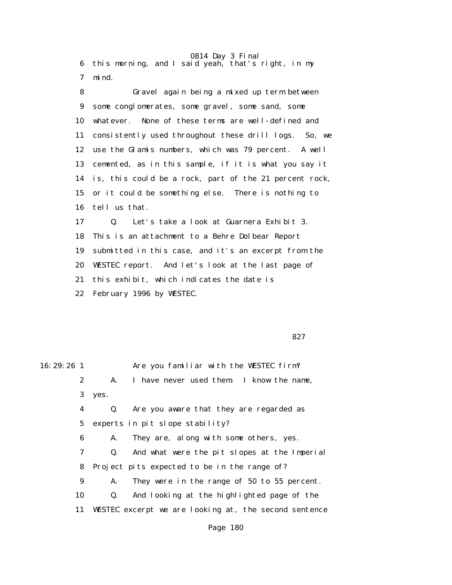0814 Day 3 Final 6 this morning, and I said yeah, that's right, in my 7 mind.

 8 Gravel again being a mixed up term between 9 some conglomerates, some gravel, some sand, some 10 whatever. None of these terms are well-defined and 11 consistently used throughout these drill logs. So, we 12 use the Glamis numbers, which was 79 percent. A well 13 cemented, as in this sample, if it is what you say it 14 is, this could be a rock, part of the 21 percent rock, 15 or it could be something else. There is nothing to 16 tell us that. 17 Q. Let's take a look at Guarnera Exhibit 3. 18 This is an attachment to a Behre Dolbear Report

 19 submitted in this case, and it's an excerpt from the 20 WESTEC report. And let's look at the last page of 21 this exhibit, which indicates the date is

22 February 1996 by WESTEC.

 $827$ 

| $16: 29: 26$ 1 |                |                | Are you familiar with the WESTEC firm?                |
|----------------|----------------|----------------|-------------------------------------------------------|
|                | $\mathbf{2}$   | A.             | I have never used them. I know the name,              |
|                | 3 <sup>1</sup> | yes.           |                                                       |
|                | 4              | Q.             | Are you aware that they are regarded as               |
|                | 5              |                | experts in pit slope stability?                       |
|                | 6              | A.             | They are, along with some others, yes.                |
|                | 7              | Q.             | And what were the pit slopes at the Imperial          |
|                | 8              |                | Project pits expected to be in the range of?          |
|                | 9              | A.             | They were in the range of 50 to 55 percent.           |
|                | 10             | $\mathbf{0}$ . | And looking at the highlighted page of the            |
|                | 11             |                | WESTEC excerpt we are looking at, the second sentence |
|                |                |                |                                                       |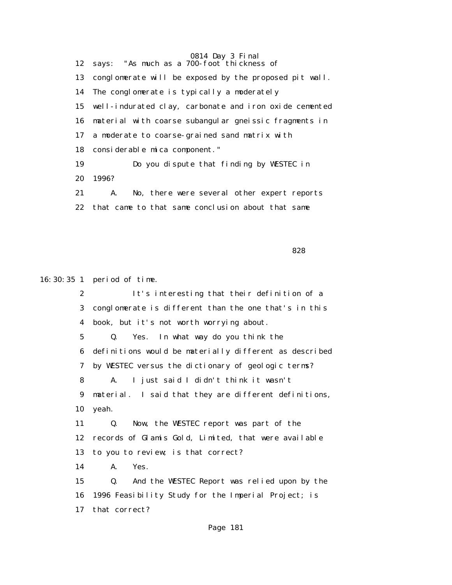0814 Day 3 Final 12 says: "As much as a 700-foot thickness of 13 conglomerate will be exposed by the proposed pit wall. 14 The conglomerate is typically a moderately 15 well-indurated clay, carbonate and iron oxide cemented 16 material with coarse subangular gneissic fragments in 17 a moderate to coarse-grained sand matrix with 18 considerable mica component." 19 Do you dispute that finding by WESTEC in 20 1996? 21 A. No, there were several other expert reports 22 that came to that same conclusion about that same

<u>and the state of the state of the state of the state of the state of the state of the state of the state of the state of the state of the state of the state of the state of the state of the state of the state of the state</u>

16:30:35 1 period of time.

 2 It's interesting that their definition of a 3 conglomerate is different than the one that's in this 4 book, but it's not worth worrying about. 5 Q. Yes. In what way do you think the 6 definitions would be materially different as described 7 by WESTEC versus the dictionary of geologic terms? 8 A. I just said I didn't think it wasn't 9 material. I said that they are different definitions, 10 yeah. 11 Q. Now, the WESTEC report was part of the 12 records of Glamis Gold, Limited, that were available 13 to you to review; is that correct? 14 A. Yes. 15 Q. And the WESTEC Report was relied upon by the 16 1996 Feasibility Study for the Imperial Project; is 17 that correct?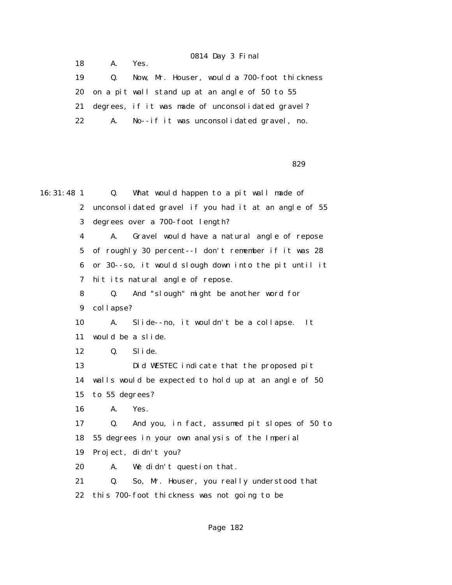| 19 | $\boldsymbol{\omega}$ . | Now, Mr. Houser, would a 700-foot thickness          |
|----|-------------------------|------------------------------------------------------|
|    |                         | 20 on a pit wall stand up at an angle of 50 to 55    |
|    |                         | 21 degrees, if it was made of unconsolidated gravel? |
| 22 |                         | A. No--if it was unconsolidated gravel, no.          |

18 A. Yes.

 $829$ 

16:31:48 1 Q. What would happen to a pit wall made of 2 unconsolidated gravel if you had it at an angle of 55 3 degrees over a 700-foot length? 4 A. Gravel would have a natural angle of repose 5 of roughly 30 percent--I don't remember if it was 28 6 or 30--so, it would slough down into the pit until it 7 hit its natural angle of repose. 8 Q. And "slough" might be another word for 9 collapse? 10 A. Slide--no, it wouldn't be a collapse. It 11 would be a slide. 12 Q. Slide. 13 Did WESTEC indicate that the proposed pit 14 walls would be expected to hold up at an angle of 50 15 to 55 degrees? 16 A. Yes. 17 Q. And you, in fact, assumed pit slopes of 50 to 18 55 degrees in your own analysis of the Imperial 19 Project, didn't you? 20 A. We didn't question that. 21 Q. So, Mr. Houser, you really understood that 22 this 700-foot thickness was not going to be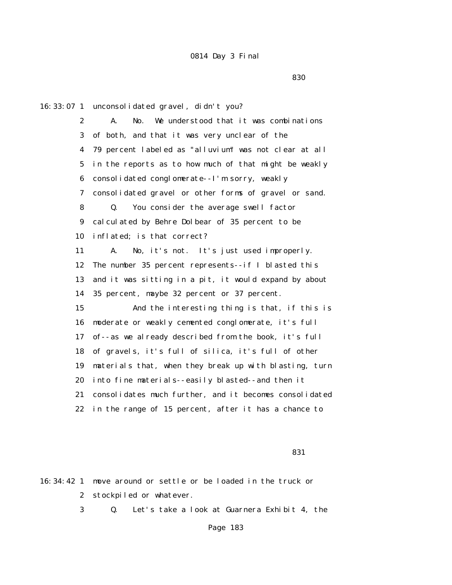<u>830 - Santa Carlos de Santa Carlos de Santa Carlos de Santa Carlos de Santa Carlos de Santa Carlos de Santa C</u>

16:33:07 1 unconsolidated gravel, didn't you? 2 A. No. We understood that it was combinations 3 of both, and that it was very unclear of the 4 79 percent labeled as "alluvium" was not clear at all 5 in the reports as to how much of that might be weakly 6 consolidated conglomerate--I'm sorry, weakly 7 consolidated gravel or other forms of gravel or sand. 8 Q. You consider the average swell factor 9 calculated by Behre Dolbear of 35 percent to be 10 inflated; is that correct? 11 A. No, it's not. It's just used improperly. 12 The number 35 percent represents--if I blasted this 13 and it was sitting in a pit, it would expand by about 14 35 percent, maybe 32 percent or 37 percent. 15 And the interesting thing is that, if this is 16 moderate or weakly cemented conglomerate, it's full 17 of--as we already described from the book, it's full 18 of gravels, it's full of silica, it's full of other 19 materials that, when they break up with blasting, turn 20 into fine materials--easily blasted--and then it 21 consolidates much further, and it becomes consolidated 22 in the range of 15 percent, after it has a chance to

<u>831</u> **1999 - 1999 - 1999 - 1999 - 1999 - 1999 - 1999 - 1999 - 1999 - 1999 - 1999 - 1999 - 1999 - 1999 - 1999 - 1999 - 1999 - 1999 - 1999 - 1999 - 1999 - 1999 - 1999 - 1999 - 1999 - 1999 - 1999 - 1999 - 1999 - 1999 - 1999** 

16:34:42 1 move around or settle or be loaded in the truck or 2 stockpiled or whatever.

3 Q. Let's take a look at Guarnera Exhibit 4, the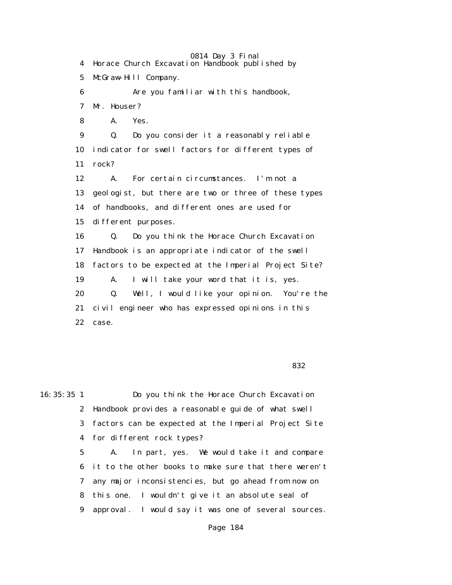0814 Day 3 Final 4 Horace Church Excavation Handbook published by 5 McGraw-Hill Company. 6 Are you familiar with this handbook, 7 Mr. Houser? 8 A. Yes. 9 Q. Do you consider it a reasonably reliable 10 indicator for swell factors for different types of 11 rock? 12 A. For certain circumstances. I'm not a 13 geologist, but there are two or three of these types 14 of handbooks, and different ones are used for 15 different purposes. 16 Q. Do you think the Horace Church Excavation 17 Handbook is an appropriate indicator of the swell 18 factors to be expected at the Imperial Project Site? 19 A. I will take your word that it is, yes. 20 Q. Well, I would like your opinion. You're the 21 civil engineer who has expressed opinions in this 22 case.

 $832$ 

16:35:35 1 Do you think the Horace Church Excavation 2 Handbook provides a reasonable guide of what swell 3 factors can be expected at the Imperial Project Site 4 for different rock types?

 5 A. In part, yes. We would take it and compare 6 it to the other books to make sure that there weren't 7 any major inconsistencies, but go ahead from now on 8 this one. I wouldn't give it an absolute seal of 9 approval. I would say it was one of several sources.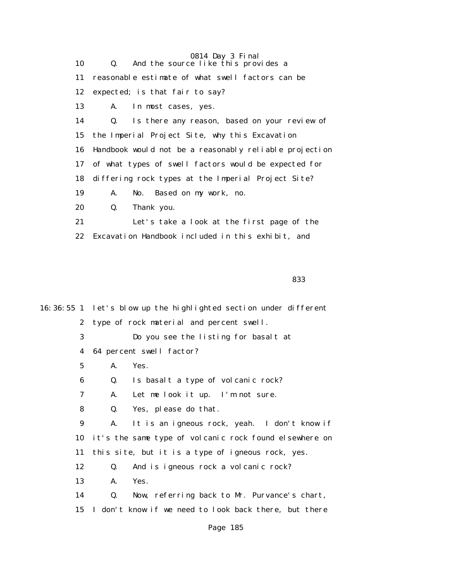|    | 0814 Day 3 Final                                       |
|----|--------------------------------------------------------|
| 10 | And the source like this provides a<br>Q.              |
| 11 | reasonable estimate of what swell factors can be       |
| 12 | expected; is that fair to say?                         |
| 13 | In most cases, yes.<br>A.                              |
| 14 | Is there any reason, based on your review of<br>Q.     |
| 15 | the Imperial Project Site, why this Excavation         |
| 16 | Handbook would not be a reasonably reliable projection |
| 17 | of what types of swell factors would be expected for   |
| 18 | differing rock types at the Imperial Project Site?     |
| 19 | No. Based on my work, no.<br>A.                        |
| 20 | Thank you.<br>Q.                                       |
| 21 | Let's take a look at the first page of the             |
| 22 | Excavation Handbook included in this exhibit, and      |

<u>and the state of the state of the state of the state of the state of the state of the state of the state of th</u>

16:36:55 1 let's blow up the highlighted section under different 2 type of rock material and percent swell. 3 Do you see the listing for basalt at 4 64 percent swell factor? 5 A. Yes. 6 Q. Is basalt a type of volcanic rock? 7 A. Let me look it up. I'm not sure. 8 Q. Yes, please do that. 9 A. It is an igneous rock, yeah. I don't know if 10 it's the same type of volcanic rock found elsewhere on 11 this site, but it is a type of igneous rock, yes. 12 Q. And is igneous rock a volcanic rock? 13 A. Yes. 14 Q. Now, referring back to Mr. Purvance's chart, 15 I don't know if we need to look back there, but there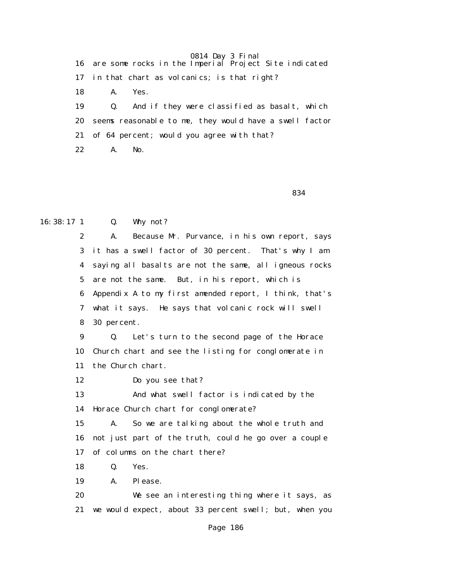16 are some rocks in the Imperial Project Site indicated 17 in that chart as volcanics; is that right? 18 A. Yes. 19 Q. And if they were classified as basalt, which 20 seems reasonable to me, they would have a swell factor 21 of 64 percent; would you agree with that? 22 A. No.

 $834$ 

### 16:38:17 1 Q. Why not?

 2 A. Because Mr. Purvance, in his own report, says 3 it has a swell factor of 30 percent. That's why I am 4 saying all basalts are not the same, all igneous rocks 5 are not the same. But, in his report, which is 6 Appendix A to my first amended report, I think, that's 7 what it says. He says that volcanic rock will swell 8 30 percent.

 9 Q. Let's turn to the second page of the Horace 10 Church chart and see the listing for conglomerate in 11 the Church chart.

12 Do you see that?

 13 And what swell factor is indicated by the 14 Horace Church chart for conglomerate?

 15 A. So we are talking about the whole truth and 16 not just part of the truth, could he go over a couple 17 of columns on the chart there?

18 Q. Yes.

19 A. Please.

 20 We see an interesting thing where it says, as 21 we would expect, about 33 percent swell; but, when you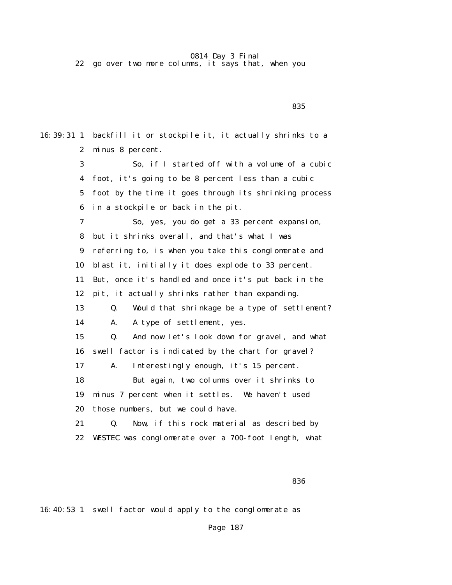22 go over two more columns, it says that, when you

16:39:31 1 backfill it or stockpile it, it actually shrinks to a 2 minus 8 percent. 3 So, if I started off with a volume of a cubic 4 foot, it's going to be 8 percent less than a cubic 5 foot by the time it goes through its shrinking process 6 in a stockpile or back in the pit. 7 So, yes, you do get a 33 percent expansion, 8 but it shrinks overall, and that's what I was 9 referring to, is when you take this conglomerate and 10 blast it, initially it does explode to 33 percent. 11 But, once it's handled and once it's put back in the 12 pit, it actually shrinks rather than expanding. 13 Q. Would that shrinkage be a type of settlement? 14 A. A type of settlement, yes. 15 Q. And now let's look down for gravel, and what 16 swell factor is indicated by the chart for gravel? 17 A. Interestingly enough, it's 15 percent. 18 But again, two columns over it shrinks to 19 minus 7 percent when it settles. We haven't used 20 those numbers, but we could have. 21 Q. Now, if this rock material as described by 22 WESTEC was conglomerate over a 700-foot length, what

<u>835 - Andrea State Barbara, amerikan ang kabupatèn Sasa</u>

16:40:53 1 swell factor would apply to the conglomerate as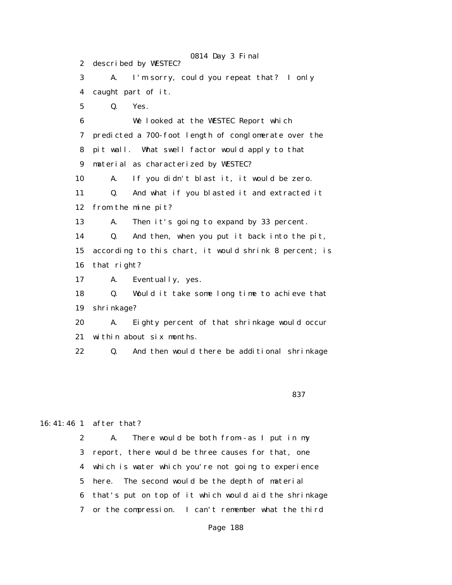0814 Day 3 Final 2 described by WESTEC? 3 A. I'm sorry, could you repeat that? I only 4 caught part of it. 5 Q. Yes. 6 We looked at the WESTEC Report which 7 predicted a 700-foot length of conglomerate over the 8 pit wall. What swell factor would apply to that 9 material as characterized by WESTEC? 10 A. If you didn't blast it, it would be zero. 11 Q. And what if you blasted it and extracted it 12 from the mine pit? 13 A. Then it's going to expand by 33 percent. 14 Q. And then, when you put it back into the pit, 15 according to this chart, it would shrink 8 percent; is 16 that right? 17 A. Eventually, yes. 18 Q. Would it take some long time to achieve that 19 shrinkage? 20 A. Eighty percent of that shrinkage would occur 21 within about six months. 22 Q. And then would there be additional shrinkage

 $837$ 

#### 16:41:46 1 after that?

 2 A. There would be both from--as I put in my 3 report, there would be three causes for that, one 4 which is water which you're not going to experience 5 here. The second would be the depth of material 6 that's put on top of it which would aid the shrinkage 7 or the compression. I can't remember what the third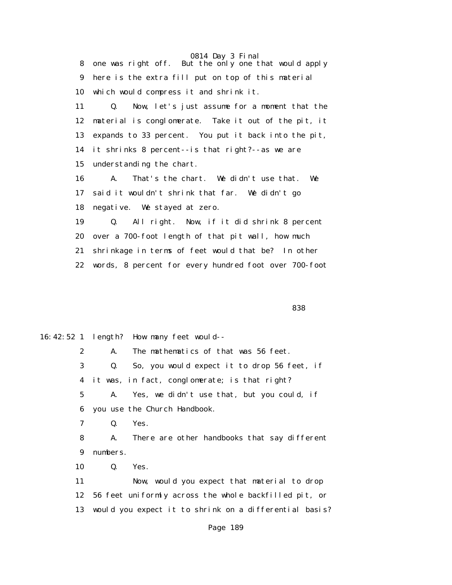0814 Day 3 Final 8 one was right off. But the only one that would apply 9 here is the extra fill put on top of this material 10 which would compress it and shrink it. 11 Q. Now, let's just assume for a moment that the 12 material is conglomerate. Take it out of the pit, it 13 expands to 33 percent. You put it back into the pit, 14 it shrinks 8 percent--is that right?--as we are 15 understanding the chart. 16 A. That's the chart. We didn't use that. We 17 said it wouldn't shrink that far. We didn't go 18 negative. We stayed at zero. 19 Q. All right. Now, if it did shrink 8 percent 20 over a 700-foot length of that pit wall, how much 21 shrinkage in terms of feet would that be? In other 22 words, 8 percent for every hundred foot over 700-foot

<u>838 - Andrea Stadt Bronze, amerikan basar dan berasal di sebagai sebagai sebagai sebagai sebagai sebagai seba</u>

16:42:52 1 length? How many feet would-- 2 A. The mathematics of that was 56 feet. 3 Q. So, you would expect it to drop 56 feet, if 4 it was, in fact, conglomerate; is that right? 5 A. Yes, we didn't use that, but you could, if 6 you use the Church Handbook. 7 Q. Yes. 8 A. There are other handbooks that say different 9 numbers. 10 Q. Yes. 11 Now, would you expect that material to drop 12 56 feet uniformly across the whole backfilled pit, or 13 would you expect it to shrink on a differential basis? Page 189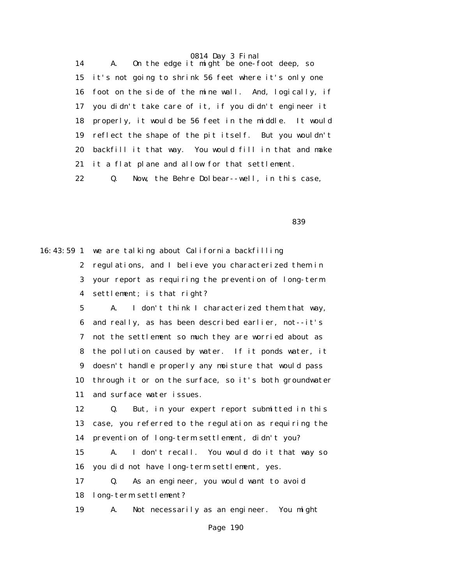14 A. On the edge it might be one-foot deep, so 15 it's not going to shrink 56 feet where it's only one 16 foot on the side of the mine wall. And, logically, if 17 you didn't take care of it, if you didn't engineer it 18 properly, it would be 56 feet in the middle. It would 19 reflect the shape of the pit itself. But you wouldn't 20 backfill it that way. You would fill in that and make 21 it a flat plane and allow for that settlement.

22 Q. Now, the Behre Dolbear--well, in this case,

<u>and the state of the state of the state of the state of the state of the state of the state of the state of the state of the state of the state of the state of the state of the state of the state of the state of the state</u>

16:43:59 1 we are talking about California backfilling 2 regulations, and I believe you characterized them in 3 your report as requiring the prevention of long-term 4 settlement; is that right? 5 A. I don't think I characterized them that way, 6 and really, as has been described earlier, not--it's 7 not the settlement so much they are worried about as 8 the pollution caused by water. If it ponds water, it 9 doesn't handle properly any moisture that would pass 10 through it or on the surface, so it's both groundwater 11 and surface water issues. 12 Q. But, in your expert report submitted in this 13 case, you referred to the regulation as requiring the 14 prevention of long-term settlement, didn't you? 15 A. I don't recall. You would do it that way so 16 you did not have long-term settlement, yes.

> 17 Q. As an engineer, you would want to avoid 18 long-term settlement?

19 A. Not necessarily as an engineer. You might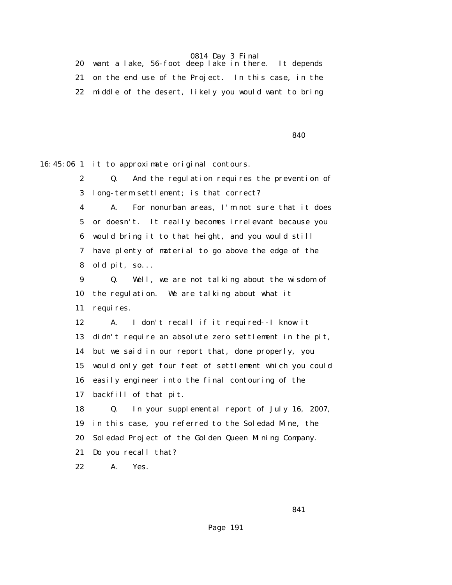20 want a lake, 56-foot deep lake in there. It depends 21 on the end use of the Project. In this case, in the 22 middle of the desert, likely you would want to bring

 $840$ 

16:45:06 1 it to approximate original contours.

 2 Q. And the regulation requires the prevention of 3 long-term settlement; is that correct?

 4 A. For nonurban areas, I'm not sure that it does 5 or doesn't. It really becomes irrelevant because you 6 would bring it to that height, and you would still 7 have plenty of material to go above the edge of the 8 old pit, so...

 9 Q. Well, we are not talking about the wisdom of 10 the regulation. We are talking about what it 11 requires.

 12 A. I don't recall if it required--I know it 13 didn't require an absolute zero settlement in the pit, 14 but we said in our report that, done properly, you 15 would only get four feet of settlement which you could 16 easily engineer into the final contouring of the 17 backfill of that pit.

 18 Q. In your supplemental report of July 16, 2007, 19 in this case, you referred to the Soledad Mine, the 20 Soledad Project of the Golden Queen Mining Company. 21 Do you recall that?

22 A. Yes.

 $841$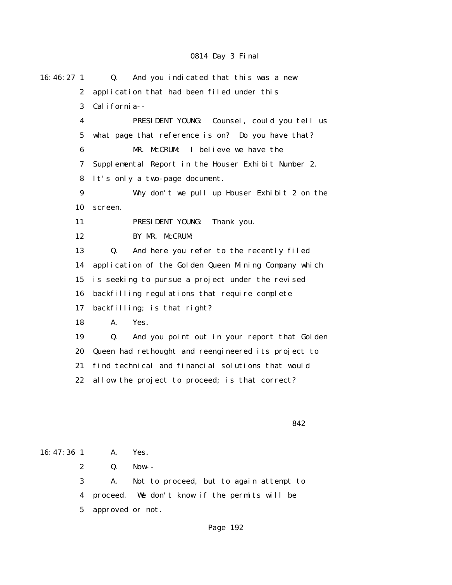| 16:46:27 <sub>1</sub> | And you indicated that this was a new<br>Q.          |
|-----------------------|------------------------------------------------------|
| $\boldsymbol{2}$      | application that had been filed under this           |
| 3                     | California--                                         |
| 4                     | PRESIDENT YOUNG: Counsel, could you tell us          |
| 5                     | what page that reference is on? Do you have that?    |
| 6                     | MR. McCRUM:<br>I believe we have the                 |
| 7                     | Supplemental Report in the Houser Exhibit Number 2.  |
| 8                     | It's only a two-page document.                       |
| 9                     | Why don't we pull up Houser Exhibit 2 on the         |
| 10                    | screen.                                              |
| 11                    | PRESIDENT YOUNG:<br>Thank you.                       |
| 12                    | BY MR. McCRUM:                                       |
| 13                    | And here you refer to the recently filed<br>Q.       |
| 14                    | application of the Golden Queen Mining Company which |
| 15                    | is seeking to pursue a project under the revised     |
| 16                    | backfilling regulations that require complete        |
| 17                    | backfilling; is that right?                          |
| 18                    | A.<br>Yes.                                           |
| 19                    | And you point out in your report that Golden<br>Q.   |
| 20                    | Queen had rethought and reengineered its project to  |
| 21                    | find technical and financial solutions that would    |
| 22                    | allow the project to proceed; is that correct?       |
|                       |                                                      |
|                       |                                                      |
|                       | 842                                                  |
|                       |                                                      |
| 16:47:36 1            | Yes.<br>А.                                           |

 2 Q. Now-- 3 A. Not to proceed, but to again attempt to 4 proceed. We don't know if the permits will be 5 approved or not.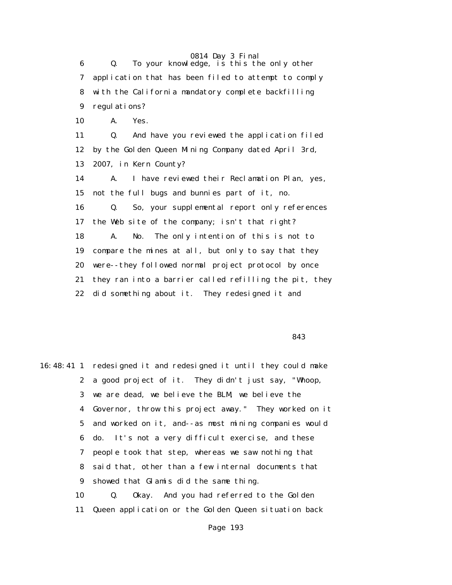6 Q. To your knowledge, is this the only other 7 application that has been filed to attempt to comply 8 with the California mandatory complete backfilling 9 regulations? 10 A. Yes. 11 Q. And have you reviewed the application filed 12 by the Golden Queen Mining Company dated April 3rd, 13 2007, in Kern County? 14 A. I have reviewed their Reclamation Plan, yes, 15 not the full bugs and bunnies part of it, no. 16 Q. So, your supplemental report only references 17 the Web site of the company; isn't that right? 18 A. No. The only intention of this is not to 19 compare the mines at all, but only to say that they 20 were--they followed normal project protocol by once 21 they ran into a barrier called refilling the pit, they 22 did something about it. They redesigned it and

<u>based</u> and the state of the state of the state of the state of the state of the state of the state of the state of the state of the state of the state of the state of the state of the state of the state of the state of th

16:48:41 1 redesigned it and redesigned it until they could make 2 a good project of it. They didn't just say, "Whoop, 3 we are dead, we believe the BLM, we believe the 4 Governor, throw this project away." They worked on it 5 and worked on it, and--as most mining companies would 6 do. It's not a very difficult exercise, and these 7 people took that step, whereas we saw nothing that 8 said that, other than a few internal documents that 9 showed that Glamis did the same thing. 10 Q. Okay. And you had referred to the Golden 11 Queen application or the Golden Queen situation back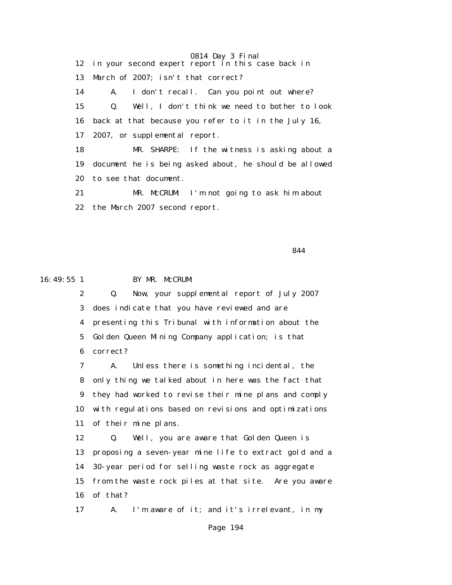0814 Day 3 Final 12 in your second expert report in this case back in 13 March of 2007; isn't that correct? 14 A. I don't recall. Can you point out where? 15 Q. Well, I don't think we need to bother to look 16 back at that because you refer to it in the July 16, 17 2007, or supplemental report. 18 MR. SHARPE: If the witness is asking about a 19 document he is being asked about, he should be allowed 20 to see that document. 21 MR. McCRUM: I'm not going to ask him about 22 the March 2007 second report.

<u>844</u>

#### 16:49:55 1 BY MR. McCRUM:

 2 Q. Now, your supplemental report of July 2007 3 does indicate that you have reviewed and are 4 presenting this Tribunal with information about the 5 Golden Queen Mining Company application; is that 6 correct?

 7 A. Unless there is something incidental, the 8 only thing we talked about in here was the fact that 9 they had worked to revise their mine plans and comply 10 with regulations based on revisions and optimizations 11 of their mine plans.

 12 Q. Well, you are aware that Golden Queen is 13 proposing a seven-year mine life to extract gold and a 14 30-year period for selling waste rock as aggregate 15 from the waste rock piles at that site. Are you aware 16 of that?

17 A. I'm aware of it; and it's irrelevant, in my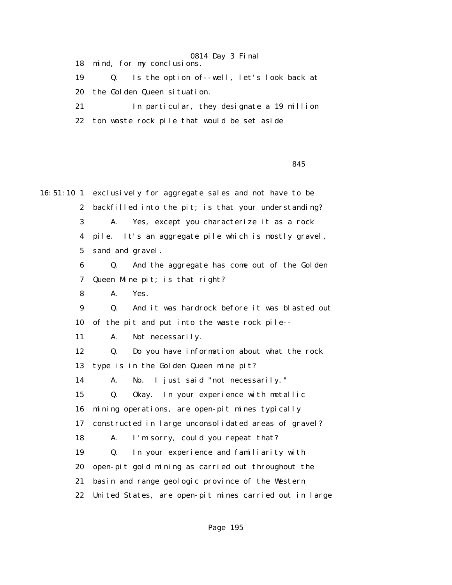18 mind, for my conclusions.

 19 Q. Is the option of--well, let's look back at 20 the Golden Queen situation.

21 In particular, they designate a 19 million

22 ton waste rock pile that would be set aside

<u>based</u> and the second state of the second state  $845$ 

16:51:10 1 exclusively for aggregate sales and not have to be 2 backfilled into the pit; is that your understanding? 3 A. Yes, except you characterize it as a rock 4 pile. It's an aggregate pile which is mostly gravel, 5 sand and gravel. 6 Q. And the aggregate has come out of the Golden 7 Queen Mine pit; is that right? 8 A. Yes. 9 Q. And it was hardrock before it was blasted out 10 of the pit and put into the waste rock pile-- 11 A. Not necessarily. 12 Q. Do you have information about what the rock 13 type is in the Golden Queen mine pit? 14 A. No. I just said "not necessarily." 15 Q. Okay. In your experience with metallic 16 mining operations, are open-pit mines typically 17 constructed in large unconsolidated areas of gravel? 18 A. I'm sorry, could you repeat that? 19 Q. In your experience and familiarity with 20 open-pit gold mining as carried out throughout the 21 basin and range geologic province of the Western 22 United States, are open-pit mines carried out in large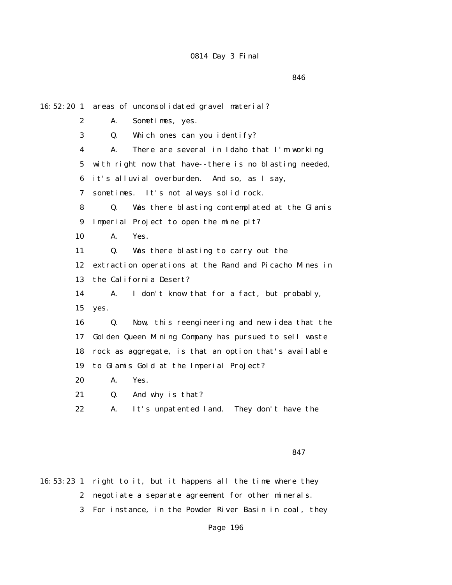<u>and the state of the state of the state of the state of the state of the state of the state of the state of the state of the state of the state of the state of the state of the state of the state of the state of the state</u>

16:52:20 1 areas of unconsolidated gravel material? 2 A. Sometimes, yes. 3 Q. Which ones can you identify? 4 A. There are several in Idaho that I'm working 5 with right now that have--there is no blasting needed, 6 it's alluvial overburden. And so, as I say, 7 sometimes. It's not always solid rock. 8 Q. Was there blasting contemplated at the Glamis 9 Imperial Project to open the mine pit? 10 A. Yes. 11 Q. Was there blasting to carry out the 12 extraction operations at the Rand and Picacho Mines in 13 the California Desert? 14 A. I don't know that for a fact, but probably, 15 yes. 16 Q. Now, this reengineering and new idea that the 17 Golden Queen Mining Company has pursued to sell waste 18 rock as aggregate, is that an option that's available 19 to Glamis Gold at the Imperial Project? 20 A. Yes. 21 Q. And why is that? 22 A. It's unpatented land. They don't have the

 $847$ 

16:53:23 1 right to it, but it happens all the time where they 2 negotiate a separate agreement for other minerals. 3 For instance, in the Powder River Basin in coal, they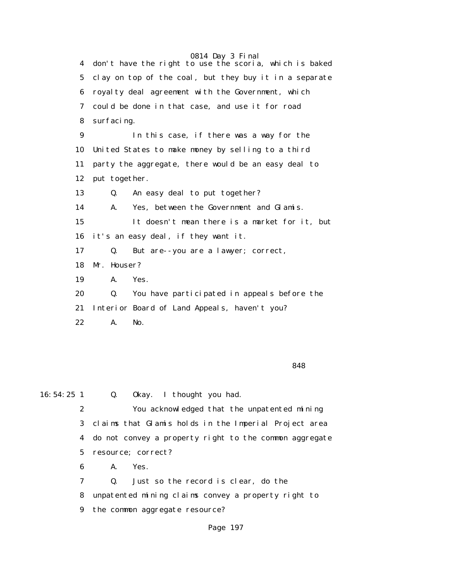0814 Day 3 Final 4 don't have the right to use the scoria, which is baked 5 clay on top of the coal, but they buy it in a separate 6 royalty deal agreement with the Government, which 7 could be done in that case, and use it for road 8 surfacing. 9 In this case, if there was a way for the 10 United States to make money by selling to a third 11 party the aggregate, there would be an easy deal to 12 put together. 13 Q. An easy deal to put together? 14 A. Yes, between the Government and Glamis. 15 It doesn't mean there is a market for it, but 16 it's an easy deal, if they want it. 17 Q. But are--you are a lawyer; correct, 18 Mr. Houser? 19 A. Yes. 20 Q. You have participated in appeals before the 21 Interior Board of Land Appeals, haven't you? 22 A. No.

<u>and the state of the state of the state of the state of the state of the state of the state of the state of the state of the state of the state of the state of the state of the state of the state of the state of the state</u>

16:54:25 1 Q. Okay. I thought you had. 2 You acknowledged that the unpatented mining 3 claims that Glamis holds in the Imperial Project area 4 do not convey a property right to the common aggregate 5 resource; correct? 6 A. Yes. 7 Q. Just so the record is clear, do the

 8 unpatented mining claims convey a property right to 9 the common aggregate resource?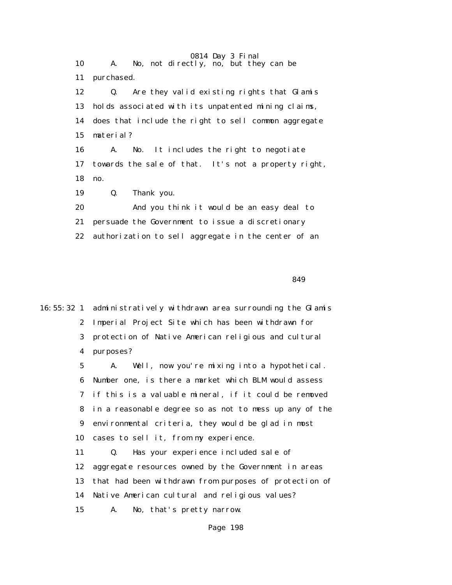0814 Day 3 Final 10 A. No, not directly, no, but they can be 11 purchased. 12 Q. Are they valid existing rights that Glamis 13 holds associated with its unpatented mining claims, 14 does that include the right to sell common aggregate 15 material? 16 A. No. It includes the right to negotiate 17 towards the sale of that. It's not a property right, 18 no. 19 Q. Thank you. 20 And you think it would be an easy deal to 21 persuade the Government to issue a discretionary 22 authorization to sell aggregate in the center of an

 $849$ 

16:55:32 1 administratively withdrawn area surrounding the Glamis 2 Imperial Project Site which has been withdrawn for 3 protection of Native American religious and cultural 4 purposes?

> 5 A. Well, now you're mixing into a hypothetical. 6 Number one, is there a market which BLM would assess 7 if this is a valuable mineral, if it could be removed 8 in a reasonable degree so as not to mess up any of the 9 environmental criteria, they would be glad in most 10 cases to sell it, from my experience.

> 11 Q. Has your experience included sale of 12 aggregate resources owned by the Government in areas 13 that had been withdrawn from purposes of protection of 14 Native American cultural and religious values? 15 A. No, that's pretty narrow.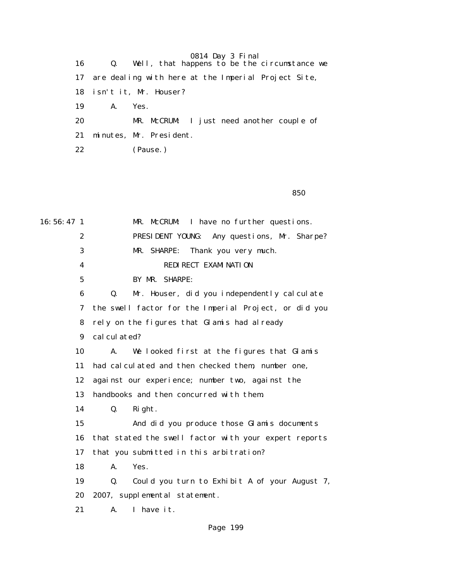|  | 0814 Day 3 Final |  |  |  |
|--|------------------|--|--|--|
|--|------------------|--|--|--|

| 16 | Q. Well, that happens to be the circumstance we     |  |
|----|-----------------------------------------------------|--|
| 17 | are dealing with here at the Imperial Project Site, |  |
|    | 18 isn't it, Mr. Houser?                            |  |
| 19 | A.<br>Yes.                                          |  |
| 20 | MR. McCRUM: I just need another couple of           |  |
| 21 | minutes, Mr. President.                             |  |
| 22 | (Pause.)                                            |  |

<u>850</u> and the state of the state of the state of the state of the state of the state of the state of the state of the state of the state of the state of the state of the state of the state of the state of the state of the

16:56:47 1 MR. McCRUM: I have no further questions. 2 PRESIDENT YOUNG: Any questions, Mr. Sharpe? 3 MR. SHARPE: Thank you very much. 4 REDIRECT EXAMINATION 5 BY MR. SHARPE: 6 Q. Mr. Houser, did you independently calculate 7 the swell factor for the Imperial Project, or did you 8 rely on the figures that Glamis had already 9 calculated? 10 A. We looked first at the figures that Glamis 11 had calculated and then checked them, number one, 12 against our experience; number two, against the 13 handbooks and then concurred with them. 14 Q. Right. 15 And did you produce those Glamis documents 16 that stated the swell factor with your expert reports 17 that you submitted in this arbitration? 18 A. Yes. 19 Q. Could you turn to Exhibit A of your August 7, 20 2007, supplemental statement. 21 A. I have it.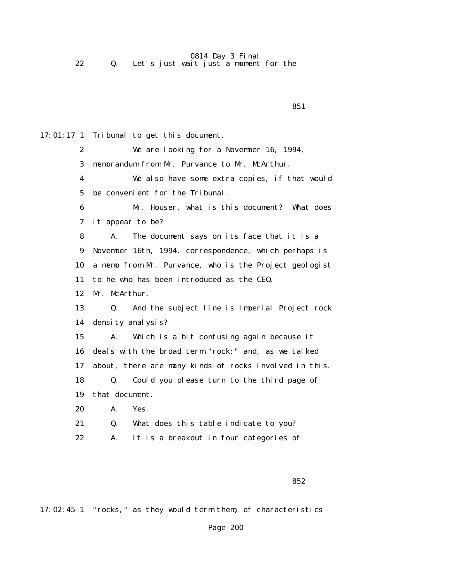0814 Day 3 Final 22 Q. Let's just wait just a moment for the

 $851$ 17:01:17 1 Tribunal to get this document. 2 We are looking for a November 16, 1994, 3 memorandum from Mr. Purvance to Mr. McArthur. 4 We also have some extra copies, if that would 5 be convenient for the Tribunal. 6 Mr. Houser, what is this document? What does 7 it appear to be? 8 A. The document says on its face that it is a 9 November 16th, 1994, correspondence, which perhaps is 10 a memo from Mr. Purvance, who is the Project geologist 11 to he who has been introduced as the CEO, 12 Mr. McArthur. 13 Q. And the subject line is Imperial Project rock 14 density analysis? 15 A. Which is a bit confusing again because it 16 deals with the broad term "rock;" and, as we talked 17 about, there are many kinds of rocks involved in this. 18 Q. Could you please turn to the third page of 19 that document. 20 A. Yes. 21 Q. What does this table indicate to you? 22 A. It is a breakout in four categories of

 $852$ 

17:02:45 1 "rocks," as they would term them, of characteristics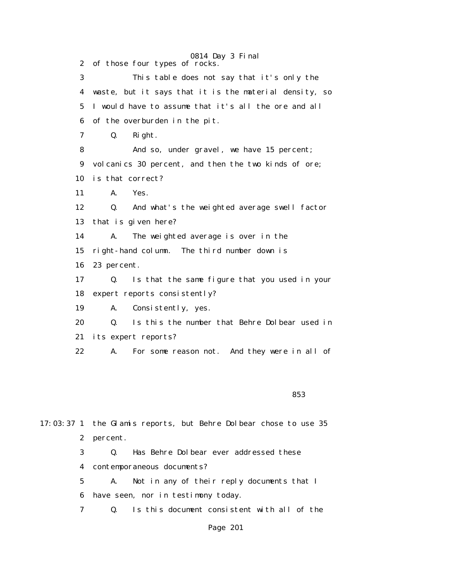0814 Day 3 Final 2 of those four types of rocks. 3 This table does not say that it's only the 4 waste, but it says that it is the material density, so 5 I would have to assume that it's all the ore and all 6 of the overburden in the pit. 7 Q. Right. 8 And so, under gravel, we have 15 percent; 9 volcanics 30 percent, and then the two kinds of ore; 10 is that correct? 11 A. Yes. 12 Q. And what's the weighted average swell factor 13 that is given here? 14 A. The weighted average is over in the 15 right-hand column. The third number down is 16 23 percent. 17 Q. Is that the same figure that you used in your 18 expert reports consistently? 19 A. Consistently, yes. 20 Q. Is this the number that Behre Dolbear used in 21 its expert reports? 22 A. For some reason not. And they were in all of

<u>853 and State Communications of the State Communications of the State Communications of the State Communications of the State Communications of the State Communications of the State Communications of the State Communicati</u>

17:03:37 1 the Glamis reports, but Behre Dolbear chose to use 35 2 percent. 3 Q. Has Behre Dolbear ever addressed these 4 contemporaneous documents? 5 A. Not in any of their reply documents that I 6 have seen, nor in testimony today. 7 Q. Is this document consistent with all of the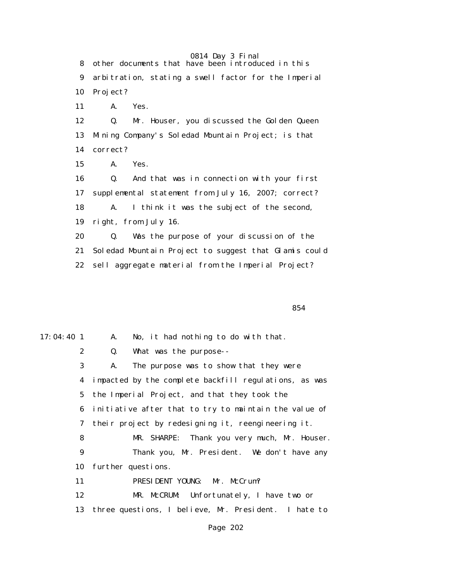0814 Day 3 Final 8 other documents that have been introduced in this 9 arbitration, stating a swell factor for the Imperial 10 Project? 11 A. Yes. 12 Q. Mr. Houser, you discussed the Golden Queen 13 Mining Company's Soledad Mountain Project; is that 14 correct? 15 A. Yes. 16 Q. And that was in connection with your first 17 supplemental statement from July 16, 2007; correct? 18 A. I think it was the subject of the second, 19 right, from July 16. 20 Q. Was the purpose of your discussion of the 21 Soledad Mountain Project to suggest that Glamis could 22 sell aggregate material from the Imperial Project?

 $854$ 

17:04:40 1 A. No, it had nothing to do with that. 2 Q. What was the purpose-- 3 A. The purpose was to show that they were 4 impacted by the complete backfill regulations, as was 5 the Imperial Project, and that they took the 6 initiative after that to try to maintain the value of 7 their project by redesigning it, reengineering it. 8 MR. SHARPE: Thank you very much, Mr. Houser. 9 Thank you, Mr. President. We don't have any 10 further questions. 11 PRESIDENT YOUNG: Mr. McCrum? 12 MR. McCRUM: Unfortunately, I have two or 13 three questions, I believe, Mr. President. I hate to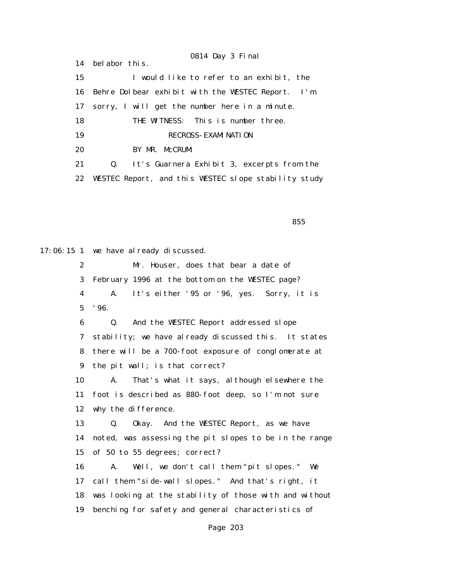0814 Day 3 Final 14 belabor this. 15 I would like to refer to an exhibit, the 16 Behre Dolbear exhibit with the WESTEC Report. I'm 17 sorry, I will get the number here in a minute. 18 THE WITNESS: This is number three. 19 RECROSS- EXAMINATION 20 BY MR. McCRUM: 21 Q. It's Guarnera Exhibit 3, excerpts from the 22 WESTEC Report, and this WESTEC slope stability study

<u>855 - Andrea State Andrea State Andrea State Andrea State Andrea State Andrea State Andrea Sta</u>

17:06:15 1 we have already discussed.

 2 Mr. Houser, does that bear a date of 3 February 1996 at the bottom on the WESTEC page? 4 A. It's either '95 or '96, yes. Sorry, it is 5 '96. 6 Q. And the WESTEC Report addressed slope 7 stability; we have already discussed this. It states 8 there will be a 700-foot exposure of conglomerate at 9 the pit wall; is that correct? 10 A. That's what it says, although elsewhere the 11 foot is described as 880-foot deep, so I'm not sure 12 why the difference. 13 Q. Okay. And the WESTEC Report, as we have 14 noted, was assessing the pit slopes to be in the range 15 of 50 to 55 degrees; correct? 16 A. Well, we don't call them "pit slopes." We 17 call them "side-wall slopes." And that's right, it 18 was looking at the stability of those with and without 19 benching for safety and general characteristics of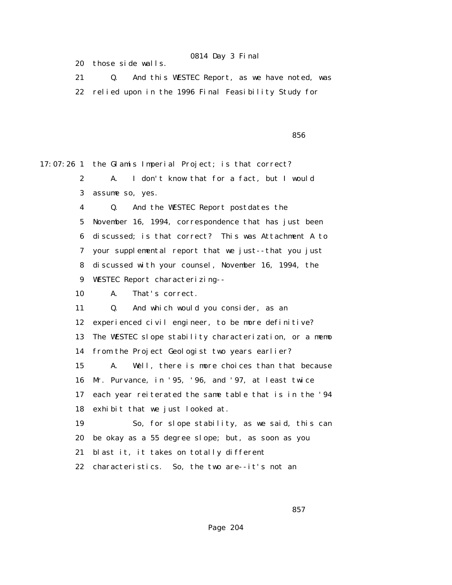20 those side walls.

 21 Q. And this WESTEC Report, as we have noted, was 22 relied upon in the 1996 Final Feasibility Study for

<u>856 - Andrea State Andrea State Andrea State Andrea State Andrea State Andrea State Andrea Sta</u>

17:07:26 1 the Glamis Imperial Project; is that correct? 2 A. I don't know that for a fact, but I would 3 assume so, yes. 4 Q. And the WESTEC Report postdates the 5 November 16, 1994, correspondence that has just been 6 discussed; is that correct? This was Attachment A to 7 your supplemental report that we just--that you just 8 discussed with your counsel, November 16, 1994, the 9 WESTEC Report characterizing-- 10 A. That's correct. 11 Q. And which would you consider, as an 12 experienced civil engineer, to be more definitive? 13 The WESTEC slope stability characterization, or a memo 14 from the Project Geologist two years earlier? 15 A. Well, there is more choices than that because 16 Mr. Purvance, in '95, '96, and '97, at least twice 17 each year reiterated the same table that is in the '94 18 exhibit that we just looked at. 19 So, for slope stability, as we said, this can 20 be okay as a 55 degree slope; but, as soon as you 21 blast it, it takes on totally different 22 characteristics. So, the two are--it's not an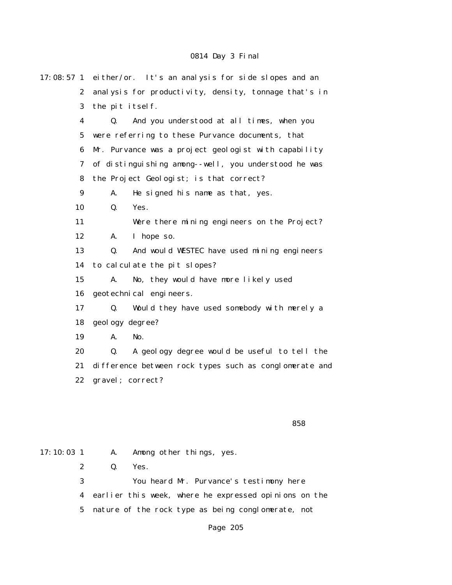| $17:08:57$ 1     | either/or. It's an analysis for side slopes and an          |  |
|------------------|-------------------------------------------------------------|--|
| $\boldsymbol{2}$ | analysis for productivity, density, tonnage that's in       |  |
| 3                | the pit itself.                                             |  |
| $\boldsymbol{4}$ | $\mathbf{Q}$ .<br>And you understood at all times, when you |  |
| $\overline{5}$   | were referring to these Purvance documents, that            |  |
| 6                | Mr. Purvance was a project geologist with capability        |  |
| 7                | of distinguishing among--well, you understood he was        |  |
| 8                | the Project Geologist; is that correct?                     |  |
| 9                | He signed his name as that, yes.<br>A.                      |  |
| 10               | Yes.<br>Q.                                                  |  |
| 11               | Were there mining engineers on the Project?                 |  |
| 12               | I hope so.<br>A.                                            |  |
| 13               | And would WESTEC have used mining engineers<br>Q.           |  |
| 14               | to calculate the pit slopes?                                |  |
| 15               | A.<br>No, they would have more likely used                  |  |
| 16               | geotechnical engineers.                                     |  |
| 17               | Q.<br>Would they have used somebody with merely a           |  |
| 18               | geology degree?                                             |  |
| 19               | No.<br>A.                                                   |  |
| 20               | A geology degree would be useful to tell the<br>Q.          |  |
| 21               | difference between rock types such as conglomerate and      |  |
| 22               | gravel; correct?                                            |  |
|                  |                                                             |  |
|                  |                                                             |  |

#### <u>858 - Andrea Stadt Brazil, amerikan basar dan berasal di sebagai sebagai sebagai sebagai sebagai sebagai seba</u>

17:10:03 1 A. Among other things, yes. 2 Q. Yes. 3 You heard Mr. Purvance's testimony here 4 earlier this week, where he expressed opinions on the 5 nature of the rock type as being conglomerate, not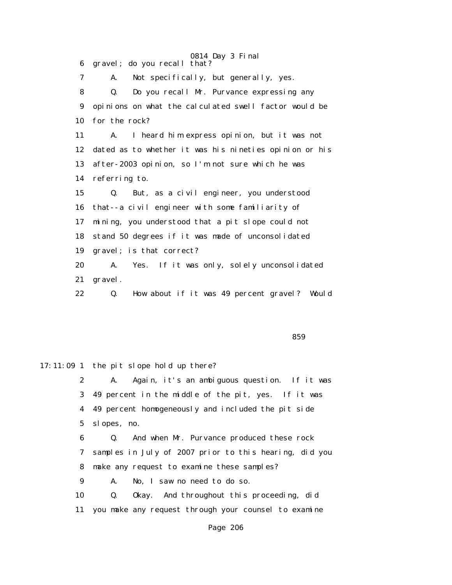0814 Day 3 Final 6 gravel; do you recall that? 7 A. Not specifically, but generally, yes. 8 Q. Do you recall Mr. Purvance expressing any 9 opinions on what the calculated swell factor would be 10 for the rock? 11 A. I heard him express opinion, but it was not 12 dated as to whether it was his nineties opinion or his 13 after-2003 opinion, so I'm not sure which he was 14 referring to. 15 Q. But, as a civil engineer, you understood 16 that--a civil engineer with some familiarity of 17 mining, you understood that a pit slope could not 18 stand 50 degrees if it was made of unconsolidated 19 gravel; is that correct? 20 A. Yes. If it was only, solely unconsolidated 21 gravel. 22 Q. How about if it was 49 percent gravel? Would

 $859$ 

17:11:09 1 the pit slope hold up there? 2 A. Again, it's an ambiguous question. If it was 3 49 percent in the middle of the pit, yes. If it was 4 49 percent homogeneously and included the pit side 5 slopes, no. 6 Q. And when Mr. Purvance produced these rock 7 samples in July of 2007 prior to this hearing, did you 8 make any request to examine these samples? 9 A. No, I saw no need to do so. 10 Q. Okay. And throughout this proceeding, did 11 you make any request through your counsel to examine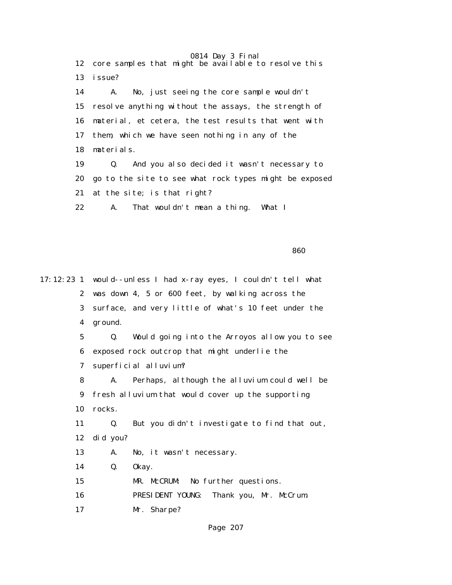0814 Day 3 Final 12 core samples that might be available to resolve this 13 issue? 14 A. No, just seeing the core sample wouldn't 15 resolve anything without the assays, the strength of 16 material, et cetera, the test results that went with 17 them, which we have seen nothing in any of the 18 materials. 19 Q. And you also decided it wasn't necessary to 20 go to the site to see what rock types might be exposed 21 at the site; is that right? 22 A. That wouldn't mean a thing. What I

<u>860 - Santa Carlos de Santa Carlos de Santa Carlos de Santa Carlos de Santa Carlos de Santa Carlos de Santa C</u>

17:12:23 1 would--unless I had x-ray eyes, I couldn't tell what 2 was down 4, 5 or 600 feet, by walking across the 3 surface, and very little of what's 10 feet under the 4 ground. 5 Q. Would going into the Arroyos allow you to see 6 exposed rock outcrop that might underlie the 7 superficial alluvium? 8 A. Perhaps, although the alluvium could well be 9 fresh alluvium that would cover up the supporting 10 rocks. 11 Q. But you didn't investigate to find that out, 12 did you? 13 A. No, it wasn't necessary. 14 Q. Okay. 15 MR. McCRUM: No further questions. 16 PRESIDENT YOUNG: Thank you, Mr. McCrum. 17 Mr. Sharpe?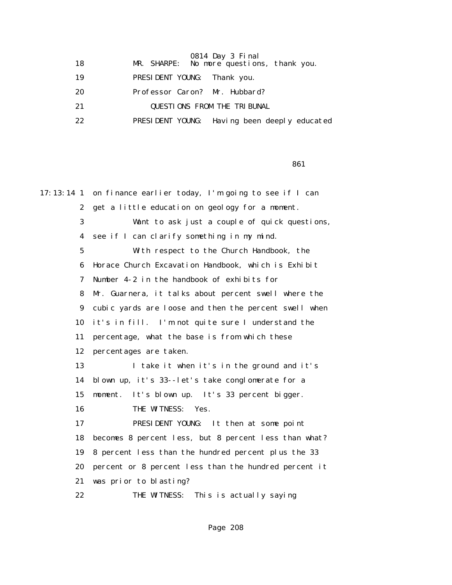| 18 | 0814 Day 3 Final<br>MR. SHARPE: No more questions, thank you. |
|----|---------------------------------------------------------------|
| 19 | PRESIDENT YOUNG: Thank you.                                   |
| 20 | Professor Caron? Mr. Hubbard?                                 |
| 21 | <b>QUESTIONS FROM THE TRIBUNAL</b>                            |
| 22 | PRESIDENT YOUNG: Having been deeply educated                  |
|    |                                                               |

 $861$ 

| $17:13:14$ 1            | on finance earlier today, I'm going to see if I can   |
|-------------------------|-------------------------------------------------------|
| $\mathbf{2}$            | get a little education on geology for a moment.       |
| 3                       | Want to ask just a couple of quick questions,         |
| $\overline{\mathbf{4}}$ | see if I can clarify something in my mind.            |
| $5\phantom{.0}$         | With respect to the Church Handbook, the              |
| 6                       | Horace Church Excavation Handbook, which is Exhibit   |
| 7                       | Number 4-2 in the handbook of exhibits for            |
| 8                       | Mr. Guarnera, it talks about percent swell where the  |
| 9                       | cubic yards are loose and then the percent swell when |
| 10                      | it's in fill. I'm not quite sure I understand the     |
| 11                      | percentage, what the base is from which these         |
| 12                      | percentages are taken.                                |
| 13                      | I take it when it's in the ground and it's            |
| 14                      | blown up, it's 33--let's take conglomerate for a      |
| 15                      | It's blown up. It's 33 percent bigger.<br>moment.     |
| 16                      | THE WITNESS:<br>Yes.                                  |
| 17                      | PRESIDENT YOUNG: It then at some point                |
| 18                      | becomes 8 percent less, but 8 percent less than what? |
| 19                      | 8 percent less than the hundred percent plus the 33   |
| 20                      | percent or 8 percent less than the hundred percent it |
| 21                      | was prior to blasting?                                |
| 22                      | THE WITNESS:<br>This is actually saying               |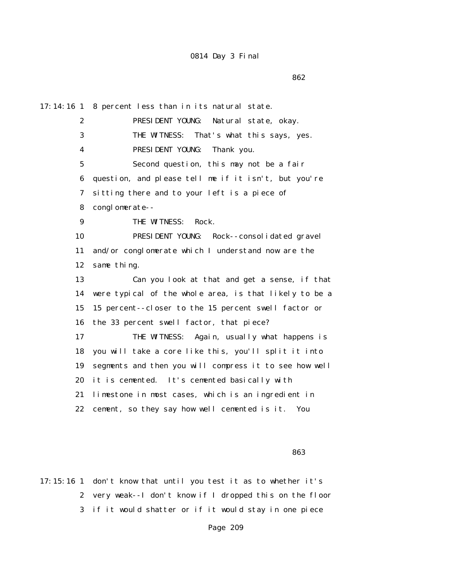$862$ 

17:14:16 1 8 percent less than in its natural state. 2 PRESIDENT YOUNG: Natural state, okay. 3 THE WITNESS: That's what this says, yes. 4 PRESIDENT YOUNG: Thank you. 5 Second question, this may not be a fair 6 question, and please tell me if it isn't, but you're 7 sitting there and to your left is a piece of 8 conglomerate-- 9 THE WITNESS: Rock. 10 PRESIDENT YOUNG: Rock--consolidated gravel 11 and/or conglomerate which I understand now are the 12 same thing. 13 Can you look at that and get a sense, if that 14 were typical of the whole area, is that likely to be a 15 15 percent--closer to the 15 percent swell factor or 16 the 33 percent swell factor, that piece? 17 THE WITNESS: Again, usually what happens is 18 you will take a core like this, you'll split it into 19 segments and then you will compress it to see how well 20 it is cemented. It's cemented basically with 21 limestone in most cases, which is an ingredient in 22 cement, so they say how well cemented is it. You

<u>1986 - Andrej Sterne Sterne Sterne Sterne Sterne Sterne Sterne Sterne Sterne Sterne Sterne Sterne Sterne Ste</u>

17:15:16 1 don't know that until you test it as to whether it's 2 very weak--I don't know if I dropped this on the floor 3 if it would shatter or if it would stay in one piece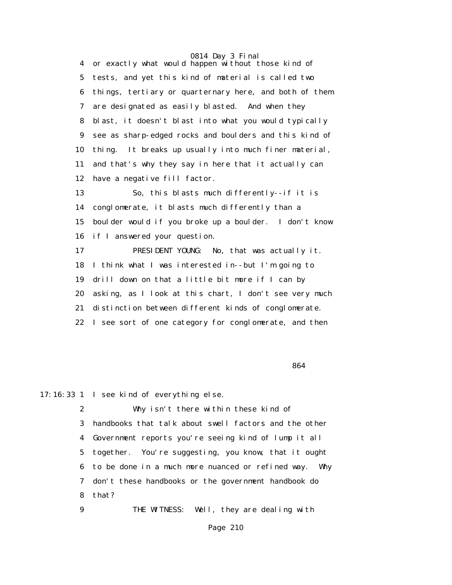0814 Day 3 Final 4 or exactly what would happen without those kind of 5 tests, and yet this kind of material is called two 6 things, tertiary or quarternary here, and both of them 7 are designated as easily blasted. And when they 8 blast, it doesn't blast into what you would typically 9 see as sharp-edged rocks and boulders and this kind of 10 thing. It breaks up usually into much finer material, 11 and that's why they say in here that it actually can 12 have a negative fill factor. 13 So, this blasts much differently--if it is 14 conglomerate, it blasts much differently than a 15 boulder would if you broke up a boulder. I don't know 16 if I answered your question. 17 PRESIDENT YOUNG: No, that was actually it. 18 I think what I was interested in--but I'm going to 19 drill down on that a little bit more if I can by 20 asking, as I look at this chart, I don't see very much

21 distinction between different kinds of conglomerate.

22 I see sort of one category for conglomerate, and then

 $864$ 

17:16:33 1 I see kind of everything else.

 2 Why isn't there within these kind of 3 handbooks that talk about swell factors and the other 4 Government reports you're seeing kind of lump it all 5 together. You're suggesting, you know, that it ought 6 to be done in a much more nuanced or refined way. Why 7 don't these handbooks or the government handbook do 8 that?

9 THE WITNESS: Well, they are dealing with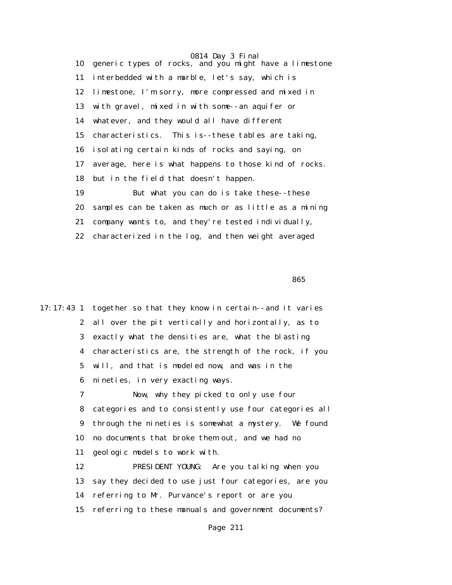0814 Day 3 Final 10 generic types of rocks, and you might have a limestone 11 interbedded with a marble, let's say, which is 12 limestone, I'm sorry, more compressed and mixed in 13 with gravel, mixed in with some--an aquifer or 14 whatever, and they would all have different 15 characteristics. This is--these tables are taking, 16 isolating certain kinds of rocks and saying, on 17 average, here is what happens to those kind of rocks. 18 but in the field that doesn't happen. 19 But what you can do is take these--these 20 samples can be taken as much or as little as a mining 21 company wants to, and they're tested individually, 22 characterized in the log, and then weight averaged

<u>1986 - Andrej Sterne Sterne Sterne Sterne Sterne Sterne Sterne Sterne Sterne Sterne Sterne Sterne Sterne Ster</u>

17:17:43 1 together so that they know in certain--and it varies 2 all over the pit vertically and horizontally, as to 3 exactly what the densities are, what the blasting 4 characteristics are, the strength of the rock, if you 5 will, and that is modeled now, and was in the 6 nineties, in very exacting ways. 7 Now, why they picked to only use four 8 categories and to consistently use four categories all 9 through the nineties is somewhat a mystery. We found 10 no documents that broke them out, and we had no 11 geologic models to work with. 12 PRESIDENT YOUNG: Are you talking when you 13 say they decided to use just four categories, are you 14 referring to Mr. Purvance's report or are you 15 referring to these manuals and government documents?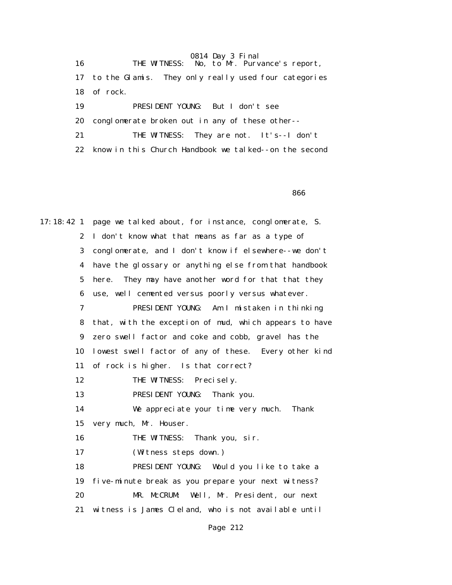0814 Day 3 Final 16 THE WITNESS: No, to Mr. Purvance's report, 17 to the Glamis. They only really used four categories 18 of rock. 19 PRESIDENT YOUNG: But I don't see 20 conglomerate broken out in any of these other-- 21 THE WITNESS: They are not. It's--I don't 22 know in this Church Handbook we talked--on the second

<u>1986 - Andrej Sterne Sterne Sterne Sterne Sterne Sterne Sterne Sterne Sterne Sterne Sterne Sterne Sterne Ste</u>

17:18:42 1 page we talked about, for instance, conglomerate, S. 2 I don't know what that means as far as a type of 3 conglomerate, and I don't know if elsewhere--we don't 4 have the glossary or anything else from that handbook 5 here. They may have another word for that that they 6 use, well cemented versus poorly versus whatever. 7 PRESIDENT YOUNG: Am I mistaken in thinking 8 that, with the exception of mud, which appears to have 9 zero swell factor and coke and cobb, gravel has the 10 lowest swell factor of any of these. Every other kind 11 of rock is higher. Is that correct? 12 THE WITNESS: Precisely. 13 PRESIDENT YOUNG: Thank you. 14 We appreciate your time very much. Thank 15 very much, Mr. Houser. 16 THE WITNESS: Thank you, sir. 17 (Witness steps down.) 18 PRESIDENT YOUNG: Would you like to take a 19 five-minute break as you prepare your next witness? 20 MR. McCRUM: Well, Mr. President, our next 21 witness is James Cleland, who is not available until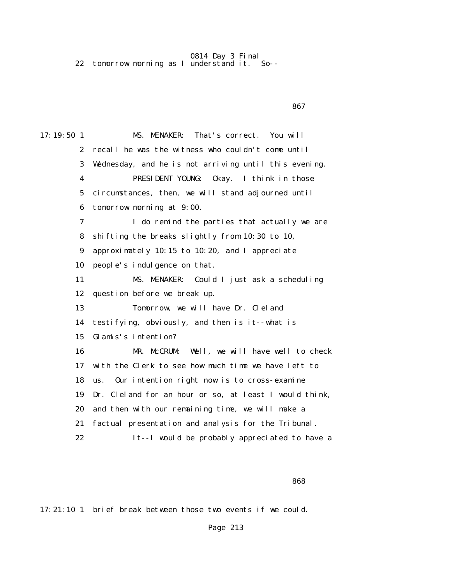0814 Day 3 Final 22 tomorrow morning as I understand it. So--

17:19:50 1 MS. MENAKER: That's correct. You will 2 recall he was the witness who couldn't come until 3 Wednesday, and he is not arriving until this evening. 4 PRESIDENT YOUNG: Okay. I think in those 5 circumstances, then, we will stand adjourned until 6 tomorrow morning at 9:00. 7 I do remind the parties that actually we are 8 shifting the breaks slightly from 10:30 to 10, 9 approximately 10:15 to 10:20, and I appreciate 10 people's indulgence on that. 11 MS. MENAKER: Could I just ask a scheduling 12 question before we break up. 13 Tomorrow, we will have Dr. Cleland 14 testifying, obviously, and then is it--what is 15 Glamis's intention? 16 MR. McCRUM: Well, we will have well to check 17 with the Clerk to see how much time we have left to 18 us. Our intention right now is to cross-examine 19 Dr. Cleland for an hour or so, at least I would think, 20 and then with our remaining time, we will make a 21 factual presentation and analysis for the Tribunal. 22 It--I would be probably appreciated to have a

 $867$ 

17:21:10 1 brief break between those two events if we could.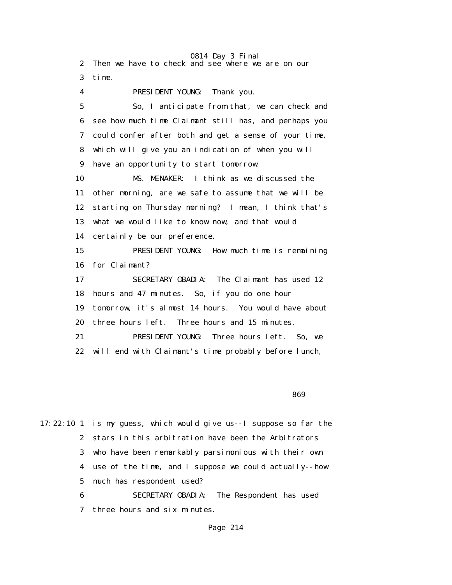0814 Day 3 Final 2 Then we have to check and see where we are on our 3 time. 4 PRESIDENT YOUNG: Thank you. 5 So, I anticipate from that, we can check and 6 see how much time Claimant still has, and perhaps you 7 could confer after both and get a sense of your time, 8 which will give you an indication of when you will 9 have an opportunity to start tomorrow. 10 MS. MENAKER: I think as we discussed the 11 other morning, are we safe to assume that we will be 12 starting on Thursday morning? I mean, I think that's 13 what we would like to know now, and that would 14 certainly be our preference. 15 PRESIDENT YOUNG: How much time is remaining 16 for Claimant? 17 SECRETARY OBADIA: The Claimant has used 12 18 hours and 47 minutes. So, if you do one hour 19 tomorrow, it's almost 14 hours. You would have about 20 three hours left. Three hours and 15 minutes. 21 PRESIDENT YOUNG: Three hours left. So, we 22 will end with Claimant's time probably before lunch,

<u>and the state of the state of the state of the state of the state of the state of the state of the state of the state of the state of the state of the state of the state of the state of the state of the state of the state</u>

17:22:10 1 is my guess, which would give us--I suppose so far the 2 stars in this arbitration have been the Arbitrators 3 who have been remarkably parsimonious with their own 4 use of the time, and I suppose we could actually--how 5 much has respondent used?

 6 SECRETARY OBADIA: The Respondent has used 7 three hours and six minutes.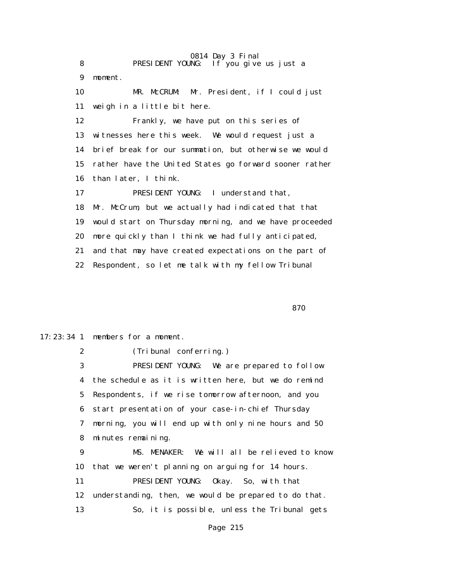0814 Day 3 Final 8 **PRESIDENT YOUNG:** If you give us just a 9 moment. 10 MR. McCRUM: Mr. President, if I could just 11 weigh in a little bit here. 12 Frankly, we have put on this series of 13 witnesses here this week. We would request just a 14 brief break for our summation, but otherwise we would 15 rather have the United States go forward sooner rather 16 than later, I think. 17 PRESIDENT YOUNG: I understand that, 18 Mr. McCrum, but we actually had indicated that that 19 would start on Thursday morning, and we have proceeded 20 more quickly than I think we had fully anticipated, 21 and that may have created expectations on the part of 22 Respondent, so let me talk with my fellow Tribunal

<u>870</u> and the state of the state of the state of the state of the state of the state of the state of the state of the state of the state of the state of the state of the state of the state of the state of the state of the

17:23:34 1 members for a moment.

2 (Tribunal conferring.)

 3 PRESIDENT YOUNG: We are prepared to follow 4 the schedule as it is written here, but we do remind 5 Respondents, if we rise tomorrow afternoon, and you 6 start presentation of your case-in-chief Thursday 7 morning, you will end up with only nine hours and 50 8 minutes remaining. 9 MS. MENAKER: We will all be relieved to know 10 that we weren't planning on arguing for 14 hours.

 11 PRESIDENT YOUNG: Okay. So, with that 12 understanding, then, we would be prepared to do that. 13 So, it is possible, unless the Tribunal gets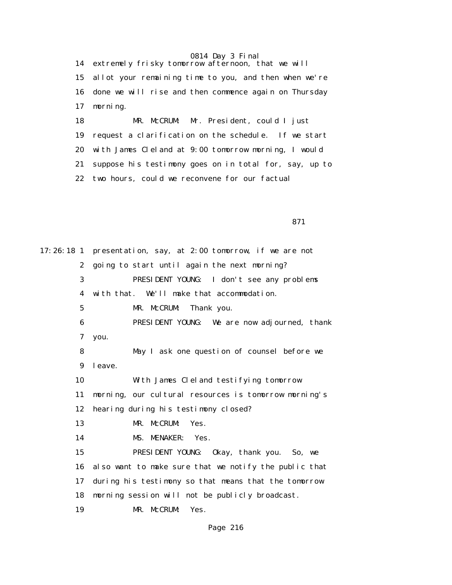14 extremely frisky tomorrow afternoon, that we will 15 allot your remaining time to you, and then when we're 16 done we will rise and then commence again on Thursday 17 morning.

 18 MR. McCRUM: Mr. President, could I just 19 request a clarification on the schedule. If we start 20 with James Cleland at 9:00 tomorrow morning, I would 21 suppose his testimony goes on in total for, say, up to 22 two hours, could we reconvene for our factual

<u>871</u>

17:26:18 1 presentation, say, at 2:00 tomorrow, if we are not 2 going to start until again the next morning? 3 PRESIDENT YOUNG: I don't see any problems 4 with that. We'll make that accommodation. 5 MR. McCRUM: Thank you. 6 PRESIDENT YOUNG: We are now adjourned, thank 7 you. 8 May I ask one question of counsel before we 9 leave. 10 With James Cleland testifying tomorrow 11 morning, our cultural resources is tomorrow morning's 12 hearing during his testimony closed? 13 MR. McCRUM: Yes. 14 MS. MENAKER: Yes. 15 PRESIDENT YOUNG: Okay, thank you. So, we 16 also want to make sure that we notify the public that 17 during his testimony so that means that the tomorrow 18 morning session will not be publicly broadcast. 19 MR. McCRUM: Yes.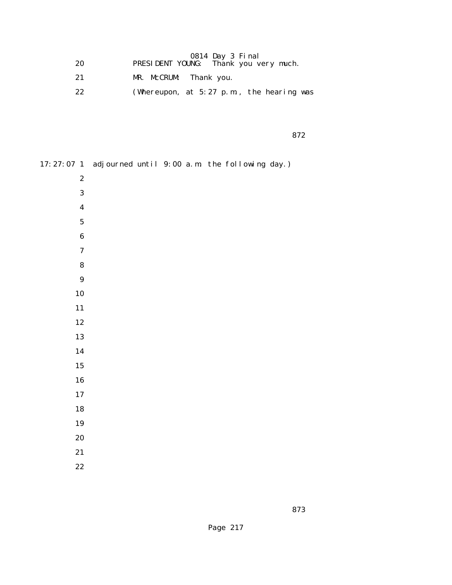| 20 | 0814 Day 3 Final<br>PRESIDENT YOUNG: Thank you very much. |
|----|-----------------------------------------------------------|
| 21 | MR. McCRUM: Thank you.                                    |
| 22 | (Whereupon, at $5:27$ p.m., the hearing was               |

<u>872</u>

| 17:27:07 1 adjourned until 9:00 a.m. the following day.) |  |  |  |
|----------------------------------------------------------|--|--|--|
| $\boldsymbol{2}$                                         |  |  |  |
| $\boldsymbol{3}$                                         |  |  |  |
| $\boldsymbol{4}$                                         |  |  |  |
| ${\bf 5}$                                                |  |  |  |
| $\bf 6$                                                  |  |  |  |
| $\boldsymbol{7}$                                         |  |  |  |
| ${\bf 8}$                                                |  |  |  |
| $\boldsymbol{9}$                                         |  |  |  |
| 10                                                       |  |  |  |
| 11                                                       |  |  |  |
| 12                                                       |  |  |  |
| 13                                                       |  |  |  |
| 14                                                       |  |  |  |
| ${\bf 15}$                                               |  |  |  |
| ${\bf 16}$                                               |  |  |  |
| $17\,$                                                   |  |  |  |
| 18                                                       |  |  |  |
| 19                                                       |  |  |  |
| 20                                                       |  |  |  |
| 21                                                       |  |  |  |
| $2\sqrt{2}$                                              |  |  |  |